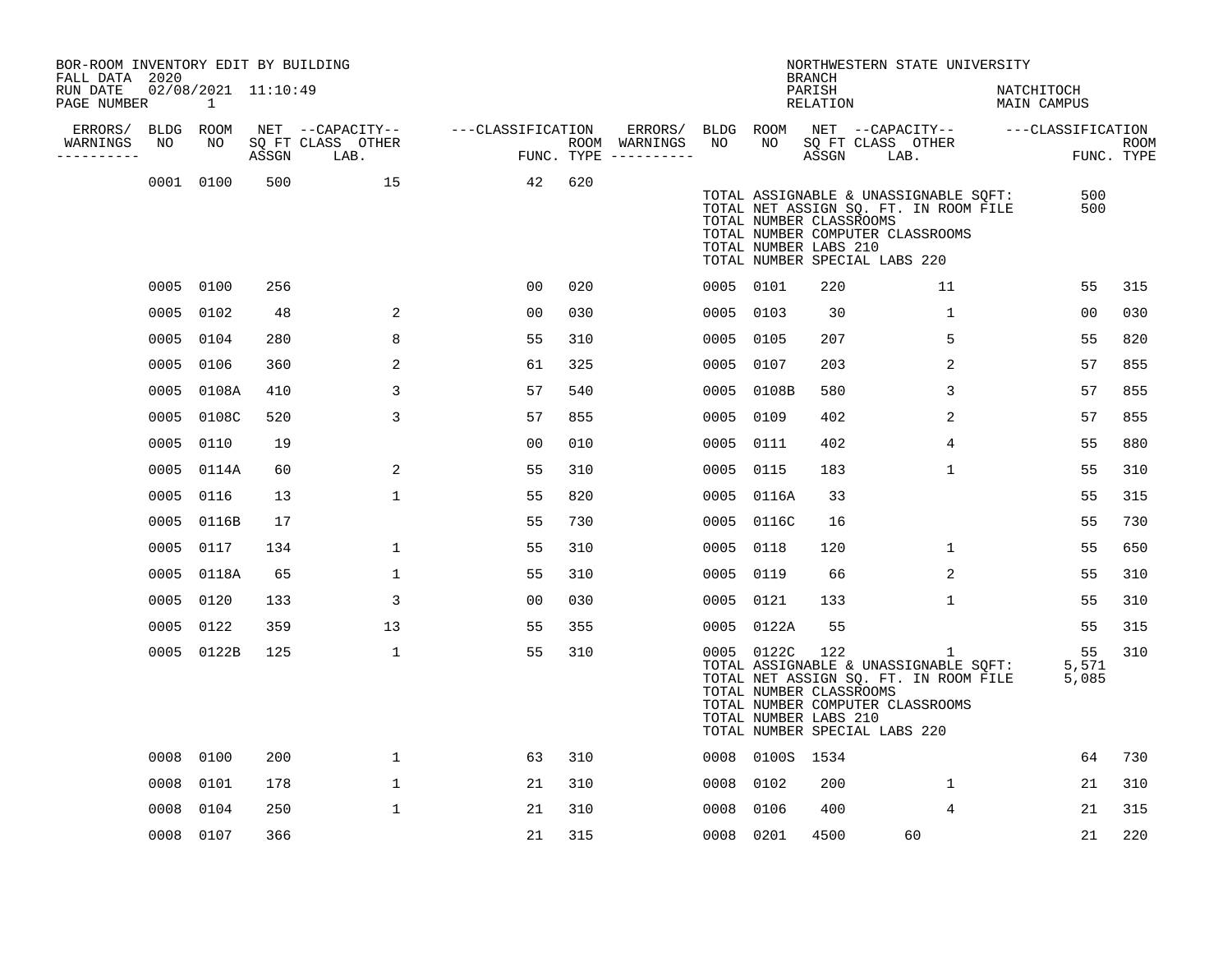| BOR-ROOM INVENTORY EDIT BY BUILDING<br>FALL DATA 2020 |      |                          |       |                           |                   |     |                                      |           |                 | <b>BRANCH</b>                                           | NORTHWESTERN STATE UNIVERSITY                                                                                                                            |                           |                      |                           |
|-------------------------------------------------------|------|--------------------------|-------|---------------------------|-------------------|-----|--------------------------------------|-----------|-----------------|---------------------------------------------------------|----------------------------------------------------------------------------------------------------------------------------------------------------------|---------------------------|----------------------|---------------------------|
| RUN DATE<br>PAGE NUMBER                               |      | 02/08/2021 11:10:49<br>1 |       |                           |                   |     |                                      |           |                 | PARISH<br>RELATION                                      |                                                                                                                                                          | NATCHITOCH<br>MAIN CAMPUS |                      |                           |
| ERRORS/                                               |      | BLDG ROOM                |       | NET --CAPACITY--          | ---CLASSIFICATION |     | ERRORS/                              | BLDG ROOM |                 |                                                         | NET --CAPACITY-- ---CLASSIFICATION                                                                                                                       |                           |                      |                           |
| WARNINGS<br>----------                                | NO   | NO                       | ASSGN | SQ FT CLASS OTHER<br>LAB. |                   |     | ROOM WARNINGS<br>FUNC. TYPE $------$ | NO        | NO.             | ASSGN                                                   | SQ FT CLASS OTHER<br>LAB.                                                                                                                                |                           |                      | <b>ROOM</b><br>FUNC. TYPE |
|                                                       |      | 0001 0100                | 500   | 15                        | 42                | 620 |                                      |           |                 | TOTAL NUMBER CLASSROOMS<br>TOTAL NUMBER LABS 210        | TOTAL ASSIGNABLE & UNASSIGNABLE SQFT:<br>TOTAL NET ASSIGN SQ. FT. IN ROOM FILE<br>TOTAL NUMBER COMPUTER CLASSROOMS<br>TOTAL NUMBER SPECIAL LABS 220      |                           | 500<br>500           |                           |
|                                                       |      | 0005 0100                | 256   |                           | 00                | 020 |                                      |           | 0005 0101       | 220                                                     | 11                                                                                                                                                       |                           | 55                   | 315                       |
|                                                       |      | 0005 0102                | 48    | 2                         | 0 <sub>0</sub>    | 030 |                                      |           | 0005 0103       | 30                                                      | $\mathbf{1}$                                                                                                                                             |                           | 00                   | 030                       |
|                                                       |      | 0005 0104                | 280   | 8                         | 55                | 310 |                                      |           | 0005 0105       | 207                                                     | 5                                                                                                                                                        |                           | 55                   | 820                       |
|                                                       |      | 0005 0106                | 360   | 2                         | 61                | 325 |                                      |           | 0005 0107       | 203                                                     | 2                                                                                                                                                        |                           | 57                   | 855                       |
|                                                       |      | 0005 0108A               | 410   | 3                         | 57                | 540 |                                      |           | 0005 0108B      | 580                                                     | 3                                                                                                                                                        |                           | 57                   | 855                       |
|                                                       |      | 0005 0108C               | 520   | 3                         | 57                | 855 |                                      |           | 0005 0109       | 402                                                     | 2                                                                                                                                                        |                           | 57                   | 855                       |
|                                                       |      | 0005 0110                | 19    |                           | 0 <sub>0</sub>    | 010 |                                      |           | 0005 0111       | 402                                                     | 4                                                                                                                                                        |                           | 55                   | 880                       |
|                                                       |      | 0005 0114A               | 60    | 2                         | 55                | 310 |                                      |           | 0005 0115       | 183                                                     | $\mathbf{1}$                                                                                                                                             |                           | 55                   | 310                       |
|                                                       | 0005 | 0116                     | 13    | $\mathbf 1$               | 55                | 820 |                                      |           | 0005 0116A      | 33                                                      |                                                                                                                                                          |                           | 55                   | 315                       |
|                                                       | 0005 | 0116B                    | 17    |                           | 55                | 730 |                                      |           | 0005 0116C      | 16                                                      |                                                                                                                                                          |                           | 55                   | 730                       |
|                                                       |      | 0005 0117                | 134   | $\mathbf{1}$              | 55                | 310 |                                      |           | 0005 0118       | 120                                                     | $\mathbf{1}$                                                                                                                                             |                           | 55                   | 650                       |
|                                                       |      | 0005 0118A               | 65    | $\mathbf{1}$              | 55                | 310 |                                      |           | 0005 0119       | 66                                                      | 2                                                                                                                                                        |                           | 55                   | 310                       |
|                                                       |      | 0005 0120                | 133   | 3                         | 0 <sub>0</sub>    | 030 |                                      |           | 0005 0121       | 133                                                     | 1                                                                                                                                                        |                           | 55                   | 310                       |
|                                                       | 0005 | 0122                     | 359   | 13                        | 55                | 355 |                                      |           | 0005 0122A      | 55                                                      |                                                                                                                                                          |                           | 55                   | 315                       |
|                                                       |      | 0005 0122B               | 125   | $\mathbf{1}$              | 55                | 310 |                                      |           | 0005 0122C      | 122<br>TOTAL NUMBER CLASSROOMS<br>TOTAL NUMBER LABS 210 | 1<br>TOTAL ASSIGNABLE & UNASSIGNABLE SQFT:<br>TOTAL NET ASSIGN SQ. FT. IN ROOM FILE<br>TOTAL NUMBER COMPUTER CLASSROOMS<br>TOTAL NUMBER SPECIAL LABS 220 |                           | 55<br>5,571<br>5,085 | 310                       |
|                                                       |      | 0008 0100                | 200   | $\mathbf 1$               | 63                | 310 |                                      |           | 0008 0100S 1534 |                                                         |                                                                                                                                                          |                           | 64                   | 730                       |
|                                                       | 0008 | 0101                     | 178   | $\mathbf 1$               | 21                | 310 |                                      |           | 0008 0102       | 200                                                     | $\mathbf{1}$                                                                                                                                             |                           | 21                   | 310                       |
|                                                       | 0008 | 0104                     | 250   | $\mathbf 1$               | 21                | 310 |                                      |           | 0008 0106       | 400                                                     | 4                                                                                                                                                        |                           | 21                   | 315                       |
|                                                       |      | 0008 0107                | 366   |                           | 21                | 315 |                                      |           | 0008 0201       | 4500                                                    | 60                                                                                                                                                       |                           | 21                   | 220                       |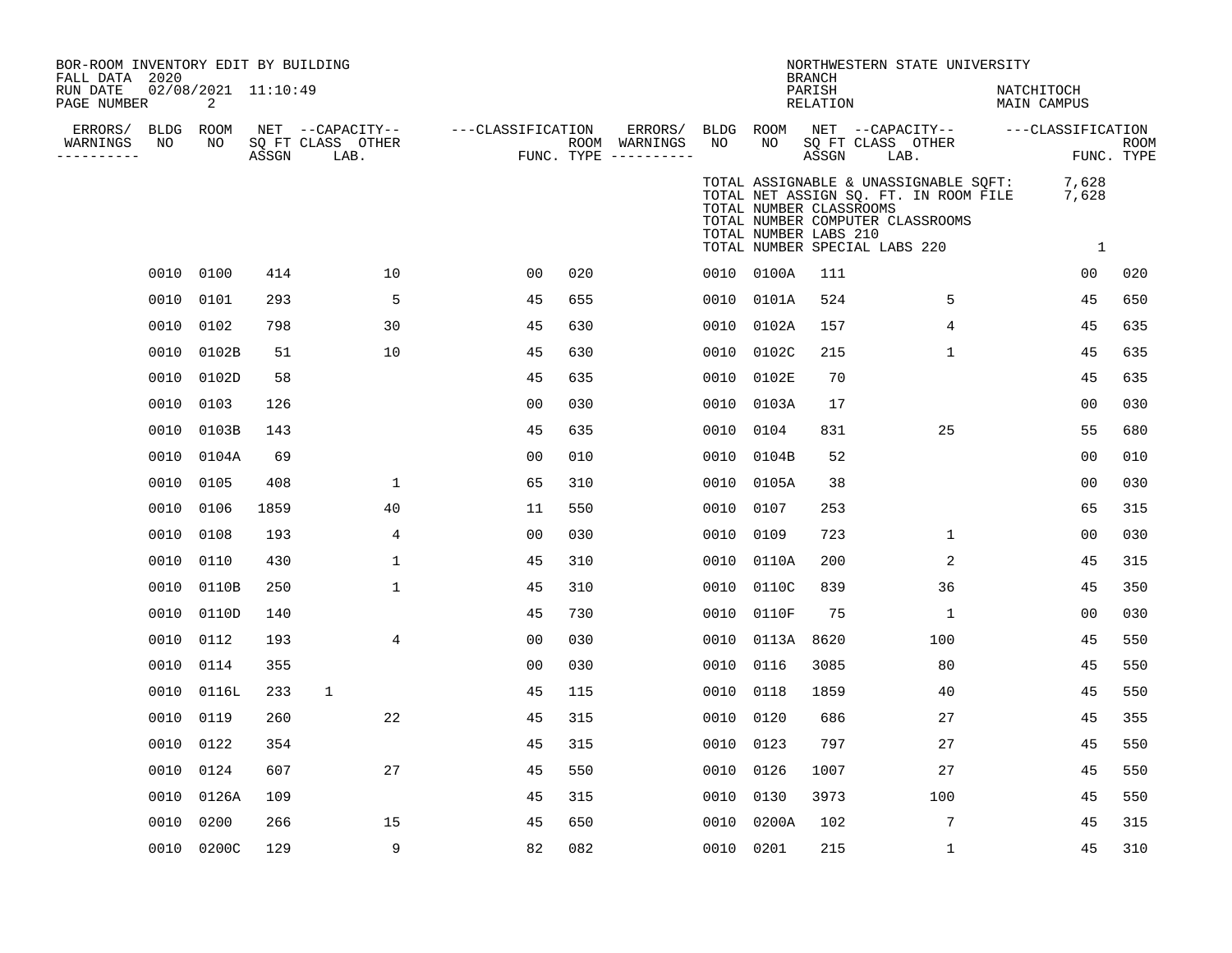| BOR-ROOM INVENTORY EDIT BY BUILDING<br>FALL DATA 2020 |      |                          |       |                                               |                   |     |                                                   |           |                                                  | BRANCH                    | NORTHWESTERN STATE UNIVERSITY                                                                                                                       |                           |                           |
|-------------------------------------------------------|------|--------------------------|-------|-----------------------------------------------|-------------------|-----|---------------------------------------------------|-----------|--------------------------------------------------|---------------------------|-----------------------------------------------------------------------------------------------------------------------------------------------------|---------------------------|---------------------------|
| RUN DATE<br>PAGE NUMBER                               |      | 02/08/2021 11:10:49<br>2 |       |                                               |                   |     |                                                   |           |                                                  | PARISH<br><b>RELATION</b> |                                                                                                                                                     | NATCHITOCH<br>MAIN CAMPUS |                           |
| ERRORS/ BLDG ROOM<br>WARNINGS<br>----------           | NO   | NO                       | ASSGN | NET --CAPACITY--<br>SQ FT CLASS OTHER<br>LAB. | ---CLASSIFICATION |     | ERRORS/<br>ROOM WARNINGS<br>FUNC. TYPE ---------- | NO        | NO                                               | ASSGN                     | BLDG ROOM NET --CAPACITY--<br>SQ FT CLASS OTHER<br>LAB.                                                                                             | ---CLASSIFICATION         | <b>ROOM</b><br>FUNC. TYPE |
|                                                       |      |                          |       |                                               |                   |     |                                                   |           | TOTAL NUMBER CLASSROOMS<br>TOTAL NUMBER LABS 210 |                           | TOTAL ASSIGNABLE & UNASSIGNABLE SQFT:<br>TOTAL NET ASSIGN SQ. FT. IN ROOM FILE<br>TOTAL NUMBER COMPUTER CLASSROOMS<br>TOTAL NUMBER SPECIAL LABS 220 | 7,628<br>7,628<br>1       |                           |
|                                                       |      | 0010 0100                | 414   | 10                                            | 0 <sub>0</sub>    | 020 |                                                   |           | 0010 0100A                                       | 111                       |                                                                                                                                                     | 00                        | 020                       |
|                                                       | 0010 | 0101                     | 293   | 5                                             | 45                | 655 |                                                   | 0010      | 0101A                                            | 524                       | 5                                                                                                                                                   | 45                        | 650                       |
|                                                       | 0010 | 0102                     | 798   | 30                                            | 45                | 630 |                                                   | 0010      | 0102A                                            | 157                       | 4                                                                                                                                                   | 45                        | 635                       |
|                                                       | 0010 | 0102B                    | 51    | 10                                            | 45                | 630 |                                                   | 0010      | 0102C                                            | 215                       | $\mathbf 1$                                                                                                                                         | 45                        | 635                       |
|                                                       | 0010 | 0102D                    | 58    |                                               | 45                | 635 |                                                   | 0010      | 0102E                                            | 70                        |                                                                                                                                                     | 45                        | 635                       |
|                                                       |      | 0010 0103                | 126   |                                               | 0 <sub>0</sub>    | 030 |                                                   | 0010      | 0103A                                            | 17                        |                                                                                                                                                     | 0 <sub>0</sub>            | 030                       |
|                                                       | 0010 | 0103B                    | 143   |                                               | 45                | 635 |                                                   | 0010      | 0104                                             | 831                       | 25                                                                                                                                                  | 55                        | 680                       |
|                                                       | 0010 | 0104A                    | 69    |                                               | 0 <sub>0</sub>    | 010 |                                                   | 0010      | 0104B                                            | 52                        |                                                                                                                                                     | 00                        | 010                       |
|                                                       | 0010 | 0105                     | 408   | $\mathbf{1}$                                  | 65                | 310 |                                                   | 0010      | 0105A                                            | 38                        |                                                                                                                                                     | 0 <sub>0</sub>            | 030                       |
|                                                       | 0010 | 0106                     | 1859  | 40                                            | 11                | 550 |                                                   | 0010      | 0107                                             | 253                       |                                                                                                                                                     | 65                        | 315                       |
|                                                       | 0010 | 0108                     | 193   | 4                                             | 0 <sub>0</sub>    | 030 |                                                   | 0010      | 0109                                             | 723                       | $\mathbf{1}$                                                                                                                                        | 0 <sub>0</sub>            | 030                       |
|                                                       | 0010 | 0110                     | 430   | $\mathbf{1}$                                  | 45                | 310 |                                                   | 0010      | 0110A                                            | 200                       | 2                                                                                                                                                   | 45                        | 315                       |
|                                                       |      | 0010 0110B               | 250   | $\mathbf{1}$                                  | 45                | 310 |                                                   | 0010      | 0110C                                            | 839                       | 36                                                                                                                                                  | 45                        | 350                       |
|                                                       | 0010 | 0110D                    | 140   |                                               | 45                | 730 |                                                   | 0010      | 0110F                                            | 75                        | $\mathbf{1}$                                                                                                                                        | 0 <sub>0</sub>            | 030                       |
|                                                       |      | 0010 0112                | 193   | 4                                             | 0 <sub>0</sub>    | 030 |                                                   | 0010      | 0113A                                            | 8620                      | 100                                                                                                                                                 | 45                        | 550                       |
|                                                       | 0010 | 0114                     | 355   |                                               | 0 <sub>0</sub>    | 030 |                                                   | 0010      | 0116                                             | 3085                      | 80                                                                                                                                                  | 45                        | 550                       |
|                                                       | 0010 | 0116L                    | 233   | $\mathbf{1}$                                  | 45                | 115 |                                                   | 0010      | 0118                                             | 1859                      | 40                                                                                                                                                  | 45                        | 550                       |
|                                                       | 0010 | 0119                     | 260   | 22                                            | 45                | 315 |                                                   | 0010      | 0120                                             | 686                       | 27                                                                                                                                                  | 45                        | 355                       |
|                                                       | 0010 | 0122                     | 354   |                                               | 45                | 315 |                                                   | 0010      | 0123                                             | 797                       | 27                                                                                                                                                  | 45                        | 550                       |
|                                                       |      | 0010 0124                | 607   | 27                                            | 45                | 550 |                                                   | 0010      | 0126                                             | 1007                      | 27                                                                                                                                                  | 45                        | 550                       |
|                                                       | 0010 | 0126A                    | 109   |                                               | 45                | 315 |                                                   | 0010      | 0130                                             | 3973                      | 100                                                                                                                                                 | 45                        | 550                       |
|                                                       | 0010 | 0200                     | 266   | 15                                            | 45                | 650 |                                                   | 0010      | 0200A                                            | 102                       | 7                                                                                                                                                   | 45                        | 315                       |
|                                                       |      | 0010 0200C               | 129   | 9                                             | 82                | 082 |                                                   | 0010 0201 |                                                  | 215                       | $\mathbf 1$                                                                                                                                         | 45                        | 310                       |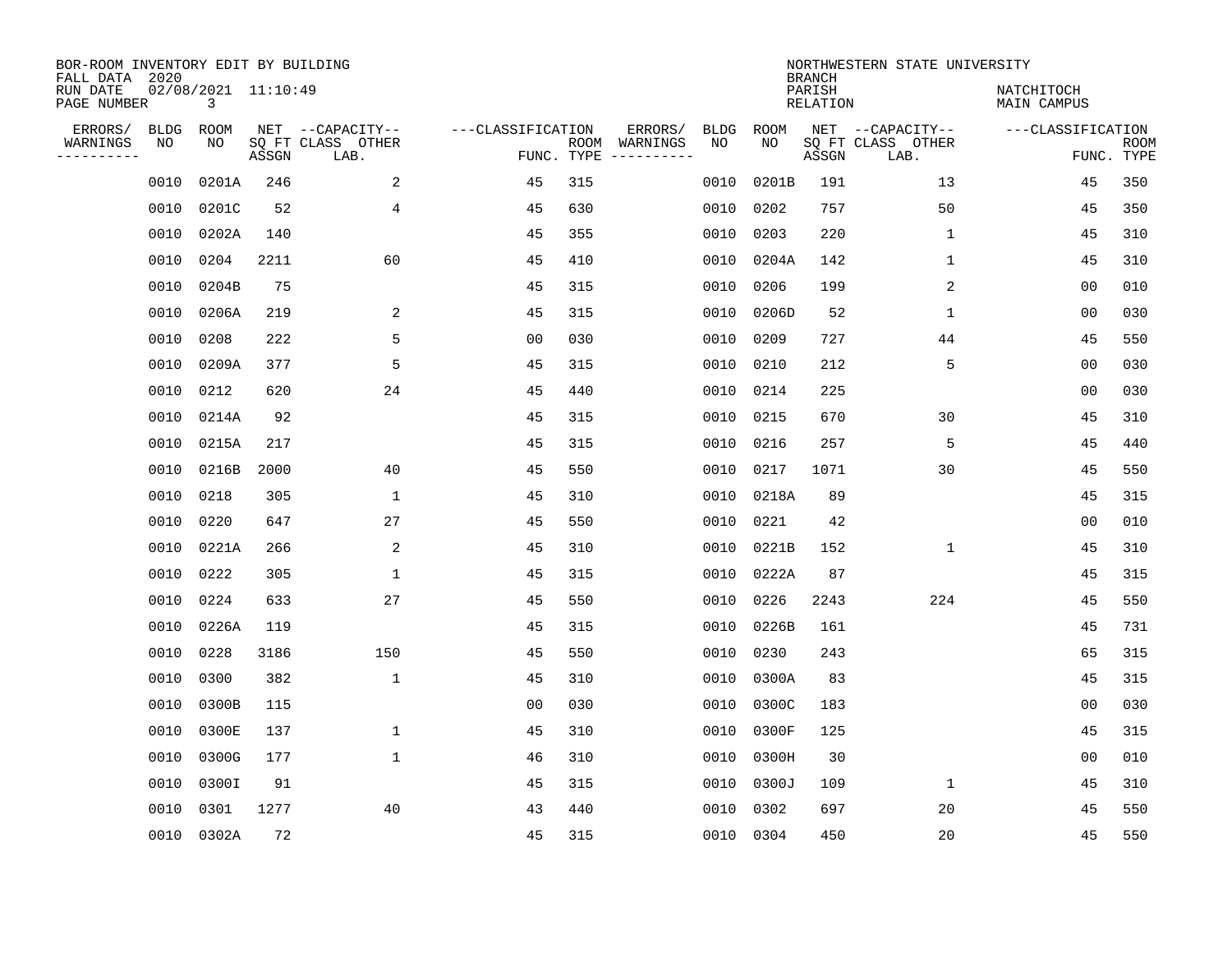| BOR-ROOM INVENTORY EDIT BY BUILDING<br>FALL DATA 2020<br>RUN DATE<br>PAGE NUMBER |                   | 02/08/2021 11:10:49<br>3 |       |                                       |                   |            |                                               |             | <b>BRANCH</b><br>PARISH<br><b>RELATION</b> | NORTHWESTERN STATE UNIVERSITY         | NATCHITOCH<br>MAIN CAMPUS |             |
|----------------------------------------------------------------------------------|-------------------|--------------------------|-------|---------------------------------------|-------------------|------------|-----------------------------------------------|-------------|--------------------------------------------|---------------------------------------|---------------------------|-------------|
| ERRORS/<br>WARNINGS                                                              | <b>BLDG</b><br>NO | ROOM<br>NO               |       | NET --CAPACITY--<br>SQ FT CLASS OTHER | ---CLASSIFICATION |            | ERRORS/<br><b>BLDG</b><br>ROOM WARNINGS<br>NO | ROOM<br>NO. |                                            | NET --CAPACITY--<br>SQ FT CLASS OTHER | ---CLASSIFICATION         | <b>ROOM</b> |
| .                                                                                |                   |                          | ASSGN | LAB.                                  |                   | FUNC. TYPE |                                               |             | ASSGN                                      | LAB.                                  |                           | FUNC. TYPE  |
|                                                                                  | 0010              | 0201A                    | 246   | 2                                     | 45                | 315        | 0010                                          | 0201B       | 191                                        | 13                                    | 45                        | 350         |
|                                                                                  | 0010              | 0201C                    | 52    | $\overline{4}$                        | 45                | 630        | 0010                                          | 0202        | 757                                        | 50                                    | 45                        | 350         |
|                                                                                  | 0010              | 0202A                    | 140   |                                       | 45                | 355        | 0010                                          | 0203        | 220                                        | $\mathbf{1}$                          | 45                        | 310         |
|                                                                                  | 0010              | 0204                     | 2211  | 60                                    | 45                | 410        | 0010                                          | 0204A       | 142                                        | $\mathbf{1}$                          | 45                        | 310         |
|                                                                                  | 0010              | 0204B                    | 75    |                                       | 45                | 315        | 0010                                          | 0206        | 199                                        | 2                                     | 00                        | 010         |
|                                                                                  | 0010              | 0206A                    | 219   | 2                                     | 45                | 315        | 0010                                          | 0206D       | 52                                         | 1                                     | 0 <sub>0</sub>            | 030         |
|                                                                                  | 0010              | 0208                     | 222   | 5                                     | 0 <sub>0</sub>    | 030        | 0010                                          | 0209        | 727                                        | 44                                    | 45                        | 550         |
|                                                                                  | 0010              | 0209A                    | 377   | 5                                     | 45                | 315        | 0010                                          | 0210        | 212                                        | 5                                     | 0 <sub>0</sub>            | 030         |
|                                                                                  | 0010              | 0212                     | 620   | 24                                    | 45                | 440        | 0010                                          | 0214        | 225                                        |                                       | 0 <sub>0</sub>            | 030         |
|                                                                                  | 0010              | 0214A                    | 92    |                                       | 45                | 315        | 0010                                          | 0215        | 670                                        | 30                                    | 45                        | 310         |
|                                                                                  | 0010              | 0215A                    | 217   |                                       | 45                | 315        | 0010                                          | 0216        | 257                                        | 5                                     | 45                        | 440         |
|                                                                                  | 0010              | 0216B                    | 2000  | 40                                    | 45                | 550        | 0010                                          | 0217        | 1071                                       | 30                                    | 45                        | 550         |
|                                                                                  | 0010              | 0218                     | 305   | 1                                     | 45                | 310        | 0010                                          | 0218A       | 89                                         |                                       | 45                        | 315         |
|                                                                                  | 0010              | 0220                     | 647   | 27                                    | 45                | 550        | 0010                                          | 0221        | 42                                         |                                       | 0 <sub>0</sub>            | 010         |
|                                                                                  | 0010              | 0221A                    | 266   | 2                                     | 45                | 310        | 0010                                          | 0221B       | 152                                        | $\mathbf{1}$                          | 45                        | 310         |
|                                                                                  | 0010              | 0222                     | 305   | 1                                     | 45                | 315        | 0010                                          | 0222A       | 87                                         |                                       | 45                        | 315         |
|                                                                                  | 0010              | 0224                     | 633   | 27                                    | 45                | 550        | 0010                                          | 0226        | 2243                                       | 224                                   | 45                        | 550         |
|                                                                                  | 0010              | 0226A                    | 119   |                                       | 45                | 315        | 0010                                          | 0226B       | 161                                        |                                       | 45                        | 731         |
|                                                                                  | 0010              | 0228                     | 3186  | 150                                   | 45                | 550        | 0010                                          | 0230        | 243                                        |                                       | 65                        | 315         |
|                                                                                  | 0010              | 0300                     | 382   | $\mathbf{1}$                          | 45                | 310        | 0010                                          | 0300A       | 83                                         |                                       | 45                        | 315         |
|                                                                                  | 0010              | 0300B                    | 115   |                                       | 0 <sub>0</sub>    | 030        | 0010                                          | 0300C       | 183                                        |                                       | 0 <sub>0</sub>            | 030         |
|                                                                                  | 0010              | 0300E                    | 137   | $\mathbf{1}$                          | 45                | 310        | 0010                                          | 0300F       | 125                                        |                                       | 45                        | 315         |
|                                                                                  | 0010              | 0300G                    | 177   | $\mathbf{1}$                          | 46                | 310        | 0010                                          | 0300H       | 30                                         |                                       | 0 <sub>0</sub>            | 010         |
|                                                                                  | 0010              | 0300I                    | 91    |                                       | 45                | 315        | 0010                                          | 0300J       | 109                                        | $\mathbf 1$                           | 45                        | 310         |
|                                                                                  | 0010              | 0301                     | 1277  | 40                                    | 43                | 440        | 0010                                          | 0302        | 697                                        | 20                                    | 45                        | 550         |
|                                                                                  | 0010              | 0302A                    | 72    |                                       | 45                | 315        |                                               | 0010 0304   | 450                                        | 20                                    | 45                        | 550         |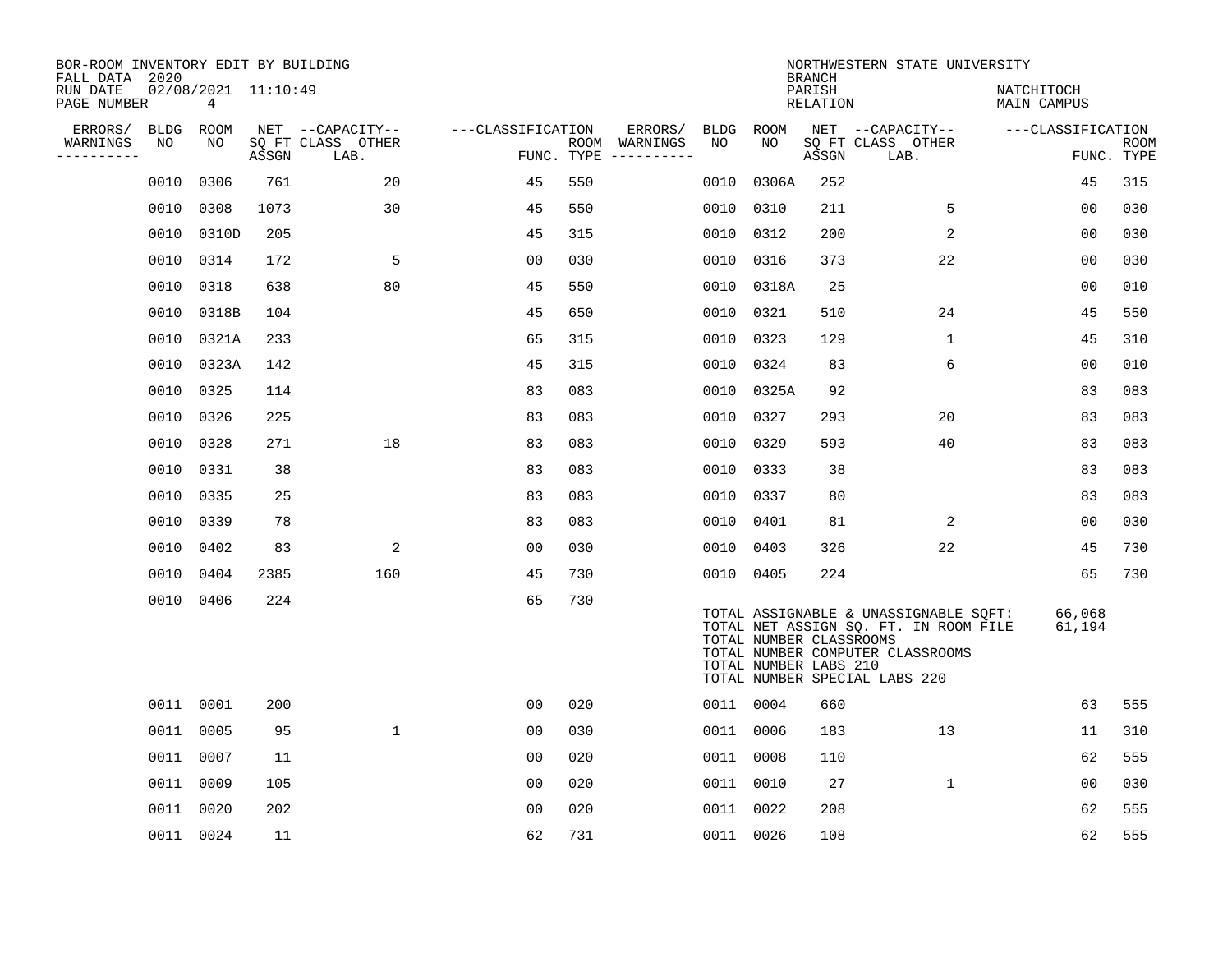| BOR-ROOM INVENTORY EDIT BY BUILDING<br>FALL DATA 2020 |           |                          |       |                           |                   |     |                                      |           |                                                  | <b>BRANCH</b>      | NORTHWESTERN STATE UNIVERSITY                                                                                                                       |                           |                           |
|-------------------------------------------------------|-----------|--------------------------|-------|---------------------------|-------------------|-----|--------------------------------------|-----------|--------------------------------------------------|--------------------|-----------------------------------------------------------------------------------------------------------------------------------------------------|---------------------------|---------------------------|
| RUN DATE<br>PAGE NUMBER                               |           | 02/08/2021 11:10:49<br>4 |       |                           |                   |     |                                      |           |                                                  | PARISH<br>RELATION |                                                                                                                                                     | NATCHITOCH<br>MAIN CAMPUS |                           |
| ERRORS/                                               | BLDG ROOM |                          |       | NET --CAPACITY--          | ---CLASSIFICATION |     | ERRORS/                              | BLDG      | ROOM                                             |                    | NET --CAPACITY--                                                                                                                                    | ---CLASSIFICATION         |                           |
| WARNINGS<br>----------                                | NO        | NO                       | ASSGN | SQ FT CLASS OTHER<br>LAB. |                   |     | ROOM WARNINGS<br>FUNC. TYPE $------$ | NO        | NO                                               | ASSGN              | SQ FT CLASS OTHER<br>LAB.                                                                                                                           |                           | <b>ROOM</b><br>FUNC. TYPE |
|                                                       | 0010      | 0306                     | 761   | 20                        | 45                | 550 |                                      | 0010      | 0306A                                            | 252                |                                                                                                                                                     | 45                        | 315                       |
|                                                       | 0010      | 0308                     | 1073  | 30                        | 45                | 550 |                                      | 0010      | 0310                                             | 211                | 5                                                                                                                                                   | 00                        | 030                       |
|                                                       |           | 0010 0310D               | 205   |                           | 45                | 315 |                                      | 0010 0312 |                                                  | 200                | 2                                                                                                                                                   | 00                        | 030                       |
|                                                       | 0010      | 0314                     | 172   | 5                         | 00                | 030 |                                      | 0010 0316 |                                                  | 373                | 22                                                                                                                                                  | 00                        | 030                       |
|                                                       | 0010      | 0318                     | 638   | 80                        | 45                | 550 |                                      |           | 0010 0318A                                       | 25                 |                                                                                                                                                     | 0 <sub>0</sub>            | 010                       |
|                                                       | 0010      | 0318B                    | 104   |                           | 45                | 650 |                                      | 0010 0321 |                                                  | 510                | 24                                                                                                                                                  | 45                        | 550                       |
|                                                       |           | 0010 0321A               | 233   |                           | 65                | 315 |                                      | 0010 0323 |                                                  | 129                | $\mathbf 1$                                                                                                                                         | 45                        | 310                       |
|                                                       |           | 0010 0323A               | 142   |                           | 45                | 315 |                                      | 0010 0324 |                                                  | 83                 | 6                                                                                                                                                   | 0 <sub>0</sub>            | 010                       |
|                                                       | 0010      | 0325                     | 114   |                           | 83                | 083 |                                      |           | 0010 0325A                                       | 92                 |                                                                                                                                                     | 83                        | 083                       |
|                                                       | 0010      | 0326                     | 225   |                           | 83                | 083 |                                      | 0010      | 0327                                             | 293                | 20                                                                                                                                                  | 83                        | 083                       |
|                                                       | 0010      | 0328                     | 271   | 18                        | 83                | 083 |                                      | 0010      | 0329                                             | 593                | 40                                                                                                                                                  | 83                        | 083                       |
|                                                       | 0010      | 0331                     | 38    |                           | 83                | 083 |                                      | 0010      | 0333                                             | 38                 |                                                                                                                                                     | 83                        | 083                       |
|                                                       | 0010      | 0335                     | 25    |                           | 83                | 083 |                                      | 0010      | 0337                                             | 80                 |                                                                                                                                                     | 83                        | 083                       |
|                                                       | 0010      | 0339                     | 78    |                           | 83                | 083 |                                      | 0010 0401 |                                                  | 81                 | 2                                                                                                                                                   | 0 <sub>0</sub>            | 030                       |
|                                                       | 0010      | 0402                     | 83    | 2                         | 0 <sub>0</sub>    | 030 |                                      | 0010 0403 |                                                  | 326                | 22                                                                                                                                                  | 45                        | 730                       |
|                                                       | 0010      | 0404                     | 2385  | 160                       | 45                | 730 |                                      | 0010 0405 |                                                  | 224                |                                                                                                                                                     | 65                        | 730                       |
|                                                       | 0010 0406 |                          | 224   |                           | 65                | 730 |                                      |           | TOTAL NUMBER CLASSROOMS<br>TOTAL NUMBER LABS 210 |                    | TOTAL ASSIGNABLE & UNASSIGNABLE SQFT:<br>TOTAL NET ASSIGN SQ. FT. IN ROOM FILE<br>TOTAL NUMBER COMPUTER CLASSROOMS<br>TOTAL NUMBER SPECIAL LABS 220 | 66,068<br>61,194          |                           |
|                                                       | 0011 0001 |                          | 200   |                           | 00                | 020 |                                      | 0011 0004 |                                                  | 660                |                                                                                                                                                     | 63                        | 555                       |
|                                                       | 0011 0005 |                          | 95    | $\mathbf{1}$              | 0 <sub>0</sub>    | 030 |                                      | 0011 0006 |                                                  | 183                | 13                                                                                                                                                  | 11                        | 310                       |
|                                                       | 0011 0007 |                          | 11    |                           | 0 <sub>0</sub>    | 020 |                                      | 0011 0008 |                                                  | 110                |                                                                                                                                                     | 62                        | 555                       |
|                                                       | 0011 0009 |                          | 105   |                           | 0 <sub>0</sub>    | 020 |                                      | 0011 0010 |                                                  | 27                 | $\mathbf{1}$                                                                                                                                        | 00                        | 030                       |
|                                                       | 0011 0020 |                          | 202   |                           | 0 <sub>0</sub>    | 020 |                                      | 0011 0022 |                                                  | 208                |                                                                                                                                                     | 62                        | 555                       |
|                                                       | 0011 0024 |                          | 11    |                           | 62                | 731 |                                      | 0011 0026 |                                                  | 108                |                                                                                                                                                     | 62                        | 555                       |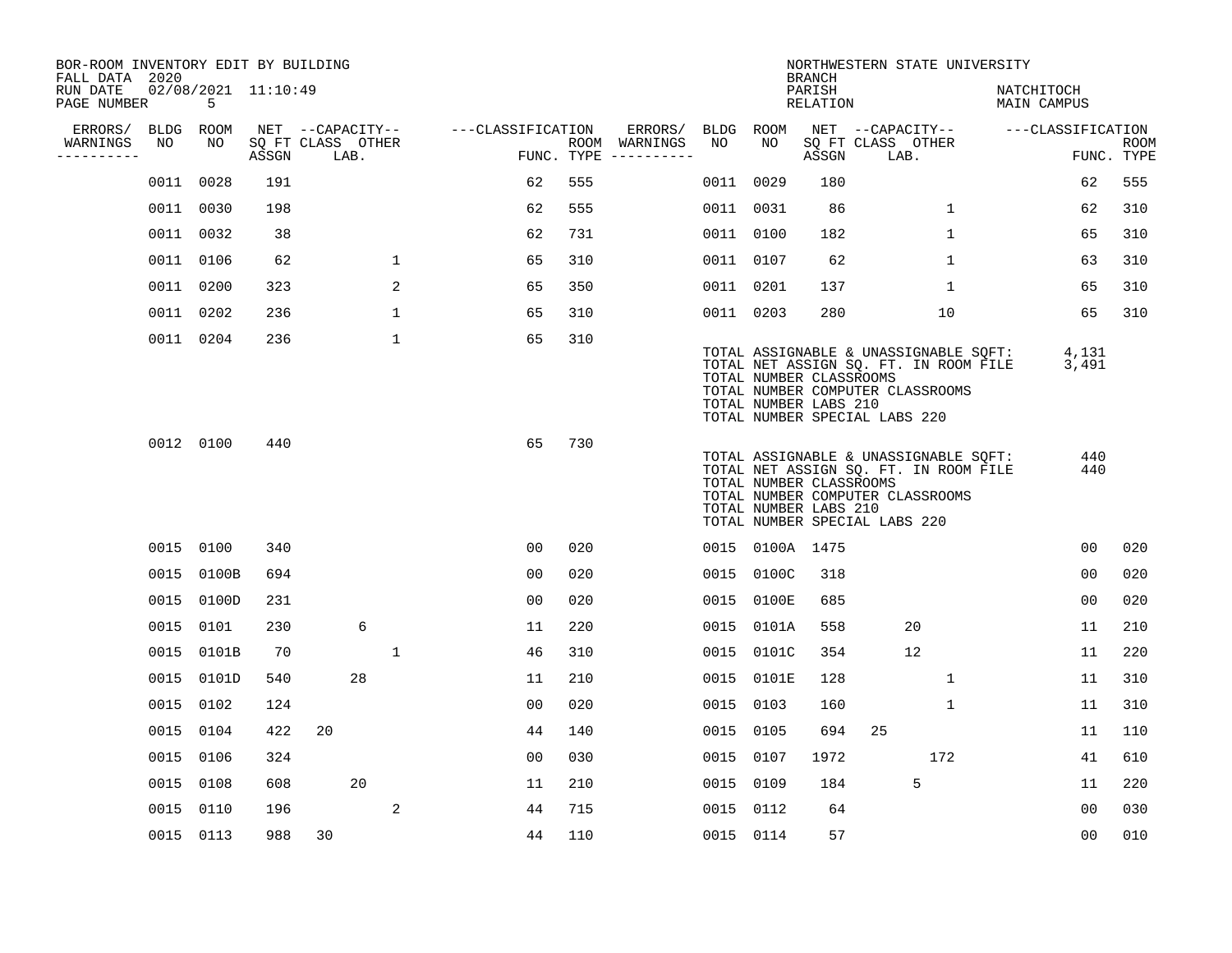| BOR-ROOM INVENTORY EDIT BY BUILDING<br>FALL DATA 2020 |      |            |                     |                           |              |                   |     |                                      |           |                                                  | <b>BRANCH</b>             | NORTHWESTERN STATE UNIVERSITY                                                                                                                       |                           |                           |
|-------------------------------------------------------|------|------------|---------------------|---------------------------|--------------|-------------------|-----|--------------------------------------|-----------|--------------------------------------------------|---------------------------|-----------------------------------------------------------------------------------------------------------------------------------------------------|---------------------------|---------------------------|
| RUN DATE<br>PAGE NUMBER                               |      | 5          | 02/08/2021 11:10:49 |                           |              |                   |     |                                      |           |                                                  | PARISH<br><b>RELATION</b> |                                                                                                                                                     | NATCHITOCH<br>MAIN CAMPUS |                           |
| ERRORS/                                               | BLDG | ROOM       |                     | NET --CAPACITY--          |              | ---CLASSIFICATION |     | ERRORS/                              | BLDG ROOM |                                                  |                           | NET --CAPACITY--                                                                                                                                    | ---CLASSIFICATION         |                           |
| WARNINGS<br>----------                                | NO   | NO         | ASSGN               | SQ FT CLASS OTHER<br>LAB. |              |                   |     | ROOM WARNINGS<br>FUNC. TYPE $------$ | NO        | NO                                               | ASSGN                     | SQ FT CLASS OTHER<br>LAB.                                                                                                                           |                           | <b>ROOM</b><br>FUNC. TYPE |
|                                                       | 0011 | 0028       | 191                 |                           |              | 62                | 555 |                                      | 0011      | 0029                                             | 180                       |                                                                                                                                                     | 62                        | 555                       |
|                                                       | 0011 | 0030       | 198                 |                           |              | 62                | 555 |                                      | 0011 0031 |                                                  | 86                        | $\mathbf{1}$                                                                                                                                        | 62                        | 310                       |
|                                                       |      | 0011 0032  | 38                  |                           |              | 62                | 731 |                                      | 0011 0100 |                                                  | 182                       | $\mathbf 1$                                                                                                                                         | 65                        | 310                       |
|                                                       |      | 0011 0106  | 62                  |                           | $\mathbf 1$  | 65                | 310 |                                      | 0011 0107 |                                                  | 62                        | $\mathbf 1$                                                                                                                                         | 63                        | 310                       |
|                                                       |      | 0011 0200  | 323                 |                           | 2            | 65                | 350 |                                      | 0011 0201 |                                                  | 137                       | $\mathbf{1}$                                                                                                                                        | 65                        | 310                       |
|                                                       |      | 0011 0202  | 236                 |                           | 1            | 65                | 310 |                                      | 0011 0203 |                                                  | 280                       | 10                                                                                                                                                  | 65                        | 310                       |
|                                                       |      | 0011 0204  | 236                 |                           | $\mathbf{1}$ | 65                | 310 |                                      |           | TOTAL NUMBER CLASSROOMS<br>TOTAL NUMBER LABS 210 |                           | TOTAL ASSIGNABLE & UNASSIGNABLE SOFT:<br>TOTAL NET ASSIGN SQ. FT. IN ROOM FILE<br>TOTAL NUMBER COMPUTER CLASSROOMS<br>TOTAL NUMBER SPECIAL LABS 220 | 4,131<br>3,491            |                           |
|                                                       |      | 0012 0100  | 440                 |                           |              | 65                | 730 |                                      |           | TOTAL NUMBER CLASSROOMS<br>TOTAL NUMBER LABS 210 |                           | TOTAL ASSIGNABLE & UNASSIGNABLE SOFT:<br>TOTAL NET ASSIGN SQ. FT. IN ROOM FILE<br>TOTAL NUMBER COMPUTER CLASSROOMS<br>TOTAL NUMBER SPECIAL LABS 220 | 440<br>440                |                           |
|                                                       |      | 0015 0100  | 340                 |                           |              | 0 <sub>0</sub>    | 020 |                                      |           | 0015 0100A 1475                                  |                           |                                                                                                                                                     | 00                        | 020                       |
|                                                       |      | 0015 0100B | 694                 |                           |              | 0 <sub>0</sub>    | 020 |                                      |           | 0015 0100C                                       | 318                       |                                                                                                                                                     | 00                        | 020                       |
|                                                       | 0015 | 0100D      | 231                 |                           |              | 0 <sub>0</sub>    | 020 |                                      | 0015      | 0100E                                            | 685                       |                                                                                                                                                     | 0 <sub>0</sub>            | 020                       |
|                                                       | 0015 | 0101       | 230                 | 6                         |              | 11                | 220 |                                      | 0015      | 0101A                                            | 558                       | 20                                                                                                                                                  | 11                        | 210                       |
|                                                       | 0015 | 0101B      | 70                  |                           | 1            | 46                | 310 |                                      |           | 0015 0101C                                       | 354                       | 12                                                                                                                                                  | 11                        | 220                       |
|                                                       | 0015 | 0101D      | 540                 | 28                        |              | 11                | 210 |                                      | 0015      | 0101E                                            | 128                       | 1                                                                                                                                                   | 11                        | 310                       |
|                                                       | 0015 | 0102       | 124                 |                           |              | 0 <sub>0</sub>    | 020 |                                      | 0015      | 0103                                             | 160                       | 1                                                                                                                                                   | 11                        | 310                       |
|                                                       | 0015 | 0104       | 422                 | 20                        |              | 44                | 140 |                                      | 0015      | 0105                                             | 694                       | 25                                                                                                                                                  | 11                        | 110                       |
|                                                       | 0015 | 0106       | 324                 |                           |              | 0 <sub>0</sub>    | 030 |                                      | 0015      | 0107                                             | 1972                      | 172                                                                                                                                                 | 41                        | 610                       |
|                                                       | 0015 | 0108       | 608                 | 20                        |              | 11                | 210 |                                      | 0015      | 0109                                             | 184                       | 5                                                                                                                                                   | 11                        | 220                       |
|                                                       | 0015 | 0110       | 196                 |                           | 2            | 44                | 715 |                                      | 0015 0112 |                                                  | 64                        |                                                                                                                                                     | 0 <sub>0</sub>            | 030                       |
|                                                       |      | 0015 0113  | 988                 | 30                        |              | 44                | 110 |                                      | 0015 0114 |                                                  | 57                        |                                                                                                                                                     | 0 <sub>0</sub>            | 010                       |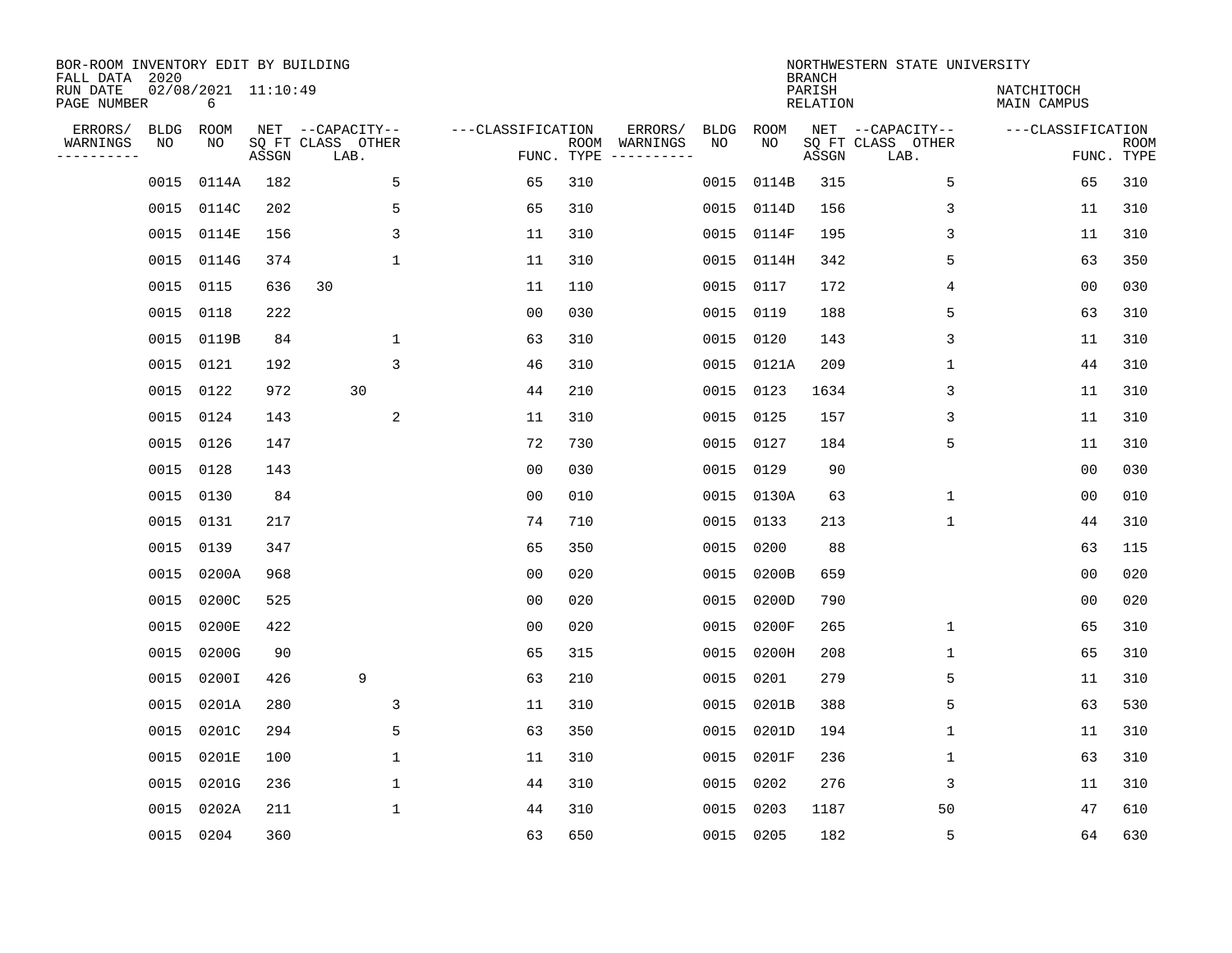| BOR-ROOM INVENTORY EDIT BY BUILDING<br>FALL DATA 2020<br>RUN DATE |            | $02/08/2021$ 11:10:49 |       |                                               |                   |            |                          |            |             | <b>BRANCH</b><br>PARISH | NORTHWESTERN STATE UNIVERSITY                 | NATCHITOCH                      |             |
|-------------------------------------------------------------------|------------|-----------------------|-------|-----------------------------------------------|-------------------|------------|--------------------------|------------|-------------|-------------------------|-----------------------------------------------|---------------------------------|-------------|
| PAGE NUMBER                                                       |            | 6                     |       |                                               |                   |            |                          |            |             | <b>RELATION</b>         |                                               | MAIN CAMPUS                     |             |
| ERRORS/<br>WARNINGS<br>----------                                 | BLDG<br>NO | ROOM<br>NO            | ASSGN | NET --CAPACITY--<br>SQ FT CLASS OTHER<br>LAB. | ---CLASSIFICATION | FUNC. TYPE | ERRORS/<br>ROOM WARNINGS | BLDG<br>NO | ROOM<br>NO. | ASSGN                   | NET --CAPACITY--<br>SQ FT CLASS OTHER<br>LAB. | ---CLASSIFICATION<br>FUNC. TYPE | <b>ROOM</b> |
|                                                                   | 0015       | 0114A                 | 182   | 5                                             | 65                | 310        |                          | 0015       | 0114B       | 315                     | 5                                             | 65                              | 310         |
|                                                                   | 0015       | 0114C                 | 202   | 5                                             | 65                | 310        |                          | 0015       | 0114D       | 156                     | 3                                             | 11                              | 310         |
|                                                                   | 0015       | 0114E                 | 156   | 3                                             | 11                | 310        |                          | 0015       | 0114F       | 195                     | 3                                             | 11                              | 310         |
|                                                                   |            | 0015 0114G            | 374   | $\mathbf{1}$                                  | 11                | 310        |                          | 0015       | 0114H       | 342                     | 5                                             | 63                              | 350         |
|                                                                   |            | 0015 0115             | 636   | 30                                            | 11                | 110        |                          | 0015       | 0117        | 172                     | 4                                             | 00                              | 030         |
|                                                                   |            | 0015 0118             | 222   |                                               | 0 <sub>0</sub>    | 030        |                          | 0015       | 0119        | 188                     | 5                                             | 63                              | 310         |
|                                                                   |            | 0015 0119B            | 84    | $\mathbf 1$                                   | 63                | 310        |                          | 0015       | 0120        | 143                     | 3                                             | 11                              | 310         |
|                                                                   |            | 0015 0121             | 192   | 3                                             | 46                | 310        |                          | 0015       | 0121A       | 209                     | 1                                             | 44                              | 310         |
|                                                                   |            | 0015 0122             | 972   | 30                                            | 44                | 210        |                          | 0015       | 0123        | 1634                    | 3                                             | 11                              | 310         |
|                                                                   |            | 0015 0124             | 143   | 2                                             | 11                | 310        |                          | 0015       | 0125        | 157                     | 3                                             | 11                              | 310         |
|                                                                   |            | 0015 0126             | 147   |                                               | 72                | 730        |                          | 0015       | 0127        | 184                     | 5                                             | 11                              | 310         |
|                                                                   |            | 0015 0128             | 143   |                                               | 0 <sub>0</sub>    | 030        |                          | 0015       | 0129        | 90                      |                                               | 00                              | 030         |
|                                                                   | 0015       | 0130                  | 84    |                                               | 0 <sub>0</sub>    | 010        |                          | 0015       | 0130A       | 63                      | 1                                             | 0 <sub>0</sub>                  | 010         |
|                                                                   |            | 0015 0131             | 217   |                                               | 74                | 710        |                          | 0015       | 0133        | 213                     | 1                                             | 44                              | 310         |
|                                                                   | 0015       | 0139                  | 347   |                                               | 65                | 350        |                          | 0015       | 0200        | 88                      |                                               | 63                              | 115         |
|                                                                   | 0015       | 0200A                 | 968   |                                               | 0 <sub>0</sub>    | 020        |                          | 0015       | 0200B       | 659                     |                                               | 0 <sub>0</sub>                  | 020         |
|                                                                   | 0015       | 0200C                 | 525   |                                               | 0 <sub>0</sub>    | 020        |                          | 0015       | 0200D       | 790                     |                                               | 0 <sub>0</sub>                  | 020         |
|                                                                   | 0015       | 0200E                 | 422   |                                               | 0 <sub>0</sub>    | 020        |                          | 0015       | 0200F       | 265                     | 1                                             | 65                              | 310         |
|                                                                   | 0015       | 0200G                 | 90    |                                               | 65                | 315        |                          | 0015       | 0200H       | 208                     | 1                                             | 65                              | 310         |
|                                                                   | 0015       | 0200I                 | 426   | 9                                             | 63                | 210        |                          | 0015       | 0201        | 279                     | 5                                             | 11                              | 310         |
|                                                                   | 0015       | 0201A                 | 280   | 3                                             | 11                | 310        |                          | 0015       | 0201B       | 388                     | 5                                             | 63                              | 530         |
|                                                                   | 0015       | 0201C                 | 294   | 5                                             | 63                | 350        |                          | 0015       | 0201D       | 194                     | 1                                             | 11                              | 310         |
|                                                                   | 0015       | 0201E                 | 100   | 1                                             | 11                | 310        |                          | 0015       | 0201F       | 236                     | 1                                             | 63                              | 310         |
|                                                                   | 0015       | 0201G                 | 236   | $\mathbf 1$                                   | 44                | 310        |                          | 0015       | 0202        | 276                     | 3                                             | 11                              | 310         |
|                                                                   | 0015       | 0202A                 | 211   | $\mathbf{1}$                                  | 44                | 310        |                          | 0015       | 0203        | 1187                    | 50                                            | 47                              | 610         |
|                                                                   |            | 0015 0204             | 360   |                                               | 63                | 650        |                          |            | 0015 0205   | 182                     | 5                                             | 64                              | 630         |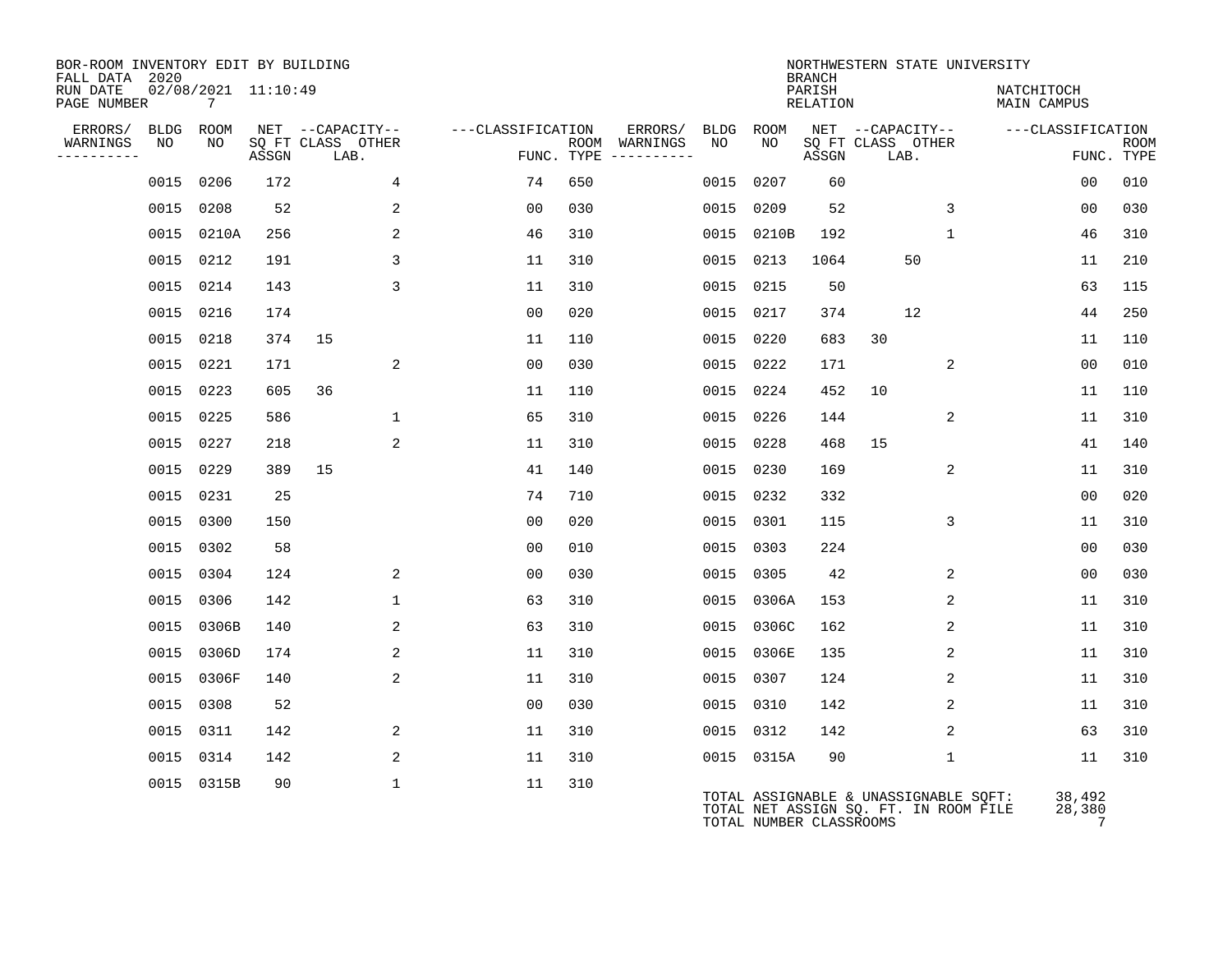| BOR-ROOM INVENTORY EDIT BY BUILDING<br>FALL DATA 2020 |             |                                        |       |                           |                   |     |                                      |             |                         | <b>BRANCH</b>      | NORTHWESTERN STATE UNIVERSITY                                                  |              |                                  |                           |
|-------------------------------------------------------|-------------|----------------------------------------|-------|---------------------------|-------------------|-----|--------------------------------------|-------------|-------------------------|--------------------|--------------------------------------------------------------------------------|--------------|----------------------------------|---------------------------|
| RUN DATE<br>PAGE NUMBER                               |             | 02/08/2021 11:10:49<br>$7\overline{ }$ |       |                           |                   |     |                                      |             |                         | PARISH<br>RELATION |                                                                                |              | NATCHITOCH<br><b>MAIN CAMPUS</b> |                           |
| ERRORS/                                               | <b>BLDG</b> | ROOM                                   |       | NET --CAPACITY--          | ---CLASSIFICATION |     | ERRORS/                              | <b>BLDG</b> | <b>ROOM</b>             |                    | NET --CAPACITY--                                                               |              | ---CLASSIFICATION                |                           |
| WARNINGS<br>----------                                | NO          | NO.                                    | ASSGN | SQ FT CLASS OTHER<br>LAB. |                   |     | ROOM WARNINGS<br>FUNC. TYPE $------$ | NO          | NO.                     | ASSGN              | SQ FT CLASS OTHER<br>LAB.                                                      |              |                                  | <b>ROOM</b><br>FUNC. TYPE |
|                                                       | 0015        | 0206                                   | 172   | 4                         | 74                | 650 |                                      | 0015        | 0207                    | 60                 |                                                                                |              | 0 <sub>0</sub>                   | 010                       |
|                                                       | 0015        | 0208                                   | 52    | 2                         | 00                | 030 |                                      | 0015        | 0209                    | 52                 |                                                                                | 3            | 00                               | 030                       |
|                                                       |             | 0015 0210A                             | 256   | 2                         | 46                | 310 |                                      | 0015        | 0210B                   | 192                |                                                                                | $\mathbf{1}$ | 46                               | 310                       |
|                                                       | 0015 0212   |                                        | 191   | 3                         | 11                | 310 |                                      | 0015        | 0213                    | 1064               | 50                                                                             |              | 11                               | 210                       |
|                                                       | 0015 0214   |                                        | 143   | 3                         | 11                | 310 |                                      | 0015        | 0215                    | 50                 |                                                                                |              | 63                               | 115                       |
|                                                       | 0015 0216   |                                        | 174   |                           | 00                | 020 |                                      | 0015        | 0217                    | 374                | 12                                                                             |              | 44                               | 250                       |
|                                                       | 0015 0218   |                                        | 374   | 15                        | 11                | 110 |                                      | 0015        | 0220                    | 683                | 30                                                                             |              | 11                               | 110                       |
|                                                       | 0015 0221   |                                        | 171   | 2                         | 0 <sub>0</sub>    | 030 |                                      | 0015        | 0222                    | 171                |                                                                                | 2            | 0 <sub>0</sub>                   | 010                       |
|                                                       | 0015 0223   |                                        | 605   | 36                        | 11                | 110 |                                      |             | 0015 0224               | 452                | 10                                                                             |              | 11                               | 110                       |
|                                                       | 0015 0225   |                                        | 586   | $\mathbf{1}$              | 65                | 310 |                                      | 0015        | 0226                    | 144                |                                                                                | 2            | 11                               | 310                       |
|                                                       | 0015 0227   |                                        | 218   | 2                         | 11                | 310 |                                      | 0015        | 0228                    | 468                | 15                                                                             |              | 41                               | 140                       |
|                                                       | 0015        | 0229                                   | 389   | 15                        | 41                | 140 |                                      | 0015        | 0230                    | 169                |                                                                                | 2            | 11                               | 310                       |
|                                                       | 0015 0231   |                                        | 25    |                           | 74                | 710 |                                      | 0015        | 0232                    | 332                |                                                                                |              | 00                               | 020                       |
|                                                       | 0015 0300   |                                        | 150   |                           | 0 <sub>0</sub>    | 020 |                                      | 0015        | 0301                    | 115                |                                                                                | 3            | 11                               | 310                       |
|                                                       | 0015 0302   |                                        | 58    |                           | 0 <sub>0</sub>    | 010 |                                      | 0015        | 0303                    | 224                |                                                                                |              | 00                               | 030                       |
|                                                       | 0015 0304   |                                        | 124   | 2                         | 0 <sub>0</sub>    | 030 |                                      | 0015        | 0305                    | 42                 |                                                                                | 2            | 0 <sub>0</sub>                   | 030                       |
|                                                       | 0015 0306   |                                        | 142   | $\mathbf{1}$              | 63                | 310 |                                      | 0015        | 0306A                   | 153                |                                                                                | 2            | 11                               | 310                       |
|                                                       |             | 0015 0306B                             | 140   | 2                         | 63                | 310 |                                      | 0015        | 0306C                   | 162                |                                                                                | 2            | 11                               | 310                       |
|                                                       | 0015        | 0306D                                  | 174   | $\overline{a}$            | 11                | 310 |                                      | 0015        | 0306E                   | 135                |                                                                                | 2            | 11                               | 310                       |
|                                                       |             | 0015 0306F                             | 140   | $\overline{a}$            | 11                | 310 |                                      |             | 0015 0307               | 124                |                                                                                | 2            | 11                               | 310                       |
|                                                       | 0015 0308   |                                        | 52    |                           | 0 <sub>0</sub>    | 030 |                                      |             | 0015 0310               | 142                |                                                                                | 2            | 11                               | 310                       |
|                                                       | 0015 0311   |                                        | 142   | 2                         | 11                | 310 |                                      |             | 0015 0312               | 142                |                                                                                | 2            | 63                               | 310                       |
|                                                       | 0015        | 0314                                   | 142   | 2                         | 11                | 310 |                                      |             | 0015 0315A              | 90                 |                                                                                | $\mathbf{1}$ | 11                               | 310                       |
|                                                       |             | 0015 0315B                             | 90    | $\mathbf{1}$              | 11                | 310 |                                      |             | TOTAL NUMBER CLASSROOMS |                    | TOTAL ASSIGNABLE & UNASSIGNABLE SQFT:<br>TOTAL NET ASSIGN SQ. FT. IN ROOM FILE |              | 38,492<br>28,380<br>7            |                           |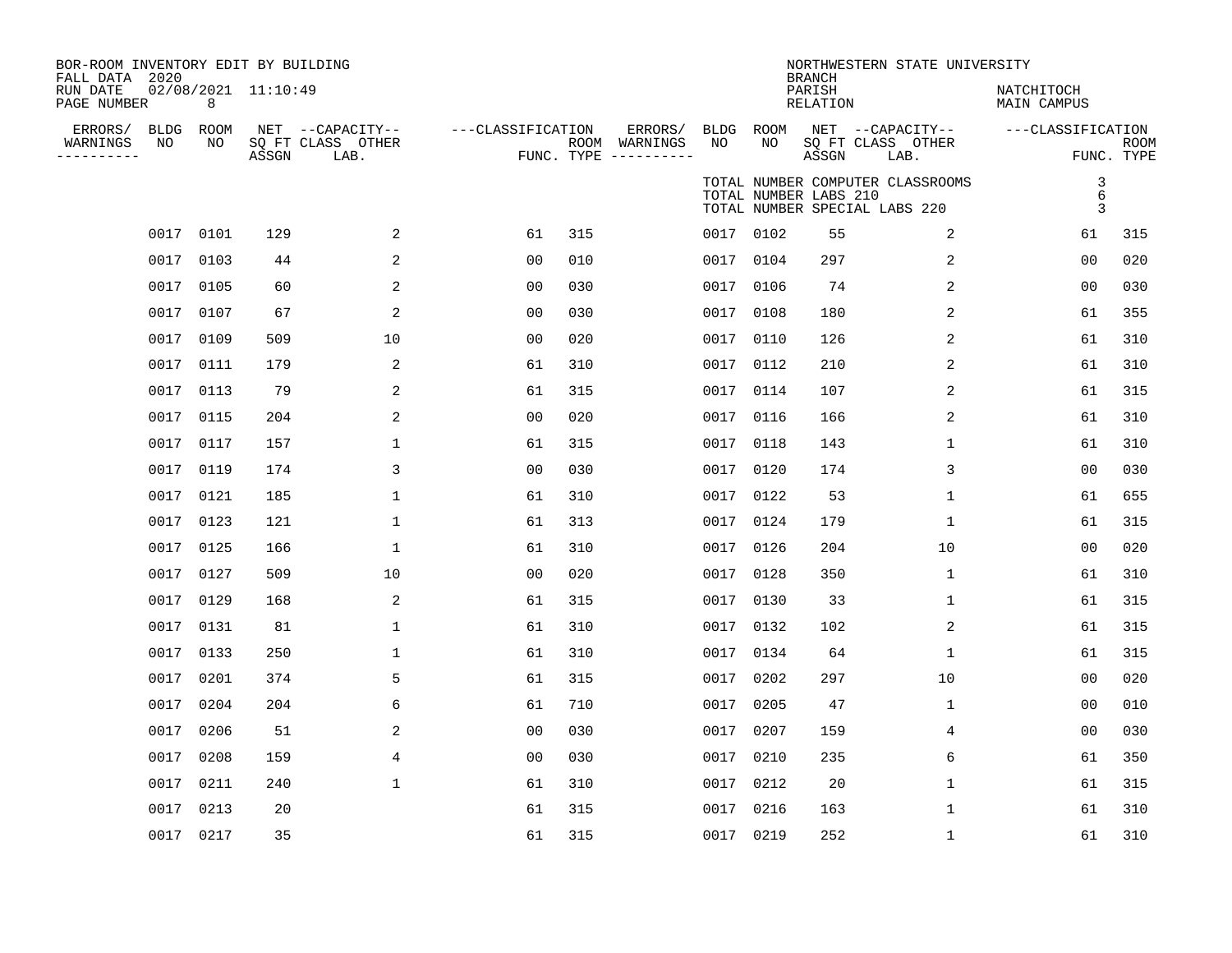| BOR-ROOM INVENTORY EDIT BY BUILDING       |                          |       |                                       |                   |     |                          |                   |                       |                                     | NORTHWESTERN STATE UNIVERSITY                                     |                           |             |
|-------------------------------------------|--------------------------|-------|---------------------------------------|-------------------|-----|--------------------------|-------------------|-----------------------|-------------------------------------|-------------------------------------------------------------------|---------------------------|-------------|
| FALL DATA 2020<br>RUN DATE<br>PAGE NUMBER | 02/08/2021 11:10:49<br>8 |       |                                       |                   |     |                          |                   |                       | <b>BRANCH</b><br>PARISH<br>RELATION |                                                                   | NATCHITOCH<br>MAIN CAMPUS |             |
| ERRORS/<br><b>BLDG</b><br>NO<br>WARNINGS  | ROOM<br>NO.              |       | NET --CAPACITY--<br>SQ FT CLASS OTHER | ---CLASSIFICATION |     | ERRORS/<br>ROOM WARNINGS | <b>BLDG</b><br>NO | ROOM<br>NO.           |                                     | NET --CAPACITY--<br>SQ FT CLASS OTHER                             | ---CLASSIFICATION         | <b>ROOM</b> |
| ----------                                |                          | ASSGN | LAB.                                  |                   |     | FUNC. TYPE $------$      |                   |                       | ASSGN                               | LAB.                                                              |                           | FUNC. TYPE  |
|                                           |                          |       |                                       |                   |     |                          |                   | TOTAL NUMBER LABS 210 |                                     | TOTAL NUMBER COMPUTER CLASSROOMS<br>TOTAL NUMBER SPECIAL LABS 220 | 3<br>$6\overline{6}$<br>3 |             |
|                                           | 0017 0101                | 129   | 2                                     | 61                | 315 |                          |                   | 0017 0102             | 55                                  | 2                                                                 | 61                        | 315         |
|                                           | 0017 0103                | 44    | 2                                     | 00                | 010 |                          |                   | 0017 0104             | 297                                 | 2                                                                 | 0 <sub>0</sub>            | 020         |
|                                           | 0017 0105                | 60    | 2                                     | 0 <sub>0</sub>    | 030 |                          | 0017              | 0106                  | 74                                  | 2                                                                 | 0 <sub>0</sub>            | 030         |
|                                           | 0017 0107                | 67    | 2                                     | 0 <sub>0</sub>    | 030 |                          | 0017              | 0108                  | 180                                 | 2                                                                 | 61                        | 355         |
| 0017                                      | 0109                     | 509   | 10                                    | 0 <sub>0</sub>    | 020 |                          | 0017              | 0110                  | 126                                 | 2                                                                 | 61                        | 310         |
|                                           | 0017 0111                | 179   | 2                                     | 61                | 310 |                          | 0017              | 0112                  | 210                                 | 2                                                                 | 61                        | 310         |
|                                           | 0017 0113                | 79    | 2                                     | 61                | 315 |                          | 0017              | 0114                  | 107                                 | 2                                                                 | 61                        | 315         |
|                                           | 0017 0115                | 204   | 2                                     | 0 <sub>0</sub>    | 020 |                          | 0017              | 0116                  | 166                                 | 2                                                                 | 61                        | 310         |
|                                           | 0017 0117                | 157   | 1                                     | 61                | 315 |                          | 0017              | 0118                  | 143                                 | 1                                                                 | 61                        | 310         |
|                                           | 0017 0119                | 174   | 3                                     | 0 <sub>0</sub>    | 030 |                          | 0017              | 0120                  | 174                                 | 3                                                                 | 0 <sub>0</sub>            | 030         |
|                                           | 0017 0121                | 185   | 1                                     | 61                | 310 |                          |                   | 0017 0122             | 53                                  | 1                                                                 | 61                        | 655         |
|                                           | 0017 0123                | 121   | 1                                     | 61                | 313 |                          | 0017              | 0124                  | 179                                 | $\mathbf 1$                                                       | 61                        | 315         |
|                                           | 0017 0125                | 166   | $\mathbf{1}$                          | 61                | 310 |                          |                   | 0017 0126             | 204                                 | 10                                                                | 0 <sub>0</sub>            | 020         |
|                                           | 0017 0127                | 509   | 10                                    | 00                | 020 |                          | 0017              | 0128                  | 350                                 | 1                                                                 | 61                        | 310         |
|                                           | 0017 0129                | 168   | 2                                     | 61                | 315 |                          |                   | 0017 0130             | 33                                  | 1                                                                 | 61                        | 315         |
|                                           | 0017 0131                | 81    | $\mathbf 1$                           | 61                | 310 |                          | 0017              | 0132                  | 102                                 | $\overline{c}$                                                    | 61                        | 315         |
|                                           | 0017 0133                | 250   | $\mathbf{1}$                          | 61                | 310 |                          |                   | 0017 0134             | 64                                  | $\mathbf 1$                                                       | 61                        | 315         |
|                                           | 0017 0201                | 374   | 5                                     | 61                | 315 |                          | 0017              | 0202                  | 297                                 | 10                                                                | 00                        | 020         |
|                                           | 0017 0204                | 204   | 6                                     | 61                | 710 |                          |                   | 0017 0205             | 47                                  | $\mathbf 1$                                                       | 00                        | 010         |
|                                           | 0017 0206                | 51    | 2                                     | 0 <sub>0</sub>    | 030 |                          | 0017              | 0207                  | 159                                 | $\overline{4}$                                                    | 0 <sub>0</sub>            | 030         |
|                                           | 0017 0208                | 159   | 4                                     | 0 <sub>0</sub>    | 030 |                          |                   | 0017 0210             | 235                                 | 6                                                                 | 61                        | 350         |
|                                           | 0017 0211                | 240   | $\mathbf{1}$                          | 61                | 310 |                          | 0017              | 0212                  | 20                                  | $\mathbf 1$                                                       | 61                        | 315         |
|                                           | 0017 0213                | 20    |                                       | 61                | 315 |                          |                   | 0017 0216             | 163                                 | 1                                                                 | 61                        | 310         |
|                                           | 0017 0217                | 35    |                                       | 61                | 315 |                          |                   | 0017 0219             | 252                                 | $\mathbf 1$                                                       | 61                        | 310         |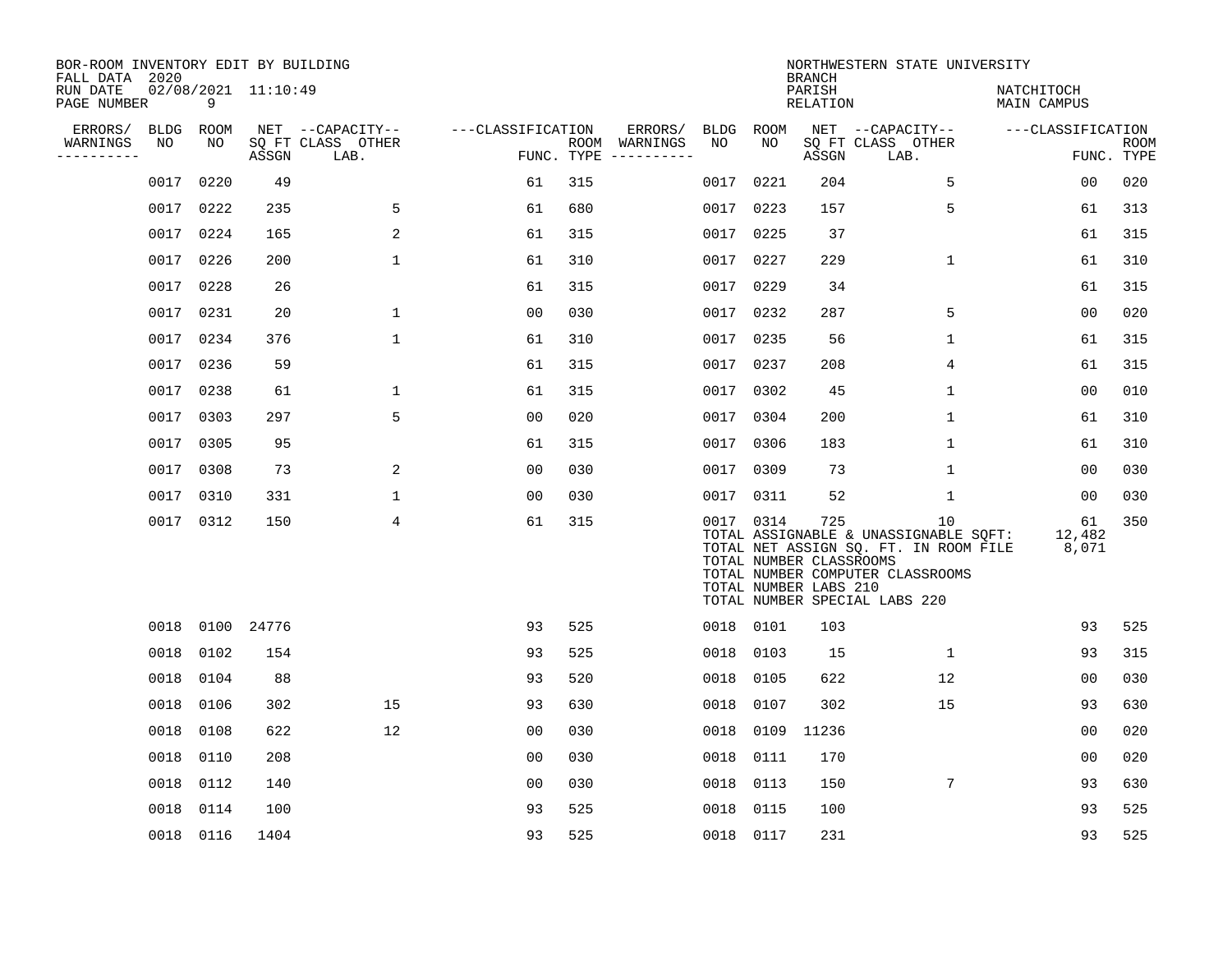| BOR-ROOM INVENTORY EDIT BY BUILDING<br>FALL DATA 2020 |                   |                 |                     |                                       |                   |            |                                                                                                                                                                                                                                                                                                                                                                                                                                                                             |                   |            | <b>BRANCH</b>                                           | NORTHWESTERN STATE UNIVERSITY                                                                                                                             |                           |             |
|-------------------------------------------------------|-------------------|-----------------|---------------------|---------------------------------------|-------------------|------------|-----------------------------------------------------------------------------------------------------------------------------------------------------------------------------------------------------------------------------------------------------------------------------------------------------------------------------------------------------------------------------------------------------------------------------------------------------------------------------|-------------------|------------|---------------------------------------------------------|-----------------------------------------------------------------------------------------------------------------------------------------------------------|---------------------------|-------------|
| RUN DATE<br>PAGE NUMBER                               |                   | 9               | 02/08/2021 11:10:49 |                                       |                   |            |                                                                                                                                                                                                                                                                                                                                                                                                                                                                             |                   |            | PARISH<br>RELATION                                      |                                                                                                                                                           | NATCHITOCH<br>MAIN CAMPUS |             |
| ERRORS/<br>WARNINGS                                   | <b>BLDG</b><br>NO | ROOM<br>NO      |                     | NET --CAPACITY--<br>SQ FT CLASS OTHER | ---CLASSIFICATION |            | ERRORS/<br>ROOM WARNINGS                                                                                                                                                                                                                                                                                                                                                                                                                                                    | <b>BLDG</b><br>NO | ROOM<br>NO |                                                         | NET --CAPACITY--<br>SQ FT CLASS OTHER                                                                                                                     | ---CLASSIFICATION         | <b>ROOM</b> |
| ----------                                            |                   |                 | ASSGN               | LAB.                                  |                   | FUNC. TYPE | $\begin{tabular}{ccccccccc} \multicolumn{2}{c }{\multicolumn{2}{c }{\multicolumn{2}{c }{\multicolumn{2}{c }{\multicolumn{2}{c}}}} & \multicolumn{2}{c }{\multicolumn{2}{c }{\multicolumn{2}{c }{\multicolumn{2}{c}}}} & \multicolumn{2}{c }{\multicolumn{2}{c }{\multicolumn{2}{c }{\multicolumn{2}{c}}}} & \multicolumn{2}{c }{\multicolumn{2}{c }{\multicolumn{2}{c }{\multicolumn{2}{c}}}} & \multicolumn{2}{c }{\multicolumn{2}{c }{\multicolumn{2}{c }{\multicolumn{2$ |                   |            | ASSGN                                                   | LAB.                                                                                                                                                      |                           | FUNC. TYPE  |
|                                                       | 0017              | 0220            | 49                  |                                       | 61                | 315        |                                                                                                                                                                                                                                                                                                                                                                                                                                                                             | 0017              | 0221       | 204                                                     | 5                                                                                                                                                         | 0 <sub>0</sub>            | 020         |
|                                                       | 0017              | 0222            | 235                 | 5                                     | 61                | 680        |                                                                                                                                                                                                                                                                                                                                                                                                                                                                             |                   | 0017 0223  | 157                                                     | 5                                                                                                                                                         | 61                        | 313         |
|                                                       | 0017              | 0224            | 165                 | 2                                     | 61                | 315        |                                                                                                                                                                                                                                                                                                                                                                                                                                                                             |                   | 0017 0225  | 37                                                      |                                                                                                                                                           | 61                        | 315         |
|                                                       | 0017              | 0226            | 200                 | 1                                     | 61                | 310        |                                                                                                                                                                                                                                                                                                                                                                                                                                                                             |                   | 0017 0227  | 229                                                     | $\mathbf{1}$                                                                                                                                              | 61                        | 310         |
|                                                       | 0017              | 0228            | 26                  |                                       | 61                | 315        |                                                                                                                                                                                                                                                                                                                                                                                                                                                                             | 0017              | 0229       | 34                                                      |                                                                                                                                                           | 61                        | 315         |
|                                                       | 0017 0231         |                 | 20                  | 1                                     | 0 <sub>0</sub>    | 030        |                                                                                                                                                                                                                                                                                                                                                                                                                                                                             |                   | 0017 0232  | 287                                                     | 5                                                                                                                                                         | 0 <sub>0</sub>            | 020         |
|                                                       | 0017              | 0234            | 376                 | $\mathbf{1}$                          | 61                | 310        |                                                                                                                                                                                                                                                                                                                                                                                                                                                                             |                   | 0017 0235  | 56                                                      | $\mathbf 1$                                                                                                                                               | 61                        | 315         |
|                                                       |                   | 0017 0236       | 59                  |                                       | 61                | 315        |                                                                                                                                                                                                                                                                                                                                                                                                                                                                             |                   | 0017 0237  | 208                                                     | 4                                                                                                                                                         | 61                        | 315         |
|                                                       | 0017              | 0238            | 61                  | $\mathbf{1}$                          | 61                | 315        |                                                                                                                                                                                                                                                                                                                                                                                                                                                                             | 0017              | 0302       | 45                                                      | $\mathbf 1$                                                                                                                                               | 00                        | 010         |
|                                                       | 0017              | 0303            | 297                 | 5                                     | 00                | 020        |                                                                                                                                                                                                                                                                                                                                                                                                                                                                             |                   | 0017 0304  | 200                                                     | 1                                                                                                                                                         | 61                        | 310         |
|                                                       | 0017              | 0305            | 95                  |                                       | 61                | 315        |                                                                                                                                                                                                                                                                                                                                                                                                                                                                             | 0017              | 0306       | 183                                                     | 1                                                                                                                                                         | 61                        | 310         |
|                                                       | 0017 0308         |                 | 73                  | 2                                     | 0 <sub>0</sub>    | 030        |                                                                                                                                                                                                                                                                                                                                                                                                                                                                             |                   | 0017 0309  | 73                                                      | $\mathbf 1$                                                                                                                                               | 00                        | 030         |
|                                                       | 0017              | 0310            | 331                 | 1                                     | 00                | 030        |                                                                                                                                                                                                                                                                                                                                                                                                                                                                             | 0017              | 0311       | 52                                                      | 1                                                                                                                                                         | 00                        | 030         |
|                                                       |                   | 0017 0312       | 150                 | 4                                     | 61                | 315        |                                                                                                                                                                                                                                                                                                                                                                                                                                                                             |                   | 0017 0314  | 725<br>TOTAL NUMBER CLASSROOMS<br>TOTAL NUMBER LABS 210 | 10<br>TOTAL ASSIGNABLE & UNASSIGNABLE SOFT:<br>TOTAL NET ASSIGN SQ. FT. IN ROOM FILE<br>TOTAL NUMBER COMPUTER CLASSROOMS<br>TOTAL NUMBER SPECIAL LABS 220 | 61<br>12,482<br>8,071     | 350         |
|                                                       |                   | 0018 0100 24776 |                     |                                       | 93                | 525        |                                                                                                                                                                                                                                                                                                                                                                                                                                                                             |                   | 0018 0101  | 103                                                     |                                                                                                                                                           | 93                        | 525         |
|                                                       | 0018              | 0102            | 154                 |                                       | 93                | 525        |                                                                                                                                                                                                                                                                                                                                                                                                                                                                             |                   | 0018 0103  | 15                                                      | $\mathbf{1}$                                                                                                                                              | 93                        | 315         |
|                                                       | 0018              | 0104            | 88                  |                                       | 93                | 520        |                                                                                                                                                                                                                                                                                                                                                                                                                                                                             | 0018              | 0105       | 622                                                     | 12                                                                                                                                                        | 00                        | 030         |
|                                                       | 0018              | 0106            | 302                 | 15                                    | 93                | 630        |                                                                                                                                                                                                                                                                                                                                                                                                                                                                             | 0018              | 0107       | 302                                                     | 15                                                                                                                                                        | 93                        | 630         |
|                                                       | 0018              | 0108            | 622                 | 12                                    | 0 <sub>0</sub>    | 030        |                                                                                                                                                                                                                                                                                                                                                                                                                                                                             | 0018              | 0109       | 11236                                                   |                                                                                                                                                           | 00                        | 020         |
|                                                       | 0018              | 0110            | 208                 |                                       | 0 <sub>0</sub>    | 030        |                                                                                                                                                                                                                                                                                                                                                                                                                                                                             | 0018              | 0111       | 170                                                     |                                                                                                                                                           | 0 <sub>0</sub>            | 020         |
|                                                       | 0018              | 0112            | 140                 |                                       | 00                | 030        |                                                                                                                                                                                                                                                                                                                                                                                                                                                                             | 0018              | 0113       | 150                                                     | 7                                                                                                                                                         | 93                        | 630         |
|                                                       | 0018              | 0114            | 100                 |                                       | 93                | 525        |                                                                                                                                                                                                                                                                                                                                                                                                                                                                             | 0018              | 0115       | 100                                                     |                                                                                                                                                           | 93                        | 525         |
|                                                       |                   | 0018 0116       | 1404                |                                       | 93                | 525        |                                                                                                                                                                                                                                                                                                                                                                                                                                                                             | 0018 0117         |            | 231                                                     |                                                                                                                                                           | 93                        | 525         |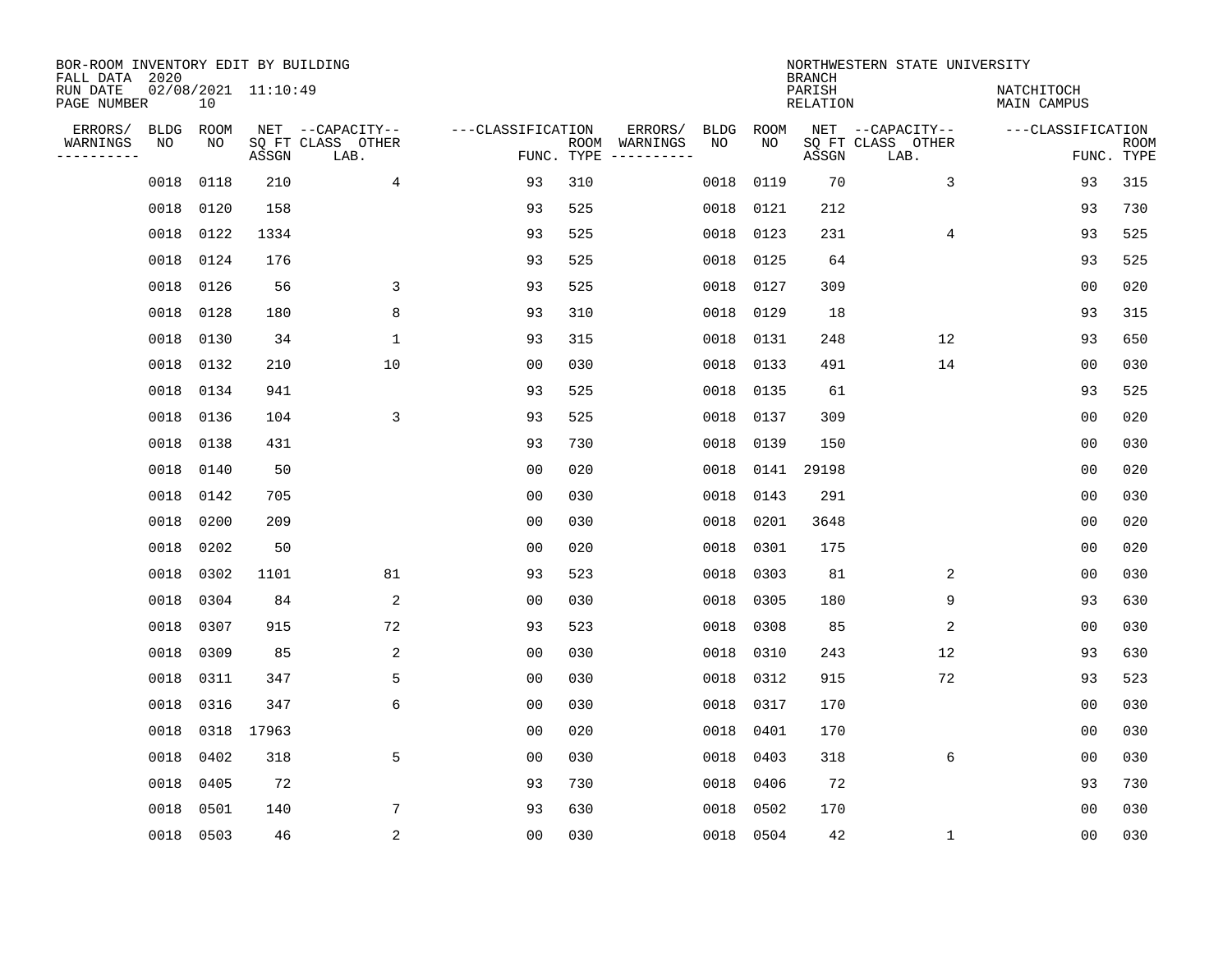| BOR-ROOM INVENTORY EDIT BY BUILDING<br>FALL DATA 2020 |             |           |                     |                           |                   |            |                              |             |             | <b>BRANCH</b>             | NORTHWESTERN STATE UNIVERSITY |                                  |                           |
|-------------------------------------------------------|-------------|-----------|---------------------|---------------------------|-------------------|------------|------------------------------|-------------|-------------|---------------------------|-------------------------------|----------------------------------|---------------------------|
| RUN DATE<br>PAGE NUMBER                               |             | 10        | 02/08/2021 11:10:49 |                           |                   |            |                              |             |             | PARISH<br><b>RELATION</b> |                               | NATCHITOCH<br><b>MAIN CAMPUS</b> |                           |
| ERRORS/                                               | <b>BLDG</b> | ROOM      |                     | NET --CAPACITY--          | ---CLASSIFICATION |            | ERRORS/                      | <b>BLDG</b> | <b>ROOM</b> |                           | NET --CAPACITY--              | ---CLASSIFICATION                |                           |
| WARNINGS<br>----------                                | ΝO          | NO        | ASSGN               | SQ FT CLASS OTHER<br>LAB. |                   | FUNC. TYPE | ROOM WARNINGS<br>----------- | NO          | NO          | ASSGN                     | SQ FT CLASS OTHER<br>LAB.     |                                  | <b>ROOM</b><br>FUNC. TYPE |
|                                                       | 0018        | 0118      | 210                 | 4                         | 93                | 310        |                              | 0018        | 0119        | 70                        | 3                             | 93                               | 315                       |
|                                                       | 0018        | 0120      | 158                 |                           | 93                | 525        |                              | 0018        | 0121        | 212                       |                               | 93                               | 730                       |
|                                                       | 0018        | 0122      | 1334                |                           | 93                | 525        |                              | 0018        | 0123        | 231                       | 4                             | 93                               | 525                       |
|                                                       | 0018        | 0124      | 176                 |                           | 93                | 525        |                              | 0018        | 0125        | 64                        |                               | 93                               | 525                       |
|                                                       | 0018        | 0126      | 56                  | 3                         | 93                | 525        |                              | 0018        | 0127        | 309                       |                               | 0 <sub>0</sub>                   | 020                       |
|                                                       | 0018        | 0128      | 180                 | 8                         | 93                | 310        |                              | 0018        | 0129        | 18                        |                               | 93                               | 315                       |
|                                                       | 0018        | 0130      | 34                  | $\mathbf{1}$              | 93                | 315        |                              | 0018        | 0131        | 248                       | 12                            | 93                               | 650                       |
|                                                       | 0018        | 0132      | 210                 | 10                        | 0 <sub>0</sub>    | 030        |                              | 0018        | 0133        | 491                       | 14                            | 0 <sub>0</sub>                   | 030                       |
|                                                       | 0018        | 0134      | 941                 |                           | 93                | 525        |                              | 0018        | 0135        | 61                        |                               | 93                               | 525                       |
|                                                       | 0018        | 0136      | 104                 | 3                         | 93                | 525        |                              | 0018        | 0137        | 309                       |                               | 0 <sub>0</sub>                   | 020                       |
|                                                       | 0018        | 0138      | 431                 |                           | 93                | 730        |                              | 0018        | 0139        | 150                       |                               | 00                               | 030                       |
|                                                       | 0018        | 0140      | 50                  |                           | 0 <sub>0</sub>    | 020        |                              | 0018        | 0141        | 29198                     |                               | 0 <sub>0</sub>                   | 020                       |
|                                                       | 0018        | 0142      | 705                 |                           | 0 <sub>0</sub>    | 030        |                              | 0018        | 0143        | 291                       |                               | 0 <sub>0</sub>                   | 030                       |
|                                                       | 0018        | 0200      | 209                 |                           | 0 <sub>0</sub>    | 030        |                              | 0018        | 0201        | 3648                      |                               | 0 <sub>0</sub>                   | 020                       |
|                                                       | 0018        | 0202      | 50                  |                           | 0 <sub>0</sub>    | 020        |                              | 0018        | 0301        | 175                       |                               | 0 <sub>0</sub>                   | 020                       |
|                                                       | 0018        | 0302      | 1101                | 81                        | 93                | 523        |                              | 0018        | 0303        | 81                        | 2                             | 0 <sub>0</sub>                   | 030                       |
|                                                       | 0018        | 0304      | 84                  | 2                         | 0 <sub>0</sub>    | 030        |                              | 0018        | 0305        | 180                       | 9                             | 93                               | 630                       |
|                                                       | 0018        | 0307      | 915                 | 72                        | 93                | 523        |                              | 0018        | 0308        | 85                        | 2                             | 00                               | 030                       |
|                                                       | 0018        | 0309      | 85                  | 2                         | 0 <sub>0</sub>    | 030        |                              | 0018        | 0310        | 243                       | 12                            | 93                               | 630                       |
|                                                       | 0018        | 0311      | 347                 | 5                         | 0 <sub>0</sub>    | 030        |                              | 0018        | 0312        | 915                       | 72                            | 93                               | 523                       |
|                                                       | 0018        | 0316      | 347                 | 6                         | 0 <sub>0</sub>    | 030        |                              | 0018        | 0317        | 170                       |                               | 0 <sub>0</sub>                   | 030                       |
|                                                       | 0018        | 0318      | 17963               |                           | 00                | 020        |                              | 0018        | 0401        | 170                       |                               | 00                               | 030                       |
|                                                       | 0018        | 0402      | 318                 | 5                         | 0 <sub>0</sub>    | 030        |                              | 0018        | 0403        | 318                       | 6                             | 0 <sub>0</sub>                   | 030                       |
|                                                       | 0018        | 0405      | 72                  |                           | 93                | 730        |                              | 0018        | 0406        | 72                        |                               | 93                               | 730                       |
|                                                       | 0018        | 0501      | 140                 | 7                         | 93                | 630        |                              | 0018        | 0502        | 170                       |                               | 0 <sub>0</sub>                   | 030                       |
|                                                       |             | 0018 0503 | 46                  | 2                         | 0 <sub>0</sub>    | 030        |                              |             | 0018 0504   | 42                        | $\mathbf{1}$                  | 0 <sub>0</sub>                   | 030                       |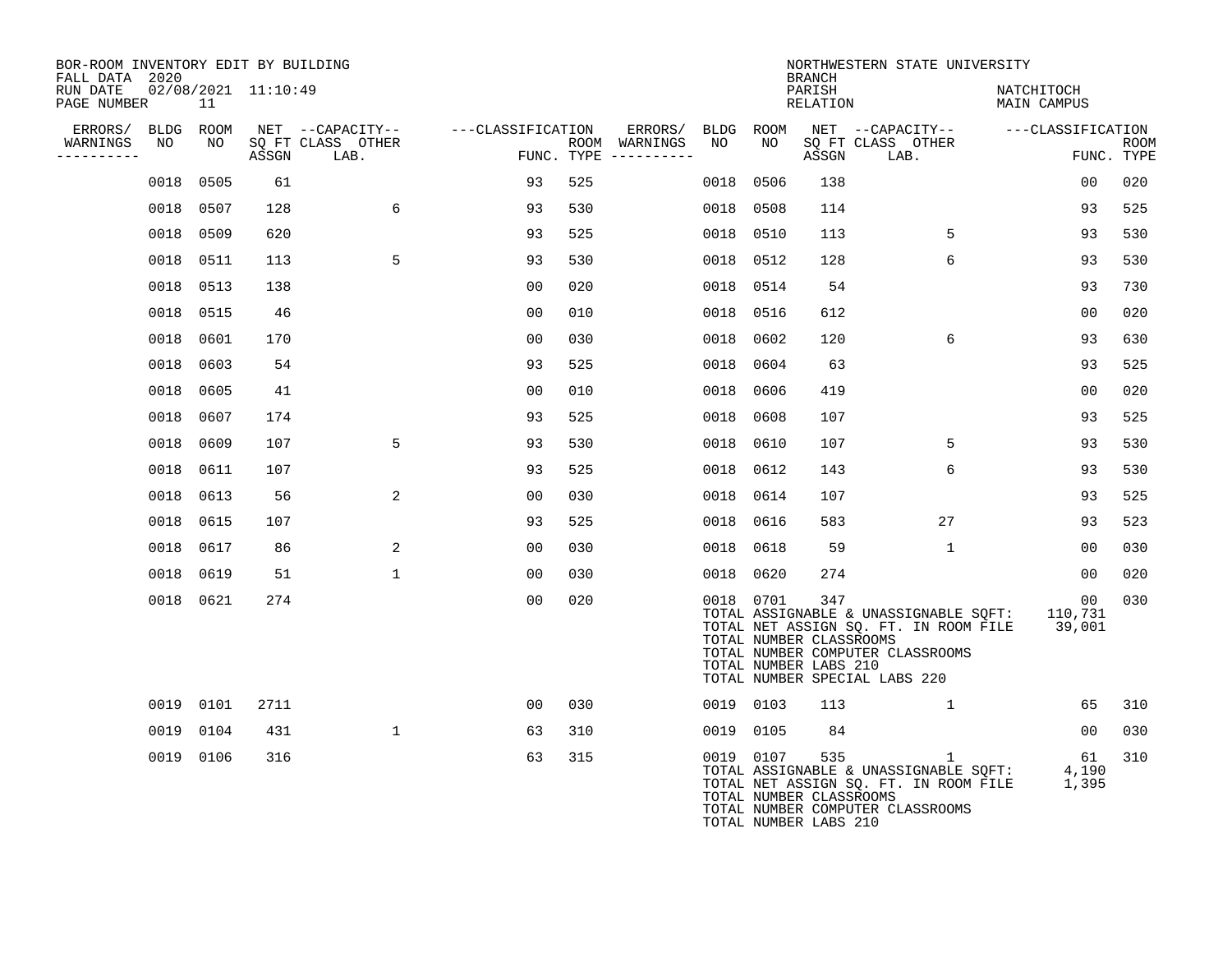| BOR-ROOM INVENTORY EDIT BY BUILDING<br>FALL DATA 2020 |           |                 |                     |                                               |                   |     |                                                 |                 |           | <b>BRANCH</b>                                           | NORTHWESTERN STATE UNIVERSITY                                                                                                                                      |                           |                           |
|-------------------------------------------------------|-----------|-----------------|---------------------|-----------------------------------------------|-------------------|-----|-------------------------------------------------|-----------------|-----------|---------------------------------------------------------|--------------------------------------------------------------------------------------------------------------------------------------------------------------------|---------------------------|---------------------------|
| RUN DATE<br>PAGE NUMBER                               |           | 11              | 02/08/2021 11:10:49 |                                               |                   |     |                                                 |                 |           | PARISH<br>RELATION                                      |                                                                                                                                                                    | NATCHITOCH<br>MAIN CAMPUS |                           |
| ERRORS/<br>WARNINGS<br>----------                     | NO        | BLDG ROOM<br>NO | ASSGN               | NET --CAPACITY--<br>SQ FT CLASS OTHER<br>LAB. | ---CLASSIFICATION |     | ERRORS/<br>ROOM WARNINGS<br>FUNC. TYPE $------$ | BLDG ROOM<br>NO | NO        | ASSGN                                                   | NET --CAPACITY-- ---CLASSIFICATION<br>SQ FT CLASS OTHER<br>LAB.                                                                                                    |                           | <b>ROOM</b><br>FUNC. TYPE |
|                                                       | 0018      | 0505            | 61                  |                                               | 93                | 525 |                                                 | 0018            | 0506      | 138                                                     |                                                                                                                                                                    | 0 <sub>0</sub>            | 020                       |
|                                                       |           | 0018 0507       | 128                 | 6                                             | 93                | 530 |                                                 |                 | 0018 0508 | 114                                                     |                                                                                                                                                                    | 93                        | 525                       |
|                                                       |           | 0018 0509       | 620                 |                                               | 93                | 525 |                                                 |                 | 0018 0510 | 113                                                     | 5                                                                                                                                                                  | 93                        | 530                       |
|                                                       |           | 0018 0511       | 113                 | 5                                             | 93                | 530 |                                                 |                 | 0018 0512 | 128                                                     | 6                                                                                                                                                                  | 93                        | 530                       |
|                                                       |           | 0018 0513       | 138                 |                                               | 0 <sub>0</sub>    | 020 |                                                 |                 | 0018 0514 | 54                                                      |                                                                                                                                                                    | 93                        | 730                       |
|                                                       | 0018 0515 |                 | 46                  |                                               | 0 <sub>0</sub>    | 010 |                                                 | 0018            | 0516      | 612                                                     |                                                                                                                                                                    | 0 <sub>0</sub>            | 020                       |
|                                                       |           | 0018 0601       | 170                 |                                               | 00                | 030 |                                                 |                 | 0018 0602 | 120                                                     | 6                                                                                                                                                                  | 93                        | 630                       |
|                                                       | 0018      | 0603            | 54                  |                                               | 93                | 525 |                                                 | 0018            | 0604      | 63                                                      |                                                                                                                                                                    | 93                        | 525                       |
|                                                       |           | 0018 0605       | 41                  |                                               | 0 <sub>0</sub>    | 010 |                                                 | 0018            | 0606      | 419                                                     |                                                                                                                                                                    | 0 <sub>0</sub>            | 020                       |
|                                                       |           | 0018 0607       | 174                 |                                               | 93                | 525 |                                                 | 0018            | 0608      | 107                                                     |                                                                                                                                                                    | 93                        | 525                       |
|                                                       |           | 0018 0609       | 107                 | 5                                             | 93                | 530 |                                                 |                 | 0018 0610 | 107                                                     | 5                                                                                                                                                                  | 93                        | 530                       |
|                                                       |           | 0018 0611       | 107                 |                                               | 93                | 525 |                                                 |                 | 0018 0612 | 143                                                     | 6                                                                                                                                                                  | 93                        | 530                       |
|                                                       |           | 0018 0613       | 56                  | 2                                             | 00                | 030 |                                                 |                 | 0018 0614 | 107                                                     |                                                                                                                                                                    | 93                        | 525                       |
|                                                       |           | 0018 0615       | 107                 |                                               | 93                | 525 |                                                 |                 | 0018 0616 | 583                                                     | 27                                                                                                                                                                 | 93                        | 523                       |
|                                                       |           | 0018 0617       | 86                  | 2                                             | 0 <sub>0</sub>    | 030 |                                                 |                 | 0018 0618 | 59                                                      | $\mathbf{1}$                                                                                                                                                       | 00                        | 030                       |
|                                                       | 0018 0619 |                 | 51                  | $\mathbf{1}$                                  | 00                | 030 |                                                 |                 | 0018 0620 | 274                                                     |                                                                                                                                                                    | 00                        | 020                       |
|                                                       |           | 0018 0621       | 274                 |                                               | 0 <sub>0</sub>    | 020 |                                                 |                 | 0018 0701 | 347<br>TOTAL NUMBER CLASSROOMS<br>TOTAL NUMBER LABS 210 | TOTAL ASSIGNABLE & UNASSIGNABLE SQFT: 110,731<br>TOTAL NET ASSIGN SQ. FT. IN ROOM FILE 39,001<br>TOTAL NUMBER COMPUTER CLASSROOMS<br>TOTAL NUMBER SPECIAL LABS 220 | 00                        | 030                       |
|                                                       |           | 0019 0101       | 2711                |                                               | 0 <sub>0</sub>    | 030 |                                                 |                 | 0019 0103 | 113                                                     | $\mathbf{1}$                                                                                                                                                       | 65                        | 310                       |
|                                                       |           | 0019 0104       | 431                 | $\mathbf{1}$                                  | 63                | 310 |                                                 |                 | 0019 0105 | 84                                                      |                                                                                                                                                                    | 00                        | 030                       |
|                                                       |           | 0019 0106       | 316                 |                                               | 63                | 315 |                                                 |                 | 0019 0107 | 535<br>TOTAL NUMBER CLASSROOMS<br>TOTAL NUMBER LABS 210 | ı.<br>TOTAL ASSIGNABLE & UNASSIGNABLE SQFT:<br>TOTAL NET ASSIGN SQ. FT. IN ROOM FILE<br>TOTAL NUMBER COMPUTER CLASSROOMS                                           | 61<br>4,190<br>1,395      | 310                       |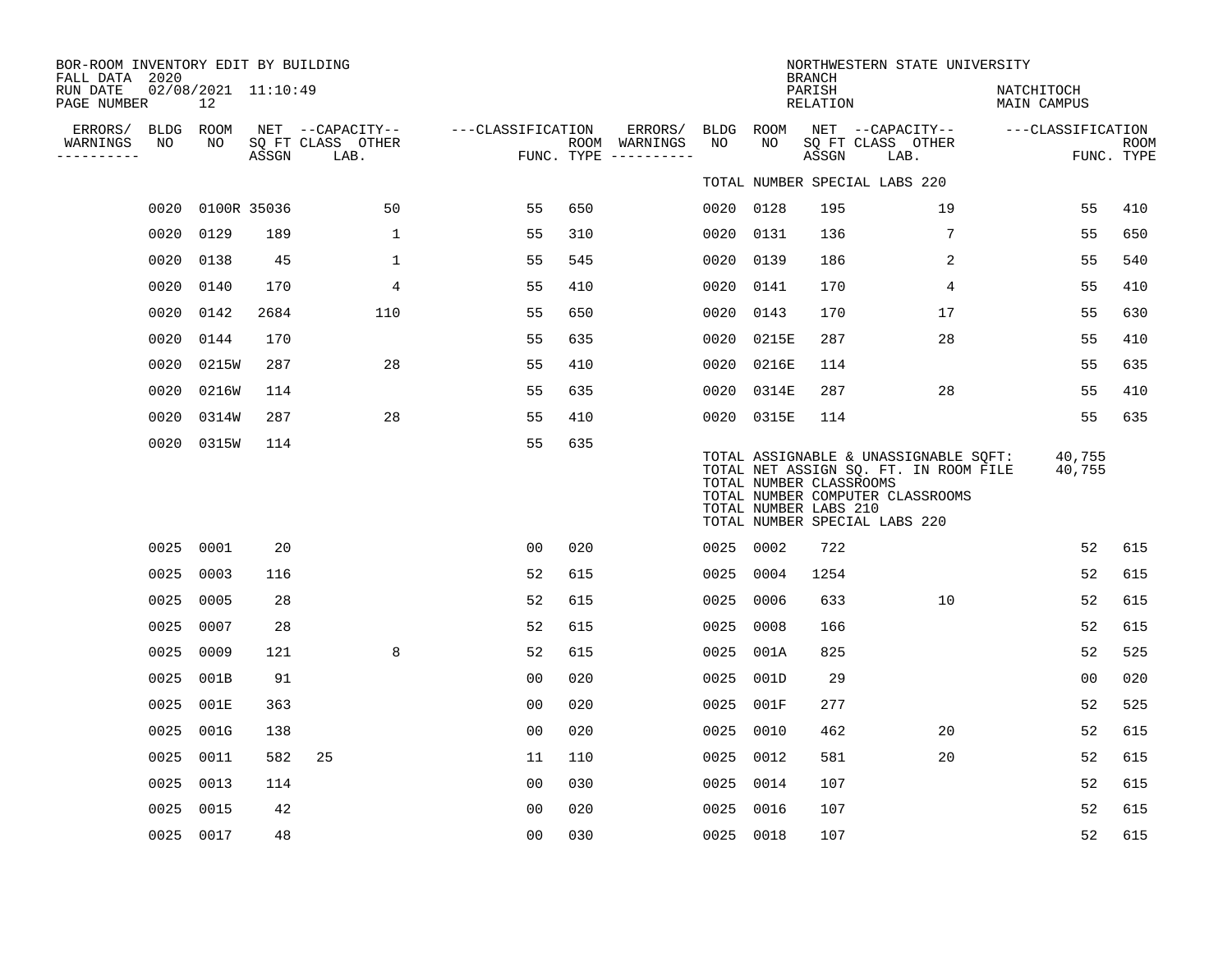| BOR-ROOM INVENTORY EDIT BY BUILDING<br>FALL DATA 2020 |           |                                          |       |                                               |                   |     |                                                   |                 |                                                  | <b>BRANCH</b>      | NORTHWESTERN STATE UNIVERSITY                                                                                                                       |                           |                           |
|-------------------------------------------------------|-----------|------------------------------------------|-------|-----------------------------------------------|-------------------|-----|---------------------------------------------------|-----------------|--------------------------------------------------|--------------------|-----------------------------------------------------------------------------------------------------------------------------------------------------|---------------------------|---------------------------|
| RUN DATE<br>PAGE NUMBER                               |           | 02/08/2021 11:10:49<br>$12 \overline{ }$ |       |                                               |                   |     |                                                   |                 |                                                  | PARISH<br>RELATION |                                                                                                                                                     | NATCHITOCH<br>MAIN CAMPUS |                           |
| ERRORS/ BLDG ROOM<br>WARNINGS<br>----------           | NO        | NO                                       | ASSGN | NET --CAPACITY--<br>SQ FT CLASS OTHER<br>LAB. | ---CLASSIFICATION |     | ERRORS/<br>ROOM WARNINGS<br>FUNC. TYPE ---------- | BLDG ROOM<br>NO | NO                                               | ASSGN              | NET --CAPACITY--<br>SQ FT CLASS OTHER<br>LAB.                                                                                                       | ---CLASSIFICATION         | <b>ROOM</b><br>FUNC. TYPE |
|                                                       |           |                                          |       |                                               |                   |     |                                                   |                 |                                                  |                    | TOTAL NUMBER SPECIAL LABS 220                                                                                                                       |                           |                           |
|                                                       |           | 0020 0100R 35036                         |       | 50                                            | 55                | 650 |                                                   | 0020 0128       |                                                  | 195                | 19                                                                                                                                                  | 55                        | 410                       |
|                                                       | 0020 0129 |                                          | 189   | $\mathbf{1}$                                  | 55                | 310 |                                                   | 0020            | 0131                                             | 136                | 7                                                                                                                                                   | 55                        | 650                       |
|                                                       | 0020 0138 |                                          | 45    | $\mathbf{1}$                                  | 55                | 545 |                                                   | 0020 0139       |                                                  | 186                | 2                                                                                                                                                   | 55                        | 540                       |
|                                                       | 0020      | 0140                                     | 170   | 4                                             | 55                | 410 |                                                   | 0020            | 0141                                             | 170                | $\overline{4}$                                                                                                                                      | 55                        | 410                       |
|                                                       | 0020      | 0142                                     | 2684  | 110                                           | 55                | 650 |                                                   | 0020 0143       |                                                  | 170                | 17                                                                                                                                                  | 55                        | 630                       |
|                                                       | 0020      | 0144                                     | 170   |                                               | 55                | 635 |                                                   | 0020            | 0215E                                            | 287                | 28                                                                                                                                                  | 55                        | 410                       |
|                                                       | 0020      | 0215W                                    | 287   | 28                                            | 55                | 410 |                                                   |                 | 0020 0216E                                       | 114                |                                                                                                                                                     | 55                        | 635                       |
|                                                       | 0020      | 0216W                                    | 114   |                                               | 55                | 635 |                                                   | 0020            | 0314E                                            | 287                | 28                                                                                                                                                  | 55                        | 410                       |
|                                                       | 0020      | 0314W                                    | 287   | 28                                            | 55                | 410 |                                                   |                 | 0020 0315E                                       | 114                |                                                                                                                                                     | 55                        | 635                       |
|                                                       |           | 0020 0315W                               | 114   |                                               | 55                | 635 |                                                   |                 | TOTAL NUMBER CLASSROOMS<br>TOTAL NUMBER LABS 210 |                    | TOTAL ASSIGNABLE & UNASSIGNABLE SQFT:<br>TOTAL NET ASSIGN SQ. FT. IN ROOM FILE<br>TOTAL NUMBER COMPUTER CLASSROOMS<br>TOTAL NUMBER SPECIAL LABS 220 | 40,755<br>40,755          |                           |
|                                                       | 0025 0001 |                                          | 20    |                                               | 00                | 020 |                                                   | 0025 0002       |                                                  | 722                |                                                                                                                                                     | 52                        | 615                       |
|                                                       | 0025 0003 |                                          | 116   |                                               | 52                | 615 |                                                   | 0025            | 0004                                             | 1254               |                                                                                                                                                     | 52                        | 615                       |
|                                                       | 0025 0005 |                                          | 28    |                                               | 52                | 615 |                                                   | 0025            | 0006                                             | 633                | 10                                                                                                                                                  | 52                        | 615                       |
|                                                       | 0025      | 0007                                     | 28    |                                               | 52                | 615 |                                                   | 0025            | 0008                                             | 166                |                                                                                                                                                     | 52                        | 615                       |
|                                                       | 0025 0009 |                                          | 121   | 8                                             | 52                | 615 |                                                   | 0025            | 001A                                             | 825                |                                                                                                                                                     | 52                        | 525                       |
|                                                       | 0025 001B |                                          | 91    |                                               | 00                | 020 |                                                   | 0025            | 001D                                             | 29                 |                                                                                                                                                     | 0 <sub>0</sub>            | 020                       |
|                                                       | 0025 001E |                                          | 363   |                                               | 0 <sub>0</sub>    | 020 |                                                   | 0025            | 001F                                             | 277                |                                                                                                                                                     | 52                        | 525                       |
|                                                       | 0025 001G |                                          | 138   |                                               | 0 <sub>0</sub>    | 020 |                                                   | 0025            | 0010                                             | 462                | 20                                                                                                                                                  | 52                        | 615                       |
|                                                       | 0025 0011 |                                          | 582   | 25                                            | 11                | 110 |                                                   | 0025            | 0012                                             | 581                | 20                                                                                                                                                  | 52                        | 615                       |
|                                                       | 0025 0013 |                                          | 114   |                                               | 00                | 030 |                                                   | 0025            | 0014                                             | 107                |                                                                                                                                                     | 52                        | 615                       |
|                                                       | 0025 0015 |                                          | 42    |                                               | 0 <sub>0</sub>    | 020 |                                                   | 0025            | 0016                                             | 107                |                                                                                                                                                     | 52                        | 615                       |
|                                                       | 0025 0017 |                                          | 48    |                                               | 00                | 030 |                                                   | 0025 0018       |                                                  | 107                |                                                                                                                                                     | 52                        | 615                       |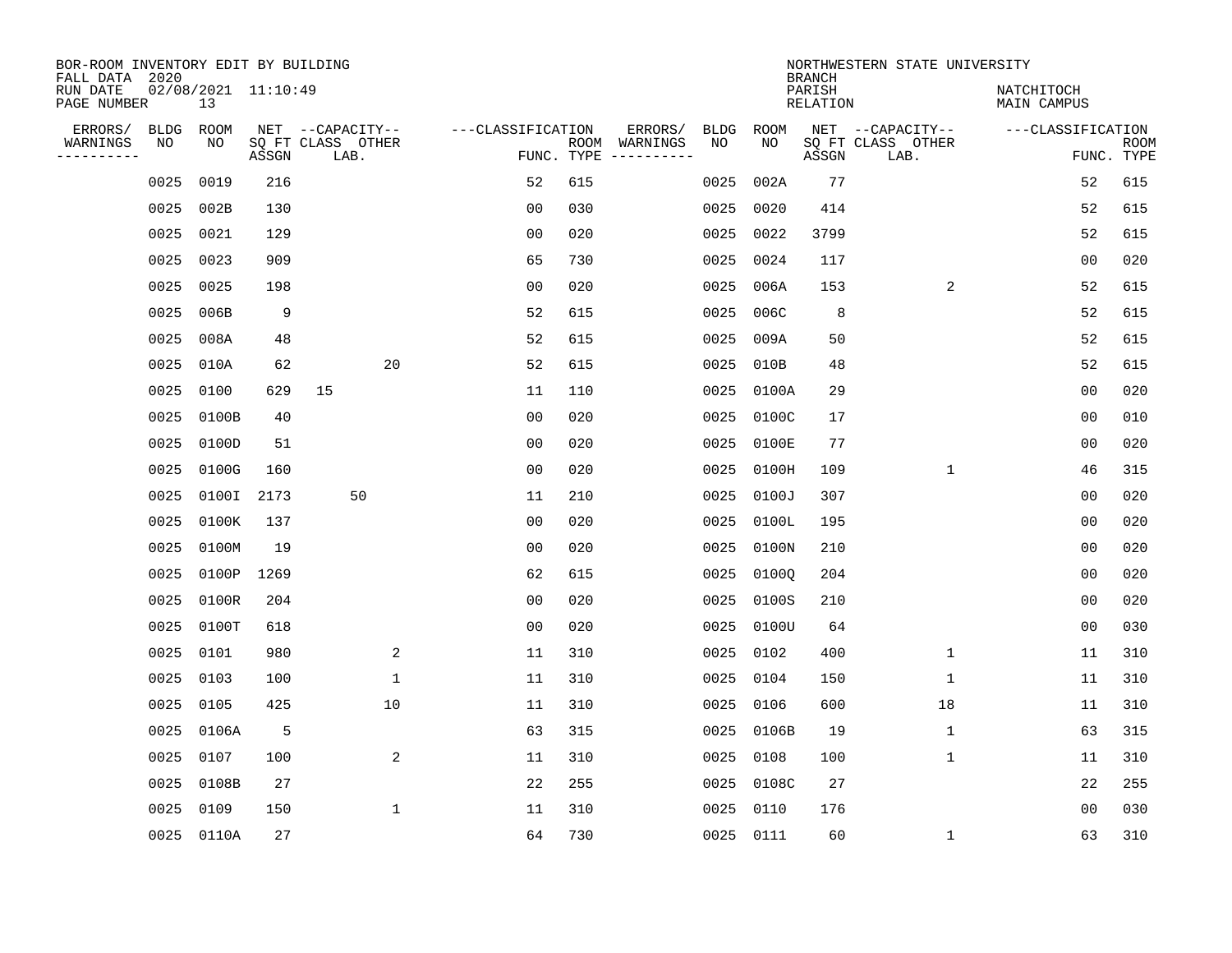| BOR-ROOM INVENTORY EDIT BY BUILDING<br>FALL DATA 2020 |             |                           |       |                           |                   |                    |                         |      |             | <b>BRANCH</b>             | NORTHWESTERN STATE UNIVERSITY |                                  |                           |
|-------------------------------------------------------|-------------|---------------------------|-------|---------------------------|-------------------|--------------------|-------------------------|------|-------------|---------------------------|-------------------------------|----------------------------------|---------------------------|
| RUN DATE<br>PAGE NUMBER                               |             | 02/08/2021 11:10:49<br>13 |       |                           |                   |                    |                         |      |             | PARISH<br><b>RELATION</b> |                               | NATCHITOCH<br><b>MAIN CAMPUS</b> |                           |
| ERRORS/                                               | <b>BLDG</b> | ROOM                      |       | NET --CAPACITY--          | ---CLASSIFICATION |                    | ERRORS/                 | BLDG | <b>ROOM</b> |                           | NET --CAPACITY--              | ---CLASSIFICATION                |                           |
| WARNINGS<br>----------                                | NO          | ΝO                        | ASSGN | SQ FT CLASS OTHER<br>LAB. |                   | ROOM<br>FUNC. TYPE | WARNINGS<br>----------- | NO   | NO          | ASSGN                     | SQ FT CLASS OTHER<br>LAB.     |                                  | <b>ROOM</b><br>FUNC. TYPE |
|                                                       | 0025        | 0019                      | 216   |                           | 52                | 615                |                         | 0025 | 002A        | 77                        |                               | 52                               | 615                       |
|                                                       | 0025        | 002B                      | 130   |                           | 00                | 030                |                         | 0025 | 0020        | 414                       |                               | 52                               | 615                       |
|                                                       | 0025        | 0021                      | 129   |                           | 0 <sub>0</sub>    | 020                |                         | 0025 | 0022        | 3799                      |                               | 52                               | 615                       |
|                                                       | 0025        | 0023                      | 909   |                           | 65                | 730                |                         | 0025 | 0024        | 117                       |                               | 0 <sub>0</sub>                   | 020                       |
|                                                       | 0025        | 0025                      | 198   |                           | 0 <sub>0</sub>    | 020                |                         | 0025 | 006A        | 153                       | 2                             | 52                               | 615                       |
|                                                       | 0025        | 006B                      | 9     |                           | 52                | 615                |                         | 0025 | 006C        | 8                         |                               | 52                               | 615                       |
|                                                       | 0025        | 008A                      | 48    |                           | 52                | 615                |                         | 0025 | 009A        | 50                        |                               | 52                               | 615                       |
|                                                       | 0025        | 010A                      | 62    | 20                        | 52                | 615                |                         | 0025 | 010B        | 48                        |                               | 52                               | 615                       |
|                                                       | 0025        | 0100                      | 629   | 15                        | 11                | 110                |                         | 0025 | 0100A       | 29                        |                               | 0 <sub>0</sub>                   | 020                       |
|                                                       | 0025        | 0100B                     | 40    |                           | 0 <sub>0</sub>    | 020                |                         | 0025 | 0100C       | 17                        |                               | 0 <sub>0</sub>                   | 010                       |
|                                                       | 0025        | 0100D                     | 51    |                           | 0 <sub>0</sub>    | 020                |                         | 0025 | 0100E       | 77                        |                               | 0 <sub>0</sub>                   | 020                       |
|                                                       | 0025        | 0100G                     | 160   |                           | 0 <sub>0</sub>    | 020                |                         | 0025 | 0100H       | 109                       | $\mathbf 1$                   | 46                               | 315                       |
|                                                       | 0025        | 0100I                     | 2173  | 50                        | 11                | 210                |                         | 0025 | 0100J       | 307                       |                               | 0 <sub>0</sub>                   | 020                       |
|                                                       | 0025        | 0100K                     | 137   |                           | 0 <sub>0</sub>    | 020                |                         | 0025 | 0100L       | 195                       |                               | 0 <sub>0</sub>                   | 020                       |
|                                                       | 0025        | 0100M                     | 19    |                           | 0 <sub>0</sub>    | 020                |                         | 0025 | 0100N       | 210                       |                               | 0 <sub>0</sub>                   | 020                       |
|                                                       | 0025        | 0100P                     | 1269  |                           | 62                | 615                |                         | 0025 | 01000       | 204                       |                               | 00                               | 020                       |
|                                                       | 0025        | 0100R                     | 204   |                           | 0 <sub>0</sub>    | 020                |                         | 0025 | 0100S       | 210                       |                               | 0 <sub>0</sub>                   | 020                       |
|                                                       | 0025        | 0100T                     | 618   |                           | 0 <sub>0</sub>    | 020                |                         | 0025 | 0100U       | 64                        |                               | 0 <sub>0</sub>                   | 030                       |
|                                                       | 0025        | 0101                      | 980   | 2                         | 11                | 310                |                         | 0025 | 0102        | 400                       | 1                             | 11                               | 310                       |
|                                                       | 0025        | 0103                      | 100   | 1                         | 11                | 310                |                         | 0025 | 0104        | 150                       | 1                             | 11                               | 310                       |
|                                                       | 0025        | 0105                      | 425   | 10                        | 11                | 310                |                         | 0025 | 0106        | 600                       | 18                            | 11                               | 310                       |
|                                                       | 0025        | 0106A                     | 5     |                           | 63                | 315                |                         | 0025 | 0106B       | 19                        | 1                             | 63                               | 315                       |
|                                                       | 0025        | 0107                      | 100   | 2                         | 11                | 310                |                         | 0025 | 0108        | 100                       | 1                             | 11                               | 310                       |
|                                                       | 0025        | 0108B                     | 27    |                           | 22                | 255                |                         | 0025 | 0108C       | 27                        |                               | 22                               | 255                       |
|                                                       | 0025        | 0109                      | 150   | $\mathbf{1}$              | 11                | 310                |                         | 0025 | 0110        | 176                       |                               | 0 <sub>0</sub>                   | 030                       |
|                                                       |             | 0025 0110A                | 27    |                           | 64                | 730                |                         |      | 0025 0111   | 60                        | 1                             | 63                               | 310                       |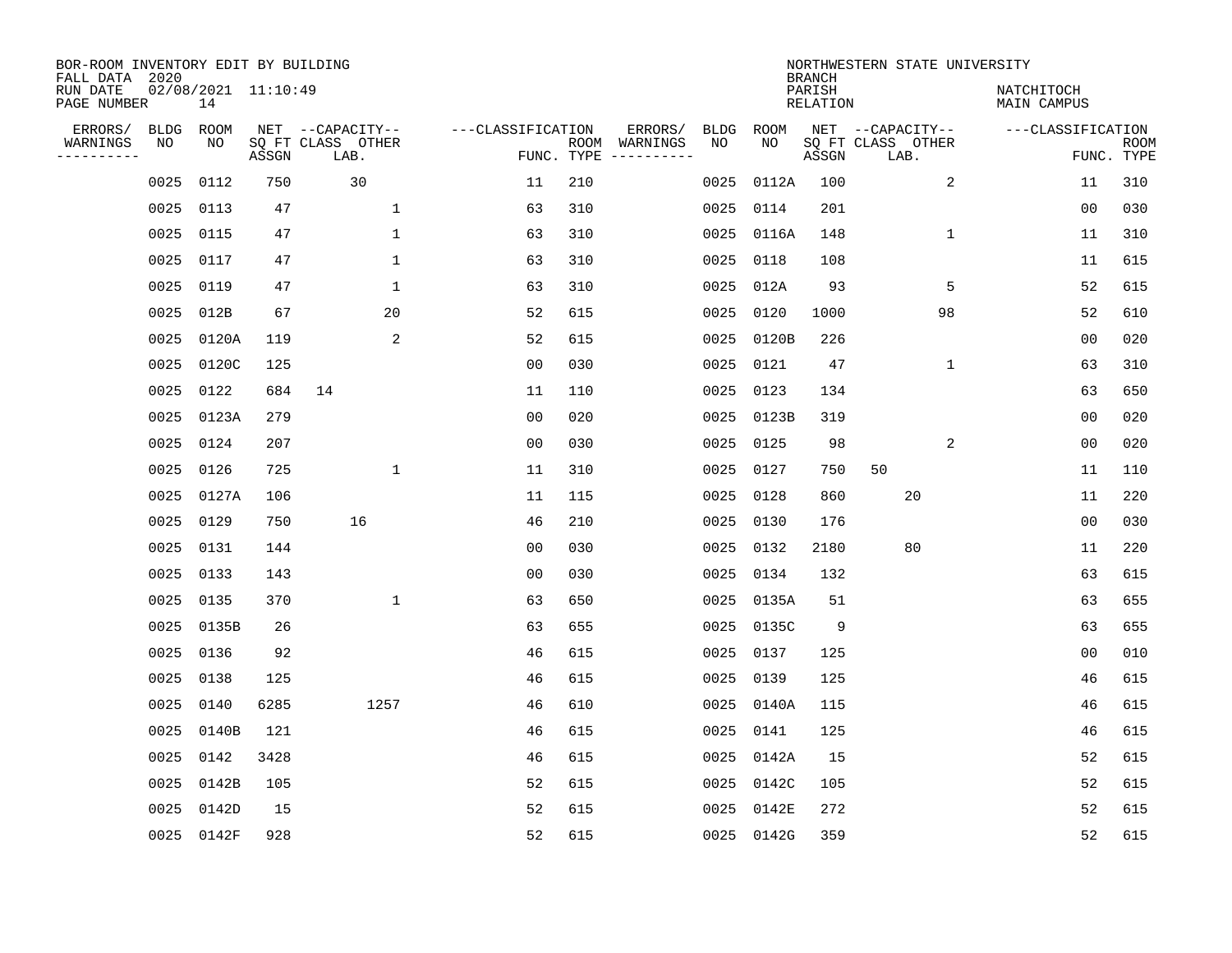| BOR-ROOM INVENTORY EDIT BY BUILDING<br>FALL DATA 2020 |                             |       |                                               |                   |     |                                                 |            |             | <b>BRANCH</b>      | NORTHWESTERN STATE UNIVERSITY                 |              |                           |                           |
|-------------------------------------------------------|-----------------------------|-------|-----------------------------------------------|-------------------|-----|-------------------------------------------------|------------|-------------|--------------------|-----------------------------------------------|--------------|---------------------------|---------------------------|
| RUN DATE<br>PAGE NUMBER                               | $02/08/2021$ 11:10:49<br>14 |       |                                               |                   |     |                                                 |            |             | PARISH<br>RELATION |                                               |              | NATCHITOCH<br>MAIN CAMPUS |                           |
| ERRORS/<br>BLDG<br>WARNINGS<br>NO<br>---------        | ROOM<br>NO                  | ASSGN | NET --CAPACITY--<br>SQ FT CLASS OTHER<br>LAB. | ---CLASSIFICATION |     | ERRORS/<br>ROOM WARNINGS<br>FUNC. TYPE $------$ | BLDG<br>NO | ROOM<br>NO. | ASSGN              | NET --CAPACITY--<br>SQ FT CLASS OTHER<br>LAB. |              | ---CLASSIFICATION         | <b>ROOM</b><br>FUNC. TYPE |
| 0025                                                  | 0112                        | 750   | 30                                            | 11                | 210 |                                                 | 0025       | 0112A       | 100                |                                               | 2            | 11                        | 310                       |
| 0025                                                  | 0113                        | 47    | $\mathbf{1}$                                  | 63                | 310 |                                                 |            | 0025 0114   | 201                |                                               |              | 00                        | 030                       |
| 0025                                                  | 0115                        | 47    | $\mathbf{1}$                                  | 63                | 310 |                                                 |            | 0025 0116A  | 148                |                                               | $\mathbf{1}$ | 11                        | 310                       |
| 0025                                                  | 0117                        | 47    | $\mathbf{1}$                                  | 63                | 310 |                                                 | 0025       | 0118        | 108                |                                               |              | 11                        | 615                       |
| 0025                                                  | 0119                        | 47    | $\mathbf{1}$                                  | 63                | 310 |                                                 | 0025       | 012A        | 93                 |                                               | 5            | 52                        | 615                       |
| 0025                                                  | 012B                        | 67    | 20                                            | 52                | 615 |                                                 | 0025       | 0120        | 1000               |                                               | 98           | 52                        | 610                       |
| 0025                                                  | 0120A                       | 119   | 2                                             | 52                | 615 |                                                 |            | 0025 0120B  | 226                |                                               |              | 0 <sub>0</sub>            | 020                       |
| 0025                                                  | 0120C                       | 125   |                                               | 0 <sub>0</sub>    | 030 |                                                 |            | 0025 0121   | 47                 |                                               | $\mathbf{1}$ | 63                        | 310                       |
| 0025                                                  | 0122                        | 684   | 14                                            | 11                | 110 |                                                 | 0025       | 0123        | 134                |                                               |              | 63                        | 650                       |
| 0025                                                  | 0123A                       | 279   |                                               | 0 <sub>0</sub>    | 020 |                                                 |            | 0025 0123B  | 319                |                                               |              | 00                        | 020                       |
| 0025                                                  | 0124                        | 207   |                                               | 0 <sub>0</sub>    | 030 |                                                 |            | 0025 0125   | 98                 |                                               | 2            | 0 <sub>0</sub>            | 020                       |
| 0025                                                  | 0126                        | 725   | $\mathbf 1$                                   | 11                | 310 |                                                 |            | 0025 0127   | 750                | 50                                            |              | 11                        | 110                       |
| 0025                                                  | 0127A                       | 106   |                                               | 11                | 115 |                                                 | 0025       | 0128        | 860                | 20                                            |              | 11                        | 220                       |
| 0025                                                  | 0129                        | 750   | 16                                            | 46                | 210 |                                                 |            | 0025 0130   | 176                |                                               |              | 0 <sub>0</sub>            | 030                       |
| 0025                                                  | 0131                        | 144   |                                               | 00                | 030 |                                                 |            | 0025 0132   | 2180               | 80                                            |              | 11                        | 220                       |
| 0025                                                  | 0133                        | 143   |                                               | 0 <sub>0</sub>    | 030 |                                                 |            | 0025 0134   | 132                |                                               |              | 63                        | 615                       |
| 0025                                                  | 0135                        | 370   | $\mathbf{1}$                                  | 63                | 650 |                                                 |            | 0025 0135A  | 51                 |                                               |              | 63                        | 655                       |
| 0025                                                  | 0135B                       | 26    |                                               | 63                | 655 |                                                 |            | 0025 0135C  | 9                  |                                               |              | 63                        | 655                       |
| 0025                                                  | 0136                        | 92    |                                               | 46                | 615 |                                                 |            | 0025 0137   | 125                |                                               |              | 0 <sub>0</sub>            | 010                       |
| 0025                                                  | 0138                        | 125   |                                               | 46                | 615 |                                                 |            | 0025 0139   | 125                |                                               |              | 46                        | 615                       |
| 0025                                                  | 0140                        | 6285  | 1257                                          | 46                | 610 |                                                 |            | 0025 0140A  | 115                |                                               |              | 46                        | 615                       |
| 0025                                                  | 0140B                       | 121   |                                               | 46                | 615 |                                                 | 0025       | 0141        | 125                |                                               |              | 46                        | 615                       |
| 0025                                                  | 0142                        | 3428  |                                               | 46                | 615 |                                                 |            | 0025 0142A  | 15                 |                                               |              | 52                        | 615                       |
| 0025                                                  | 0142B                       | 105   |                                               | 52                | 615 |                                                 |            | 0025 0142C  | 105                |                                               |              | 52                        | 615                       |
| 0025                                                  | 0142D                       | 15    |                                               | 52                | 615 |                                                 |            | 0025 0142E  | 272                |                                               |              | 52                        | 615                       |
|                                                       | 0025 0142F                  | 928   |                                               | 52                | 615 |                                                 |            | 0025 0142G  | 359                |                                               |              | 52                        | 615                       |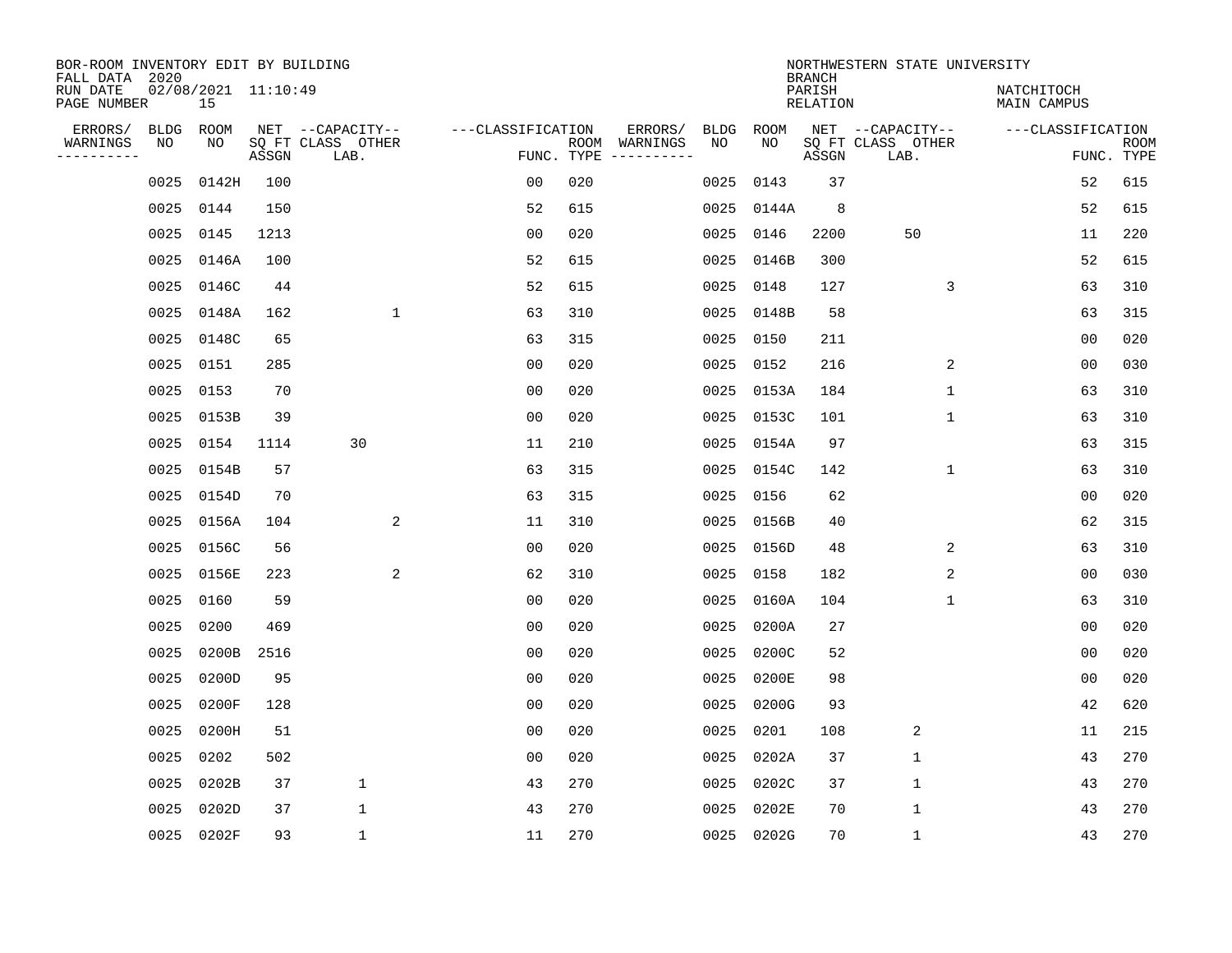| BOR-ROOM INVENTORY EDIT BY BUILDING<br>FALL DATA 2020 |             |                           |       |                           |                   |                    |                         |      |             | <b>BRANCH</b>             | NORTHWESTERN STATE UNIVERSITY |                                  |                           |
|-------------------------------------------------------|-------------|---------------------------|-------|---------------------------|-------------------|--------------------|-------------------------|------|-------------|---------------------------|-------------------------------|----------------------------------|---------------------------|
| RUN DATE<br>PAGE NUMBER                               |             | 02/08/2021 11:10:49<br>15 |       |                           |                   |                    |                         |      |             | PARISH<br><b>RELATION</b> |                               | NATCHITOCH<br><b>MAIN CAMPUS</b> |                           |
| ERRORS/                                               | <b>BLDG</b> | ROOM                      |       | NET --CAPACITY--          | ---CLASSIFICATION |                    | ERRORS/                 | BLDG | <b>ROOM</b> |                           | NET --CAPACITY--              | ---CLASSIFICATION                |                           |
| WARNINGS<br>----------                                | NO          | NO                        | ASSGN | SQ FT CLASS OTHER<br>LAB. |                   | ROOM<br>FUNC. TYPE | WARNINGS<br>----------- | NO   | NO          | ASSGN                     | SQ FT CLASS OTHER<br>LAB.     |                                  | <b>ROOM</b><br>FUNC. TYPE |
|                                                       | 0025        | 0142H                     | 100   |                           | 00                | 020                |                         | 0025 | 0143        | 37                        |                               | 52                               | 615                       |
|                                                       | 0025        | 0144                      | 150   |                           | 52                | 615                |                         | 0025 | 0144A       | 8                         |                               | 52                               | 615                       |
|                                                       | 0025        | 0145                      | 1213  |                           | 0 <sub>0</sub>    | 020                |                         | 0025 | 0146        | 2200                      | 50                            | 11                               | 220                       |
|                                                       | 0025        | 0146A                     | 100   |                           | 52                | 615                |                         | 0025 | 0146B       | 300                       |                               | 52                               | 615                       |
|                                                       | 0025        | 0146C                     | 44    |                           | 52                | 615                |                         | 0025 | 0148        | 127                       | 3                             | 63                               | 310                       |
|                                                       | 0025        | 0148A                     | 162   | $\mathbf{1}$              | 63                | 310                |                         |      | 0025 0148B  | 58                        |                               | 63                               | 315                       |
|                                                       | 0025        | 0148C                     | 65    |                           | 63                | 315                |                         | 0025 | 0150        | 211                       |                               | 0 <sub>0</sub>                   | 020                       |
|                                                       | 0025        | 0151                      | 285   |                           | 0 <sub>0</sub>    | 020                |                         | 0025 | 0152        | 216                       | 2                             | 0 <sub>0</sub>                   | 030                       |
|                                                       | 0025        | 0153                      | 70    |                           | 0 <sub>0</sub>    | 020                |                         | 0025 | 0153A       | 184                       | $\mathbf{1}$                  | 63                               | 310                       |
|                                                       | 0025        | 0153B                     | 39    |                           | 0 <sub>0</sub>    | 020                |                         |      | 0025 0153C  | 101                       | 1                             | 63                               | 310                       |
|                                                       | 0025        | 0154                      | 1114  | 30                        | 11                | 210                |                         |      | 0025 0154A  | 97                        |                               | 63                               | 315                       |
|                                                       | 0025        | 0154B                     | 57    |                           | 63                | 315                |                         |      | 0025 0154C  | 142                       | $\mathbf{1}$                  | 63                               | 310                       |
|                                                       | 0025        | 0154D                     | 70    |                           | 63                | 315                |                         | 0025 | 0156        | 62                        |                               | 0 <sub>0</sub>                   | 020                       |
|                                                       | 0025        | 0156A                     | 104   | 2                         | 11                | 310                |                         |      | 0025 0156B  | 40                        |                               | 62                               | 315                       |
|                                                       | 0025        | 0156C                     | 56    |                           | 0 <sub>0</sub>    | 020                |                         | 0025 | 0156D       | 48                        | 2                             | 63                               | 310                       |
|                                                       | 0025        | 0156E                     | 223   | 2                         | 62                | 310                |                         |      | 0025 0158   | 182                       | 2                             | 00                               | 030                       |
|                                                       | 0025        | 0160                      | 59    |                           | 0 <sub>0</sub>    | 020                |                         | 0025 | 0160A       | 104                       | 1                             | 63                               | 310                       |
|                                                       | 0025        | 0200                      | 469   |                           | 0 <sub>0</sub>    | 020                |                         | 0025 | 0200A       | 27                        |                               | 00                               | 020                       |
|                                                       | 0025        | 0200B                     | 2516  |                           | 0 <sub>0</sub>    | 020                |                         | 0025 | 0200C       | 52                        |                               | 0 <sub>0</sub>                   | 020                       |
|                                                       | 0025        | 0200D                     | 95    |                           | 0 <sub>0</sub>    | 020                |                         | 0025 | 0200E       | 98                        |                               | 0 <sub>0</sub>                   | 020                       |
|                                                       | 0025        | 0200F                     | 128   |                           | 0 <sub>0</sub>    | 020                |                         | 0025 | 0200G       | 93                        |                               | 42                               | 620                       |
|                                                       | 0025        | 0200H                     | 51    |                           | 0 <sub>0</sub>    | 020                |                         | 0025 | 0201        | 108                       | 2                             | 11                               | 215                       |
|                                                       | 0025        | 0202                      | 502   |                           | 0 <sub>0</sub>    | 020                |                         | 0025 | 0202A       | 37                        | $\mathbf{1}$                  | 43                               | 270                       |
|                                                       | 0025        | 0202B                     | 37    | $\mathbf 1$               | 43                | 270                |                         | 0025 | 0202C       | 37                        | $\mathbf 1$                   | 43                               | 270                       |
|                                                       | 0025        | 0202D                     | 37    | 1                         | 43                | 270                |                         | 0025 | 0202E       | 70                        | $\mathbf{1}$                  | 43                               | 270                       |
|                                                       |             | 0025 0202F                | 93    | $\mathbf{1}$              | 11                | 270                |                         |      | 0025 0202G  | 70                        | $\mathbf{1}$                  | 43                               | 270                       |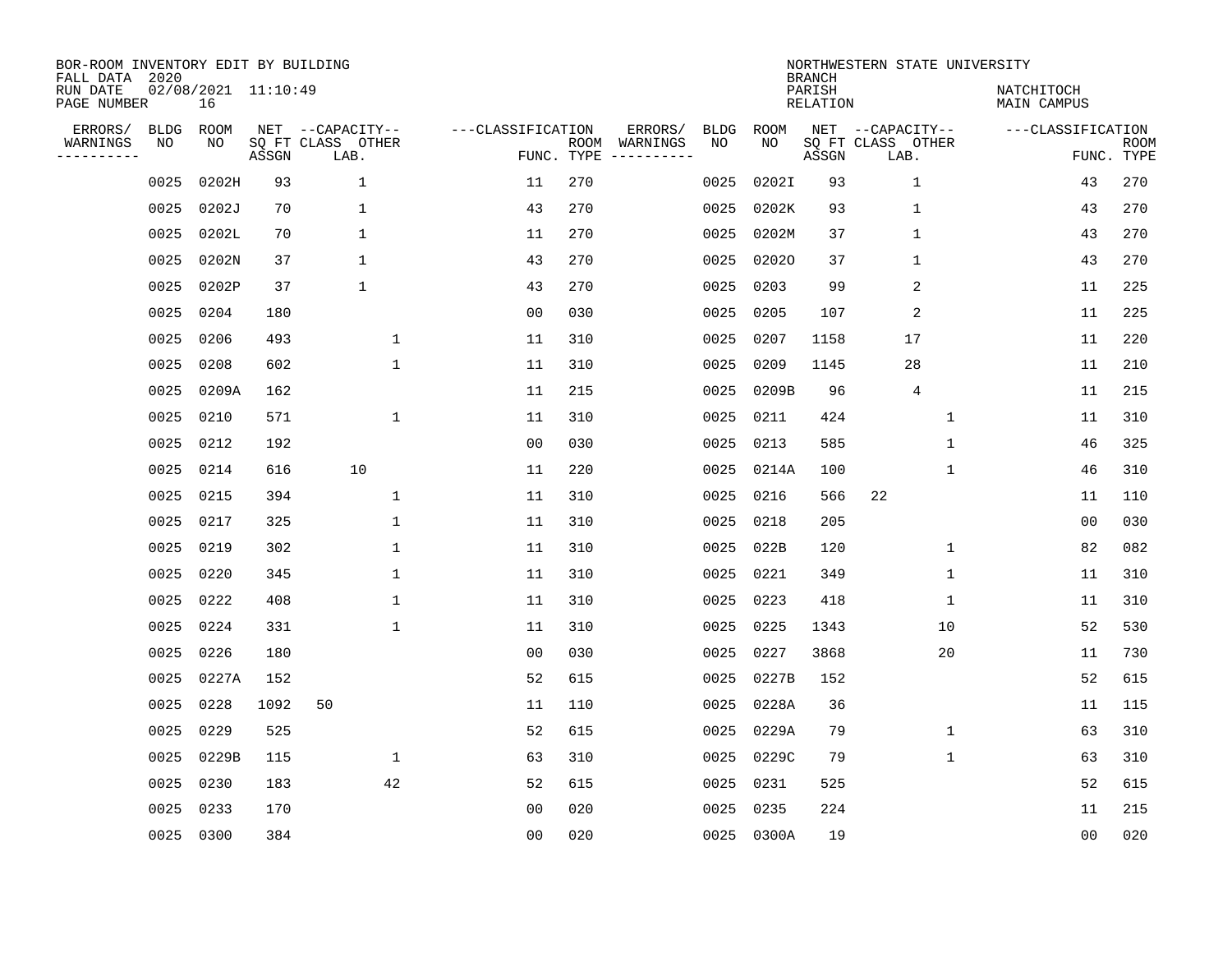| BOR-ROOM INVENTORY EDIT BY BUILDING<br>FALL DATA 2020 |                   |                           |       |                                       |                   |     |                          |                   |            | <b>BRANCH</b>      | NORTHWESTERN STATE UNIVERSITY         |                           |             |
|-------------------------------------------------------|-------------------|---------------------------|-------|---------------------------------------|-------------------|-----|--------------------------|-------------------|------------|--------------------|---------------------------------------|---------------------------|-------------|
| RUN DATE<br>PAGE NUMBER                               |                   | 02/08/2021 11:10:49<br>16 |       |                                       |                   |     |                          |                   |            | PARISH<br>RELATION |                                       | NATCHITOCH<br>MAIN CAMPUS |             |
| ERRORS/<br>WARNINGS                                   | <b>BLDG</b><br>ΝO | ROOM<br>NO                |       | NET --CAPACITY--<br>SQ FT CLASS OTHER | ---CLASSIFICATION |     | ERRORS/<br>ROOM WARNINGS | <b>BLDG</b><br>NO | ROOM<br>NO |                    | NET --CAPACITY--<br>SQ FT CLASS OTHER | ---CLASSIFICATION         | <b>ROOM</b> |
| ---------                                             |                   |                           | ASSGN | LAB.                                  | FUNC. TYPE        |     |                          |                   |            | ASSGN              | LAB.                                  |                           | FUNC. TYPE  |
|                                                       | 0025              | 0202H                     | 93    | $\mathbf{1}$                          | 11                | 270 |                          | 0025              | 0202I      | 93                 | $\mathbf{1}$                          | 43                        | 270         |
|                                                       | 0025              | 0202J                     | 70    | $\mathbf{1}$                          | 43                | 270 |                          | 0025              | 0202K      | 93                 | $\mathbf{1}$                          | 43                        | 270         |
|                                                       | 0025              | 0202L                     | 70    | $\mathbf{1}$                          | 11                | 270 |                          | 0025              | 0202M      | 37                 | $\mathbf{1}$                          | 43                        | 270         |
|                                                       | 0025              | 0202N                     | 37    | $\mathbf{1}$                          | 43                | 270 |                          | 0025              | 02020      | 37                 | $\mathbf{1}$                          | 43                        | 270         |
|                                                       | 0025              | 0202P                     | 37    | $\mathbf 1$                           | 43                | 270 |                          | 0025              | 0203       | 99                 | 2                                     | 11                        | 225         |
|                                                       | 0025              | 0204                      | 180   |                                       | 0 <sub>0</sub>    | 030 |                          | 0025              | 0205       | 107                | 2                                     | 11                        | 225         |
|                                                       | 0025              | 0206                      | 493   | $\mathbf{1}$                          | 11                | 310 |                          | 0025              | 0207       | 1158               | 17                                    | 11                        | 220         |
|                                                       | 0025              | 0208                      | 602   | $\mathbf{1}$                          | 11                | 310 |                          | 0025              | 0209       | 1145               | 28                                    | 11                        | 210         |
|                                                       | 0025              | 0209A                     | 162   |                                       | 11                | 215 |                          | 0025              | 0209B      | 96                 | 4                                     | 11                        | 215         |
|                                                       | 0025              | 0210                      | 571   | $\mathbf{1}$                          | 11                | 310 |                          | 0025              | 0211       | 424                | $\mathbf 1$                           | 11                        | 310         |
|                                                       | 0025              | 0212                      | 192   |                                       | 0 <sub>0</sub>    | 030 |                          | 0025              | 0213       | 585                | $\mathbf{1}$                          | 46                        | 325         |
|                                                       | 0025              | 0214                      | 616   | 10                                    | 11                | 220 |                          | 0025              | 0214A      | 100                | $\mathbf{1}$                          | 46                        | 310         |
|                                                       | 0025              | 0215                      | 394   | $\mathbf{1}$                          | 11                | 310 |                          | 0025              | 0216       | 566                | 22                                    | 11                        | 110         |
|                                                       | 0025              | 0217                      | 325   | $\mathbf{1}$                          | 11                | 310 |                          | 0025              | 0218       | 205                |                                       | 0 <sub>0</sub>            | 030         |
|                                                       | 0025              | 0219                      | 302   | 1                                     | 11                | 310 |                          | 0025              | 022B       | 120                | 1                                     | 82                        | 082         |
|                                                       | 0025              | 0220                      | 345   | 1                                     | 11                | 310 |                          | 0025              | 0221       | 349                | 1                                     | 11                        | 310         |
|                                                       | 0025              | 0222                      | 408   | 1                                     | 11                | 310 |                          | 0025              | 0223       | 418                | 1                                     | 11                        | 310         |
|                                                       | 0025              | 0224                      | 331   | $\mathbf{1}$                          | 11                | 310 |                          | 0025              | 0225       | 1343               | 10                                    | 52                        | 530         |
|                                                       | 0025              | 0226                      | 180   |                                       | 0 <sub>0</sub>    | 030 |                          | 0025              | 0227       | 3868               | 20                                    | 11                        | 730         |
|                                                       | 0025              | 0227A                     | 152   |                                       | 52                | 615 |                          | 0025              | 0227B      | 152                |                                       | 52                        | 615         |
|                                                       | 0025              | 0228                      | 1092  | 50                                    | 11                | 110 |                          | 0025              | 0228A      | 36                 |                                       | 11                        | 115         |
|                                                       | 0025              | 0229                      | 525   |                                       | 52                | 615 |                          | 0025              | 0229A      | 79                 | $\mathbf{1}$                          | 63                        | 310         |
|                                                       | 0025              | 0229B                     | 115   | $\mathbf{1}$                          | 63                | 310 |                          | 0025              | 0229C      | 79                 | $\mathbf{1}$                          | 63                        | 310         |
|                                                       | 0025              | 0230                      | 183   | 42                                    | 52                | 615 |                          | 0025              | 0231       | 525                |                                       | 52                        | 615         |
|                                                       | 0025              | 0233                      | 170   |                                       | 0 <sub>0</sub>    | 020 |                          | 0025              | 0235       | 224                |                                       | 11                        | 215         |
|                                                       | 0025 0300         |                           | 384   |                                       | 0 <sub>0</sub>    | 020 |                          |                   | 0025 0300A | 19                 |                                       | 0 <sub>0</sub>            | 020         |
|                                                       |                   |                           |       |                                       |                   |     |                          |                   |            |                    |                                       |                           |             |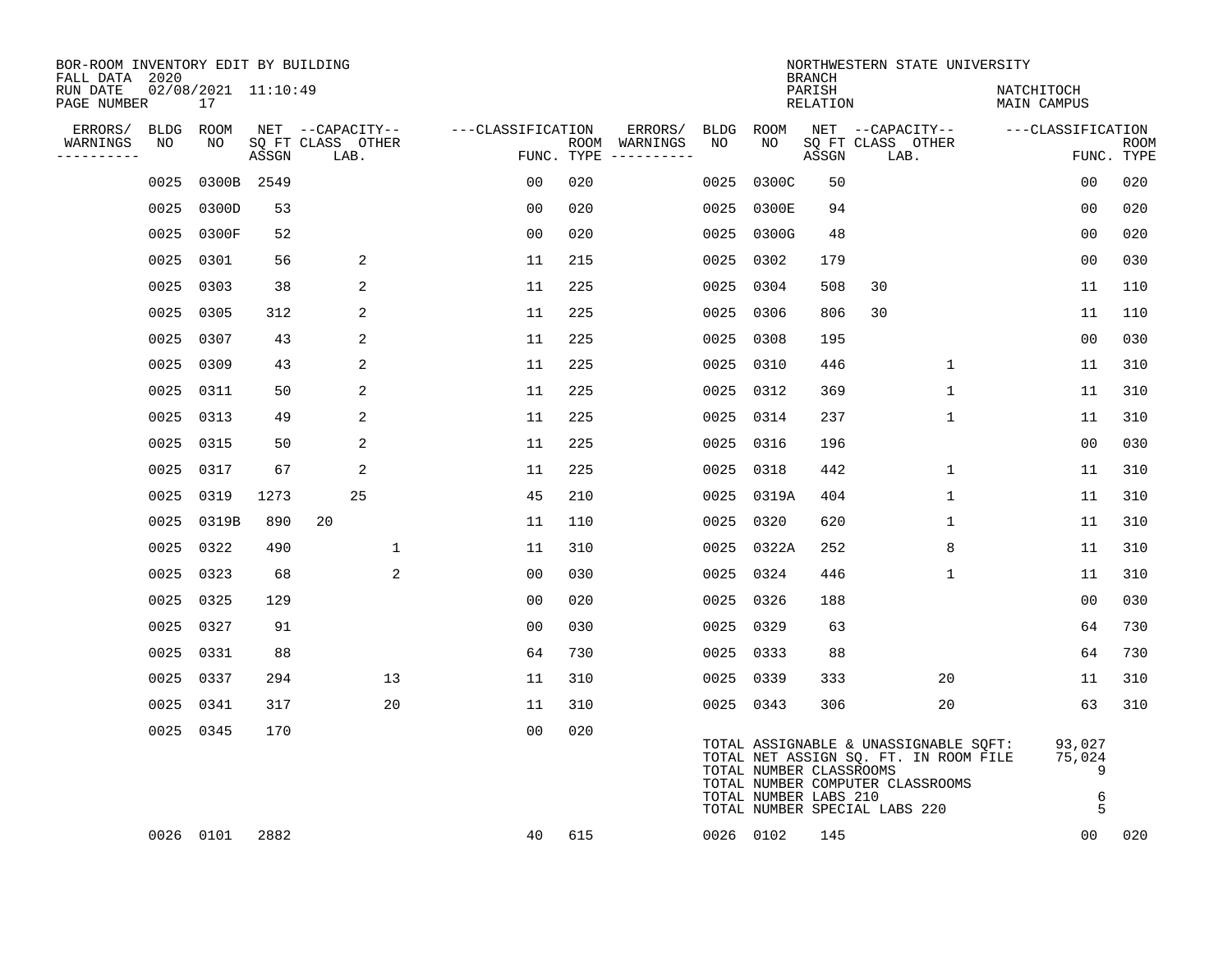| BOR-ROOM INVENTORY EDIT BY BUILDING<br>FALL DATA 2020 |           |                           |       |                           |                   |     |                                      |           |                                                  | <b>BRANCH</b>      | NORTHWESTERN STATE UNIVERSITY                                                                                                                       |                                 |                           |
|-------------------------------------------------------|-----------|---------------------------|-------|---------------------------|-------------------|-----|--------------------------------------|-----------|--------------------------------------------------|--------------------|-----------------------------------------------------------------------------------------------------------------------------------------------------|---------------------------------|---------------------------|
| RUN DATE<br>PAGE NUMBER                               |           | 02/08/2021 11:10:49<br>17 |       |                           |                   |     |                                      |           |                                                  | PARISH<br>RELATION |                                                                                                                                                     | NATCHITOCH<br>MAIN CAMPUS       |                           |
| ERRORS/                                               | BLDG ROOM |                           |       | NET --CAPACITY--          | ---CLASSIFICATION |     | ERRORS/                              | BLDG      | ROOM                                             |                    | NET --CAPACITY--                                                                                                                                    | ---CLASSIFICATION               |                           |
| WARNINGS<br>----------                                | NO        | NO                        | ASSGN | SQ FT CLASS OTHER<br>LAB. |                   |     | ROOM WARNINGS<br>FUNC. TYPE $------$ | NO        | NO                                               | ASSGN              | SQ FT CLASS OTHER<br>LAB.                                                                                                                           |                                 | <b>ROOM</b><br>FUNC. TYPE |
|                                                       | 0025      | 0300B 2549                |       |                           | 00                | 020 |                                      | 0025      | 0300C                                            | 50                 |                                                                                                                                                     | 0 <sub>0</sub>                  | 020                       |
|                                                       | 0025      | 0300D                     | 53    |                           | 0 <sub>0</sub>    | 020 |                                      | 0025      | 0300E                                            | 94                 |                                                                                                                                                     | 00                              | 020                       |
|                                                       | 0025      | 0300F                     | 52    |                           | 00                | 020 |                                      |           | 0025 0300G                                       | 48                 |                                                                                                                                                     | 0 <sub>0</sub>                  | 020                       |
|                                                       | 0025      | 0301                      | 56    | 2                         | 11                | 215 |                                      |           | 0025 0302                                        | 179                |                                                                                                                                                     | 0 <sub>0</sub>                  | 030                       |
|                                                       | 0025      | 0303                      | 38    | 2                         | 11                | 225 |                                      |           | 0025 0304                                        | 508                | 30                                                                                                                                                  | 11                              | 110                       |
|                                                       | 0025      | 0305                      | 312   | 2                         | 11                | 225 |                                      |           | 0025 0306                                        | 806                | 30                                                                                                                                                  | 11                              | 110                       |
|                                                       | 0025 0307 |                           | 43    | 2                         | 11                | 225 |                                      |           | 0025 0308                                        | 195                |                                                                                                                                                     | 0 <sub>0</sub>                  | 030                       |
|                                                       | 0025 0309 |                           | 43    | 2                         | 11                | 225 |                                      |           | 0025 0310                                        | 446                | 1                                                                                                                                                   | 11                              | 310                       |
|                                                       | 0025      | 0311                      | 50    | 2                         | 11                | 225 |                                      |           | 0025 0312                                        | 369                | $\mathbf{1}$                                                                                                                                        | 11                              | 310                       |
|                                                       | 0025      | 0313                      | 49    | 2                         | 11                | 225 |                                      |           | 0025 0314                                        | 237                | $\mathbf 1$                                                                                                                                         | 11                              | 310                       |
|                                                       | 0025      | 0315                      | 50    | 2                         | 11                | 225 |                                      | 0025      | 0316                                             | 196                |                                                                                                                                                     | 00                              | 030                       |
|                                                       | 0025      | 0317                      | 67    | 2                         | 11                | 225 |                                      |           | 0025 0318                                        | 442                | 1                                                                                                                                                   | 11                              | 310                       |
|                                                       | 0025      | 0319                      | 1273  | 25                        | 45                | 210 |                                      |           | 0025 0319A                                       | 404                | $\mathbf{1}$                                                                                                                                        | 11                              | 310                       |
|                                                       | 0025      | 0319B                     | 890   | 20                        | 11                | 110 |                                      | 0025 0320 |                                                  | 620                | $\mathbf{1}$                                                                                                                                        | 11                              | 310                       |
|                                                       | 0025 0322 |                           | 490   | 1                         | 11                | 310 |                                      |           | 0025 0322A                                       | 252                | 8                                                                                                                                                   | 11                              | 310                       |
|                                                       | 0025      | 0323                      | 68    | 2                         | 0 <sub>0</sub>    | 030 |                                      |           | 0025 0324                                        | 446                | $\mathbf{1}$                                                                                                                                        | 11                              | 310                       |
|                                                       | 0025      | 0325                      | 129   |                           | 0 <sub>0</sub>    | 020 |                                      | 0025 0326 |                                                  | 188                |                                                                                                                                                     | 0 <sub>0</sub>                  | 030                       |
|                                                       | 0025      | 0327                      | 91    |                           | 0 <sub>0</sub>    | 030 |                                      | 0025 0329 |                                                  | 63                 |                                                                                                                                                     | 64                              | 730                       |
|                                                       | 0025 0331 |                           | 88    |                           | 64                | 730 |                                      |           | 0025 0333                                        | 88                 |                                                                                                                                                     | 64                              | 730                       |
|                                                       | 0025 0337 |                           | 294   | 13                        | 11                | 310 |                                      | 0025 0339 |                                                  | 333                | 20                                                                                                                                                  | 11                              | 310                       |
|                                                       | 0025      | 0341                      | 317   | 20                        | 11                | 310 |                                      |           | 0025 0343                                        | 306                | 20                                                                                                                                                  | 63                              | 310                       |
|                                                       | 0025 0345 |                           | 170   |                           | 0 <sub>0</sub>    | 020 |                                      |           | TOTAL NUMBER CLASSROOMS<br>TOTAL NUMBER LABS 210 |                    | TOTAL ASSIGNABLE & UNASSIGNABLE SQFT:<br>TOTAL NET ASSIGN SQ. FT. IN ROOM FILE<br>TOTAL NUMBER COMPUTER CLASSROOMS<br>TOTAL NUMBER SPECIAL LABS 220 | 93,027<br>75,024<br>9<br>6<br>5 |                           |
|                                                       |           | 0026 0101                 | 2882  |                           | 40                | 615 |                                      |           | 0026 0102                                        | 145                |                                                                                                                                                     | 0 <sub>0</sub>                  | 020                       |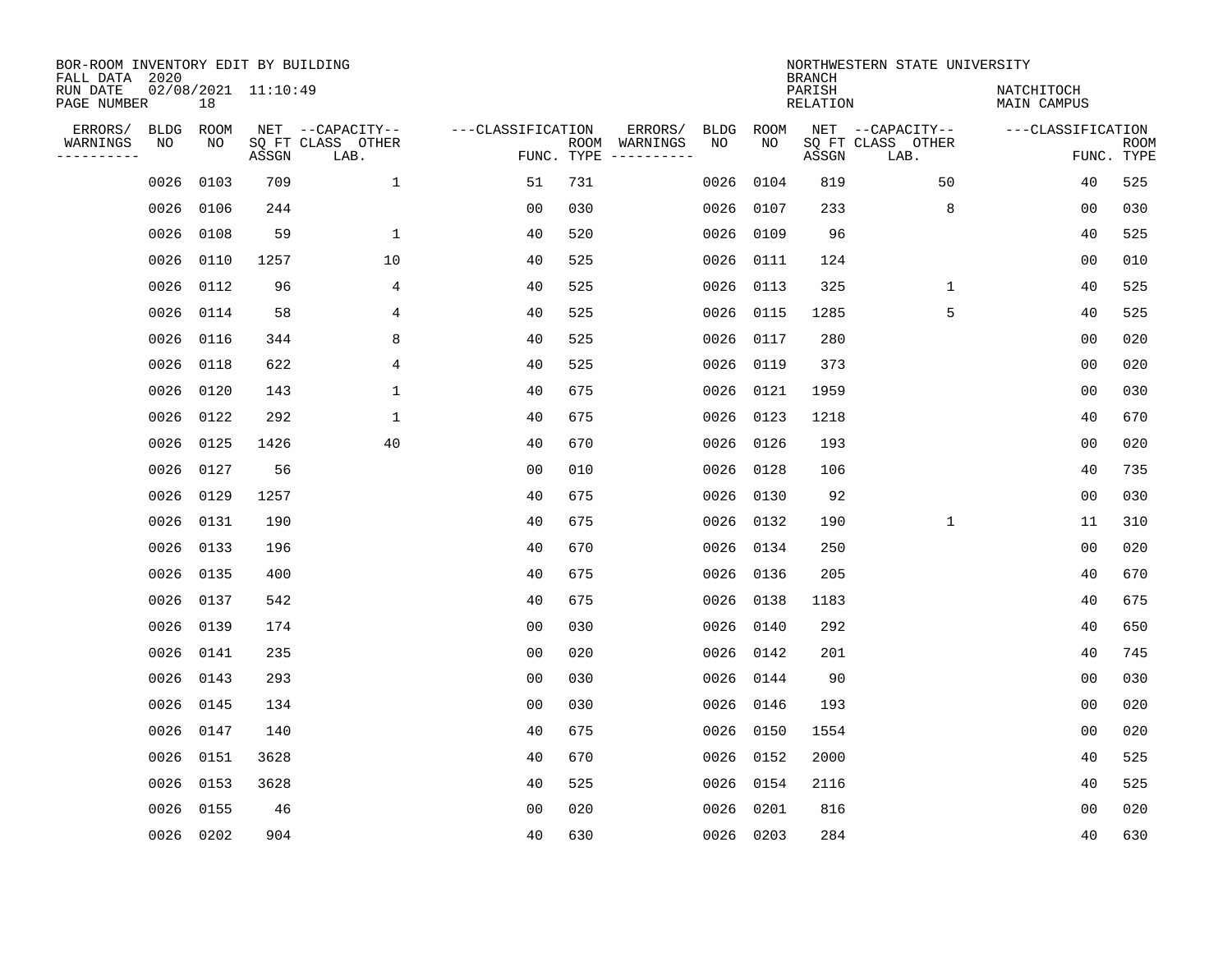| BOR-ROOM INVENTORY EDIT BY BUILDING<br>FALL DATA 2020 |           |      |                     |                           |                   |            |                              |      |           | <b>BRANCH</b>             | NORTHWESTERN STATE UNIVERSITY |                                  |                           |
|-------------------------------------------------------|-----------|------|---------------------|---------------------------|-------------------|------------|------------------------------|------|-----------|---------------------------|-------------------------------|----------------------------------|---------------------------|
| RUN DATE<br>PAGE NUMBER                               |           | 18   | 02/08/2021 11:10:49 |                           |                   |            |                              |      |           | PARISH<br><b>RELATION</b> |                               | NATCHITOCH<br><b>MAIN CAMPUS</b> |                           |
| ERRORS/                                               | BLDG      | ROOM |                     | NET --CAPACITY--          | ---CLASSIFICATION |            | ERRORS/                      | BLDG | ROOM      |                           | NET --CAPACITY--              | ---CLASSIFICATION                |                           |
| WARNINGS<br>----------                                | NO        | NO   | ASSGN               | SQ FT CLASS OTHER<br>LAB. |                   | FUNC. TYPE | ROOM WARNINGS<br>----------- | NO   | NO        | ASSGN                     | SQ FT CLASS OTHER<br>LAB.     |                                  | <b>ROOM</b><br>FUNC. TYPE |
|                                                       | 0026      | 0103 | 709                 | $\mathbf{1}$              | 51                | 731        |                              | 0026 | 0104      | 819                       | 50                            | 40                               | 525                       |
|                                                       | 0026      | 0106 | 244                 |                           | 00                | 030        |                              | 0026 | 0107      | 233                       | 8                             | 00                               | 030                       |
|                                                       | 0026      | 0108 | 59                  | $\mathbf 1$               | 40                | 520        |                              | 0026 | 0109      | 96                        |                               | 40                               | 525                       |
|                                                       | 0026      | 0110 | 1257                | 10                        | 40                | 525        |                              | 0026 | 0111      | 124                       |                               | 0 <sub>0</sub>                   | 010                       |
|                                                       | 0026      | 0112 | 96                  | 4                         | 40                | 525        |                              | 0026 | 0113      | 325                       | $\mathbf{1}$                  | 40                               | 525                       |
|                                                       | 0026 0114 |      | 58                  | 4                         | 40                | 525        |                              | 0026 | 0115      | 1285                      | 5                             | 40                               | 525                       |
|                                                       | 0026 0116 |      | 344                 | 8                         | 40                | 525        |                              | 0026 | 0117      | 280                       |                               | 0 <sub>0</sub>                   | 020                       |
|                                                       | 0026 0118 |      | 622                 | 4                         | 40                | 525        |                              | 0026 | 0119      | 373                       |                               | 0 <sub>0</sub>                   | 020                       |
|                                                       | 0026      | 0120 | 143                 | $\mathbf{1}$              | 40                | 675        |                              | 0026 | 0121      | 1959                      |                               | 0 <sub>0</sub>                   | 030                       |
|                                                       | 0026 0122 |      | 292                 | $\mathbf{1}$              | 40                | 675        |                              | 0026 | 0123      | 1218                      |                               | 40                               | 670                       |
|                                                       | 0026 0125 |      | 1426                | 40                        | 40                | 670        |                              | 0026 | 0126      | 193                       |                               | 0 <sub>0</sub>                   | 020                       |
|                                                       | 0026 0127 |      | 56                  |                           | 0 <sub>0</sub>    | 010        |                              | 0026 | 0128      | 106                       |                               | 40                               | 735                       |
|                                                       | 0026 0129 |      | 1257                |                           | 40                | 675        |                              | 0026 | 0130      | 92                        |                               | 0 <sub>0</sub>                   | 030                       |
|                                                       | 0026      | 0131 | 190                 |                           | 40                | 675        |                              | 0026 | 0132      | 190                       | $\mathbf 1$                   | 11                               | 310                       |
|                                                       | 0026      | 0133 | 196                 |                           | 40                | 670        |                              | 0026 | 0134      | 250                       |                               | 00                               | 020                       |
|                                                       | 0026      | 0135 | 400                 |                           | 40                | 675        |                              | 0026 | 0136      | 205                       |                               | 40                               | 670                       |
|                                                       | 0026      | 0137 | 542                 |                           | 40                | 675        |                              | 0026 | 0138      | 1183                      |                               | 40                               | 675                       |
|                                                       | 0026      | 0139 | 174                 |                           | 0 <sub>0</sub>    | 030        |                              | 0026 | 0140      | 292                       |                               | 40                               | 650                       |
|                                                       | 0026      | 0141 | 235                 |                           | 0 <sub>0</sub>    | 020        |                              | 0026 | 0142      | 201                       |                               | 40                               | 745                       |
|                                                       | 0026      | 0143 | 293                 |                           | 0 <sub>0</sub>    | 030        |                              | 0026 | 0144      | 90                        |                               | 0 <sub>0</sub>                   | 030                       |
|                                                       | 0026      | 0145 | 134                 |                           | 0 <sub>0</sub>    | 030        |                              | 0026 | 0146      | 193                       |                               | 0 <sub>0</sub>                   | 020                       |
|                                                       | 0026      | 0147 | 140                 |                           | 40                | 675        |                              | 0026 | 0150      | 1554                      |                               | 0 <sub>0</sub>                   | 020                       |
|                                                       | 0026      | 0151 | 3628                |                           | 40                | 670        |                              | 0026 | 0152      | 2000                      |                               | 40                               | 525                       |
|                                                       | 0026      | 0153 | 3628                |                           | 40                | 525        |                              | 0026 | 0154      | 2116                      |                               | 40                               | 525                       |
|                                                       | 0026      | 0155 | 46                  |                           | 0 <sub>0</sub>    | 020        |                              | 0026 | 0201      | 816                       |                               | 0 <sub>0</sub>                   | 020                       |
|                                                       | 0026 0202 |      | 904                 |                           | 40                | 630        |                              |      | 0026 0203 | 284                       |                               | 40                               | 630                       |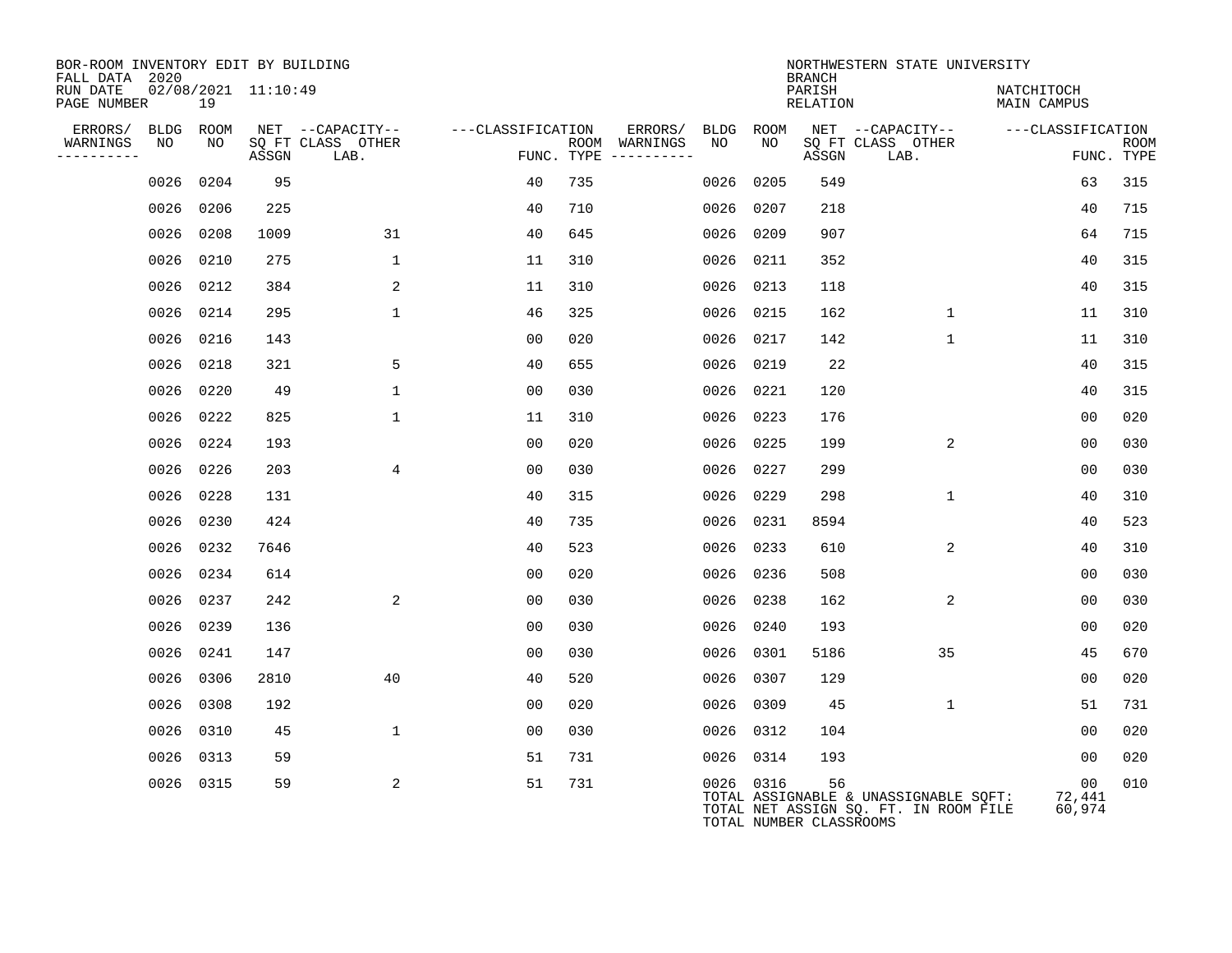| BOR-ROOM INVENTORY EDIT BY BUILDING<br>FALL DATA 2020 |      |           |                     |                           |                   |     |                                      |      |           | <b>BRANCH</b>                 | NORTHWESTERN STATE UNIVERSITY                                                  |                           |                           |
|-------------------------------------------------------|------|-----------|---------------------|---------------------------|-------------------|-----|--------------------------------------|------|-----------|-------------------------------|--------------------------------------------------------------------------------|---------------------------|---------------------------|
| RUN DATE<br>PAGE NUMBER                               |      | 19        | 02/08/2021 11:10:49 |                           |                   |     |                                      |      |           | PARISH<br>RELATION            |                                                                                | NATCHITOCH<br>MAIN CAMPUS |                           |
| ERRORS/                                               | BLDG | ROOM      |                     | NET --CAPACITY--          | ---CLASSIFICATION |     | ERRORS/                              | BLDG | ROOM      |                               | NET --CAPACITY--                                                               | ---CLASSIFICATION         |                           |
| WARNINGS<br>----------                                | NO   | NO        | ASSGN               | SQ FT CLASS OTHER<br>LAB. |                   |     | ROOM WARNINGS<br>FUNC. TYPE $------$ | NO.  | NO.       | ASSGN                         | SQ FT CLASS OTHER<br>LAB.                                                      |                           | <b>ROOM</b><br>FUNC. TYPE |
|                                                       | 0026 | 0204      | 95                  |                           | 40                | 735 |                                      | 0026 | 0205      | 549                           |                                                                                | 63                        | 315                       |
|                                                       | 0026 | 0206      | 225                 |                           | 40                | 710 |                                      | 0026 | 0207      | 218                           |                                                                                | 40                        | 715                       |
|                                                       |      | 0026 0208 | 1009                | 31                        | 40                | 645 |                                      | 0026 | 0209      | 907                           |                                                                                | 64                        | 715                       |
|                                                       | 0026 | 0210      | 275                 | $\mathbf 1$               | 11                | 310 |                                      | 0026 | 0211      | 352                           |                                                                                | 40                        | 315                       |
|                                                       | 0026 | 0212      | 384                 | 2                         | 11                | 310 |                                      | 0026 | 0213      | 118                           |                                                                                | 40                        | 315                       |
|                                                       |      | 0026 0214 | 295                 | $\mathbf{1}$              | 46                | 325 |                                      | 0026 | 0215      | 162                           | $\mathbf 1$                                                                    | 11                        | 310                       |
|                                                       | 0026 | 0216      | 143                 |                           | 0 <sub>0</sub>    | 020 |                                      | 0026 | 0217      | 142                           | $\mathbf{1}$                                                                   | 11                        | 310                       |
|                                                       | 0026 | 0218      | 321                 | 5                         | 40                | 655 |                                      | 0026 | 0219      | 22                            |                                                                                | 40                        | 315                       |
|                                                       | 0026 | 0220      | 49                  | $\mathbf{1}$              | 0 <sub>0</sub>    | 030 |                                      | 0026 | 0221      | 120                           |                                                                                | 40                        | 315                       |
|                                                       | 0026 | 0222      | 825                 | $\mathbf{1}$              | 11                | 310 |                                      | 0026 | 0223      | 176                           |                                                                                | 0 <sub>0</sub>            | 020                       |
|                                                       |      | 0026 0224 | 193                 |                           | 0 <sub>0</sub>    | 020 |                                      | 0026 | 0225      | 199                           | 2                                                                              | 0 <sub>0</sub>            | 030                       |
|                                                       | 0026 | 0226      | 203                 | 4                         | 0 <sub>0</sub>    | 030 |                                      | 0026 | 0227      | 299                           |                                                                                | 00                        | 030                       |
|                                                       | 0026 | 0228      | 131                 |                           | 40                | 315 |                                      | 0026 | 0229      | 298                           | 1                                                                              | 40                        | 310                       |
|                                                       | 0026 | 0230      | 424                 |                           | 40                | 735 |                                      | 0026 | 0231      | 8594                          |                                                                                | 40                        | 523                       |
|                                                       | 0026 | 0232      | 7646                |                           | 40                | 523 |                                      | 0026 | 0233      | 610                           | 2                                                                              | 40                        | 310                       |
|                                                       | 0026 | 0234      | 614                 |                           | 00                | 020 |                                      | 0026 | 0236      | 508                           |                                                                                | 0 <sub>0</sub>            | 030                       |
|                                                       | 0026 | 0237      | 242                 | 2                         | 0 <sub>0</sub>    | 030 |                                      | 0026 | 0238      | 162                           | $\overline{2}$                                                                 | 00                        | 030                       |
|                                                       |      | 0026 0239 | 136                 |                           | 0 <sub>0</sub>    | 030 |                                      | 0026 | 0240      | 193                           |                                                                                | 0 <sub>0</sub>            | 020                       |
|                                                       | 0026 | 0241      | 147                 |                           | 0 <sub>0</sub>    | 030 |                                      | 0026 | 0301      | 5186                          | 35                                                                             | 45                        | 670                       |
|                                                       |      | 0026 0306 | 2810                | 40                        | 40                | 520 |                                      | 0026 | 0307      | 129                           |                                                                                | 0 <sub>0</sub>            | 020                       |
|                                                       | 0026 | 0308      | 192                 |                           | 00                | 020 |                                      | 0026 | 0309      | 45                            | $\mathbf 1$                                                                    | 51                        | 731                       |
|                                                       |      | 0026 0310 | 45                  | $\mathbf{1}$              | 0 <sub>0</sub>    | 030 |                                      | 0026 | 0312      | 104                           |                                                                                | 00                        | 020                       |
|                                                       | 0026 | 0313      | 59                  |                           | 51                | 731 |                                      | 0026 | 0314      | 193                           |                                                                                | 0 <sub>0</sub>            | 020                       |
|                                                       |      | 0026 0315 | 59                  | 2                         | 51                | 731 |                                      |      | 0026 0316 | 56<br>TOTAL NUMBER CLASSROOMS | TOTAL ASSIGNABLE & UNASSIGNABLE SQFT:<br>TOTAL NET ASSIGN SQ. FT. IN ROOM FILE | 00<br>72,441<br>60,974    | 010                       |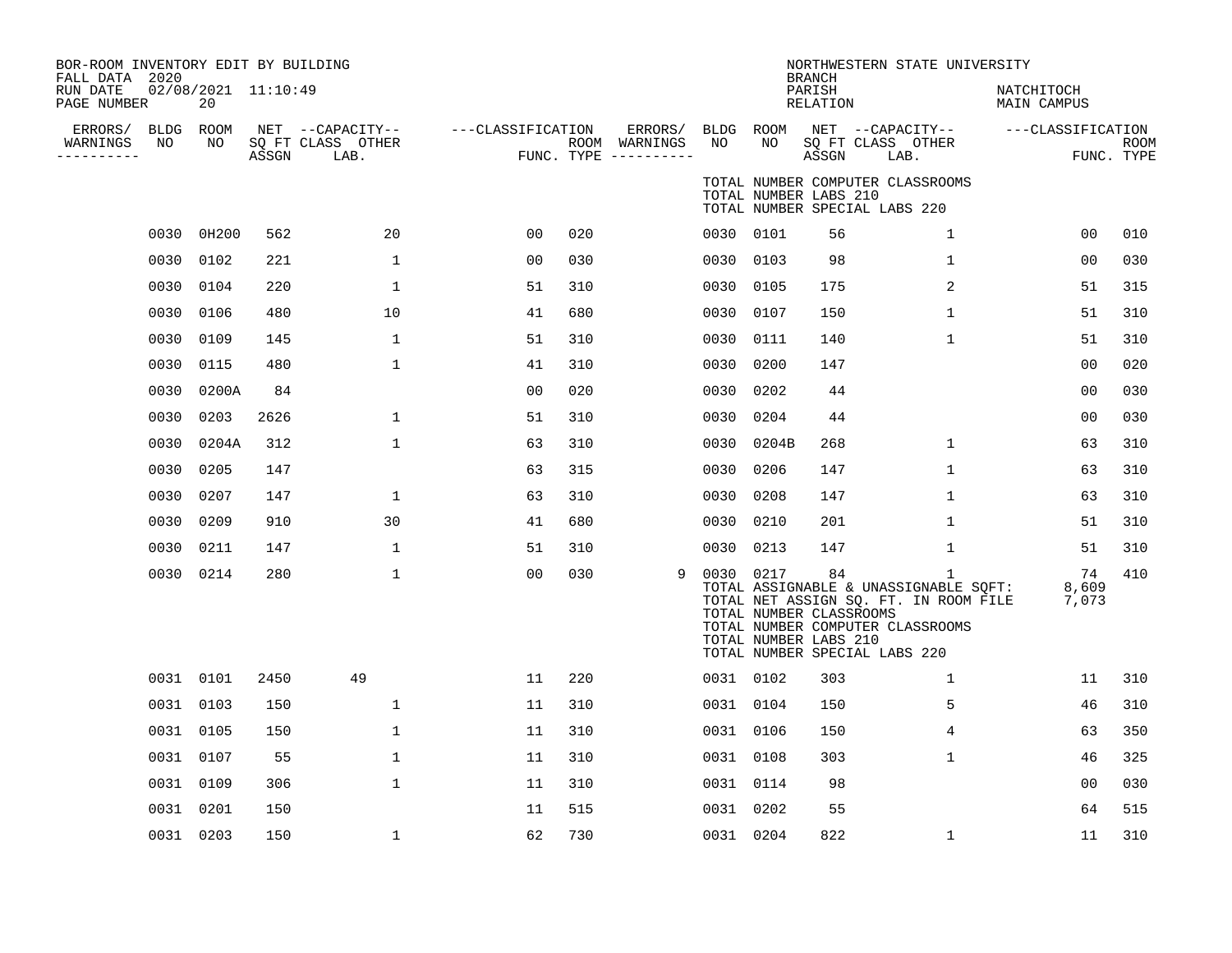| BOR-ROOM INVENTORY EDIT BY BUILDING<br>FALL DATA 2020 |      |                           |       |                                               |                   |     |                                                 |      |                                                               | <b>BRANCH</b>      | NORTHWESTERN STATE UNIVERSITY                                                                                                                            |                                  |                           |
|-------------------------------------------------------|------|---------------------------|-------|-----------------------------------------------|-------------------|-----|-------------------------------------------------|------|---------------------------------------------------------------|--------------------|----------------------------------------------------------------------------------------------------------------------------------------------------------|----------------------------------|---------------------------|
| RUN DATE<br>PAGE NUMBER                               |      | 02/08/2021 11:10:49<br>20 |       |                                               |                   |     |                                                 |      |                                                               | PARISH<br>RELATION |                                                                                                                                                          | NATCHITOCH<br><b>MAIN CAMPUS</b> |                           |
| ERRORS/ BLDG ROOM<br>WARNINGS<br>----------           | NO   | NO                        | ASSGN | NET --CAPACITY--<br>SQ FT CLASS OTHER<br>LAB. | ---CLASSIFICATION |     | ERRORS/<br>ROOM WARNINGS<br>FUNC. TYPE $------$ | NO   | BLDG ROOM<br>NO                                               | ASSGN              | NET --CAPACITY--<br>SQ FT CLASS OTHER<br>LAB.                                                                                                            | ---CLASSIFICATION                | <b>ROOM</b><br>FUNC. TYPE |
|                                                       |      |                           |       |                                               |                   |     |                                                 |      | TOTAL NUMBER LABS 210                                         |                    | TOTAL NUMBER COMPUTER CLASSROOMS<br>TOTAL NUMBER SPECIAL LABS 220                                                                                        |                                  |                           |
|                                                       | 0030 | 0H200                     | 562   | 20                                            | 0 <sub>0</sub>    | 020 |                                                 |      | 0030 0101                                                     | 56                 | $\mathbf{1}$                                                                                                                                             | 00                               | 010                       |
|                                                       | 0030 | 0102                      | 221   | $\mathbf{1}$                                  | 0 <sub>0</sub>    | 030 |                                                 | 0030 | 0103                                                          | 98                 | $\mathbf 1$                                                                                                                                              | 00                               | 030                       |
|                                                       | 0030 | 0104                      | 220   | 1                                             | 51                | 310 |                                                 | 0030 | 0105                                                          | 175                | 2                                                                                                                                                        | 51                               | 315                       |
|                                                       | 0030 | 0106                      | 480   | 10                                            | 41                | 680 |                                                 | 0030 | 0107                                                          | 150                | 1                                                                                                                                                        | 51                               | 310                       |
|                                                       | 0030 | 0109                      | 145   | $\mathbf{1}$                                  | 51                | 310 |                                                 | 0030 | 0111                                                          | 140                | $\mathbf 1$                                                                                                                                              | 51                               | 310                       |
|                                                       | 0030 | 0115                      | 480   | $\mathbf{1}$                                  | 41                | 310 |                                                 | 0030 | 0200                                                          | 147                |                                                                                                                                                          | 00                               | 020                       |
|                                                       | 0030 | 0200A                     | 84    |                                               | 00                | 020 |                                                 | 0030 | 0202                                                          | 44                 |                                                                                                                                                          | 0 <sub>0</sub>                   | 030                       |
|                                                       | 0030 | 0203                      | 2626  | $\mathbf{1}$                                  | 51                | 310 |                                                 | 0030 | 0204                                                          | 44                 |                                                                                                                                                          | 0 <sub>0</sub>                   | 030                       |
|                                                       | 0030 | 0204A                     | 312   | 1                                             | 63                | 310 |                                                 | 0030 | 0204B                                                         | 268                | $\mathbf 1$                                                                                                                                              | 63                               | 310                       |
|                                                       | 0030 | 0205                      | 147   |                                               | 63                | 315 |                                                 | 0030 | 0206                                                          | 147                | $\mathbf 1$                                                                                                                                              | 63                               | 310                       |
|                                                       | 0030 | 0207                      | 147   | 1                                             | 63                | 310 |                                                 | 0030 | 0208                                                          | 147                | $\mathbf{1}$                                                                                                                                             | 63                               | 310                       |
|                                                       | 0030 | 0209                      | 910   | 30                                            | 41                | 680 |                                                 | 0030 | 0210                                                          | 201                | $\mathbf 1$                                                                                                                                              | 51                               | 310                       |
|                                                       | 0030 | 0211                      | 147   | 1                                             | 51                | 310 |                                                 |      | 0030 0213                                                     | 147                | $\mathbf 1$                                                                                                                                              | 51                               | 310                       |
|                                                       |      | 0030 0214                 | 280   | $\mathbf{1}$                                  | 0 <sub>0</sub>    | 030 | 9                                               |      | 0030 0217<br>TOTAL NUMBER CLASSROOMS<br>TOTAL NUMBER LABS 210 | 84                 | 1<br>TOTAL ASSIGNABLE & UNASSIGNABLE SQFT:<br>TOTAL NET ASSIGN SQ. FT. IN ROOM FILE<br>TOTAL NUMBER COMPUTER CLASSROOMS<br>TOTAL NUMBER SPECIAL LABS 220 | 74<br>8,609<br>7,073             | 410                       |
|                                                       |      | 0031 0101                 | 2450  | 49                                            | 11                | 220 |                                                 |      | 0031 0102                                                     | 303                | 1                                                                                                                                                        | 11                               | 310                       |
|                                                       |      | 0031 0103                 | 150   | 1                                             | 11                | 310 |                                                 |      | 0031 0104                                                     | 150                | 5                                                                                                                                                        | 46                               | 310                       |
|                                                       |      | 0031 0105                 | 150   | 1                                             | 11                | 310 |                                                 |      | 0031 0106                                                     | 150                | 4                                                                                                                                                        | 63                               | 350                       |
|                                                       |      | 0031 0107                 | 55    | 1                                             | 11                | 310 |                                                 |      | 0031 0108                                                     | 303                | $\mathbf 1$                                                                                                                                              | 46                               | 325                       |
|                                                       |      | 0031 0109                 | 306   | $\mathbf{1}$                                  | 11                | 310 |                                                 |      | 0031 0114                                                     | 98                 |                                                                                                                                                          | 00                               | 030                       |
|                                                       |      | 0031 0201                 | 150   |                                               | 11                | 515 |                                                 |      | 0031 0202                                                     | 55                 |                                                                                                                                                          | 64                               | 515                       |
|                                                       |      | 0031 0203                 | 150   | 1                                             | 62                | 730 |                                                 |      | 0031 0204                                                     | 822                | $\mathbf 1$                                                                                                                                              | 11                               | 310                       |
|                                                       |      |                           |       |                                               |                   |     |                                                 |      |                                                               |                    |                                                                                                                                                          |                                  |                           |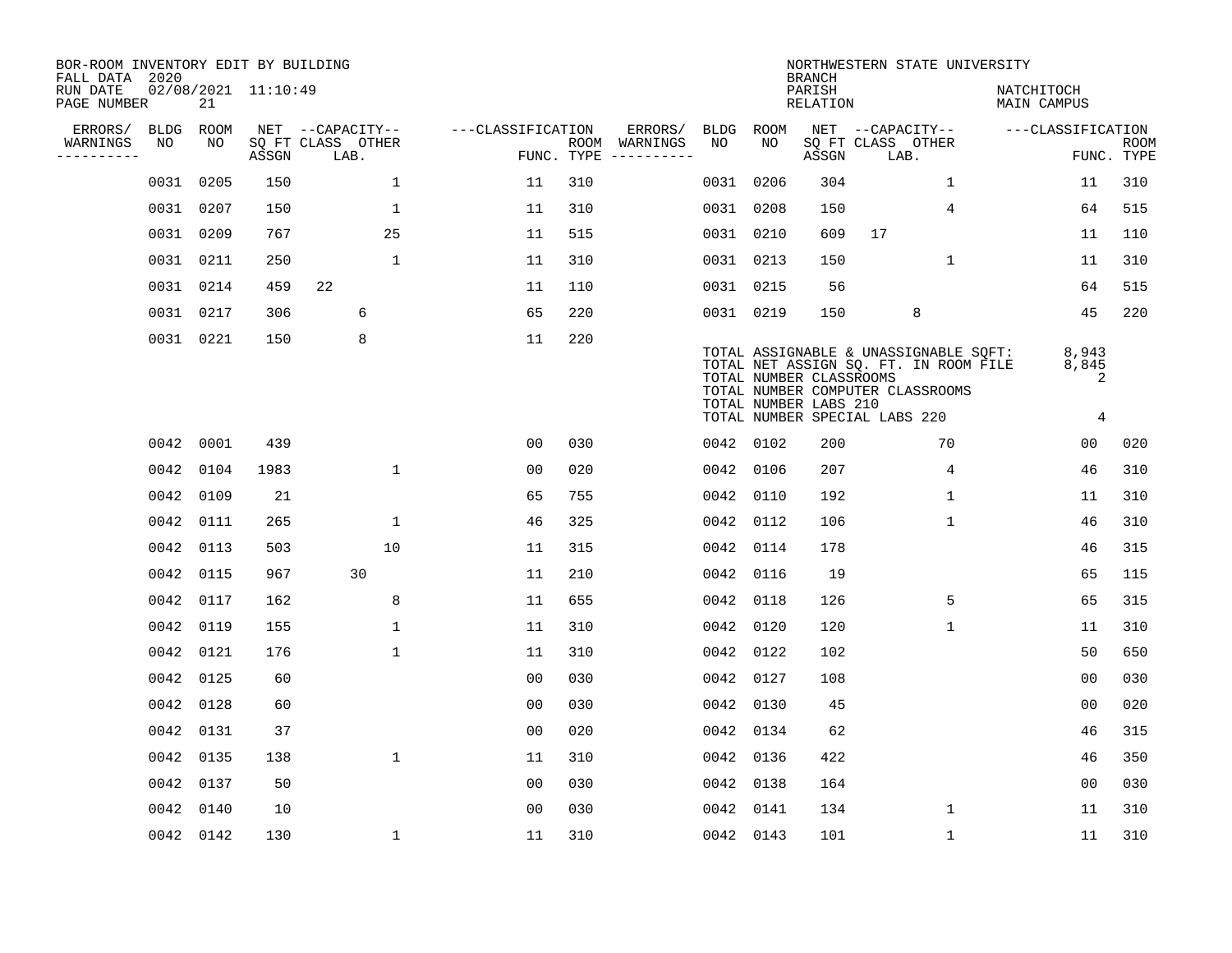| BOR-ROOM INVENTORY EDIT BY BUILDING<br>FALL DATA 2020 |             |           |                     |                           |                   |     |                                      |      |                                                  | <b>BRANCH</b>             | NORTHWESTERN STATE UNIVERSITY                                                                                                                       |                           |                           |
|-------------------------------------------------------|-------------|-----------|---------------------|---------------------------|-------------------|-----|--------------------------------------|------|--------------------------------------------------|---------------------------|-----------------------------------------------------------------------------------------------------------------------------------------------------|---------------------------|---------------------------|
| RUN DATE<br>PAGE NUMBER                               |             | 21        | 02/08/2021 11:10:49 |                           |                   |     |                                      |      |                                                  | PARISH<br><b>RELATION</b> |                                                                                                                                                     | NATCHITOCH<br>MAIN CAMPUS |                           |
| ERRORS/                                               | <b>BLDG</b> | ROOM      |                     | NET --CAPACITY--          | ---CLASSIFICATION |     | ERRORS/                              | BLDG | <b>ROOM</b>                                      |                           | NET --CAPACITY--                                                                                                                                    | ---CLASSIFICATION         |                           |
| WARNINGS<br>----------                                | NO          | NO        | ASSGN               | SQ FT CLASS OTHER<br>LAB. |                   |     | ROOM WARNINGS<br>FUNC. TYPE $------$ | NO   | NO                                               | ASSGN                     | SQ FT CLASS OTHER<br>LAB.                                                                                                                           |                           | <b>ROOM</b><br>FUNC. TYPE |
|                                                       | 0031        | 0205      | 150                 | $\mathbf{1}$              | 11                | 310 |                                      |      | 0031 0206                                        | 304                       | 1                                                                                                                                                   | 11                        | 310                       |
|                                                       |             | 0031 0207 | 150                 | $\mathbf 1$               | 11                | 310 |                                      |      | 0031 0208                                        | 150                       | 4                                                                                                                                                   | 64                        | 515                       |
|                                                       |             | 0031 0209 | 767                 | 25                        | 11                | 515 |                                      |      | 0031 0210                                        | 609                       | 17                                                                                                                                                  | 11                        | 110                       |
|                                                       | 0031 0211   |           | 250                 | $\mathbf{1}$              | 11                | 310 |                                      |      | 0031 0213                                        | 150                       | $\mathbf{1}$                                                                                                                                        | 11                        | 310                       |
|                                                       | 0031 0214   |           | 459                 | 22                        | 11                | 110 |                                      |      | 0031 0215                                        | 56                        |                                                                                                                                                     | 64                        | 515                       |
|                                                       |             | 0031 0217 | 306                 | 6                         | 65                | 220 |                                      |      | 0031 0219                                        | 150                       | 8                                                                                                                                                   | 45                        | 220                       |
|                                                       |             | 0031 0221 | 150                 | 8                         | 11                | 220 |                                      |      | TOTAL NUMBER CLASSROOMS<br>TOTAL NUMBER LABS 210 |                           | TOTAL ASSIGNABLE & UNASSIGNABLE SQFT:<br>TOTAL NET ASSIGN SQ. FT. IN ROOM FILE<br>TOTAL NUMBER COMPUTER CLASSROOMS<br>TOTAL NUMBER SPECIAL LABS 220 | 8,943<br>8,845<br>2<br>4  |                           |
|                                                       | 0042        | 0001      | 439                 |                           | 00                | 030 |                                      |      | 0042 0102                                        | 200                       | 70                                                                                                                                                  | 0 <sub>0</sub>            | 020                       |
|                                                       |             | 0042 0104 | 1983                | $\mathbf{1}$              | 0 <sub>0</sub>    | 020 |                                      |      | 0042 0106                                        | 207                       | 4                                                                                                                                                   | 46                        | 310                       |
|                                                       | 0042        | 0109      | 21                  |                           | 65                | 755 |                                      | 0042 | 0110                                             | 192                       | $\mathbf 1$                                                                                                                                         | 11                        | 310                       |
|                                                       | 0042        | 0111      | 265                 | $\mathbf 1$               | 46                | 325 |                                      | 0042 | 0112                                             | 106                       | 1                                                                                                                                                   | 46                        | 310                       |
|                                                       | 0042        | 0113      | 503                 | 10                        | 11                | 315 |                                      | 0042 | 0114                                             | 178                       |                                                                                                                                                     | 46                        | 315                       |
|                                                       | 0042        | 0115      | 967                 | 30                        | 11                | 210 |                                      | 0042 | 0116                                             | 19                        |                                                                                                                                                     | 65                        | 115                       |
|                                                       | 0042        | 0117      | 162                 | 8                         | 11                | 655 |                                      | 0042 | 0118                                             | 126                       | 5                                                                                                                                                   | 65                        | 315                       |
|                                                       | 0042        | 0119      | 155                 | $\mathbf{1}$              | 11                | 310 |                                      | 0042 | 0120                                             | 120                       | 1                                                                                                                                                   | 11                        | 310                       |
|                                                       | 0042 0121   |           | 176                 | $\mathbf{1}$              | 11                | 310 |                                      |      | 0042 0122                                        | 102                       |                                                                                                                                                     | 50                        | 650                       |
|                                                       | 0042 0125   |           | 60                  |                           | 0 <sub>0</sub>    | 030 |                                      |      | 0042 0127                                        | 108                       |                                                                                                                                                     | 0 <sub>0</sub>            | 030                       |
|                                                       | 0042 0128   |           | 60                  |                           | 0 <sub>0</sub>    | 030 |                                      |      | 0042 0130                                        | 45                        |                                                                                                                                                     | 0 <sub>0</sub>            | 020                       |
|                                                       | 0042        | 0131      | 37                  |                           | 0 <sub>0</sub>    | 020 |                                      |      | 0042 0134                                        | 62                        |                                                                                                                                                     | 46                        | 315                       |
|                                                       | 0042 0135   |           | 138                 | $\mathbf{1}$              | 11                | 310 |                                      |      | 0042 0136                                        | 422                       |                                                                                                                                                     | 46                        | 350                       |
|                                                       | 0042        | 0137      | 50                  |                           | 0 <sub>0</sub>    | 030 |                                      |      | 0042 0138                                        | 164                       |                                                                                                                                                     | 0 <sub>0</sub>            | 030                       |
|                                                       | 0042        | 0140      | 10                  |                           | 0 <sub>0</sub>    | 030 |                                      |      | 0042 0141                                        | 134                       | 1                                                                                                                                                   | 11                        | 310                       |
|                                                       |             | 0042 0142 | 130                 | 1                         | 11                | 310 |                                      |      | 0042 0143                                        | 101                       | $\mathbf 1$                                                                                                                                         | 11                        | 310                       |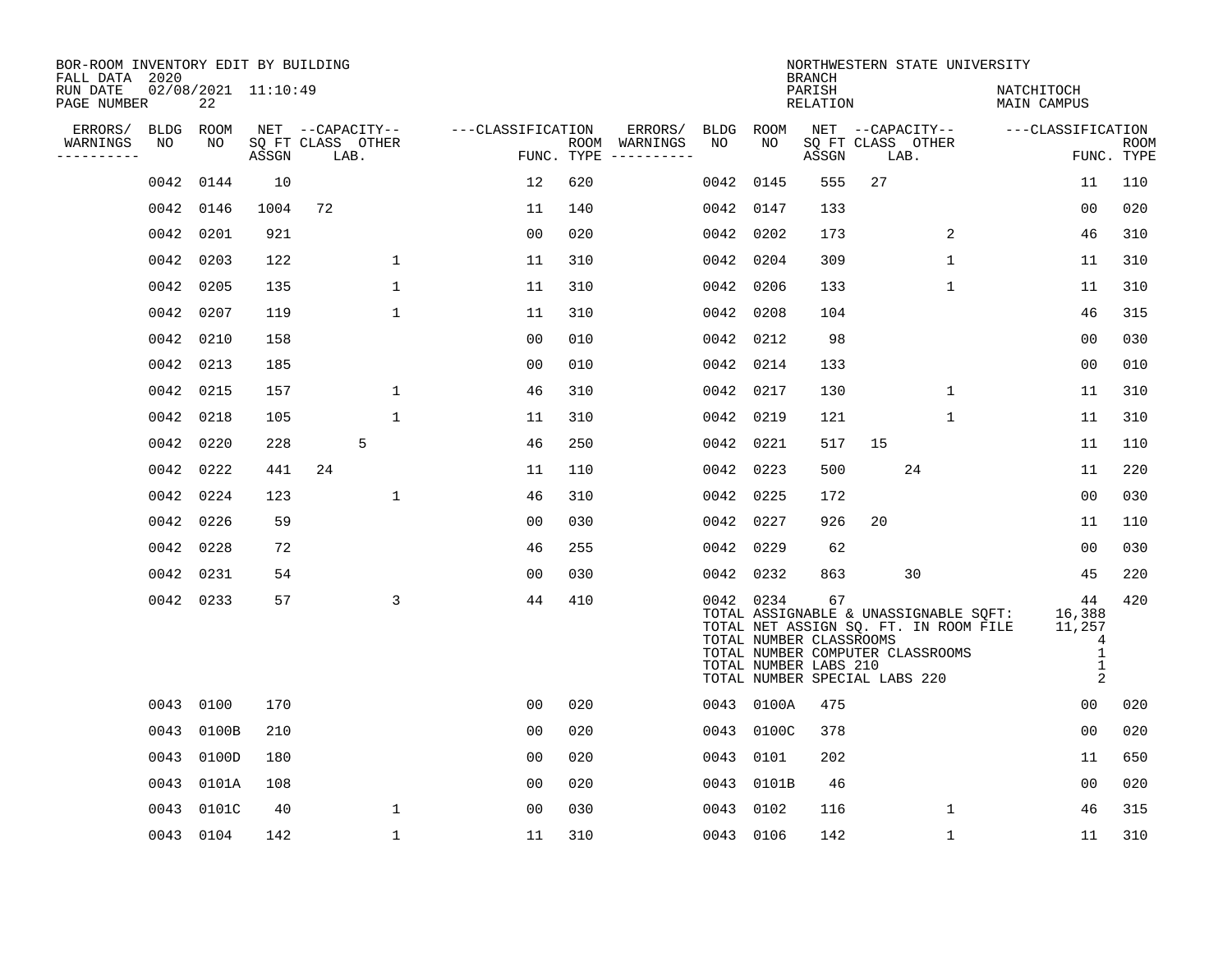| BOR-ROOM INVENTORY EDIT BY BUILDING<br>FALL DATA 2020 |           |            |                     |      |                   |                                    |                |     |                                      |           |            | <b>BRANCH</b>                                                                           |      |                                  | NORTHWESTERN STATE UNIVERSITY                                                                |                                                |                    |
|-------------------------------------------------------|-----------|------------|---------------------|------|-------------------|------------------------------------|----------------|-----|--------------------------------------|-----------|------------|-----------------------------------------------------------------------------------------|------|----------------------------------|----------------------------------------------------------------------------------------------|------------------------------------------------|--------------------|
| RUN DATE<br>PAGE NUMBER                               |           | 22         | 02/08/2021 11:10:49 |      |                   |                                    |                |     |                                      |           |            | PARISH<br>RELATION                                                                      |      |                                  | NATCHITOCH<br>MAIN CAMPUS                                                                    |                                                |                    |
| ERRORS/                                               |           | BLDG ROOM  |                     |      |                   | NET --CAPACITY-- ---CLASSIFICATION |                |     | ERRORS/                              | BLDG ROOM |            |                                                                                         |      |                                  | NET --CAPACITY-- ----CLASSIFICATION                                                          |                                                |                    |
| WARNINGS<br>$- - - - - - - -$                         | NO        | NO.        | ASSGN               | LAB. | SQ FT CLASS OTHER |                                    |                |     | ROOM WARNINGS<br>FUNC. TYPE $------$ | NO        | NO         | ASSGN                                                                                   | LAB. | SQ FT CLASS OTHER                |                                                                                              |                                                | ROOM<br>FUNC. TYPE |
|                                                       |           | 0042 0144  | 10                  |      |                   |                                    | 12             | 620 |                                      | 0042 0145 |            | 555                                                                                     | 27   |                                  |                                                                                              | 11                                             | 110                |
|                                                       | 0042 0146 |            | 1004                | 72   |                   |                                    | 11             | 140 |                                      | 0042 0147 |            | 133                                                                                     |      |                                  |                                                                                              | 0 <sub>0</sub>                                 | 020                |
|                                                       | 0042 0201 |            | 921                 |      |                   |                                    | 00             | 020 |                                      | 0042 0202 |            | 173                                                                                     |      | 2                                |                                                                                              | 46                                             | 310                |
|                                                       | 0042 0203 |            | 122                 |      | $\mathbf{1}$      |                                    | 11             | 310 |                                      | 0042 0204 |            | 309                                                                                     |      | $\mathbf{1}$                     |                                                                                              | 11                                             | 310                |
|                                                       | 0042 0205 |            | 135                 |      | $\mathbf{1}$      |                                    | 11             | 310 |                                      | 0042 0206 |            | 133                                                                                     |      | $\mathbf{1}$                     |                                                                                              | 11                                             | 310                |
|                                                       | 0042 0207 |            | 119                 |      | $\mathbf 1$       |                                    | 11             | 310 |                                      | 0042 0208 |            | 104                                                                                     |      |                                  |                                                                                              | 46                                             | 315                |
|                                                       | 0042 0210 |            | 158                 |      |                   |                                    | 00             | 010 |                                      | 0042 0212 |            | 98                                                                                      |      |                                  |                                                                                              | 00                                             | 030                |
|                                                       | 0042 0213 |            | 185                 |      |                   |                                    | 00             | 010 |                                      | 0042 0214 |            | 133                                                                                     |      |                                  |                                                                                              | 00                                             | 010                |
|                                                       | 0042 0215 |            | 157                 |      | $\mathbf{1}$      |                                    | 46             | 310 |                                      | 0042 0217 |            | 130                                                                                     |      | $\mathbf{1}$                     |                                                                                              | 11                                             | 310                |
|                                                       | 0042 0218 |            | 105                 |      | $\mathbf{1}$      |                                    | 11             | 310 |                                      | 0042 0219 |            | 121                                                                                     |      | $\mathbf{1}$                     |                                                                                              | 11                                             | 310                |
|                                                       | 0042 0220 |            | 228                 |      | 5                 |                                    | 46             | 250 |                                      | 0042 0221 |            | 517                                                                                     | 15   |                                  |                                                                                              | 11                                             | 110                |
|                                                       | 0042 0222 |            | 441                 | 24   |                   |                                    | 11             | 110 |                                      | 0042 0223 |            | 500                                                                                     |      | 24                               |                                                                                              | 11                                             | 220                |
|                                                       | 0042 0224 |            | 123                 |      | $\mathbf{1}$      |                                    | 46             | 310 |                                      | 0042 0225 |            | 172                                                                                     |      |                                  |                                                                                              | 0 <sub>0</sub>                                 | 030                |
|                                                       | 0042 0226 |            | 59                  |      |                   |                                    | 00             | 030 |                                      | 0042 0227 |            | 926                                                                                     | 20   |                                  |                                                                                              | 11                                             | 110                |
|                                                       | 0042 0228 |            | 72                  |      |                   |                                    | 46             | 255 |                                      | 0042 0229 |            | 62                                                                                      |      |                                  |                                                                                              | 00                                             | 030                |
|                                                       | 0042 0231 |            | 54                  |      |                   |                                    | 00             | 030 |                                      | 0042 0232 |            | 863                                                                                     |      | 30                               |                                                                                              | 45                                             | 220                |
|                                                       | 0042 0233 |            | 57                  |      | 3                 |                                    | 44             | 410 |                                      |           | 0042 0234  | 67<br>TOTAL NUMBER CLASSROOMS<br>TOTAL NUMBER LABS 210<br>TOTAL NUMBER SPECIAL LABS 220 |      | TOTAL NUMBER COMPUTER CLASSROOMS | TOTAL ASSIGNABLE & UNASSIGNABLE SQFT: 16,388<br>TOTAL NET ASSIGN SQ. FT. IN ROOM FILE 11,257 | 44<br>4<br>$\overline{1}$<br><sup>1</sup><br>2 | 420                |
|                                                       | 0043 0100 |            | 170                 |      |                   |                                    | 0 <sub>0</sub> | 020 |                                      |           | 0043 0100A | 475                                                                                     |      |                                  |                                                                                              | 00                                             | 020                |
|                                                       | 0043      | 0100B      | 210                 |      |                   |                                    | 00             | 020 |                                      |           | 0043 0100C | 378                                                                                     |      |                                  |                                                                                              | 0 <sub>0</sub>                                 | 020                |
|                                                       |           | 0043 0100D | 180                 |      |                   |                                    | 00             | 020 |                                      | 0043 0101 |            | 202                                                                                     |      |                                  |                                                                                              | 11                                             | 650                |
|                                                       |           | 0043 0101A | 108                 |      |                   |                                    | 00             | 020 |                                      |           | 0043 0101B | 46                                                                                      |      |                                  |                                                                                              | 00                                             | 020                |
|                                                       | 0043      | 0101C      | 40                  |      | 1                 |                                    | 00             | 030 |                                      | 0043 0102 |            | 116                                                                                     |      | $\mathbf 1$                      |                                                                                              | 46                                             | 315                |
|                                                       |           | 0043 0104  | 142                 |      | $\mathbf{1}$      |                                    | 11             | 310 |                                      | 0043 0106 |            | 142                                                                                     |      | $\mathbf{1}$                     |                                                                                              | 11                                             | 310                |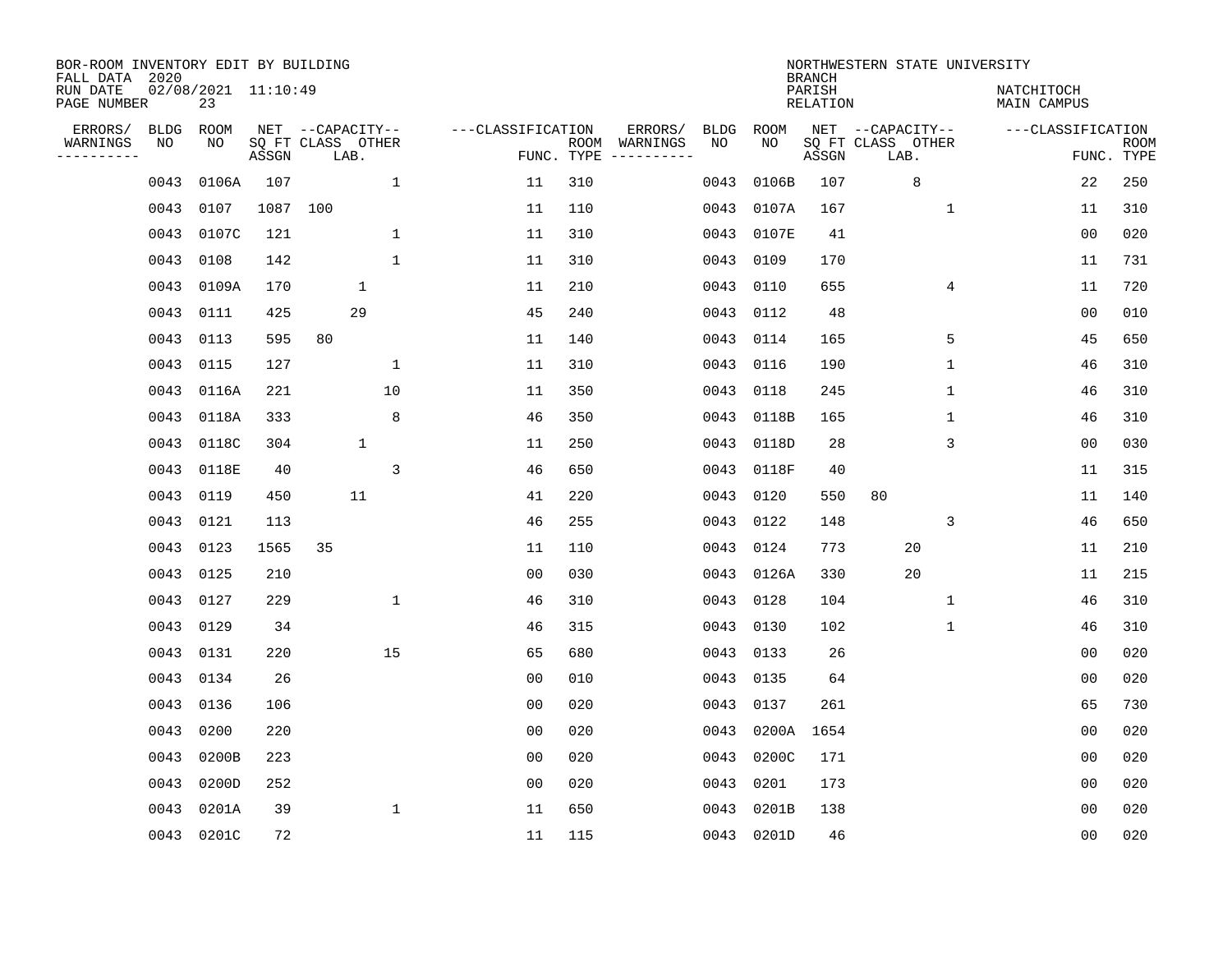| BOR-ROOM INVENTORY EDIT BY BUILDING<br>FALL DATA 2020<br>RUN DATE<br>PAGE NUMBER |                   | 02/08/2021 11:10:49<br>23 |          |                                               |                |                   |            |                          |            |             | <b>BRANCH</b><br>PARISH<br>RELATION | NORTHWESTERN STATE UNIVERSITY                 | NATCHITOCH<br>MAIN CAMPUS |                           |
|----------------------------------------------------------------------------------|-------------------|---------------------------|----------|-----------------------------------------------|----------------|-------------------|------------|--------------------------|------------|-------------|-------------------------------------|-----------------------------------------------|---------------------------|---------------------------|
| ERRORS/<br>WARNINGS<br>----------                                                | <b>BLDG</b><br>NO | ROOM<br>NO                | ASSGN    | NET --CAPACITY--<br>SQ FT CLASS OTHER<br>LAB. |                | ---CLASSIFICATION | FUNC. TYPE | ERRORS/<br>ROOM WARNINGS | BLDG<br>NO | ROOM<br>NO. | ASSGN                               | NET --CAPACITY--<br>SQ FT CLASS OTHER<br>LAB. | ---CLASSIFICATION         | <b>ROOM</b><br>FUNC. TYPE |
|                                                                                  | 0043              | 0106A                     | 107      |                                               | $\mathbf{1}$   | 11                | 310        |                          | 0043       | 0106B       | 107                                 | 8                                             | 22                        | 250                       |
|                                                                                  | 0043              | 0107                      | 1087 100 |                                               |                | 11                | 110        |                          | 0043       | 0107A       | 167                                 | $\mathbf{1}$                                  | 11                        | 310                       |
|                                                                                  | 0043              | 0107C                     | 121      |                                               | 1              | 11                | 310        |                          | 0043       | 0107E       | 41                                  |                                               | 00                        | 020                       |
|                                                                                  | 0043              | 0108                      | 142      |                                               | $\mathbf{1}$   | 11                | 310        |                          | 0043       | 0109        | 170                                 |                                               | 11                        | 731                       |
|                                                                                  | 0043              | 0109A                     | 170      |                                               | 1              | 11                | 210        |                          | 0043       | 0110        | 655                                 | 4                                             | 11                        | 720                       |
|                                                                                  | 0043 0111         |                           | 425      |                                               | 29             | 45                | 240        |                          | 0043       | 0112        | 48                                  |                                               | 0 <sub>0</sub>            | 010                       |
|                                                                                  | 0043 0113         |                           | 595      | 80                                            |                | 11                | 140        |                          | 0043       | 0114        | 165                                 | 5                                             | 45                        | 650                       |
|                                                                                  | 0043 0115         |                           | 127      |                                               | $\mathbf 1$    | 11                | 310        |                          | 0043       | 0116        | 190                                 | $\mathbf 1$                                   | 46                        | 310                       |
|                                                                                  | 0043              | 0116A                     | 221      |                                               | 10             | 11                | 350        |                          | 0043       | 0118        | 245                                 | $\mathbf 1$                                   | 46                        | 310                       |
|                                                                                  | 0043              | 0118A                     | 333      |                                               | 8              | 46                | 350        |                          | 0043       | 0118B       | 165                                 | $\mathbf 1$                                   | 46                        | 310                       |
|                                                                                  |                   | 0043 0118C                | 304      |                                               | $\mathbf 1$    | 11                | 250        |                          | 0043       | 0118D       | 28                                  | 3                                             | 0 <sub>0</sub>            | 030                       |
|                                                                                  |                   | 0043 0118E                | 40       |                                               | $\overline{3}$ | 46                | 650        |                          | 0043       | 0118F       | 40                                  |                                               | 11                        | 315                       |
|                                                                                  | 0043              | 0119                      | 450      |                                               | 11             | 41                | 220        |                          | 0043       | 0120        | 550                                 | 80                                            | 11                        | 140                       |
|                                                                                  | 0043              | 0121                      | 113      |                                               |                | 46                | 255        |                          | 0043       | 0122        | 148                                 | 3                                             | 46                        | 650                       |
|                                                                                  | 0043              | 0123                      | 1565     | 35                                            |                | 11                | 110        |                          | 0043       | 0124        | 773                                 | 20                                            | 11                        | 210                       |
|                                                                                  | 0043              | 0125                      | 210      |                                               |                | 0 <sub>0</sub>    | 030        |                          |            | 0043 0126A  | 330                                 | 20                                            | 11                        | 215                       |
|                                                                                  | 0043              | 0127                      | 229      |                                               | $\mathbf 1$    | 46                | 310        |                          | 0043       | 0128        | 104                                 | 1                                             | 46                        | 310                       |
|                                                                                  | 0043              | 0129                      | 34       |                                               |                | 46                | 315        |                          | 0043       | 0130        | 102                                 | 1                                             | 46                        | 310                       |
|                                                                                  | 0043 0131         |                           | 220      |                                               | 15             | 65                | 680        |                          |            | 0043 0133   | 26                                  |                                               | 0 <sub>0</sub>            | 020                       |
|                                                                                  | 0043 0134         |                           | 26       |                                               |                | 0 <sub>0</sub>    | 010        |                          | 0043       | 0135        | 64                                  |                                               | 0 <sub>0</sub>            | 020                       |
|                                                                                  | 0043              | 0136                      | 106      |                                               |                | 0 <sub>0</sub>    | 020        |                          | 0043       | 0137        | 261                                 |                                               | 65                        | 730                       |
|                                                                                  | 0043              | 0200                      | 220      |                                               |                | 0 <sub>0</sub>    | 020        |                          | 0043       | 0200A       | 1654                                |                                               | 0 <sub>0</sub>            | 020                       |
|                                                                                  | 0043              | 0200B                     | 223      |                                               |                | 0 <sub>0</sub>    | 020        |                          | 0043       | 0200C       | 171                                 |                                               | 0 <sub>0</sub>            | 020                       |
|                                                                                  | 0043              | 0200D                     | 252      |                                               |                | 0 <sub>0</sub>    | 020        |                          | 0043       | 0201        | 173                                 |                                               | 0 <sub>0</sub>            | 020                       |
|                                                                                  | 0043              | 0201A                     | 39       |                                               | $\mathbf{1}$   | 11                | 650        |                          | 0043       | 0201B       | 138                                 |                                               | 00                        | 020                       |
|                                                                                  |                   | 0043 0201C                | 72       |                                               |                | 11                | 115        |                          |            | 0043 0201D  | 46                                  |                                               | 0 <sub>0</sub>            | 020                       |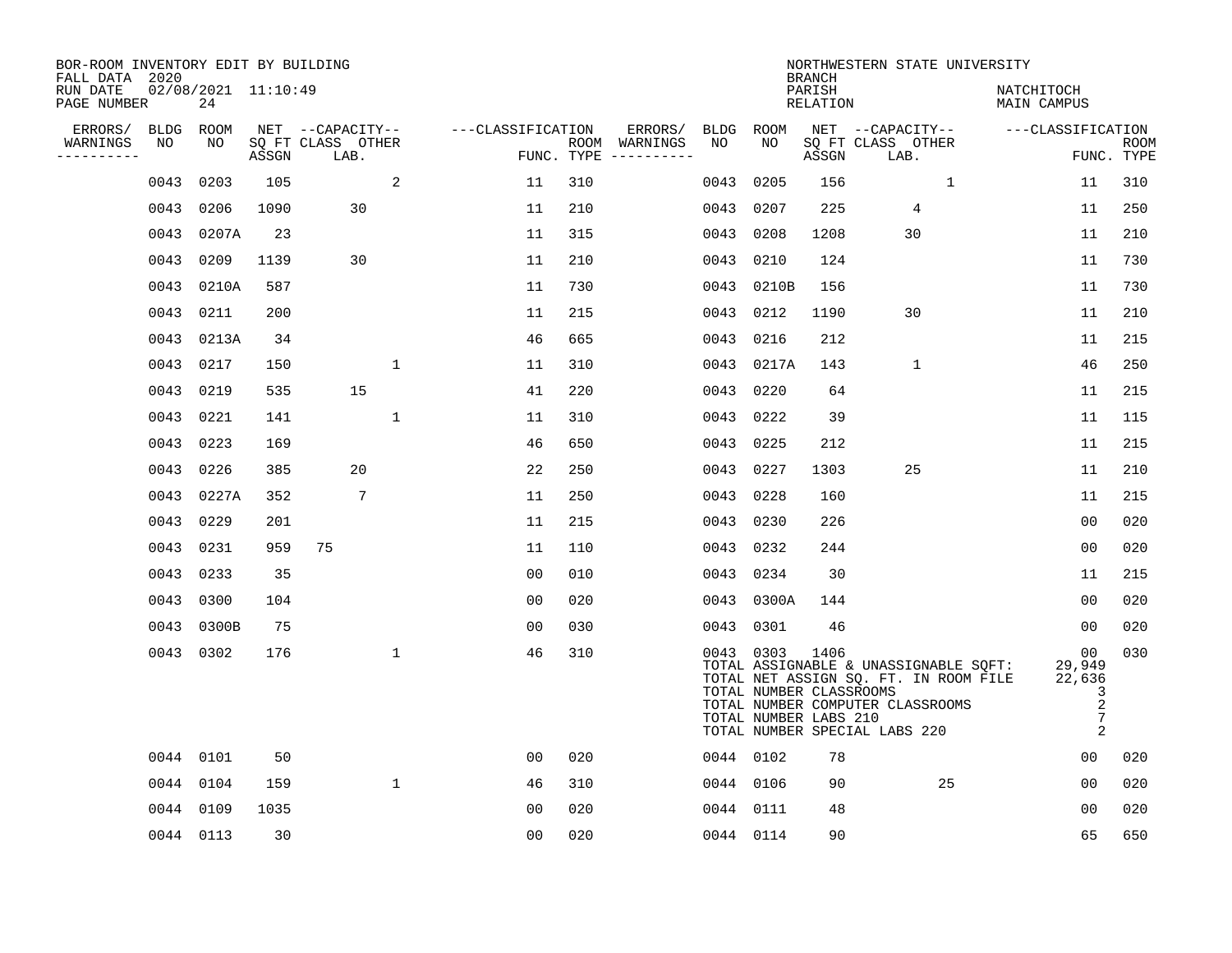| BOR-ROOM INVENTORY EDIT BY BUILDING<br>FALL DATA 2020 |             |                           |       |                           |              |                   |     |                                      |           |                                                               | <b>BRANCH</b>      | NORTHWESTERN STATE UNIVERSITY                                                                                                                       |                                                                      |                           |
|-------------------------------------------------------|-------------|---------------------------|-------|---------------------------|--------------|-------------------|-----|--------------------------------------|-----------|---------------------------------------------------------------|--------------------|-----------------------------------------------------------------------------------------------------------------------------------------------------|----------------------------------------------------------------------|---------------------------|
| RUN DATE<br>PAGE NUMBER                               |             | 02/08/2021 11:10:49<br>24 |       |                           |              |                   |     |                                      |           |                                                               | PARISH<br>RELATION |                                                                                                                                                     | NATCHITOCH<br>MAIN CAMPUS                                            |                           |
| ERRORS/                                               | <b>BLDG</b> | ROOM                      |       | NET --CAPACITY--          |              | ---CLASSIFICATION |     | ERRORS/                              | BLDG      | ROOM                                                          |                    | NET --CAPACITY--                                                                                                                                    | ---CLASSIFICATION                                                    |                           |
| WARNINGS<br>----------                                | NO          | NO                        | ASSGN | SQ FT CLASS OTHER<br>LAB. |              |                   |     | ROOM WARNINGS<br>FUNC. TYPE $------$ | NO        | NO                                                            | ASSGN              | SO FT CLASS OTHER<br>LAB.                                                                                                                           |                                                                      | <b>ROOM</b><br>FUNC. TYPE |
|                                                       | 0043        | 0203                      | 105   |                           | 2            | 11                | 310 |                                      | 0043      | 0205                                                          | 156                | $\mathbf{1}$                                                                                                                                        | 11                                                                   | 310                       |
|                                                       | 0043        | 0206                      | 1090  | 30                        |              | 11                | 210 |                                      | 0043      | 0207                                                          | 225                | 4                                                                                                                                                   | 11                                                                   | 250                       |
|                                                       |             | 0043 0207A                | 23    |                           |              | 11                | 315 |                                      | 0043      | 0208                                                          | 1208               | 30                                                                                                                                                  | 11                                                                   | 210                       |
|                                                       | 0043        | 0209                      | 1139  | 30                        |              | 11                | 210 |                                      | 0043 0210 |                                                               | 124                |                                                                                                                                                     | 11                                                                   | 730                       |
|                                                       | 0043        | 0210A                     | 587   |                           |              | 11                | 730 |                                      |           | 0043 0210B                                                    | 156                |                                                                                                                                                     | 11                                                                   | 730                       |
|                                                       | 0043        | 0211                      | 200   |                           |              | 11                | 215 |                                      | 0043 0212 |                                                               | 1190               | 30                                                                                                                                                  | 11                                                                   | 210                       |
|                                                       |             | 0043 0213A                | 34    |                           |              | 46                | 665 |                                      | 0043      | 0216                                                          | 212                |                                                                                                                                                     | 11                                                                   | 215                       |
|                                                       |             | 0043 0217                 | 150   |                           | $\mathbf{1}$ | 11                | 310 |                                      |           | 0043 0217A                                                    | 143                | $\mathbf{1}$                                                                                                                                        | 46                                                                   | 250                       |
|                                                       | 0043        | 0219                      | 535   | 15                        |              | 41                | 220 |                                      | 0043      | 0220                                                          | 64                 |                                                                                                                                                     | 11                                                                   | 215                       |
|                                                       |             | 0043 0221                 | 141   |                           | 1            | 11                | 310 |                                      | 0043 0222 |                                                               | 39                 |                                                                                                                                                     | 11                                                                   | 115                       |
|                                                       | 0043        | 0223                      | 169   |                           |              | 46                | 650 |                                      | 0043      | 0225                                                          | 212                |                                                                                                                                                     | 11                                                                   | 215                       |
|                                                       |             | 0043 0226                 | 385   | 20                        |              | 22                | 250 |                                      | 0043      | 0227                                                          | 1303               | 25                                                                                                                                                  | 11                                                                   | 210                       |
|                                                       | 0043        | 0227A                     | 352   | 7                         |              | 11                | 250 |                                      | 0043      | 0228                                                          | 160                |                                                                                                                                                     | 11                                                                   | 215                       |
|                                                       | 0043        | 0229                      | 201   |                           |              | 11                | 215 |                                      | 0043 0230 |                                                               | 226                |                                                                                                                                                     | 0 <sub>0</sub>                                                       | 020                       |
|                                                       |             | 0043 0231                 | 959   | 75                        |              | 11                | 110 |                                      | 0043 0232 |                                                               | 244                |                                                                                                                                                     | 0 <sub>0</sub>                                                       | 020                       |
|                                                       |             | 0043 0233                 | 35    |                           |              | 0 <sub>0</sub>    | 010 |                                      | 0043 0234 |                                                               | 30                 |                                                                                                                                                     | 11                                                                   | 215                       |
|                                                       | 0043        | 0300                      | 104   |                           |              | 0 <sub>0</sub>    | 020 |                                      |           | 0043 0300A                                                    | 144                |                                                                                                                                                     | 0 <sub>0</sub>                                                       | 020                       |
|                                                       |             | 0043 0300B                | 75    |                           |              | 0 <sub>0</sub>    | 030 |                                      | 0043 0301 |                                                               | 46                 |                                                                                                                                                     | 00                                                                   | 020                       |
|                                                       |             | 0043 0302                 | 176   |                           | $\mathbf{1}$ | 46                | 310 |                                      |           | 0043 0303<br>TOTAL NUMBER CLASSROOMS<br>TOTAL NUMBER LABS 210 | 1406               | TOTAL ASSIGNABLE & UNASSIGNABLE SQFT:<br>TOTAL NET ASSIGN SQ. FT. IN ROOM FILE<br>TOTAL NUMBER COMPUTER CLASSROOMS<br>TOTAL NUMBER SPECIAL LABS 220 | 00<br>29,949<br>22,636<br>3<br>$\overline{c}$<br>$\overline{7}$<br>2 | 030                       |
|                                                       |             | 0044 0101                 | 50    |                           |              | 0 <sub>0</sub>    | 020 |                                      | 0044 0102 |                                                               | 78                 |                                                                                                                                                     | 00                                                                   | 020                       |
|                                                       |             | 0044 0104                 | 159   |                           | $\mathbf{1}$ | 46                | 310 |                                      | 0044 0106 |                                                               | 90                 | 25                                                                                                                                                  | 0 <sub>0</sub>                                                       | 020                       |
|                                                       |             | 0044 0109                 | 1035  |                           |              | 0 <sub>0</sub>    | 020 |                                      | 0044 0111 |                                                               | 48                 |                                                                                                                                                     | 0 <sub>0</sub>                                                       | 020                       |
|                                                       |             | 0044 0113                 | 30    |                           |              | 0 <sub>0</sub>    | 020 |                                      | 0044 0114 |                                                               | 90                 |                                                                                                                                                     | 65                                                                   | 650                       |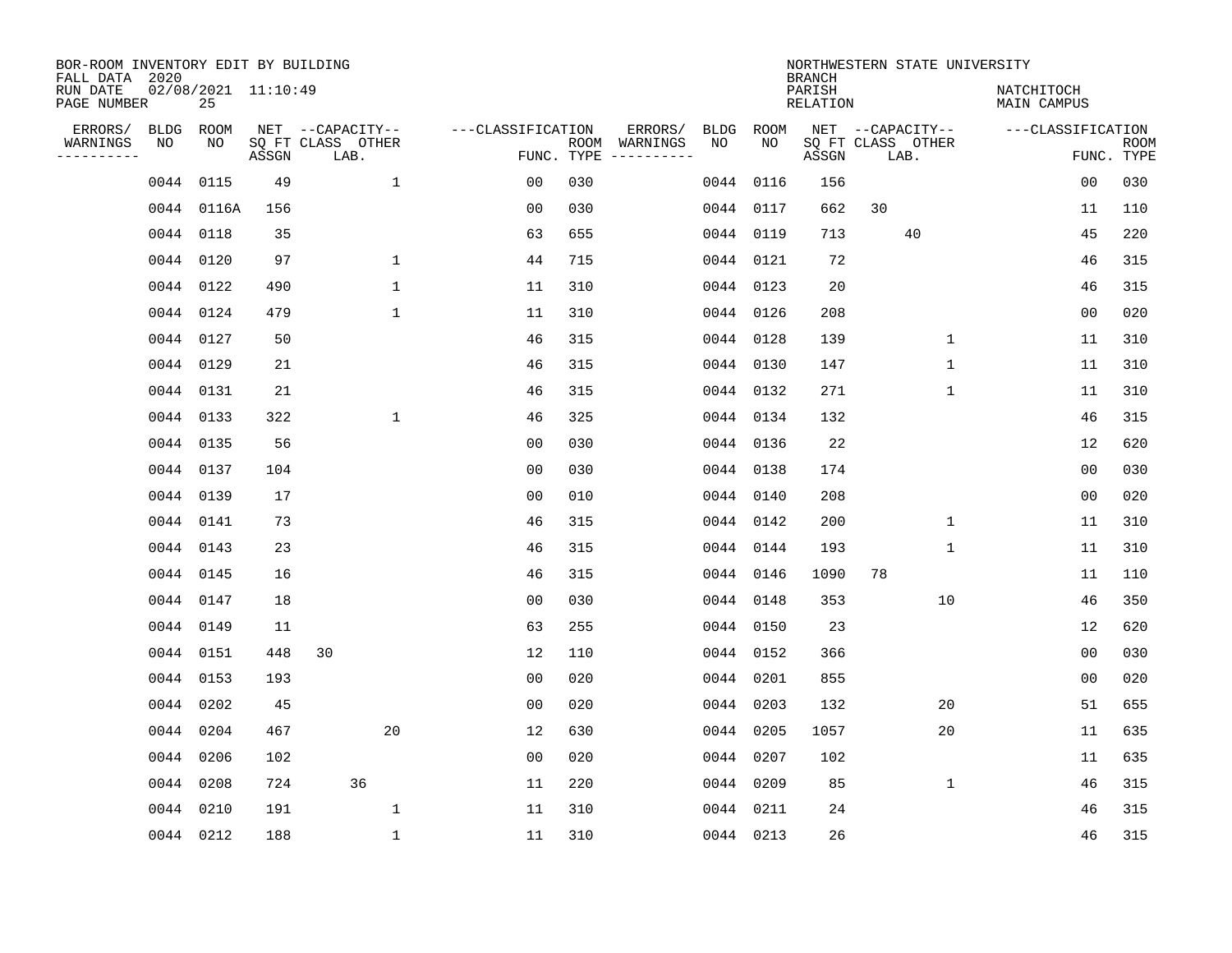| BOR-ROOM INVENTORY EDIT BY BUILDING<br>FALL DATA 2020 |             |                           |       |                           |                   |     |                                            |             | <b>BRANCH</b>             | NORTHWESTERN STATE UNIVERSITY |                           |                           |
|-------------------------------------------------------|-------------|---------------------------|-------|---------------------------|-------------------|-----|--------------------------------------------|-------------|---------------------------|-------------------------------|---------------------------|---------------------------|
| RUN DATE<br>PAGE NUMBER                               |             | 02/08/2021 11:10:49<br>25 |       |                           |                   |     |                                            |             | PARISH<br><b>RELATION</b> |                               | NATCHITOCH<br>MAIN CAMPUS |                           |
| ERRORS/                                               | <b>BLDG</b> | ROOM                      |       | NET --CAPACITY--          | ---CLASSIFICATION |     | ERRORS/<br><b>BLDG</b>                     | <b>ROOM</b> |                           | NET --CAPACITY--              | ---CLASSIFICATION         |                           |
| WARNINGS<br>----------                                | NO          | NO                        | ASSGN | SQ FT CLASS OTHER<br>LAB. |                   |     | ROOM WARNINGS<br>NO<br>FUNC. TYPE $------$ | NO          | ASSGN                     | SQ FT CLASS OTHER<br>LAB.     |                           | <b>ROOM</b><br>FUNC. TYPE |
|                                                       |             | 0044 0115                 | 49    | $\mathbf{1}$              | 00                | 030 | 0044                                       | 0116        | 156                       |                               | 0 <sub>0</sub>            | 030                       |
|                                                       |             | 0044 0116A                | 156   |                           | 0 <sub>0</sub>    | 030 |                                            | 0044 0117   | 662                       | 30                            | 11                        | 110                       |
|                                                       |             | 0044 0118                 | 35    |                           | 63                | 655 | 0044                                       | 0119        | 713                       | 40                            | 45                        | 220                       |
|                                                       |             | 0044 0120                 | 97    | $\mathbf{1}$              | 44                | 715 |                                            | 0044 0121   | 72                        |                               | 46                        | 315                       |
|                                                       |             | 0044 0122                 | 490   | $\mathbf{1}$              | 11                | 310 |                                            | 0044 0123   | 20                        |                               | 46                        | 315                       |
|                                                       |             | 0044 0124                 | 479   | $\mathbf{1}$              | 11                | 310 |                                            | 0044 0126   | 208                       |                               | 0 <sub>0</sub>            | 020                       |
|                                                       |             | 0044 0127                 | 50    |                           | 46                | 315 |                                            | 0044 0128   | 139                       | $\mathbf 1$                   | 11                        | 310                       |
|                                                       |             | 0044 0129                 | 21    |                           | 46                | 315 |                                            | 0044 0130   | 147                       | $\mathbf 1$                   | 11                        | 310                       |
|                                                       |             | 0044 0131                 | 21    |                           | 46                | 315 |                                            | 0044 0132   | 271                       | $\mathbf 1$                   | 11                        | 310                       |
|                                                       |             | 0044 0133                 | 322   | $\mathbf 1$               | 46                | 325 |                                            | 0044 0134   | 132                       |                               | 46                        | 315                       |
|                                                       |             | 0044 0135                 | 56    |                           | 0 <sub>0</sub>    | 030 |                                            | 0044 0136   | 22                        |                               | 12                        | 620                       |
|                                                       |             | 0044 0137                 | 104   |                           | 0 <sub>0</sub>    | 030 |                                            | 0044 0138   | 174                       |                               | 0 <sub>0</sub>            | 030                       |
|                                                       |             | 0044 0139                 | 17    |                           | 0 <sub>0</sub>    | 010 | 0044                                       | 0140        | 208                       |                               | 0 <sub>0</sub>            | 020                       |
|                                                       |             | 0044 0141                 | 73    |                           | 46                | 315 |                                            | 0044 0142   | 200                       | 1                             | 11                        | 310                       |
|                                                       |             | 0044 0143                 | 23    |                           | 46                | 315 | 0044                                       | 0144        | 193                       | 1                             | 11                        | 310                       |
|                                                       |             | 0044 0145                 | 16    |                           | 46                | 315 | 0044                                       | 0146        | 1090                      | 78                            | 11                        | 110                       |
|                                                       |             | 0044 0147                 | 18    |                           | 0 <sub>0</sub>    | 030 | 0044                                       | 0148        | 353                       | 10                            | 46                        | 350                       |
|                                                       |             | 0044 0149                 | 11    |                           | 63                | 255 | 0044                                       | 0150        | 23                        |                               | 12                        | 620                       |
|                                                       |             | 0044 0151                 | 448   | 30                        | 12                | 110 |                                            | 0044 0152   | 366                       |                               | 0 <sub>0</sub>            | 030                       |
|                                                       |             | 0044 0153                 | 193   |                           | 0 <sub>0</sub>    | 020 |                                            | 0044 0201   | 855                       |                               | 0 <sub>0</sub>            | 020                       |
|                                                       |             | 0044 0202                 | 45    |                           | 0 <sub>0</sub>    | 020 | 0044                                       | 0203        | 132                       | 20                            | 51                        | 655                       |
|                                                       |             | 0044 0204                 | 467   | 20                        | 12                | 630 | 0044                                       | 0205        | 1057                      | 20                            | 11                        | 635                       |
|                                                       |             | 0044 0206                 | 102   |                           | 0 <sub>0</sub>    | 020 |                                            | 0044 0207   | 102                       |                               | 11                        | 635                       |
|                                                       |             | 0044 0208                 | 724   | 36                        | 11                | 220 |                                            | 0044 0209   | 85                        | $\mathbf 1$                   | 46                        | 315                       |
|                                                       |             | 0044 0210                 | 191   | $\mathbf 1$               | 11                | 310 |                                            | 0044 0211   | 24                        |                               | 46                        | 315                       |
|                                                       |             | 0044 0212                 | 188   | $\mathbf{1}$              | 11                | 310 |                                            | 0044 0213   | 26                        |                               | 46                        | 315                       |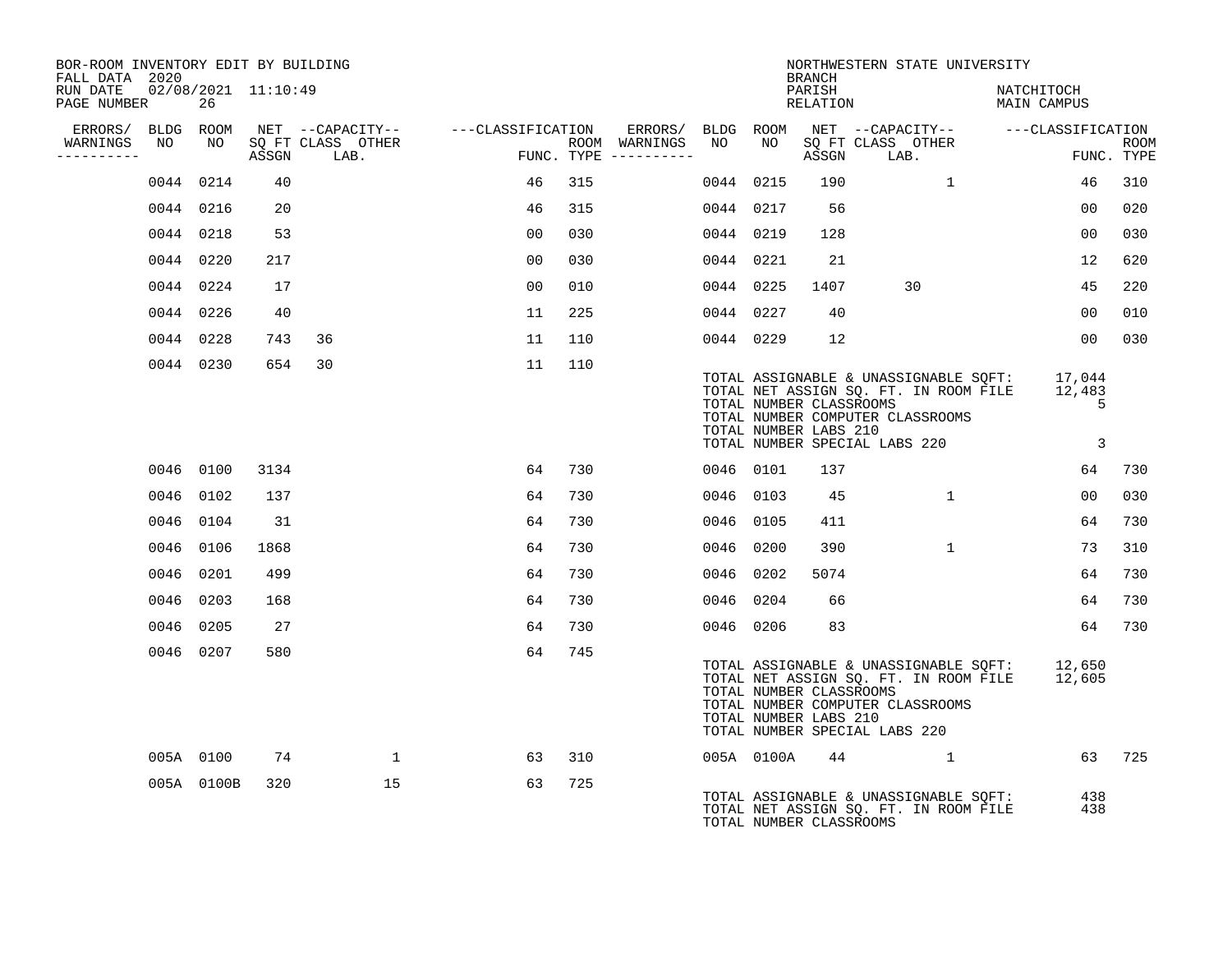| BOR-ROOM INVENTORY EDIT BY BUILDING<br>FALL DATA 2020 |    |            |                     |                                    |    |     |                                      |           |            | <b>BRANCH</b>                                    | NORTHWESTERN STATE UNIVERSITY                                                                                                                                     |                               |                           |
|-------------------------------------------------------|----|------------|---------------------|------------------------------------|----|-----|--------------------------------------|-----------|------------|--------------------------------------------------|-------------------------------------------------------------------------------------------------------------------------------------------------------------------|-------------------------------|---------------------------|
| RUN DATE<br>PAGE NUMBER                               |    | 26         | 02/08/2021 11:10:49 |                                    |    |     |                                      |           |            | PARISH<br>RELATION                               |                                                                                                                                                                   | NATCHITOCH<br>MAIN CAMPUS     |                           |
| ERRORS/ BLDG ROOM                                     |    |            |                     | NET --CAPACITY-- ---CLASSIFICATION |    |     |                                      |           |            |                                                  | ERRORS/ BLDG ROOM NET --CAPACITY-- ----CLASSIFICATION                                                                                                             |                               |                           |
| WARNINGS<br>---------                                 | NO | NO 11      |                     | SQ FT CLASS OTHER<br>ASSGN LAB.    |    |     | ROOM WARNINGS<br>FUNC. TYPE $------$ | NO        | NO 1       | ASSGN                                            | SQ FT CLASS OTHER<br>LAB.                                                                                                                                         |                               | <b>ROOM</b><br>FUNC. TYPE |
|                                                       |    | 0044 0214  | 40                  |                                    | 46 | 315 |                                      | 0044 0215 |            | 190                                              | $\mathbf{1}$                                                                                                                                                      | 46                            | 310                       |
|                                                       |    | 0044 0216  | 20                  |                                    | 46 | 315 |                                      | 0044 0217 |            | 56                                               |                                                                                                                                                                   | 00                            | 020                       |
|                                                       |    | 0044 0218  | 53                  |                                    | 00 | 030 |                                      | 0044 0219 |            | 128                                              |                                                                                                                                                                   | 00                            | 030                       |
|                                                       |    | 0044 0220  | 217                 |                                    | 00 | 030 |                                      | 0044 0221 |            | 21                                               |                                                                                                                                                                   | 12                            | 620                       |
|                                                       |    | 0044 0224  | 17                  |                                    | 00 | 010 |                                      | 0044 0225 |            | 1407                                             | 30                                                                                                                                                                | 45                            | 220                       |
|                                                       |    | 0044 0226  | 40                  |                                    | 11 | 225 |                                      | 0044 0227 |            | 40                                               |                                                                                                                                                                   | 00 <sub>o</sub>               | 010                       |
|                                                       |    | 0044 0228  | 743                 | 36                                 | 11 | 110 |                                      | 0044 0229 |            | 12                                               |                                                                                                                                                                   | 00                            | 030                       |
|                                                       |    | 0044 0230  | 654                 | 30                                 | 11 | 110 |                                      |           |            | TOTAL NUMBER CLASSROOMS<br>TOTAL NUMBER LABS 210 | TOTAL ASSIGNABLE & UNASSIGNABLE SQFT: 17,044<br>TOTAL NET ASSIGN SQ. FT. IN ROOM FILE 12,483<br>TOTAL NUMBER COMPUTER CLASSROOMS<br>TOTAL NUMBER SPECIAL LABS 220 | 5<br>$\overline{\phantom{a}}$ |                           |
|                                                       |    | 0046 0100  | 3134                |                                    | 64 | 730 |                                      | 0046 0101 |            | 137                                              |                                                                                                                                                                   | 64                            | 730                       |
|                                                       |    | 0046 0102  | 137                 |                                    | 64 | 730 |                                      | 0046 0103 |            | 45                                               | $\mathbf{1}$                                                                                                                                                      | 00                            | 030                       |
|                                                       |    | 0046 0104  | 31                  |                                    | 64 | 730 |                                      | 0046 0105 |            | 411                                              |                                                                                                                                                                   | 64                            | 730                       |
|                                                       |    | 0046 0106  | 1868                |                                    | 64 | 730 |                                      | 0046 0200 |            | 390                                              | $\mathbf{1}$                                                                                                                                                      | 73                            | 310                       |
|                                                       |    | 0046 0201  | 499                 |                                    | 64 | 730 |                                      | 0046 0202 |            | 5074                                             |                                                                                                                                                                   | 64                            | 730                       |
|                                                       |    | 0046 0203  | 168                 |                                    | 64 | 730 |                                      | 0046 0204 |            | 66                                               |                                                                                                                                                                   | 64                            | 730                       |
|                                                       |    | 0046 0205  | 27                  |                                    | 64 | 730 |                                      | 0046 0206 |            | 83                                               |                                                                                                                                                                   | 64                            | 730                       |
|                                                       |    | 0046 0207  | 580                 |                                    | 64 | 745 |                                      |           |            | TOTAL NUMBER CLASSROOMS<br>TOTAL NUMBER LABS 210 | TOTAL ASSIGNABLE & UNASSIGNABLE SOFT: 12,650<br>TOTAL NET ASSIGN SQ. FT. IN ROOM FILE<br>TOTAL NUMBER COMPUTER CLASSROOMS<br>TOTAL NUMBER SPECIAL LABS 220        | 12,605                        |                           |
|                                                       |    | 005A 0100  | 74                  | $\mathbf{1}$                       | 63 | 310 |                                      |           | 005A 0100A | 44                                               | $\mathbf{1}$                                                                                                                                                      |                               | 63 725                    |
|                                                       |    | 005A 0100B | 320                 | 15                                 | 63 | 725 |                                      |           |            | TOTAL NUMBER CLASSROOMS                          | TOTAL ASSIGNABLE & UNASSIGNABLE SQFT:<br>TOTAL NET ASSIGN SQ. FT. IN ROOM FILE                                                                                    | 438<br>438                    |                           |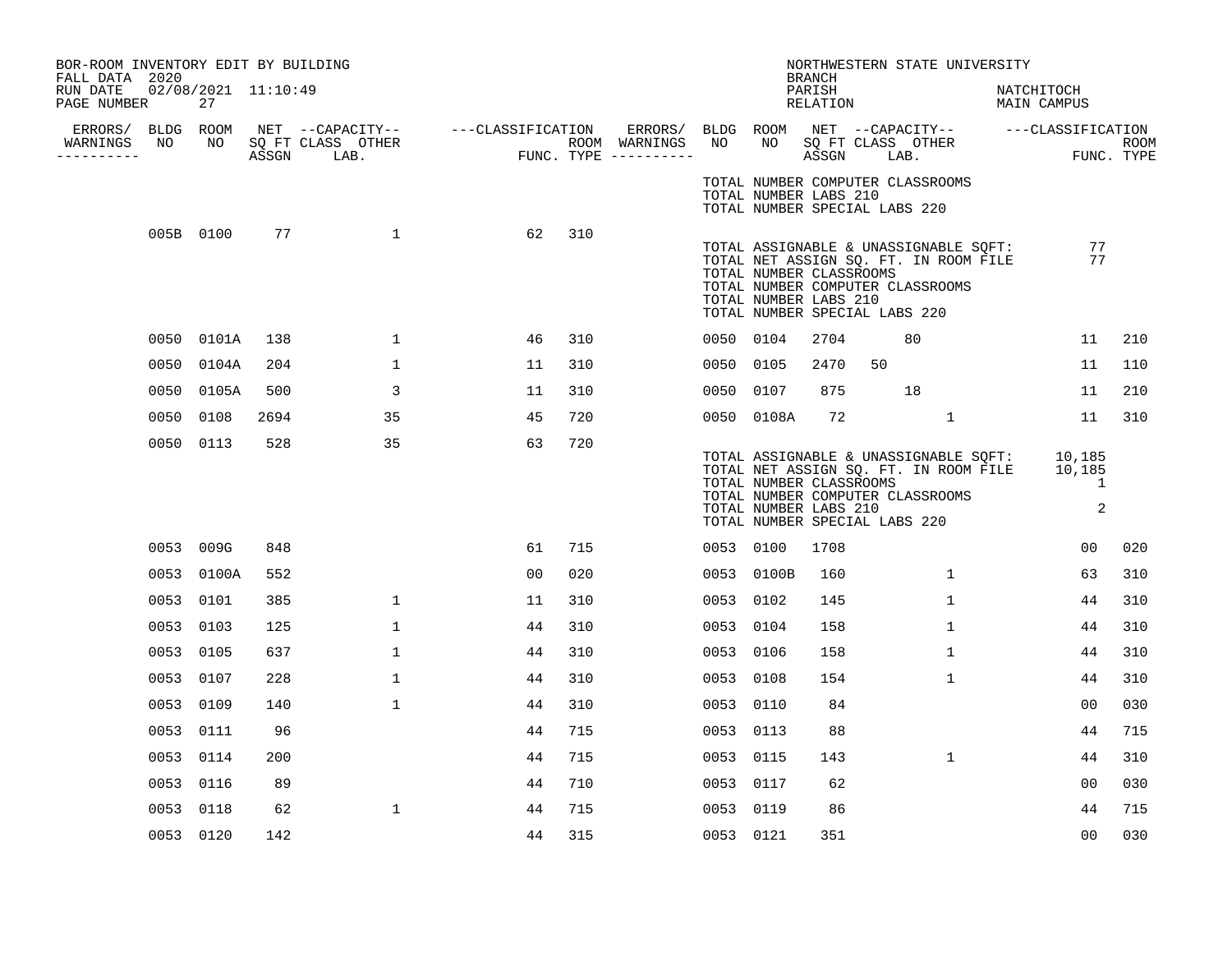| BOR-ROOM INVENTORY EDIT BY BUILDING<br>FALL DATA 2020 |      |                           |       |                           |                                    |     |                                                             |           |                                                  | <b>BRANCH</b>      | NORTHWESTERN STATE UNIVERSITY                                                                                                                       |                           |                           |
|-------------------------------------------------------|------|---------------------------|-------|---------------------------|------------------------------------|-----|-------------------------------------------------------------|-----------|--------------------------------------------------|--------------------|-----------------------------------------------------------------------------------------------------------------------------------------------------|---------------------------|---------------------------|
| RUN DATE<br>PAGE NUMBER                               |      | 02/08/2021 11:10:49<br>27 |       |                           |                                    |     |                                                             |           |                                                  | PARISH<br>RELATION |                                                                                                                                                     | NATCHITOCH<br>MAIN CAMPUS |                           |
| ERRORS/ BLDG ROOM<br>WARNINGS<br>.                    | NO   | NO                        | ASSGN | SQ FT CLASS OTHER<br>LAB. | NET --CAPACITY-- ---CLASSIFICATION |     | ERRORS/ BLDG ROOM<br>ROOM WARNINGS<br>FUNC. TYPE ---------- | NO        | NO                                               | ASSGN              | NET --CAPACITY-- ---CLASSIFICATION<br>SQ FT CLASS OTHER<br>LAB.                                                                                     |                           | <b>ROOM</b><br>FUNC. TYPE |
|                                                       |      |                           |       |                           |                                    |     |                                                             |           | TOTAL NUMBER LABS 210                            |                    | TOTAL NUMBER COMPUTER CLASSROOMS<br>TOTAL NUMBER SPECIAL LABS 220                                                                                   |                           |                           |
|                                                       |      | 005B 0100                 | 77    | $\mathbf{1}$              | 62                                 | 310 |                                                             |           | TOTAL NUMBER CLASSROOMS<br>TOTAL NUMBER LABS 210 |                    | TOTAL ASSIGNABLE & UNASSIGNABLE SQFT:<br>TOTAL NET ASSIGN SQ. FT. IN ROOM FILE<br>TOTAL NUMBER COMPUTER CLASSROOMS<br>TOTAL NUMBER SPECIAL LABS 220 |                           | 77<br>77                  |
|                                                       |      | 0050 0101A                | 138   | $\mathbf{1}$              | 46                                 | 310 |                                                             | 0050 0104 |                                                  | 2704               | 80                                                                                                                                                  | 11                        | 210                       |
|                                                       |      | 0050 0104A                | 204   | $\mathbf 1$               | 11                                 | 310 |                                                             | 0050 0105 |                                                  | 2470               | 50                                                                                                                                                  | 11                        | 110                       |
|                                                       | 0050 | 0105A                     | 500   | 3                         | 11                                 | 310 |                                                             | 0050 0107 |                                                  | 875                | 18                                                                                                                                                  | 11                        | 210                       |
|                                                       | 0050 | 0108                      | 2694  | 35                        | 45                                 | 720 |                                                             |           | 0050 0108A                                       | 72                 | $\mathbf{1}$                                                                                                                                        | 11                        | 310                       |
|                                                       |      | 0050 0113                 | 528   | 35                        | 63                                 | 720 |                                                             |           | TOTAL NUMBER CLASSROOMS<br>TOTAL NUMBER LABS 210 |                    | TOTAL ASSIGNABLE & UNASSIGNABLE SQFT:<br>TOTAL NET ASSIGN SQ. FT. IN ROOM FILE<br>TOTAL NUMBER COMPUTER CLASSROOMS<br>TOTAL NUMBER SPECIAL LABS 220 | 10,185<br>10,185          | 1<br>2                    |
|                                                       |      | 0053 009G                 | 848   |                           | 61                                 | 715 |                                                             | 0053 0100 |                                                  | 1708               |                                                                                                                                                     | 00                        | 020                       |
|                                                       |      | 0053 0100A                | 552   |                           | 0 <sub>0</sub>                     | 020 |                                                             |           | 0053 0100B                                       | 160                | $\mathbf{1}$                                                                                                                                        | 63                        | 310                       |
|                                                       | 0053 | 0101                      | 385   | $\mathbf 1$               | 11                                 | 310 |                                                             | 0053 0102 |                                                  | 145                | $\mathbf{1}$                                                                                                                                        | 44                        | 310                       |
|                                                       | 0053 | 0103                      | 125   | $\mathbf{1}$              | 44                                 | 310 |                                                             | 0053 0104 |                                                  | 158                | $\mathbf{1}$                                                                                                                                        | 44                        | 310                       |
|                                                       | 0053 | 0105                      | 637   | $\mathbf 1$               | 44                                 | 310 |                                                             | 0053 0106 |                                                  | 158                | $\mathbf{1}$                                                                                                                                        | 44                        | 310                       |
|                                                       | 0053 | 0107                      | 228   | $\mathbf{1}$              | 44                                 | 310 |                                                             | 0053 0108 |                                                  | 154                | $\mathbf{1}$                                                                                                                                        | 44                        | 310                       |
|                                                       | 0053 | 0109                      | 140   | $\mathbf{1}$              | 44                                 | 310 |                                                             | 0053 0110 |                                                  | 84                 |                                                                                                                                                     | 0 <sub>0</sub>            | 030                       |
|                                                       | 0053 | 0111                      | 96    |                           | 44                                 | 715 |                                                             | 0053 0113 |                                                  | 88                 |                                                                                                                                                     | 44                        | 715                       |
|                                                       |      | 0053 0114                 | 200   |                           | 44                                 | 715 |                                                             | 0053 0115 |                                                  | 143                | $\mathbf{1}$                                                                                                                                        | 44                        | 310                       |
|                                                       |      | 0053 0116                 | 89    |                           | 44                                 | 710 |                                                             | 0053 0117 |                                                  | 62                 |                                                                                                                                                     | 00                        | 030                       |
|                                                       | 0053 | 0118                      | 62    | $\mathbf{1}$              | 44                                 | 715 |                                                             | 0053 0119 |                                                  | 86                 |                                                                                                                                                     | 44                        | 715                       |
|                                                       |      | 0053 0120                 | 142   |                           | 44                                 | 315 |                                                             | 0053 0121 |                                                  | 351                |                                                                                                                                                     | 00                        | 030                       |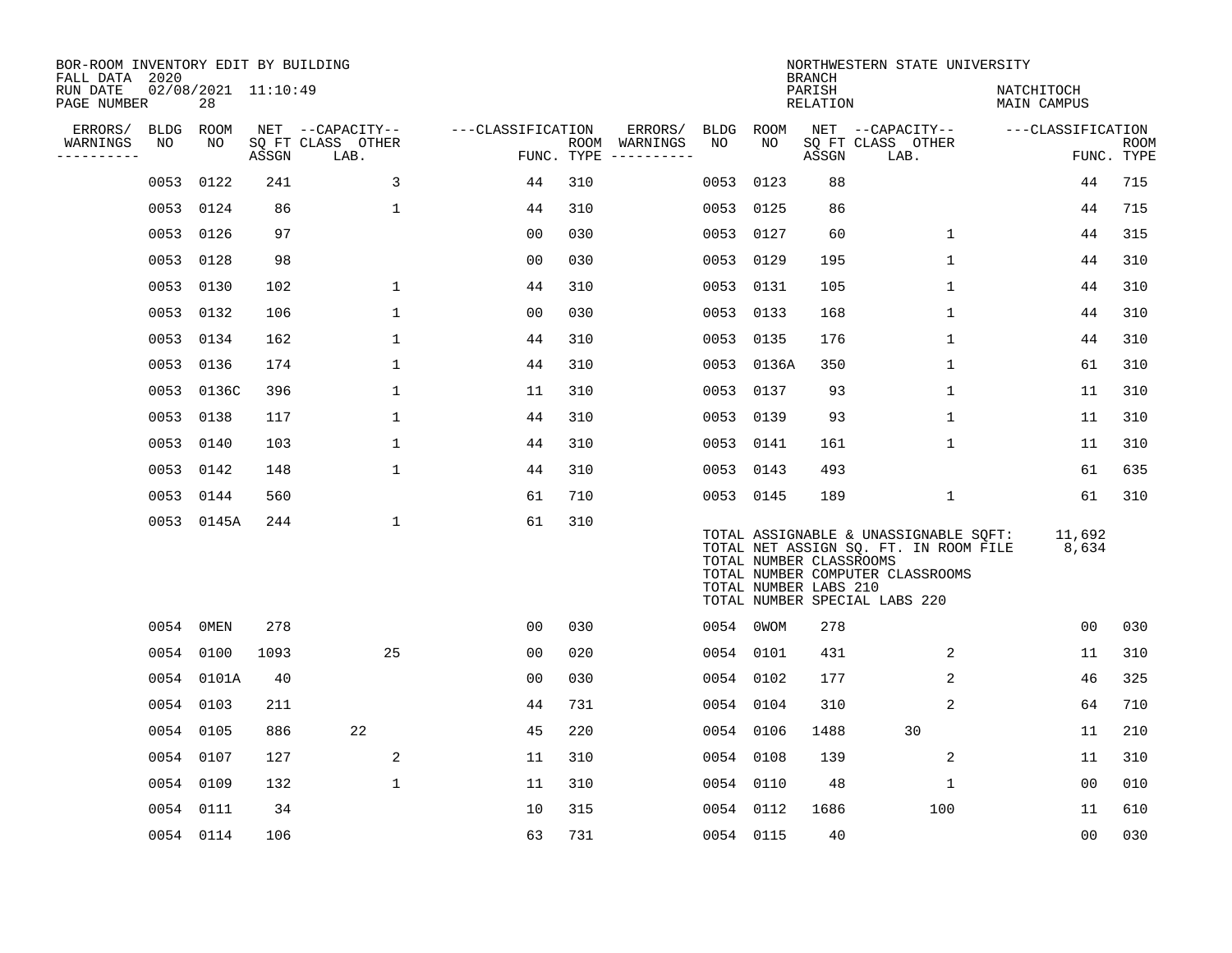| BOR-ROOM INVENTORY EDIT BY BUILDING<br>FALL DATA 2020 |             |                           |       |                           |                   |     |                                      |           |                                                  | <b>BRANCH</b>      | NORTHWESTERN STATE UNIVERSITY                                                                                                                       |                           |                    |
|-------------------------------------------------------|-------------|---------------------------|-------|---------------------------|-------------------|-----|--------------------------------------|-----------|--------------------------------------------------|--------------------|-----------------------------------------------------------------------------------------------------------------------------------------------------|---------------------------|--------------------|
| RUN DATE<br>PAGE NUMBER                               |             | 02/08/2021 11:10:49<br>28 |       |                           |                   |     |                                      |           |                                                  | PARISH<br>RELATION |                                                                                                                                                     | NATCHITOCH<br>MAIN CAMPUS |                    |
| ERRORS/                                               | <b>BLDG</b> | ROOM                      |       | NET --CAPACITY--          | ---CLASSIFICATION |     | ERRORS/                              | BLDG ROOM |                                                  |                    | NET --CAPACITY--                                                                                                                                    | ---CLASSIFICATION         |                    |
| WARNINGS<br>----------                                | NO          | NO                        | ASSGN | SO FT CLASS OTHER<br>LAB. |                   |     | ROOM WARNINGS<br>FUNC. TYPE $------$ | NO        | NO                                               | ASSGN              | SO FT CLASS OTHER<br>LAB.                                                                                                                           |                           | ROOM<br>FUNC. TYPE |
|                                                       | 0053        | 0122                      | 241   | 3                         | 44                | 310 |                                      | 0053      | 0123                                             | 88                 |                                                                                                                                                     | 44                        | 715                |
|                                                       | 0053        | 0124                      | 86    | 1                         | 44                | 310 |                                      |           | 0053 0125                                        | 86                 |                                                                                                                                                     | 44                        | 715                |
|                                                       | 0053        | 0126                      | 97    |                           | 00                | 030 |                                      | 0053 0127 |                                                  | 60                 | $\mathbf 1$                                                                                                                                         | 44                        | 315                |
|                                                       | 0053        | 0128                      | 98    |                           | 0 <sub>0</sub>    | 030 |                                      | 0053 0129 |                                                  | 195                | $\mathbf{1}$                                                                                                                                        | 44                        | 310                |
|                                                       | 0053        | 0130                      | 102   | $\mathbf 1$               | 44                | 310 |                                      | 0053 0131 |                                                  | 105                | $\mathbf{1}$                                                                                                                                        | 44                        | 310                |
|                                                       | 0053        | 0132                      | 106   | $\mathbf 1$               | 0 <sub>0</sub>    | 030 |                                      |           | 0053 0133                                        | 168                | 1                                                                                                                                                   | 44                        | 310                |
|                                                       | 0053        | 0134                      | 162   | $\mathbf 1$               | 44                | 310 |                                      | 0053 0135 |                                                  | 176                | $\mathbf 1$                                                                                                                                         | 44                        | 310                |
|                                                       | 0053        | 0136                      | 174   | $\mathbf 1$               | 44                | 310 |                                      |           | 0053 0136A                                       | 350                | $\mathbf 1$                                                                                                                                         | 61                        | 310                |
|                                                       | 0053        | 0136C                     | 396   | $\mathbf 1$               | 11                | 310 |                                      |           | 0053 0137                                        | 93                 | $\mathbf 1$                                                                                                                                         | 11                        | 310                |
|                                                       |             | 0053 0138                 | 117   | 1                         | 44                | 310 |                                      | 0053 0139 |                                                  | 93                 | 1                                                                                                                                                   | 11                        | 310                |
|                                                       | 0053        | 0140                      | 103   | 1                         | 44                | 310 |                                      | 0053 0141 |                                                  | 161                | 1                                                                                                                                                   | 11                        | 310                |
|                                                       |             | 0053 0142                 | 148   | $\mathbf{1}$              | 44                | 310 |                                      | 0053 0143 |                                                  | 493                |                                                                                                                                                     | 61                        | 635                |
|                                                       | 0053        | 0144                      | 560   |                           | 61                | 710 |                                      |           | 0053 0145                                        | 189                | 1                                                                                                                                                   | 61                        | 310                |
|                                                       |             | 0053 0145A                | 244   | 1                         | 61                | 310 |                                      |           | TOTAL NUMBER CLASSROOMS<br>TOTAL NUMBER LABS 210 |                    | TOTAL ASSIGNABLE & UNASSIGNABLE SQFT:<br>TOTAL NET ASSIGN SQ. FT. IN ROOM FILE<br>TOTAL NUMBER COMPUTER CLASSROOMS<br>TOTAL NUMBER SPECIAL LABS 220 | 11,692<br>8,634           |                    |
|                                                       |             | 0054 OMEN                 | 278   |                           | 00                | 030 |                                      |           | 0054 0WOM                                        | 278                |                                                                                                                                                     | 0 <sub>0</sub>            | 030                |
|                                                       |             | 0054 0100                 | 1093  | 25                        | 00                | 020 |                                      |           | 0054 0101                                        | 431                | 2                                                                                                                                                   | 11                        | 310                |
|                                                       |             | 0054 0101A                | 40    |                           | 00                | 030 |                                      |           | 0054 0102                                        | 177                | $\overline{a}$                                                                                                                                      | 46                        | 325                |
|                                                       |             | 0054 0103                 | 211   |                           | 44                | 731 |                                      |           | 0054 0104                                        | 310                | 2                                                                                                                                                   | 64                        | 710                |
|                                                       | 0054        | 0105                      | 886   | 22                        | 45                | 220 |                                      |           | 0054 0106                                        | 1488               | 30                                                                                                                                                  | 11                        | 210                |
|                                                       |             | 0054 0107                 | 127   | 2                         | 11                | 310 |                                      |           | 0054 0108                                        | 139                | 2                                                                                                                                                   | 11                        | 310                |
|                                                       | 0054        | 0109                      | 132   | $\mathbf{1}$              | 11                | 310 |                                      | 0054 0110 |                                                  | 48                 | 1                                                                                                                                                   | 00                        | 010                |
|                                                       |             | 0054 0111                 | 34    |                           | 10                | 315 |                                      |           | 0054 0112                                        | 1686               | 100                                                                                                                                                 | 11                        | 610                |
|                                                       |             | 0054 0114                 | 106   |                           | 63                | 731 |                                      | 0054 0115 |                                                  | 40                 |                                                                                                                                                     | 00                        | 030                |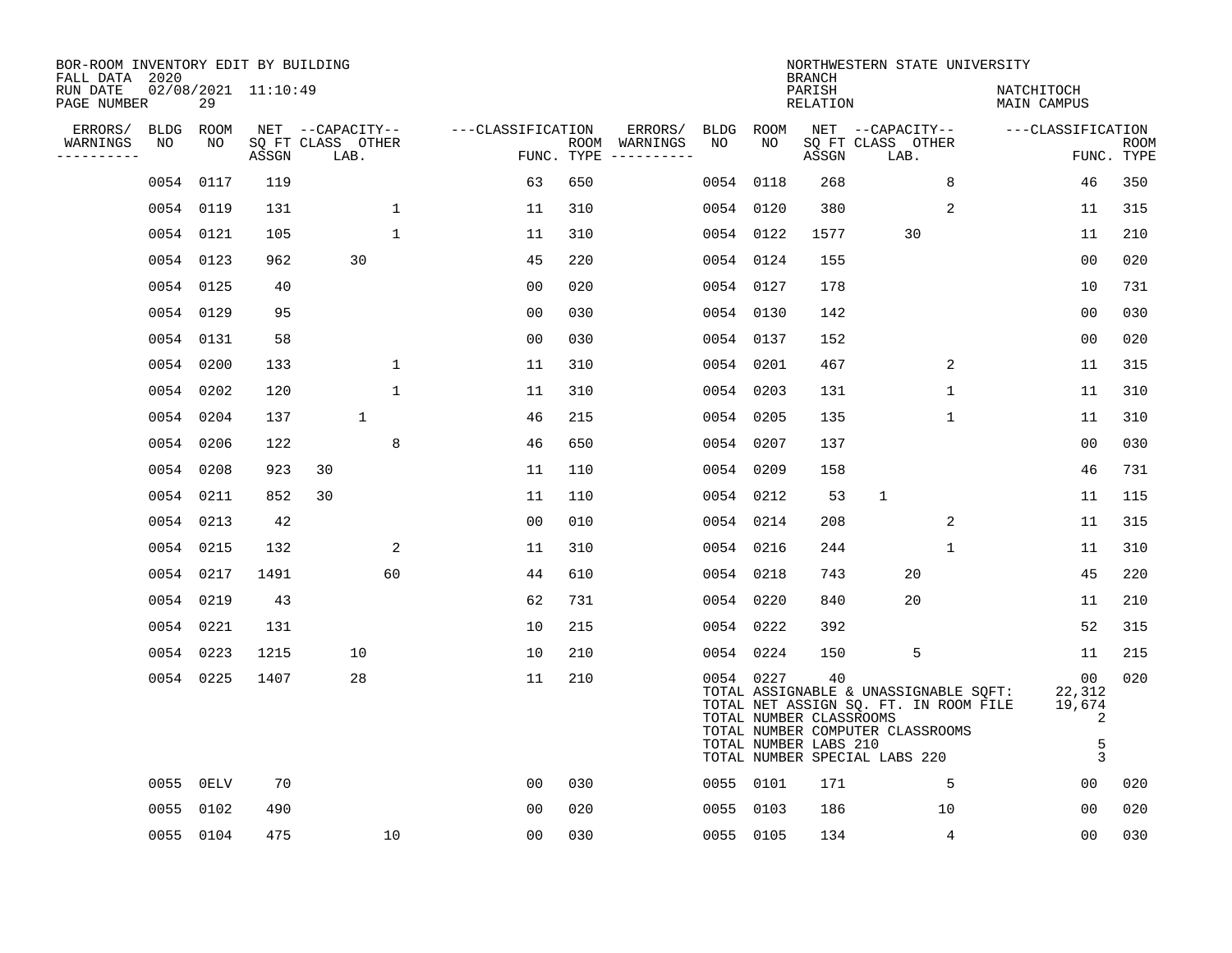| BOR-ROOM INVENTORY EDIT BY BUILDING<br>FALL DATA 2020 |                           |       |                                               |                   |                    |                     |                   |            | <b>BRANCH</b>                                          | NORTHWESTERN STATE UNIVERSITY                                                                                                                       |                                       |                           |
|-------------------------------------------------------|---------------------------|-------|-----------------------------------------------|-------------------|--------------------|---------------------|-------------------|------------|--------------------------------------------------------|-----------------------------------------------------------------------------------------------------------------------------------------------------|---------------------------------------|---------------------------|
| RUN DATE<br>PAGE NUMBER                               | 02/08/2021 11:10:49<br>29 |       |                                               |                   |                    |                     |                   |            | PARISH<br><b>RELATION</b>                              |                                                                                                                                                     | NATCHITOCH<br>MAIN CAMPUS             |                           |
| ERRORS/<br>BLDG<br>NO<br>WARNINGS<br>----------       | <b>ROOM</b><br>NO         | ASSGN | NET --CAPACITY--<br>SQ FT CLASS OTHER<br>LAB. | ---CLASSIFICATION | ROOM<br>FUNC. TYPE | ERRORS/<br>WARNINGS | <b>BLDG</b><br>NO | ROOM<br>NO | ASSGN                                                  | NET --CAPACITY--<br>SQ FT CLASS OTHER<br>LAB.                                                                                                       | ---CLASSIFICATION                     | <b>ROOM</b><br>FUNC. TYPE |
|                                                       | 0054 0117                 | 119   |                                               | 63                | 650                |                     | 0054              | 0118       | 268                                                    | 8                                                                                                                                                   | 46                                    | 350                       |
|                                                       | 0054 0119                 | 131   | 1                                             | 11                | 310                |                     |                   | 0054 0120  | 380                                                    | 2                                                                                                                                                   | 11                                    | 315                       |
|                                                       | 0054 0121                 | 105   | $\mathbf{1}$                                  | 11                | 310                |                     |                   | 0054 0122  | 1577                                                   | 30                                                                                                                                                  | 11                                    | 210                       |
|                                                       | 0054 0123                 | 962   | 30                                            | 45                | 220                |                     |                   | 0054 0124  | 155                                                    |                                                                                                                                                     | 00                                    | 020                       |
|                                                       | 0054 0125                 | 40    |                                               | 0 <sub>0</sub>    | 020                |                     |                   | 0054 0127  | 178                                                    |                                                                                                                                                     | 10                                    | 731                       |
|                                                       | 0054 0129                 | 95    |                                               | 0 <sub>0</sub>    | 030                |                     |                   | 0054 0130  | 142                                                    |                                                                                                                                                     | 0 <sub>0</sub>                        | 030                       |
|                                                       | 0054 0131                 | 58    |                                               | 0 <sub>0</sub>    | 030                |                     |                   | 0054 0137  | 152                                                    |                                                                                                                                                     | 0 <sub>0</sub>                        | 020                       |
|                                                       | 0054 0200                 | 133   | $\mathbf 1$                                   | 11                | 310                |                     |                   | 0054 0201  | 467                                                    | 2                                                                                                                                                   | 11                                    | 315                       |
|                                                       | 0054 0202                 | 120   | $\mathbf 1$                                   | 11                | 310                |                     |                   | 0054 0203  | 131                                                    | $\mathbf 1$                                                                                                                                         | 11                                    | 310                       |
|                                                       | 0054 0204                 | 137   | $\mathbf{1}$                                  | 46                | 215                |                     |                   | 0054 0205  | 135                                                    | $\mathbf 1$                                                                                                                                         | 11                                    | 310                       |
|                                                       | 0054 0206                 | 122   | 8                                             | 46                | 650                |                     |                   | 0054 0207  | 137                                                    |                                                                                                                                                     | 0 <sub>0</sub>                        | 030                       |
|                                                       | 0054 0208                 | 923   | 30                                            | 11                | 110                |                     |                   | 0054 0209  | 158                                                    |                                                                                                                                                     | 46                                    | 731                       |
|                                                       | 0054 0211                 | 852   | 30                                            | 11                | 110                |                     |                   | 0054 0212  | 53                                                     | $\mathbf{1}$                                                                                                                                        | 11                                    | 115                       |
|                                                       | 0054 0213                 | 42    |                                               | 00                | 010                |                     |                   | 0054 0214  | 208                                                    | 2                                                                                                                                                   | 11                                    | 315                       |
|                                                       | 0054 0215                 | 132   | 2                                             | 11                | 310                |                     |                   | 0054 0216  | 244                                                    | 1                                                                                                                                                   | 11                                    | 310                       |
|                                                       | 0054 0217                 | 1491  | 60                                            | 44                | 610                |                     |                   | 0054 0218  | 743                                                    | 20                                                                                                                                                  | 45                                    | 220                       |
|                                                       | 0054 0219                 | 43    |                                               | 62                | 731                |                     |                   | 0054 0220  | 840                                                    | 20                                                                                                                                                  | 11                                    | 210                       |
|                                                       | 0054 0221                 | 131   |                                               | 10                | 215                |                     |                   | 0054 0222  | 392                                                    |                                                                                                                                                     | 52                                    | 315                       |
|                                                       | 0054 0223                 | 1215  | 10                                            | 10                | 210                |                     |                   | 0054 0224  | 150                                                    | 5                                                                                                                                                   | 11                                    | 215                       |
|                                                       | 0054 0225                 | 1407  | 28                                            | 11                | 210                |                     |                   | 0054 0227  | 40<br>TOTAL NUMBER CLASSROOMS<br>TOTAL NUMBER LABS 210 | TOTAL ASSIGNABLE & UNASSIGNABLE SQFT:<br>TOTAL NET ASSIGN SQ. FT. IN ROOM FILE<br>TOTAL NUMBER COMPUTER CLASSROOMS<br>TOTAL NUMBER SPECIAL LABS 220 | 00<br>22,312<br>19,674<br>2<br>5<br>3 | 020                       |
|                                                       | 0055 OELV                 | 70    |                                               | 0 <sub>0</sub>    | 030                |                     |                   | 0055 0101  | 171                                                    | 5                                                                                                                                                   | 0 <sub>0</sub>                        | 020                       |
| 0055                                                  | 0102                      | 490   |                                               | 0 <sub>0</sub>    | 020                |                     | 0055              | 0103       | 186                                                    | 10                                                                                                                                                  | 0 <sub>0</sub>                        | 020                       |
|                                                       | 0055 0104                 | 475   | 10                                            | 00                | 030                |                     |                   | 0055 0105  | 134                                                    | 4                                                                                                                                                   | 00                                    | 030                       |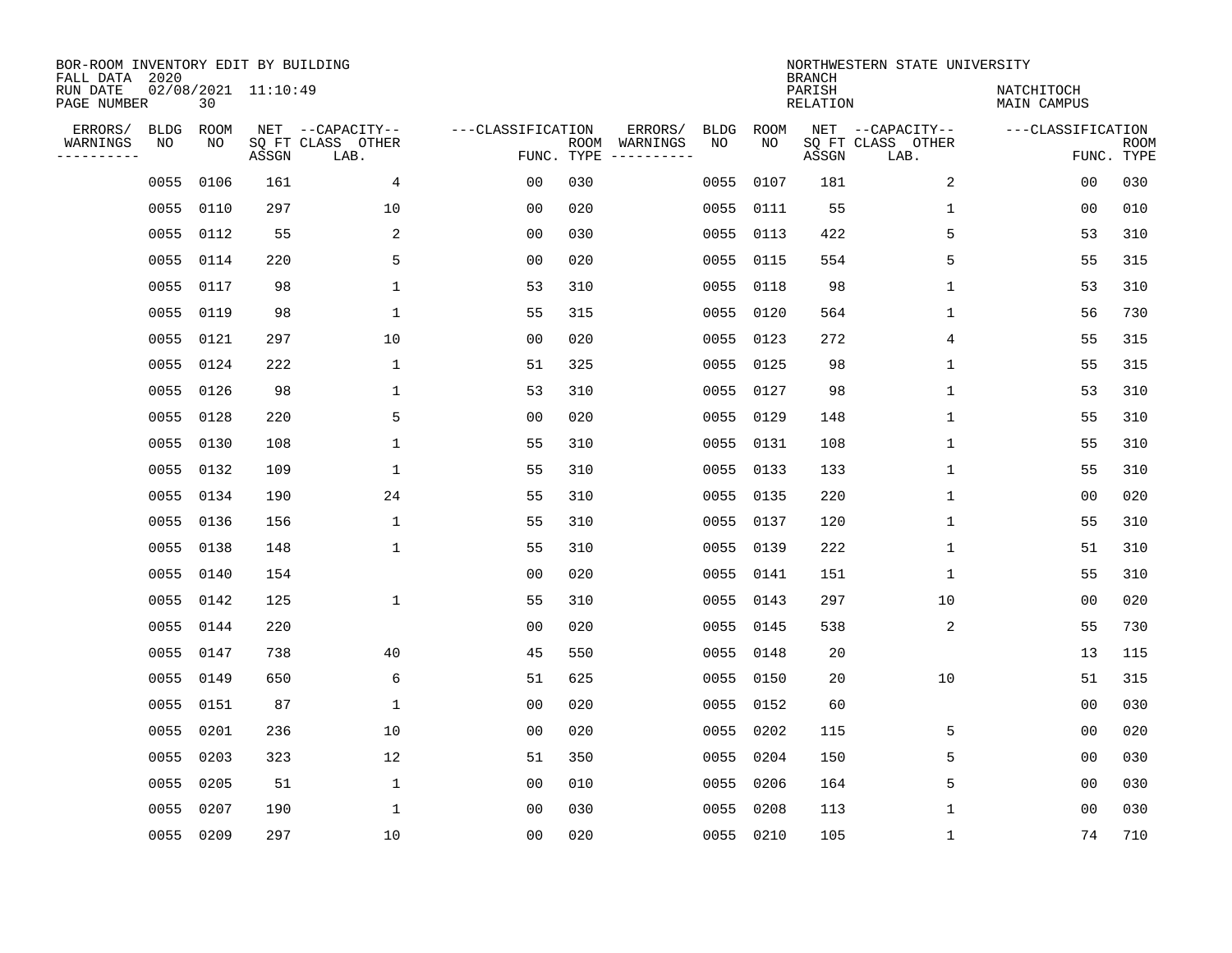| BOR-ROOM INVENTORY EDIT BY BUILDING<br>FALL DATA 2020 |                             |       |                                               |                   |            |                                                                                                                                                                                                                                                                                                                                                                                                                                                                                     |                   |            | <b>BRANCH</b>      | NORTHWESTERN STATE UNIVERSITY                 |                                 |             |
|-------------------------------------------------------|-----------------------------|-------|-----------------------------------------------|-------------------|------------|-------------------------------------------------------------------------------------------------------------------------------------------------------------------------------------------------------------------------------------------------------------------------------------------------------------------------------------------------------------------------------------------------------------------------------------------------------------------------------------|-------------------|------------|--------------------|-----------------------------------------------|---------------------------------|-------------|
| RUN DATE<br>PAGE NUMBER                               | $02/08/2021$ 11:10:49<br>30 |       |                                               |                   |            |                                                                                                                                                                                                                                                                                                                                                                                                                                                                                     |                   |            | PARISH<br>RELATION |                                               | NATCHITOCH<br>MAIN CAMPUS       |             |
| ERRORS/<br>WARNINGS<br>NO<br>----------               | <b>BLDG</b><br>ROOM<br>NO   | ASSGN | NET --CAPACITY--<br>SQ FT CLASS OTHER<br>LAB. | ---CLASSIFICATION | FUNC. TYPE | ERRORS/<br>ROOM WARNINGS<br>$\begin{tabular}{ccccccccc} \multicolumn{2}{c }{\textbf{1} } & \multicolumn{2}{c }{\textbf{2} } & \multicolumn{2}{c }{\textbf{3} } & \multicolumn{2}{c }{\textbf{4} } & \multicolumn{2}{c }{\textbf{5} } & \multicolumn{2}{c }{\textbf{6} } & \multicolumn{2}{c }{\textbf{7} } & \multicolumn{2}{c }{\textbf{8} } & \multicolumn{2}{c }{\textbf{9} } & \multicolumn{2}{c }{\textbf{1} } & \multicolumn{2}{c }{\textbf{1} } & \multicolumn{2}{c }{\text$ | <b>BLDG</b><br>NO | ROOM<br>NO | ASSGN              | NET --CAPACITY--<br>SQ FT CLASS OTHER<br>LAB. | ---CLASSIFICATION<br>FUNC. TYPE | <b>ROOM</b> |
|                                                       | 0055<br>0106                | 161   | 4                                             | 0 <sub>0</sub>    | 030        |                                                                                                                                                                                                                                                                                                                                                                                                                                                                                     | 0055              | 0107       | 181                | 2                                             | 00                              | 030         |
|                                                       | 0055<br>0110                | 297   | 10                                            | 0 <sub>0</sub>    | 020        |                                                                                                                                                                                                                                                                                                                                                                                                                                                                                     |                   | 0055 0111  | 55                 | $\mathbf 1$                                   | 00                              | 010         |
|                                                       | 0055<br>0112                | 55    | 2                                             | 0 <sub>0</sub>    | 030        |                                                                                                                                                                                                                                                                                                                                                                                                                                                                                     | 0055              | 0113       | 422                | 5                                             | 53                              | 310         |
|                                                       | 0055<br>0114                | 220   | 5                                             | 0 <sub>0</sub>    | 020        |                                                                                                                                                                                                                                                                                                                                                                                                                                                                                     | 0055              | 0115       | 554                | 5                                             | 55                              | 315         |
|                                                       | 0055<br>0117                | 98    | $\mathbf{1}$                                  | 53                | 310        |                                                                                                                                                                                                                                                                                                                                                                                                                                                                                     | 0055              | 0118       | 98                 | $\mathbf{1}$                                  | 53                              | 310         |
|                                                       | 0055<br>0119                | 98    | $\mathbf{1}$                                  | 55                | 315        |                                                                                                                                                                                                                                                                                                                                                                                                                                                                                     |                   | 0055 0120  | 564                | $\mathbf{1}$                                  | 56                              | 730         |
|                                                       | 0055<br>0121                | 297   | 10                                            | 0 <sub>0</sub>    | 020        |                                                                                                                                                                                                                                                                                                                                                                                                                                                                                     | 0055              | 0123       | 272                | $\overline{4}$                                | 55                              | 315         |
|                                                       | 0055 0124                   | 222   | 1                                             | 51                | 325        |                                                                                                                                                                                                                                                                                                                                                                                                                                                                                     |                   | 0055 0125  | 98                 | $\mathbf 1$                                   | 55                              | 315         |
|                                                       | 0055<br>0126                | 98    | $\mathbf{1}$                                  | 53                | 310        |                                                                                                                                                                                                                                                                                                                                                                                                                                                                                     | 0055              | 0127       | 98                 | $\mathbf 1$                                   | 53                              | 310         |
|                                                       | 0055<br>0128                | 220   | 5                                             | 0 <sub>0</sub>    | 020        |                                                                                                                                                                                                                                                                                                                                                                                                                                                                                     |                   | 0055 0129  | 148                | $\mathbf 1$                                   | 55                              | 310         |
|                                                       | 0055<br>0130                | 108   | $\mathbf 1$                                   | 55                | 310        |                                                                                                                                                                                                                                                                                                                                                                                                                                                                                     | 0055              | 0131       | 108                | $\mathbf 1$                                   | 55                              | 310         |
|                                                       | 0055<br>0132                | 109   | 1                                             | 55                | 310        |                                                                                                                                                                                                                                                                                                                                                                                                                                                                                     |                   | 0055 0133  | 133                | $\mathbf 1$                                   | 55                              | 310         |
|                                                       | 0055<br>0134                | 190   | 24                                            | 55                | 310        |                                                                                                                                                                                                                                                                                                                                                                                                                                                                                     | 0055              | 0135       | 220                | $\mathbf 1$                                   | 0 <sub>0</sub>                  | 020         |
|                                                       | 0055<br>0136                | 156   | $\mathbf 1$                                   | 55                | 310        |                                                                                                                                                                                                                                                                                                                                                                                                                                                                                     |                   | 0055 0137  | 120                | 1                                             | 55                              | 310         |
|                                                       | 0055<br>0138                | 148   | 1                                             | 55                | 310        |                                                                                                                                                                                                                                                                                                                                                                                                                                                                                     | 0055              | 0139       | 222                | 1                                             | 51                              | 310         |
|                                                       | 0055<br>0140                | 154   |                                               | 0 <sub>0</sub>    | 020        |                                                                                                                                                                                                                                                                                                                                                                                                                                                                                     |                   | 0055 0141  | 151                | 1                                             | 55                              | 310         |
|                                                       | 0055<br>0142                | 125   | $\mathbf{1}$                                  | 55                | 310        |                                                                                                                                                                                                                                                                                                                                                                                                                                                                                     | 0055              | 0143       | 297                | 10                                            | 0 <sub>0</sub>                  | 020         |
|                                                       | 0055<br>0144                | 220   |                                               | 0 <sub>0</sub>    | 020        |                                                                                                                                                                                                                                                                                                                                                                                                                                                                                     |                   | 0055 0145  | 538                | 2                                             | 55                              | 730         |
|                                                       | 0055<br>0147                | 738   | 40                                            | 45                | 550        |                                                                                                                                                                                                                                                                                                                                                                                                                                                                                     |                   | 0055 0148  | 20                 |                                               | 13                              | 115         |
|                                                       | 0055<br>0149                | 650   | 6                                             | 51                | 625        |                                                                                                                                                                                                                                                                                                                                                                                                                                                                                     |                   | 0055 0150  | 20                 | 10                                            | 51                              | 315         |
|                                                       | 0055<br>0151                | 87    | $\mathbf{1}$                                  | 0 <sub>0</sub>    | 020        |                                                                                                                                                                                                                                                                                                                                                                                                                                                                                     |                   | 0055 0152  | 60                 |                                               | 0 <sub>0</sub>                  | 030         |
|                                                       | 0055<br>0201                | 236   | 10                                            | 0 <sub>0</sub>    | 020        |                                                                                                                                                                                                                                                                                                                                                                                                                                                                                     | 0055              | 0202       | 115                | 5                                             | 0 <sub>0</sub>                  | 020         |
|                                                       | 0055<br>0203                | 323   | 12                                            | 51                | 350        |                                                                                                                                                                                                                                                                                                                                                                                                                                                                                     | 0055              | 0204       | 150                | 5                                             | 00                              | 030         |
|                                                       | 0205<br>0055                | 51    | $\mathbf{1}$                                  | 00                | 010        |                                                                                                                                                                                                                                                                                                                                                                                                                                                                                     | 0055              | 0206       | 164                | 5                                             | 00                              | 030         |
|                                                       | 0055<br>0207                | 190   | 1                                             | 0 <sub>0</sub>    | 030        |                                                                                                                                                                                                                                                                                                                                                                                                                                                                                     | 0055              | 0208       | 113                | 1                                             | 0 <sub>0</sub>                  | 030         |
|                                                       | 0055 0209                   | 297   | 10                                            | 0 <sub>0</sub>    | 020        |                                                                                                                                                                                                                                                                                                                                                                                                                                                                                     |                   | 0055 0210  | 105                | 1                                             | 74                              | 710         |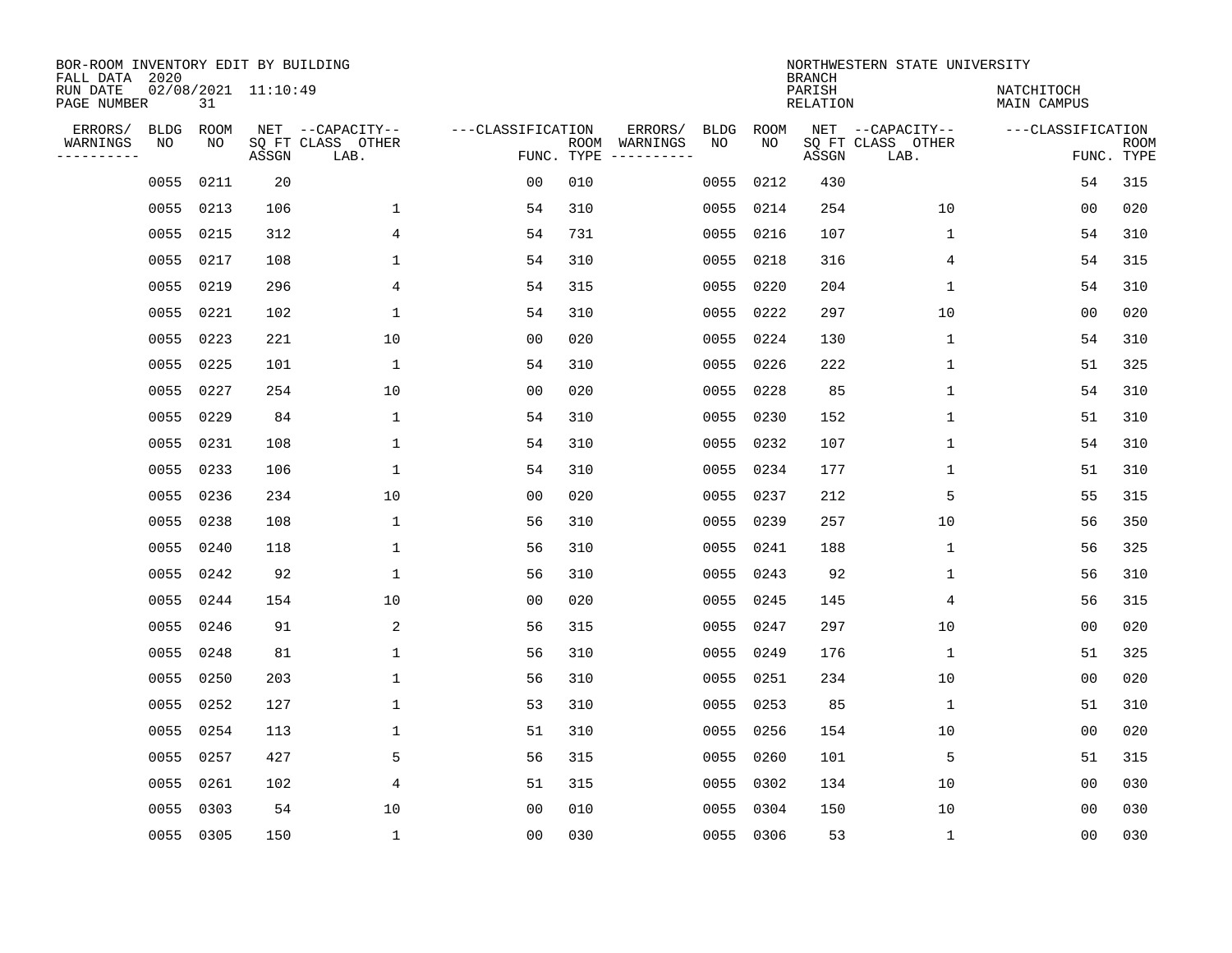| BOR-ROOM INVENTORY EDIT BY BUILDING<br>FALL DATA 2020 |             |           |                     |                           |                   |                                               |             |             | <b>BRANCH</b>             | NORTHWESTERN STATE UNIVERSITY |                                  |                           |
|-------------------------------------------------------|-------------|-----------|---------------------|---------------------------|-------------------|-----------------------------------------------|-------------|-------------|---------------------------|-------------------------------|----------------------------------|---------------------------|
| RUN DATE<br>PAGE NUMBER                               |             | 31        | 02/08/2021 11:10:49 |                           |                   |                                               |             |             | PARISH<br><b>RELATION</b> |                               | NATCHITOCH<br><b>MAIN CAMPUS</b> |                           |
| ERRORS/                                               | <b>BLDG</b> | ROOM      |                     | NET --CAPACITY--          | ---CLASSIFICATION | ERRORS/                                       | <b>BLDG</b> | <b>ROOM</b> |                           | NET --CAPACITY--              | ---CLASSIFICATION                |                           |
| WARNINGS<br>----------                                | NO          | NO        | ASSGN               | SQ FT CLASS OTHER<br>LAB. |                   | ROOM<br>WARNINGS<br>FUNC. TYPE<br>----------- | NO          | NO          | ASSGN                     | SQ FT CLASS OTHER<br>LAB.     |                                  | <b>ROOM</b><br>FUNC. TYPE |
|                                                       | 0055        | 0211      | 20                  |                           | 0 <sub>0</sub>    | 010                                           | 0055        | 0212        | 430                       |                               | 54                               | 315                       |
|                                                       | 0055        | 0213      | 106                 | 1                         | 54                | 310                                           | 0055        | 0214        | 254                       | 10                            | 00                               | 020                       |
|                                                       | 0055        | 0215      | 312                 | 4                         | 54                | 731                                           | 0055        | 0216        | 107                       | 1                             | 54                               | 310                       |
|                                                       | 0055        | 0217      | 108                 | $\mathbf{1}$              | 54                | 310                                           |             | 0055 0218   | 316                       | 4                             | 54                               | 315                       |
|                                                       | 0055        | 0219      | 296                 | 4                         | 54                | 315                                           | 0055        | 0220        | 204                       | $\mathbf 1$                   | 54                               | 310                       |
|                                                       | 0055        | 0221      | 102                 | $\mathbf{1}$              | 54                | 310                                           |             | 0055 0222   | 297                       | 10                            | 0 <sub>0</sub>                   | 020                       |
|                                                       | 0055        | 0223      | 221                 | 10                        | 0 <sub>0</sub>    | 020                                           | 0055        | 0224        | 130                       | $\mathbf 1$                   | 54                               | 310                       |
|                                                       | 0055        | 0225      | 101                 | $\mathbf{1}$              | 54                | 310                                           |             | 0055 0226   | 222                       | 1                             | 51                               | 325                       |
|                                                       | 0055        | 0227      | 254                 | 10                        | 0 <sub>0</sub>    | 020                                           | 0055        | 0228        | 85                        | $\mathbf 1$                   | 54                               | 310                       |
|                                                       | 0055        | 0229      | 84                  | 1                         | 54                | 310                                           |             | 0055 0230   | 152                       | $\mathbf 1$                   | 51                               | 310                       |
|                                                       | 0055        | 0231      | 108                 | 1                         | 54                | 310                                           | 0055        | 0232        | 107                       | $\mathbf 1$                   | 54                               | 310                       |
|                                                       | 0055        | 0233      | 106                 | $\mathbf{1}$              | 54                | 310                                           |             | 0055 0234   | 177                       | 1                             | 51                               | 310                       |
|                                                       | 0055        | 0236      | 234                 | 10                        | 00                | 020                                           | 0055        | 0237        | 212                       | 5                             | 55                               | 315                       |
|                                                       | 0055        | 0238      | 108                 | 1                         | 56                | 310                                           |             | 0055 0239   | 257                       | 10                            | 56                               | 350                       |
|                                                       | 0055        | 0240      | 118                 | 1                         | 56                | 310                                           | 0055        | 0241        | 188                       | 1                             | 56                               | 325                       |
|                                                       | 0055        | 0242      | 92                  | 1                         | 56                | 310                                           |             | 0055 0243   | 92                        | 1                             | 56                               | 310                       |
|                                                       | 0055        | 0244      | 154                 | 10                        | 0 <sub>0</sub>    | 020                                           | 0055        | 0245        | 145                       | 4                             | 56                               | 315                       |
|                                                       | 0055        | 0246      | 91                  | 2                         | 56                | 315                                           | 0055        | 0247        | 297                       | 10                            | 00                               | 020                       |
|                                                       | 0055        | 0248      | 81                  | 1                         | 56                | 310                                           | 0055        | 0249        | 176                       | 1                             | 51                               | 325                       |
|                                                       | 0055        | 0250      | 203                 | $\mathbf{1}$              | 56                | 310                                           | 0055        | 0251        | 234                       | 10                            | 0 <sub>0</sub>                   | 020                       |
|                                                       | 0055        | 0252      | 127                 | $\mathbf{1}$              | 53                | 310                                           | 0055        | 0253        | 85                        | 1                             | 51                               | 310                       |
|                                                       | 0055        | 0254      | 113                 | $\mathbf{1}$              | 51                | 310                                           | 0055        | 0256        | 154                       | 10                            | 00                               | 020                       |
|                                                       | 0055        | 0257      | 427                 | 5                         | 56                | 315                                           | 0055        | 0260        | 101                       | 5                             | 51                               | 315                       |
|                                                       | 0055        | 0261      | 102                 | $\overline{4}$            | 51                | 315                                           | 0055        | 0302        | 134                       | 10                            | 00                               | 030                       |
|                                                       | 0055        | 0303      | 54                  | 10                        | 0 <sub>0</sub>    | 010                                           | 0055        | 0304        | 150                       | 10                            | 00                               | 030                       |
|                                                       |             | 0055 0305 | 150                 | $\mathbf{1}$              | 0 <sub>0</sub>    | 030                                           |             | 0055 0306   | 53                        | 1                             | 0 <sub>0</sub>                   | 030                       |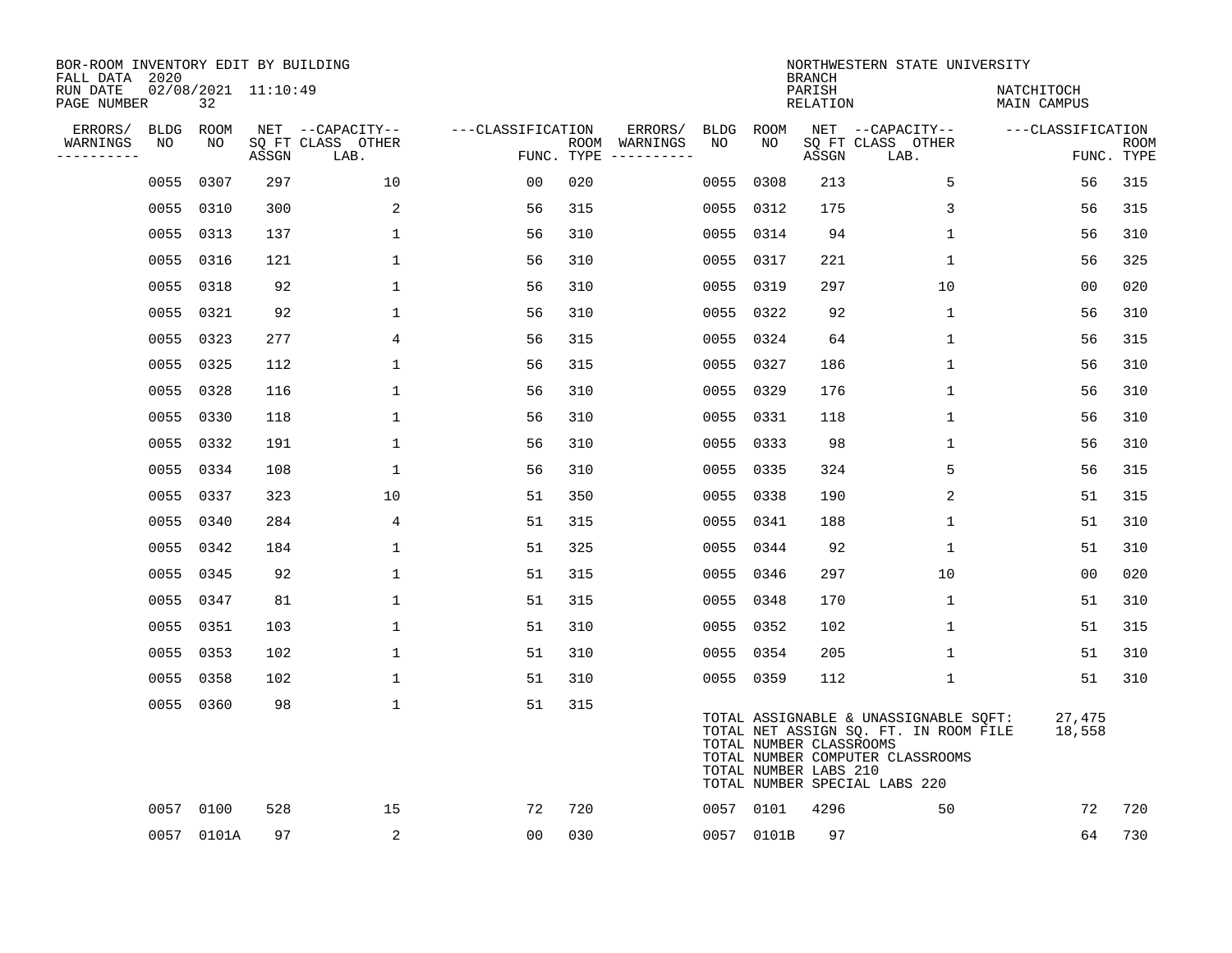| BOR-ROOM INVENTORY EDIT BY BUILDING<br>FALL DATA 2020 |                   |            |                     |                                       |                   |     |                          |            |                                                  | <b>BRANCH</b>      | NORTHWESTERN STATE UNIVERSITY                                                                                                                       |                           |             |
|-------------------------------------------------------|-------------------|------------|---------------------|---------------------------------------|-------------------|-----|--------------------------|------------|--------------------------------------------------|--------------------|-----------------------------------------------------------------------------------------------------------------------------------------------------|---------------------------|-------------|
| RUN DATE<br>PAGE NUMBER                               |                   | 32         | 02/08/2021 11:10:49 |                                       |                   |     |                          |            |                                                  | PARISH<br>RELATION |                                                                                                                                                     | NATCHITOCH<br>MAIN CAMPUS |             |
| ERRORS/<br>WARNINGS                                   | <b>BLDG</b><br>NO | ROOM<br>NO |                     | NET --CAPACITY--<br>SO FT CLASS OTHER | ---CLASSIFICATION |     | ERRORS/<br>ROOM WARNINGS | BLDG<br>NO | ROOM<br>NO                                       |                    | NET --CAPACITY--<br>SQ FT CLASS OTHER                                                                                                               | ---CLASSIFICATION         | <b>ROOM</b> |
| ----------                                            |                   |            | ASSGN               | LAB.                                  |                   |     | FUNC. TYPE $------$      |            |                                                  | ASSGN              | LAB.                                                                                                                                                |                           | FUNC. TYPE  |
|                                                       | 0055              | 0307       | 297                 | 10                                    | 00                | 020 |                          | 0055       | 0308                                             | 213                | 5                                                                                                                                                   | 56                        | 315         |
|                                                       | 0055 0310         |            | 300                 | 2                                     | 56                | 315 |                          | 0055       | 0312                                             | 175                | 3                                                                                                                                                   | 56                        | 315         |
|                                                       | 0055 0313         |            | 137                 | $\mathbf 1$                           | 56                | 310 |                          | 0055       | 0314                                             | 94                 | $\mathbf 1$                                                                                                                                         | 56                        | 310         |
|                                                       | 0055 0316         |            | 121                 | $\mathbf{1}$                          | 56                | 310 |                          | 0055       | 0317                                             | 221                | $\mathbf{1}$                                                                                                                                        | 56                        | 325         |
|                                                       | 0055              | 0318       | 92                  | $\mathbf{1}$                          | 56                | 310 |                          | 0055       | 0319                                             | 297                | 10                                                                                                                                                  | 0 <sub>0</sub>            | 020         |
|                                                       | 0055 0321         |            | 92                  | $\mathbf 1$                           | 56                | 310 |                          |            | 0055 0322                                        | 92                 | $\mathbf 1$                                                                                                                                         | 56                        | 310         |
|                                                       |                   | 0055 0323  | 277                 | 4                                     | 56                | 315 |                          | 0055       | 0324                                             | 64                 | $\mathbf{1}$                                                                                                                                        | 56                        | 315         |
|                                                       | 0055 0325         |            | 112                 | $\mathbf{1}$                          | 56                | 315 |                          |            | 0055 0327                                        | 186                | $\mathbf{1}$                                                                                                                                        | 56                        | 310         |
|                                                       | 0055 0328         |            | 116                 | $\mathbf{1}$                          | 56                | 310 |                          | 0055       | 0329                                             | 176                | $\mathbf 1$                                                                                                                                         | 56                        | 310         |
|                                                       | 0055 0330         |            | 118                 | $\mathbf 1$                           | 56                | 310 |                          | 0055       | 0331                                             | 118                | 1                                                                                                                                                   | 56                        | 310         |
|                                                       | 0055 0332         |            | 191                 | $\mathbf 1$                           | 56                | 310 |                          | 0055       | 0333                                             | 98                 | 1                                                                                                                                                   | 56                        | 310         |
|                                                       | 0055 0334         |            | 108                 | $\mathbf{1}$                          | 56                | 310 |                          |            | 0055 0335                                        | 324                | 5                                                                                                                                                   | 56                        | 315         |
|                                                       | 0055              | 0337       | 323                 | 10                                    | 51                | 350 |                          | 0055       | 0338                                             | 190                | 2                                                                                                                                                   | 51                        | 315         |
|                                                       | 0055              | 0340       | 284                 | 4                                     | 51                | 315 |                          | 0055       | 0341                                             | 188                | 1                                                                                                                                                   | 51                        | 310         |
|                                                       | 0055 0342         |            | 184                 | $\mathbf 1$                           | 51                | 325 |                          | 0055       | 0344                                             | 92                 | 1                                                                                                                                                   | 51                        | 310         |
|                                                       | 0055              | 0345       | 92                  | $\mathbf{1}$                          | 51                | 315 |                          |            | 0055 0346                                        | 297                | 10                                                                                                                                                  | 00                        | 020         |
|                                                       | 0055 0347         |            | 81                  | $\mathbf 1$                           | 51                | 315 |                          |            | 0055 0348                                        | 170                | 1                                                                                                                                                   | 51                        | 310         |
|                                                       | 0055              | 0351       | 103                 | $\mathbf 1$                           | 51                | 310 |                          |            | 0055 0352                                        | 102                | $\mathbf 1$                                                                                                                                         | 51                        | 315         |
|                                                       | 0055 0353         |            | 102                 | $\mathbf{1}$                          | 51                | 310 |                          |            | 0055 0354                                        | 205                | $\mathbf 1$                                                                                                                                         | 51                        | 310         |
|                                                       | 0055 0358         |            | 102                 | $\mathbf{1}$                          | 51                | 310 |                          |            | 0055 0359                                        | 112                | $\mathbf{1}$                                                                                                                                        | 51                        | 310         |
|                                                       | 0055 0360         |            | 98                  | $\mathbf 1$                           | 51                | 315 |                          |            | TOTAL NUMBER CLASSROOMS<br>TOTAL NUMBER LABS 210 |                    | TOTAL ASSIGNABLE & UNASSIGNABLE SQFT:<br>TOTAL NET ASSIGN SQ. FT. IN ROOM FILE<br>TOTAL NUMBER COMPUTER CLASSROOMS<br>TOTAL NUMBER SPECIAL LABS 220 | 27,475<br>18,558          |             |
|                                                       | 0057 0100         |            | 528                 | 15                                    | 72                | 720 |                          |            | 0057 0101                                        | 4296               | 50                                                                                                                                                  | 72                        | 720         |
|                                                       |                   | 0057 0101A | 97                  | 2                                     | 00                | 030 |                          |            | 0057 0101B                                       | 97                 |                                                                                                                                                     | 64                        | 730         |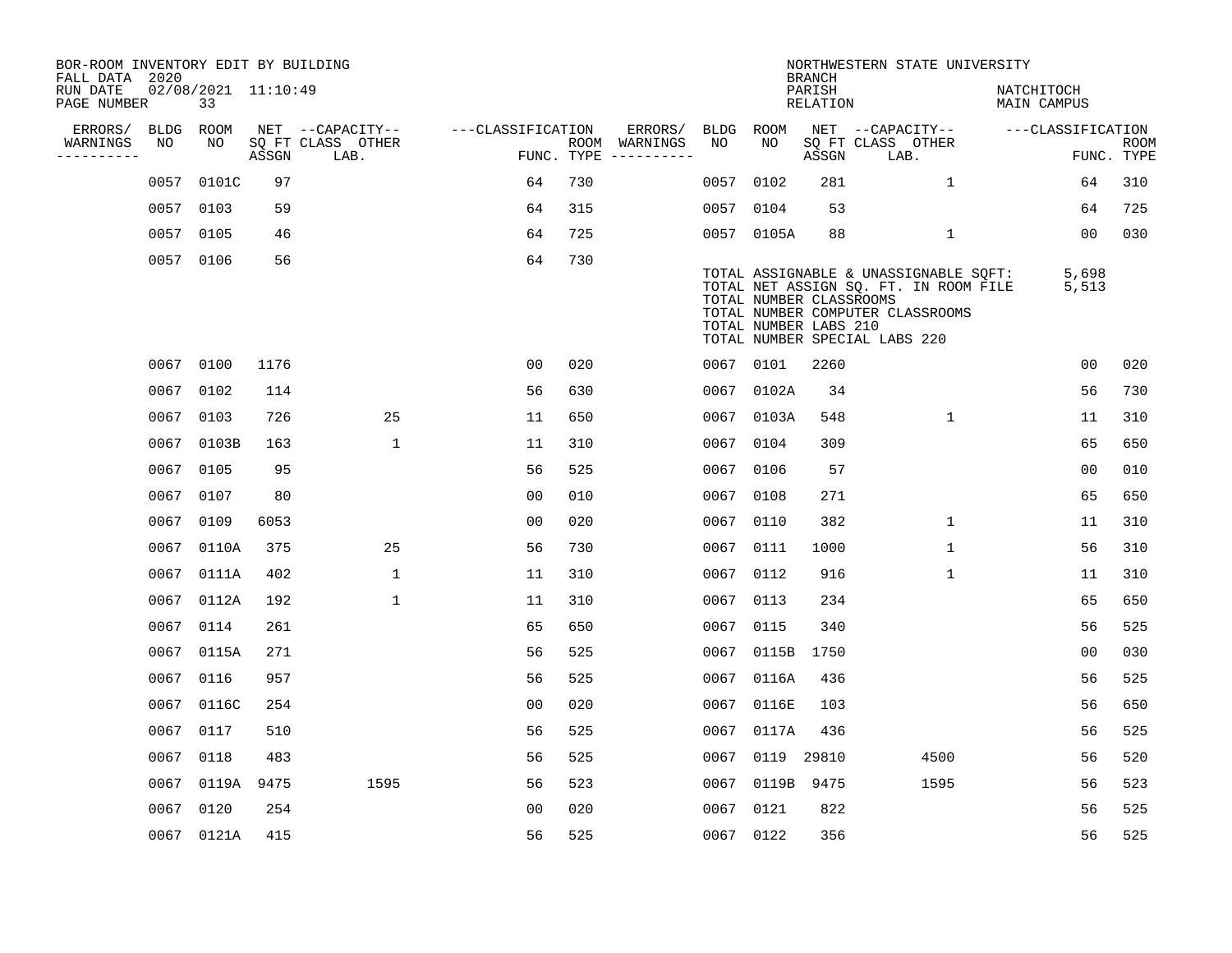| BOR-ROOM INVENTORY EDIT BY BUILDING<br>FALL DATA 2020 |      |                           |       |                           |                   |     |                                      |             |                                                  | <b>BRANCH</b>             | NORTHWESTERN STATE UNIVERSITY                                                                                                                       |                           |                           |
|-------------------------------------------------------|------|---------------------------|-------|---------------------------|-------------------|-----|--------------------------------------|-------------|--------------------------------------------------|---------------------------|-----------------------------------------------------------------------------------------------------------------------------------------------------|---------------------------|---------------------------|
| RUN DATE<br>PAGE NUMBER                               |      | 02/08/2021 11:10:49<br>33 |       |                           |                   |     |                                      |             |                                                  | PARISH<br><b>RELATION</b> |                                                                                                                                                     | NATCHITOCH<br>MAIN CAMPUS |                           |
| ERRORS/                                               | BLDG | ROOM                      |       | NET --CAPACITY--          | ---CLASSIFICATION |     | ERRORS/                              | <b>BLDG</b> | <b>ROOM</b>                                      |                           | NET --CAPACITY--                                                                                                                                    | ---CLASSIFICATION         |                           |
| WARNINGS<br>----------                                | NO   | NO                        | ASSGN | SQ FT CLASS OTHER<br>LAB. |                   |     | ROOM WARNINGS<br>FUNC. TYPE $------$ | NO          | NO                                               | ASSGN                     | SQ FT CLASS OTHER<br>LAB.                                                                                                                           |                           | <b>ROOM</b><br>FUNC. TYPE |
|                                                       | 0057 | 0101C                     | 97    |                           | 64                | 730 |                                      | 0057        | 0102                                             | 281                       | $\mathbf{1}$                                                                                                                                        | 64                        | 310                       |
|                                                       | 0057 | 0103                      | 59    |                           | 64                | 315 |                                      | 0057        | 0104                                             | 53                        |                                                                                                                                                     | 64                        | 725                       |
|                                                       |      | 0057 0105                 | 46    |                           | 64                | 725 |                                      |             | 0057 0105A                                       | 88                        | $\mathbf 1$                                                                                                                                         | 0 <sub>0</sub>            | 030                       |
|                                                       |      | 0057 0106                 | 56    |                           | 64                | 730 |                                      |             | TOTAL NUMBER CLASSROOMS<br>TOTAL NUMBER LABS 210 |                           | TOTAL ASSIGNABLE & UNASSIGNABLE SQFT:<br>TOTAL NET ASSIGN SQ. FT. IN ROOM FILE<br>TOTAL NUMBER COMPUTER CLASSROOMS<br>TOTAL NUMBER SPECIAL LABS 220 | 5,698<br>5,513            |                           |
|                                                       |      | 0067 0100                 | 1176  |                           | 0 <sub>0</sub>    | 020 |                                      |             | 0067 0101                                        | 2260                      |                                                                                                                                                     | 0 <sub>0</sub>            | 020                       |
|                                                       | 0067 | 0102                      | 114   |                           | 56                | 630 |                                      | 0067        | 0102A                                            | 34                        |                                                                                                                                                     | 56                        | 730                       |
|                                                       |      | 0067 0103                 | 726   | 25                        | 11                | 650 |                                      |             | 0067 0103A                                       | 548                       | $\mathbf{1}$                                                                                                                                        | 11                        | 310                       |
|                                                       |      | 0067 0103B                | 163   | $\mathbf{1}$              | 11                | 310 |                                      | 0067        | 0104                                             | 309                       |                                                                                                                                                     | 65                        | 650                       |
|                                                       |      | 0067 0105                 | 95    |                           | 56                | 525 |                                      | 0067        | 0106                                             | 57                        |                                                                                                                                                     | 0 <sub>0</sub>            | 010                       |
|                                                       | 0067 | 0107                      | 80    |                           | 0 <sub>0</sub>    | 010 |                                      | 0067        | 0108                                             | 271                       |                                                                                                                                                     | 65                        | 650                       |
|                                                       | 0067 | 0109                      | 6053  |                           | 0 <sub>0</sub>    | 020 |                                      | 0067        | 0110                                             | 382                       | 1                                                                                                                                                   | 11                        | 310                       |
|                                                       | 0067 | 0110A                     | 375   | 25                        | 56                | 730 |                                      | 0067        | 0111                                             | 1000                      | 1                                                                                                                                                   | 56                        | 310                       |
|                                                       | 0067 | 0111A                     | 402   | $\mathbf 1$               | 11                | 310 |                                      | 0067        | 0112                                             | 916                       | $\mathbf 1$                                                                                                                                         | 11                        | 310                       |
|                                                       | 0067 | 0112A                     | 192   | $\mathbf{1}$              | 11                | 310 |                                      | 0067        | 0113                                             | 234                       |                                                                                                                                                     | 65                        | 650                       |
|                                                       | 0067 | 0114                      | 261   |                           | 65                | 650 |                                      | 0067        | 0115                                             | 340                       |                                                                                                                                                     | 56                        | 525                       |
|                                                       | 0067 | 0115A                     | 271   |                           | 56                | 525 |                                      | 0067        | 0115B                                            | 1750                      |                                                                                                                                                     | 0 <sub>0</sub>            | 030                       |
|                                                       | 0067 | 0116                      | 957   |                           | 56                | 525 |                                      | 0067        | 0116A                                            | 436                       |                                                                                                                                                     | 56                        | 525                       |
|                                                       | 0067 | 0116C                     | 254   |                           | 0 <sub>0</sub>    | 020 |                                      | 0067        | 0116E                                            | 103                       |                                                                                                                                                     | 56                        | 650                       |
|                                                       | 0067 | 0117                      | 510   |                           | 56                | 525 |                                      | 0067        | 0117A                                            | 436                       |                                                                                                                                                     | 56                        | 525                       |
|                                                       | 0067 | 0118                      | 483   |                           | 56                | 525 |                                      | 0067        | 0119 29810                                       |                           | 4500                                                                                                                                                | 56                        | 520                       |
|                                                       | 0067 | 0119A                     | 9475  | 1595                      | 56                | 523 |                                      | 0067        | 0119B                                            | 9475                      | 1595                                                                                                                                                | 56                        | 523                       |
|                                                       | 0067 | 0120                      | 254   |                           | 0 <sub>0</sub>    | 020 |                                      | 0067        | 0121                                             | 822                       |                                                                                                                                                     | 56                        | 525                       |
|                                                       |      | 0067 0121A                | 415   |                           | 56                | 525 |                                      |             | 0067 0122                                        | 356                       |                                                                                                                                                     | 56                        | 525                       |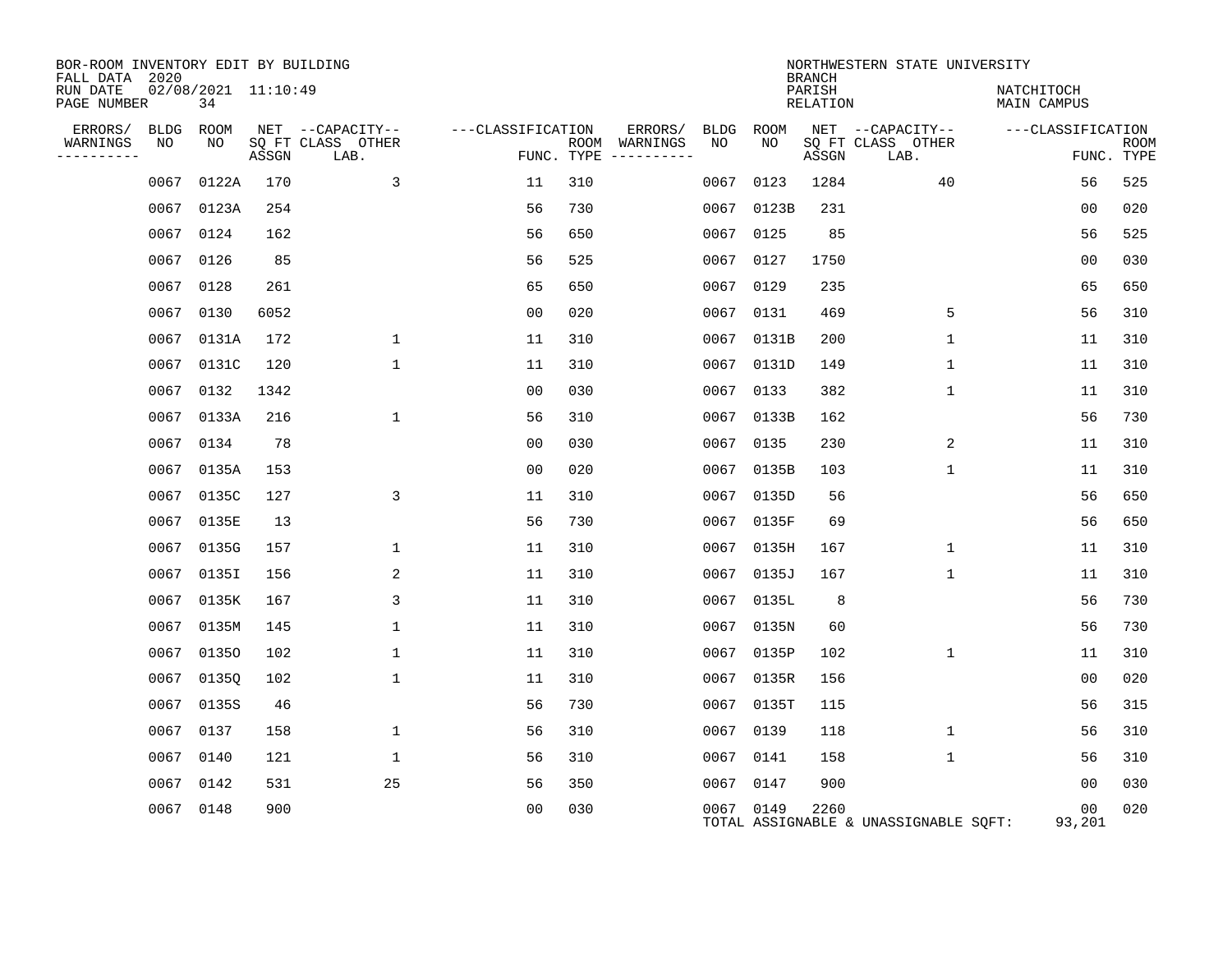| BOR-ROOM INVENTORY EDIT BY BUILDING<br>FALL DATA 2020 |                           |       |                           |                   |            |                              |      |            | <b>BRANCH</b>             | NORTHWESTERN STATE UNIVERSITY         |                           |                           |
|-------------------------------------------------------|---------------------------|-------|---------------------------|-------------------|------------|------------------------------|------|------------|---------------------------|---------------------------------------|---------------------------|---------------------------|
| RUN DATE<br>PAGE NUMBER                               | 02/08/2021 11:10:49<br>34 |       |                           |                   |            |                              |      |            | PARISH<br><b>RELATION</b> |                                       | NATCHITOCH<br>MAIN CAMPUS |                           |
| ERRORS/<br>BLDG                                       | ROOM                      |       | NET --CAPACITY--          | ---CLASSIFICATION |            | ERRORS/                      | BLDG | ROOM       |                           | NET --CAPACITY--                      | ---CLASSIFICATION         |                           |
| WARNINGS<br>NO<br>--------                            | NO                        | ASSGN | SQ FT CLASS OTHER<br>LAB. |                   | FUNC. TYPE | ROOM WARNINGS<br>----------- | NO   | NO         | ASSGN                     | SQ FT CLASS OTHER<br>LAB.             |                           | <b>ROOM</b><br>FUNC. TYPE |
| 0067                                                  | 0122A                     | 170   | 3                         | 11                | 310        |                              | 0067 | 0123       | 1284                      | 40                                    | 56                        | 525                       |
|                                                       | 0067 0123A                | 254   |                           | 56                | 730        |                              | 0067 | 0123B      | 231                       |                                       | 00                        | 020                       |
|                                                       | 0067 0124                 | 162   |                           | 56                | 650        |                              | 0067 | 0125       | 85                        |                                       | 56                        | 525                       |
|                                                       | 0067 0126                 | 85    |                           | 56                | 525        |                              | 0067 | 0127       | 1750                      |                                       | 0 <sub>0</sub>            | 030                       |
|                                                       | 0067 0128                 | 261   |                           | 65                | 650        |                              |      | 0067 0129  | 235                       |                                       | 65                        | 650                       |
|                                                       | 0067 0130                 | 6052  |                           | 00                | 020        |                              | 0067 | 0131       | 469                       | 5                                     | 56                        | 310                       |
|                                                       | 0067 0131A                | 172   | $\mathbf{1}$              | 11                | 310        |                              |      | 0067 0131B | 200                       | 1                                     | 11                        | 310                       |
|                                                       | 0067 0131C                | 120   | $\mathbf 1$               | 11                | 310        |                              | 0067 | 0131D      | 149                       | $\mathbf{1}$                          | 11                        | 310                       |
|                                                       | 0067 0132                 | 1342  |                           | 0 <sub>0</sub>    | 030        |                              | 0067 | 0133       | 382                       | $\mathbf{1}$                          | 11                        | 310                       |
|                                                       | 0067 0133A                | 216   | 1                         | 56                | 310        |                              | 0067 | 0133B      | 162                       |                                       | 56                        | 730                       |
|                                                       | 0067 0134                 | 78    |                           | 0 <sub>0</sub>    | 030        |                              | 0067 | 0135       | 230                       | 2                                     | 11                        | 310                       |
| 0067                                                  | 0135A                     | 153   |                           | 0 <sub>0</sub>    | 020        |                              | 0067 | 0135B      | 103                       | $\mathbf{1}$                          | 11                        | 310                       |
|                                                       | 0067 0135C                | 127   | 3                         | 11                | 310        |                              | 0067 | 0135D      | 56                        |                                       | 56                        | 650                       |
| 0067                                                  | 0135E                     | 13    |                           | 56                | 730        |                              | 0067 | 0135F      | 69                        |                                       | 56                        | 650                       |
|                                                       | 0067 0135G                | 157   | 1                         | 11                | 310        |                              | 0067 | 0135H      | 167                       | $\mathbf{1}$                          | 11                        | 310                       |
|                                                       | 0067 0135I                | 156   | 2                         | 11                | 310        |                              | 0067 | 0135J      | 167                       | $\mathbf 1$                           | 11                        | 310                       |
|                                                       | 0067 0135K                | 167   | 3                         | 11                | 310        |                              | 0067 | 0135L      | 8                         |                                       | 56                        | 730                       |
|                                                       | 0067 0135M                | 145   | $\mathbf{1}$              | 11                | 310        |                              |      | 0067 0135N | 60                        |                                       | 56                        | 730                       |
|                                                       | 0067 01350                | 102   | $\mathbf{1}$              | 11                | 310        |                              | 0067 | 0135P      | 102                       | $\mathbf{1}$                          | 11                        | 310                       |
|                                                       | 0067 0135Q                | 102   | $\mathbf{1}$              | 11                | 310        |                              |      | 0067 0135R | 156                       |                                       | 0 <sub>0</sub>            | 020                       |
|                                                       | 0067 0135S                | 46    |                           | 56                | 730        |                              | 0067 | 0135T      | 115                       |                                       | 56                        | 315                       |
|                                                       | 0067 0137                 | 158   | 1                         | 56                | 310        |                              |      | 0067 0139  | 118                       | $\mathbf{1}$                          | 56                        | 310                       |
| 0067                                                  | 0140                      | 121   | $\mathbf 1$               | 56                | 310        |                              | 0067 | 0141       | 158                       | $\mathbf 1$                           | 56                        | 310                       |
|                                                       | 0067 0142                 | 531   | 25                        | 56                | 350        |                              |      | 0067 0147  | 900                       |                                       | 0 <sub>0</sub>            | 030                       |
|                                                       | 0067 0148                 | 900   |                           | 00                | 030        |                              |      | 0067 0149  | 2260                      | TOTAL ASSIGNABLE & UNASSIGNABLE SQFT: | 00<br>93,201              | 020                       |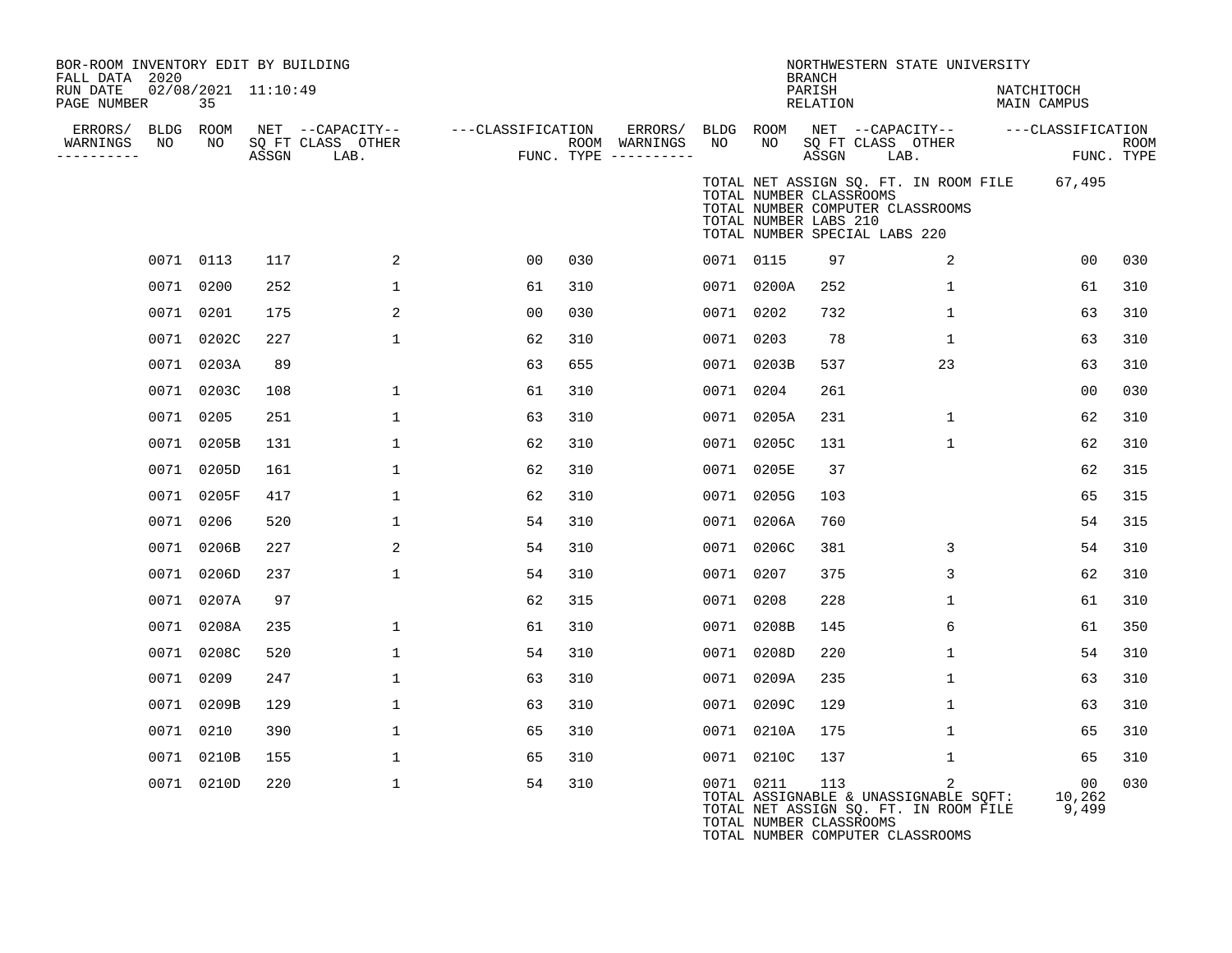| BOR-ROOM INVENTORY EDIT BY BUILDING<br>FALL DATA 2020 |           |                           |       |                                               |                   |     |                                                 |           |                                                                                   | <b>BRANCH</b>      | NORTHWESTERN STATE UNIVERSITY                                                       |                           |                       |      |
|-------------------------------------------------------|-----------|---------------------------|-------|-----------------------------------------------|-------------------|-----|-------------------------------------------------|-----------|-----------------------------------------------------------------------------------|--------------------|-------------------------------------------------------------------------------------|---------------------------|-----------------------|------|
| RUN DATE<br>PAGE NUMBER                               |           | 02/08/2021 11:10:49<br>35 |       |                                               |                   |     |                                                 |           |                                                                                   | PARISH<br>RELATION |                                                                                     | NATCHITOCH<br>MAIN CAMPUS |                       |      |
| ERRORS/ BLDG ROOM<br>WARNINGS<br>---------            | NO        | NO                        | ASSGN | NET --CAPACITY--<br>SQ FT CLASS OTHER<br>LAB. | ---CLASSIFICATION |     | ERRORS/<br>ROOM WARNINGS<br>FUNC. TYPE $------$ | NO        | BLDG ROOM<br>NO                                                                   | ASSGN LAB.         | NET --CAPACITY--<br>SQ FT CLASS OTHER                                               | ---CLASSIFICATION         | FUNC. TYPE            | ROOM |
|                                                       |           |                           |       |                                               |                   |     |                                                 |           | TOTAL NUMBER CLASSROOMS<br>TOTAL NUMBER LABS 210<br>TOTAL NUMBER SPECIAL LABS 220 |                    | TOTAL NET ASSIGN SQ. FT. IN ROOM FILE 67,495<br>TOTAL NUMBER COMPUTER CLASSROOMS    |                           |                       |      |
|                                                       | 0071 0113 |                           | 117   | 2                                             | 00                | 030 |                                                 | 0071 0115 |                                                                                   | 97                 | 2                                                                                   |                           | 00                    | 030  |
|                                                       | 0071 0200 |                           | 252   | $\mathbf 1$                                   | 61                | 310 |                                                 |           | 0071 0200A                                                                        | 252                | $\mathbf{1}$                                                                        |                           | 61                    | 310  |
|                                                       | 0071 0201 |                           | 175   | 2                                             | 00                | 030 |                                                 | 0071 0202 |                                                                                   | 732                | $\mathbf{1}$                                                                        |                           | 63                    | 310  |
|                                                       |           | 0071 0202C                | 227   | $\mathbf{1}$                                  | 62                | 310 |                                                 | 0071 0203 |                                                                                   | 78                 | $\mathbf{1}$                                                                        |                           | 63                    | 310  |
|                                                       |           | 0071 0203A                | 89    |                                               | 63                | 655 |                                                 |           | 0071 0203B                                                                        | 537                | 23                                                                                  |                           | 63                    | 310  |
|                                                       |           | 0071 0203C                | 108   | $\mathbf{1}$                                  | 61                | 310 |                                                 | 0071 0204 |                                                                                   | 261                |                                                                                     |                           | 0 <sub>0</sub>        | 030  |
|                                                       | 0071 0205 |                           | 251   | $\mathbf{1}$                                  | 63                | 310 |                                                 |           | 0071 0205A                                                                        | 231                | $\mathbf{1}$                                                                        |                           | 62                    | 310  |
|                                                       |           | 0071 0205B                | 131   | $\mathbf 1$                                   | 62                | 310 |                                                 |           | 0071 0205C                                                                        | 131                | $\mathbf{1}$                                                                        |                           | 62                    | 310  |
|                                                       |           | 0071 0205D                | 161   | $\mathbf{1}$                                  | 62                | 310 |                                                 |           | 0071 0205E                                                                        | 37                 |                                                                                     |                           | 62                    | 315  |
|                                                       |           | 0071 0205F                | 417   | 1                                             | 62                | 310 |                                                 |           | 0071 0205G                                                                        | 103                |                                                                                     |                           | 65                    | 315  |
|                                                       | 0071 0206 |                           | 520   | $\mathbf 1$                                   | 54                | 310 |                                                 |           | 0071 0206A                                                                        | 760                |                                                                                     |                           | 54                    | 315  |
|                                                       |           | 0071 0206B                | 227   | 2                                             | 54                | 310 |                                                 |           | 0071 0206C                                                                        | 381                | 3                                                                                   |                           | 54                    | 310  |
|                                                       |           | 0071 0206D                | 237   | $\mathbf 1$                                   | 54                | 310 |                                                 | 0071 0207 |                                                                                   | 375                | 3                                                                                   |                           | 62                    | 310  |
|                                                       |           | 0071 0207A                | 97    |                                               | 62                | 315 |                                                 | 0071 0208 |                                                                                   | 228                | $\mathbf{1}$                                                                        |                           | 61                    | 310  |
|                                                       |           | 0071 0208A                | 235   | $\mathbf 1$                                   | 61                | 310 |                                                 |           | 0071 0208B                                                                        | 145                | 6                                                                                   |                           | 61                    | 350  |
|                                                       |           | 0071 0208C                | 520   | $\mathbf 1$                                   | 54                | 310 |                                                 |           | 0071 0208D                                                                        | 220                | $\mathbf 1$                                                                         |                           | 54                    | 310  |
|                                                       | 0071 0209 |                           | 247   | $\mathbf{1}$                                  | 63                | 310 |                                                 |           | 0071 0209A                                                                        | 235                | $\mathbf{1}$                                                                        |                           | 63                    | 310  |
|                                                       |           | 0071 0209B                | 129   | $\mathbf{1}$                                  | 63                | 310 |                                                 |           | 0071 0209C                                                                        | 129                | $\mathbf{1}$                                                                        |                           | 63                    | 310  |
|                                                       | 0071 0210 |                           | 390   | $\mathbf{1}$                                  | 65                | 310 |                                                 |           | 0071 0210A                                                                        | 175                | 1                                                                                   |                           | 65                    | 310  |
|                                                       |           | 0071 0210B                | 155   | $\mathbf 1$                                   | 65                | 310 |                                                 |           | 0071 0210C                                                                        | 137                | $\mathbf 1$                                                                         |                           | 65                    | 310  |
|                                                       |           | 0071 0210D                | 220   | $\mathbf 1$                                   | 54                | 310 |                                                 | 0071 0211 | TOTAL NUMBER CLASSROOMS                                                           | 113                | 2<br>TOTAL ASSIGNABLE & UNASSIGNABLE SOFT:<br>TOTAL NET ASSIGN SQ. FT. IN ROOM FILE |                           | 00<br>10,262<br>9,499 | 030  |

TOTAL NUMBER COMPUTER CLASSROOMS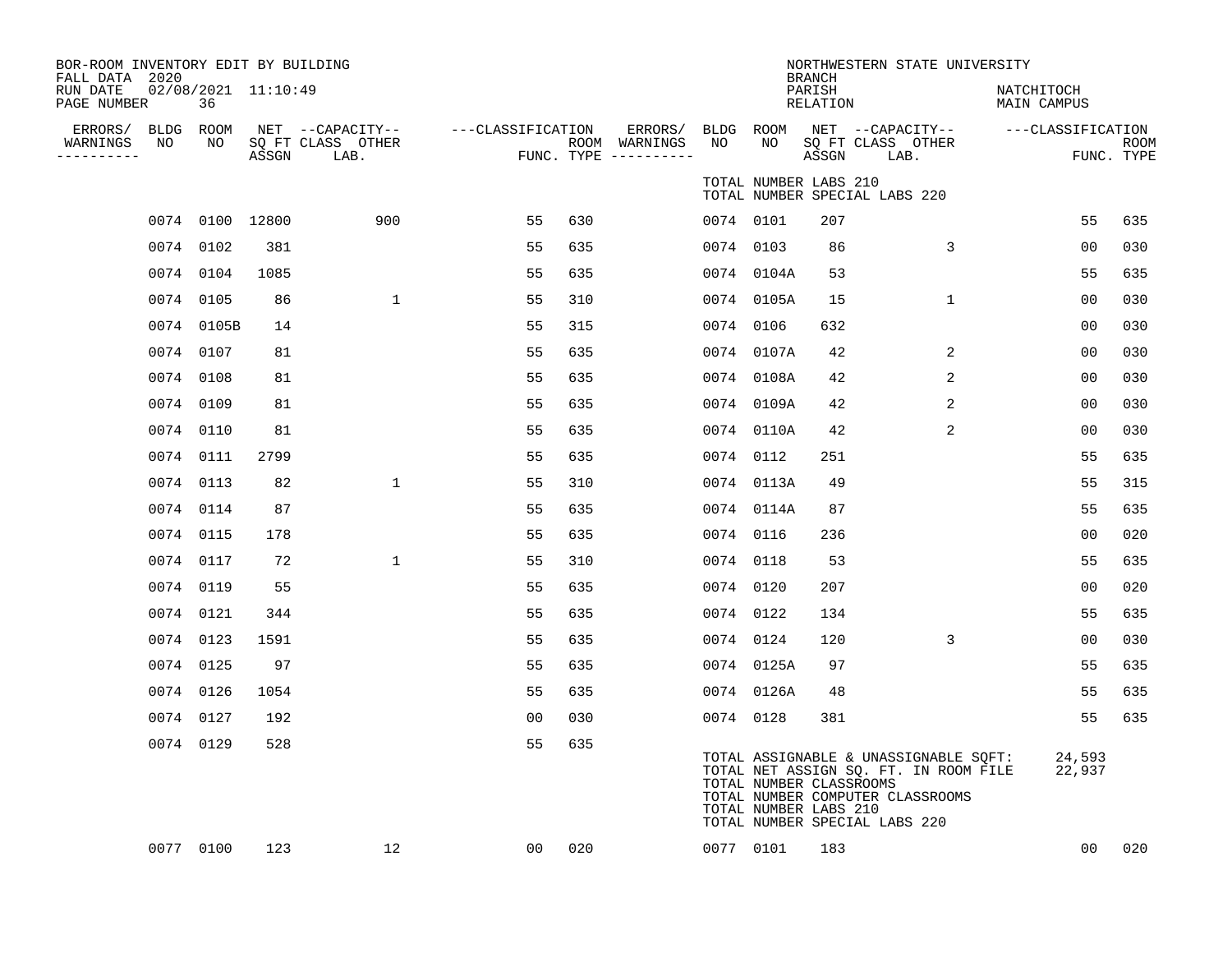| BOR-ROOM INVENTORY EDIT BY BUILDING<br>FALL DATA 2020 |                           |       |                                               |                   |     |                                      |           |                                                  | <b>BRANCH</b>      | NORTHWESTERN STATE UNIVERSITY                                                                                                                       |                           |                           |
|-------------------------------------------------------|---------------------------|-------|-----------------------------------------------|-------------------|-----|--------------------------------------|-----------|--------------------------------------------------|--------------------|-----------------------------------------------------------------------------------------------------------------------------------------------------|---------------------------|---------------------------|
| RUN DATE<br>PAGE NUMBER                               | 02/08/2021 11:10:49<br>36 |       |                                               |                   |     |                                      |           |                                                  | PARISH<br>RELATION |                                                                                                                                                     | NATCHITOCH<br>MAIN CAMPUS |                           |
| ERRORS/<br>NO<br>WARNINGS<br>----------               | BLDG ROOM<br>NO           | ASSGN | NET --CAPACITY--<br>SQ FT CLASS OTHER<br>LAB. | ---CLASSIFICATION |     | ROOM WARNINGS<br>FUNC. TYPE $------$ | NO        | NO                                               | ASSGN              | ERRORS/ BLDG ROOM NET --CAPACITY--<br>SQ FT CLASS OTHER<br>LAB.                                                                                     | ---CLASSIFICATION         | <b>ROOM</b><br>FUNC. TYPE |
|                                                       |                           |       |                                               |                   |     |                                      |           | TOTAL NUMBER LABS 210                            |                    | TOTAL NUMBER SPECIAL LABS 220                                                                                                                       |                           |                           |
|                                                       | 0074 0100 12800           |       | 900                                           | 55                | 630 |                                      | 0074 0101 |                                                  | 207                |                                                                                                                                                     | 55                        | 635                       |
|                                                       | 0074 0102                 | 381   |                                               | 55                | 635 |                                      | 0074 0103 |                                                  | 86                 | 3                                                                                                                                                   | 00                        | 030                       |
|                                                       | 0074 0104                 | 1085  |                                               | 55                | 635 |                                      |           | 0074 0104A                                       | 53                 |                                                                                                                                                     | 55                        | 635                       |
|                                                       | 0074 0105                 | 86    | 1                                             | 55                | 310 |                                      |           | 0074 0105A                                       | 15                 | $\mathbf{1}$                                                                                                                                        | 0 <sub>0</sub>            | 030                       |
|                                                       | 0074 0105B                | 14    |                                               | 55                | 315 |                                      | 0074 0106 |                                                  | 632                |                                                                                                                                                     | 0 <sub>0</sub>            | 030                       |
|                                                       | 0074 0107                 | 81    |                                               | 55                | 635 |                                      |           | 0074 0107A                                       | 42                 | $\overline{c}$                                                                                                                                      | 00                        | 030                       |
|                                                       | 0074 0108                 | 81    |                                               | 55                | 635 |                                      |           | 0074 0108A                                       | 42                 | 2                                                                                                                                                   | 0 <sub>0</sub>            | 030                       |
|                                                       | 0074 0109                 | 81    |                                               | 55                | 635 |                                      |           | 0074 0109A                                       | 42                 | 2                                                                                                                                                   | 00                        | 030                       |
|                                                       | 0074 0110                 | 81    |                                               | 55                | 635 |                                      |           | 0074 0110A                                       | 42                 | 2                                                                                                                                                   | 00                        | 030                       |
|                                                       | 0074 0111                 | 2799  |                                               | 55                | 635 |                                      |           | 0074 0112                                        | 251                |                                                                                                                                                     | 55                        | 635                       |
|                                                       | 0074 0113                 | 82    | $\mathbf{1}$                                  | 55                | 310 |                                      |           | 0074 0113A                                       | 49                 |                                                                                                                                                     | 55                        | 315                       |
|                                                       | 0074 0114                 | 87    |                                               | 55                | 635 |                                      |           | 0074 0114A                                       | 87                 |                                                                                                                                                     | 55                        | 635                       |
|                                                       | 0074 0115                 | 178   |                                               | 55                | 635 |                                      |           | 0074 0116                                        | 236                |                                                                                                                                                     | 0 <sub>0</sub>            | 020                       |
|                                                       | 0074 0117                 | 72    | 1                                             | 55                | 310 |                                      | 0074 0118 |                                                  | 53                 |                                                                                                                                                     | 55                        | 635                       |
|                                                       | 0074 0119                 | 55    |                                               | 55                | 635 |                                      |           | 0074 0120                                        | 207                |                                                                                                                                                     | 0 <sub>0</sub>            | 020                       |
|                                                       | 0074 0121                 | 344   |                                               | 55                | 635 |                                      | 0074 0122 |                                                  | 134                |                                                                                                                                                     | 55                        | 635                       |
|                                                       | 0074 0123                 | 1591  |                                               | 55                | 635 |                                      |           | 0074 0124                                        | 120                | 3                                                                                                                                                   | 0 <sub>0</sub>            | 030                       |
|                                                       | 0074 0125                 | 97    |                                               | 55                | 635 |                                      |           | 0074 0125A                                       | 97                 |                                                                                                                                                     | 55                        | 635                       |
|                                                       | 0074 0126                 | 1054  |                                               | 55                | 635 |                                      |           | 0074 0126A                                       | 48                 |                                                                                                                                                     | 55                        | 635                       |
|                                                       | 0074 0127                 | 192   |                                               | 0 <sub>0</sub>    | 030 |                                      |           | 0074 0128                                        | 381                |                                                                                                                                                     | 55                        | 635                       |
|                                                       | 0074 0129                 | 528   |                                               | 55                | 635 |                                      |           | TOTAL NUMBER CLASSROOMS<br>TOTAL NUMBER LABS 210 |                    | TOTAL ASSIGNABLE & UNASSIGNABLE SQFT:<br>TOTAL NET ASSIGN SQ. FT. IN ROOM FILE<br>TOTAL NUMBER COMPUTER CLASSROOMS<br>TOTAL NUMBER SPECIAL LABS 220 | 24,593<br>22,937          |                           |
|                                                       | 0077 0100                 | 123   | 12                                            | 00                | 020 |                                      |           | 0077 0101                                        | 183                |                                                                                                                                                     | 00                        | 020                       |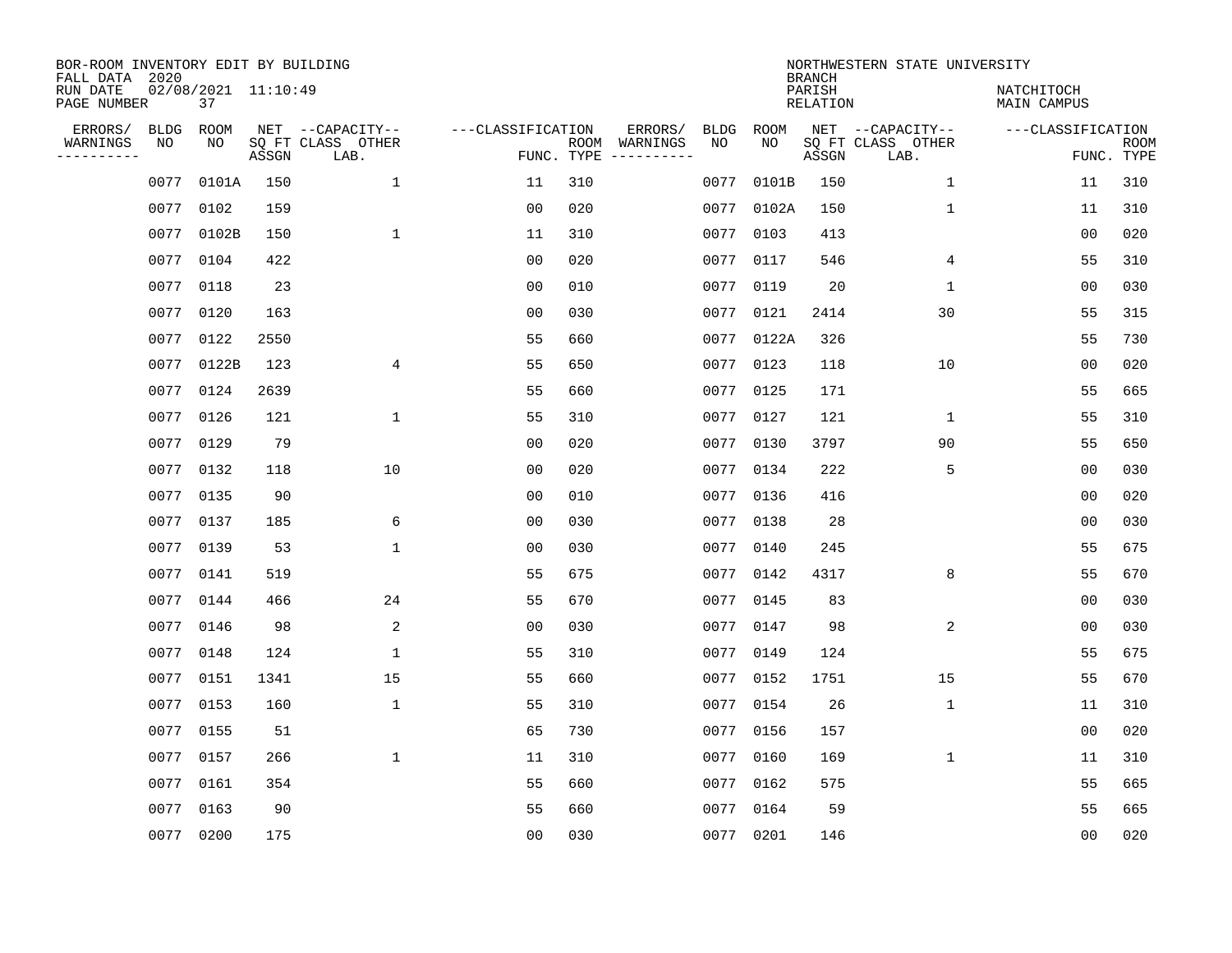| BOR-ROOM INVENTORY EDIT BY BUILDING<br>FALL DATA 2020 |                           |       |                                       |                   |            |                          |            |             | <b>BRANCH</b>      | NORTHWESTERN STATE UNIVERSITY         |                           |             |
|-------------------------------------------------------|---------------------------|-------|---------------------------------------|-------------------|------------|--------------------------|------------|-------------|--------------------|---------------------------------------|---------------------------|-------------|
| RUN DATE<br>PAGE NUMBER                               | 02/08/2021 11:10:49<br>37 |       |                                       |                   |            |                          |            |             | PARISH<br>RELATION |                                       | NATCHITOCH<br>MAIN CAMPUS |             |
| ERRORS/<br><b>BLDG</b><br>WARNINGS<br>NO              | ROOM<br>NO                |       | NET --CAPACITY--<br>SQ FT CLASS OTHER | ---CLASSIFICATION |            | ERRORS/<br>ROOM WARNINGS | BLDG<br>NO | ROOM<br>NO. |                    | NET --CAPACITY--<br>SQ FT CLASS OTHER | ---CLASSIFICATION         | <b>ROOM</b> |
| ----------                                            |                           | ASSGN | LAB.                                  |                   | FUNC. TYPE | -----------              |            |             | ASSGN              | LAB.                                  |                           | FUNC. TYPE  |
| 0077                                                  | 0101A                     | 150   | $\mathbf{1}$                          | 11                | 310        |                          | 0077       | 0101B       | 150                | $\mathbf{1}$                          | 11                        | 310         |
| 0077                                                  | 0102                      | 159   |                                       | 0 <sub>0</sub>    | 020        |                          |            | 0077 0102A  | 150                | $\mathbf 1$                           | 11                        | 310         |
| 0077                                                  | 0102B                     | 150   | $\mathbf{1}$                          | 11                | 310        |                          | 0077       | 0103        | 413                |                                       | 00                        | 020         |
| 0077                                                  | 0104                      | 422   |                                       | 0 <sub>0</sub>    | 020        |                          |            | 0077 0117   | 546                | 4                                     | 55                        | 310         |
| 0077                                                  | 0118                      | 23    |                                       | 0 <sub>0</sub>    | 010        |                          |            | 0077 0119   | 20                 | $\mathbf{1}$                          | 0 <sub>0</sub>            | 030         |
| 0077                                                  | 0120                      | 163   |                                       | 0 <sub>0</sub>    | 030        |                          |            | 0077 0121   | 2414               | 30                                    | 55                        | 315         |
| 0077                                                  | 0122                      | 2550  |                                       | 55                | 660        |                          |            | 0077 0122A  | 326                |                                       | 55                        | 730         |
| 0077                                                  | 0122B                     | 123   | 4                                     | 55                | 650        |                          |            | 0077 0123   | 118                | 10                                    | 00                        | 020         |
| 0077                                                  | 0124                      | 2639  |                                       | 55                | 660        |                          |            | 0077 0125   | 171                |                                       | 55                        | 665         |
| 0077                                                  | 0126                      | 121   | 1                                     | 55                | 310        |                          |            | 0077 0127   | 121                | 1                                     | 55                        | 310         |
| 0077                                                  | 0129                      | 79    |                                       | 0 <sub>0</sub>    | 020        |                          |            | 0077 0130   | 3797               | 90                                    | 55                        | 650         |
| 0077                                                  | 0132                      | 118   | 10                                    | 0 <sub>0</sub>    | 020        |                          |            | 0077 0134   | 222                | 5                                     | 0 <sub>0</sub>            | 030         |
| 0077                                                  | 0135                      | 90    |                                       | 0 <sub>0</sub>    | 010        |                          |            | 0077 0136   | 416                |                                       | 0 <sub>0</sub>            | 020         |
| 0077                                                  | 0137                      | 185   | 6                                     | 0 <sub>0</sub>    | 030        |                          |            | 0077 0138   | 28                 |                                       | 00                        | 030         |
| 0077                                                  | 0139                      | 53    | 1                                     | 0 <sub>0</sub>    | 030        |                          | 0077       | 0140        | 245                |                                       | 55                        | 675         |
| 0077                                                  | 0141                      | 519   |                                       | 55                | 675        |                          |            | 0077 0142   | 4317               | 8                                     | 55                        | 670         |
| 0077                                                  | 0144                      | 466   | 24                                    | 55                | 670        |                          | 0077       | 0145        | 83                 |                                       | 0 <sub>0</sub>            | 030         |
| 0077                                                  | 0146                      | 98    | 2                                     | 0 <sub>0</sub>    | 030        |                          | 0077       | 0147        | 98                 | 2                                     | 00                        | 030         |
| 0077                                                  | 0148                      | 124   | $\mathbf{1}$                          | 55                | 310        |                          |            | 0077 0149   | 124                |                                       | 55                        | 675         |
| 0077                                                  | 0151                      | 1341  | 15                                    | 55                | 660        |                          |            | 0077 0152   | 1751               | 15                                    | 55                        | 670         |
| 0077                                                  | 0153                      | 160   | $\mathbf{1}$                          | 55                | 310        |                          |            | 0077 0154   | 26                 | 1                                     | 11                        | 310         |
| 0077                                                  | 0155                      | 51    |                                       | 65                | 730        |                          |            | 0077 0156   | 157                |                                       | 0 <sub>0</sub>            | 020         |
| 0077                                                  | 0157                      | 266   | $\mathbf{1}$                          | 11                | 310        |                          |            | 0077 0160   | 169                | 1                                     | 11                        | 310         |
| 0077                                                  | 0161                      | 354   |                                       | 55                | 660        |                          |            | 0077 0162   | 575                |                                       | 55                        | 665         |
| 0077                                                  | 0163                      | 90    |                                       | 55                | 660        |                          |            | 0077 0164   | 59                 |                                       | 55                        | 665         |
|                                                       | 0077 0200                 | 175   |                                       | 0 <sub>0</sub>    | 030        |                          |            | 0077 0201   | 146                |                                       | 00                        | 020         |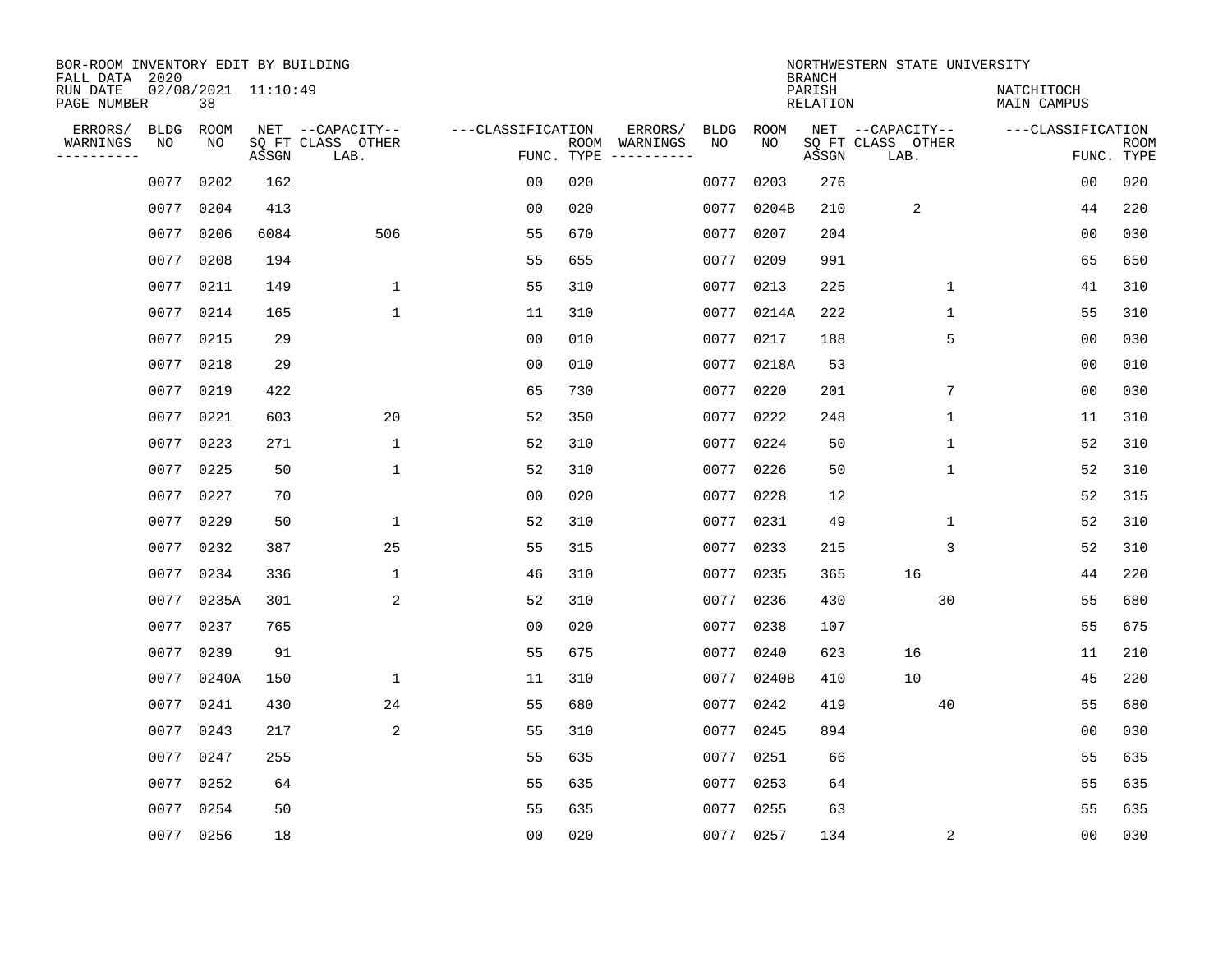| BOR-ROOM INVENTORY EDIT BY BUILDING<br>FALL DATA 2020 |             |           |                     |                           |                   |                    |                         |      |             | <b>BRANCH</b>             | NORTHWESTERN STATE UNIVERSITY |                                  |                           |
|-------------------------------------------------------|-------------|-----------|---------------------|---------------------------|-------------------|--------------------|-------------------------|------|-------------|---------------------------|-------------------------------|----------------------------------|---------------------------|
| RUN DATE<br>PAGE NUMBER                               |             | 38        | 02/08/2021 11:10:49 |                           |                   |                    |                         |      |             | PARISH<br><b>RELATION</b> |                               | NATCHITOCH<br><b>MAIN CAMPUS</b> |                           |
| ERRORS/                                               | <b>BLDG</b> | ROOM      |                     | NET --CAPACITY--          | ---CLASSIFICATION |                    | ERRORS/                 | BLDG | <b>ROOM</b> |                           | NET --CAPACITY--              | ---CLASSIFICATION                |                           |
| WARNINGS<br>-----------                               | NO          | NO        | ASSGN               | SQ FT CLASS OTHER<br>LAB. |                   | ROOM<br>FUNC. TYPE | WARNINGS<br>----------- | NO   | NO          | ASSGN                     | SQ FT CLASS OTHER<br>LAB.     |                                  | <b>ROOM</b><br>FUNC. TYPE |
|                                                       | 0077        | 0202      | 162                 |                           | 0 <sub>0</sub>    | 020                |                         | 0077 | 0203        | 276                       |                               | 00                               | 020                       |
|                                                       | 0077        | 0204      | 413                 |                           | 00                | 020                |                         | 0077 | 0204B       | 210                       | 2                             | 44                               | 220                       |
|                                                       | 0077        | 0206      | 6084                | 506                       | 55                | 670                |                         | 0077 | 0207        | 204                       |                               | 00                               | 030                       |
|                                                       | 0077        | 0208      | 194                 |                           | 55                | 655                |                         | 0077 | 0209        | 991                       |                               | 65                               | 650                       |
|                                                       | 0077        | 0211      | 149                 | $\mathbf{1}$              | 55                | 310                |                         | 0077 | 0213        | 225                       | $\mathbf 1$                   | 41                               | 310                       |
|                                                       | 0077        | 0214      | 165                 | $\mathbf{1}$              | 11                | 310                |                         |      | 0077 0214A  | 222                       | 1                             | 55                               | 310                       |
|                                                       | 0077        | 0215      | 29                  |                           | 0 <sub>0</sub>    | 010                |                         | 0077 | 0217        | 188                       | 5                             | 0 <sub>0</sub>                   | 030                       |
|                                                       | 0077        | 0218      | 29                  |                           | 0 <sub>0</sub>    | 010                |                         | 0077 | 0218A       | 53                        |                               | 00                               | 010                       |
|                                                       | 0077        | 0219      | 422                 |                           | 65                | 730                |                         | 0077 | 0220        | 201                       | 7                             | 0 <sub>0</sub>                   | 030                       |
|                                                       |             | 0077 0221 | 603                 | 20                        | 52                | 350                |                         | 0077 | 0222        | 248                       | $\mathbf 1$                   | 11                               | 310                       |
|                                                       | 0077        | 0223      | 271                 | $\mathbf{1}$              | 52                | 310                |                         | 0077 | 0224        | 50                        | $\mathbf 1$                   | 52                               | 310                       |
|                                                       |             | 0077 0225 | 50                  | $\mathbf{1}$              | 52                | 310                |                         | 0077 | 0226        | 50                        | $\mathbf{1}$                  | 52                               | 310                       |
|                                                       | 0077        | 0227      | 70                  |                           | 0 <sub>0</sub>    | 020                |                         | 0077 | 0228        | 12                        |                               | 52                               | 315                       |
|                                                       | 0077        | 0229      | 50                  | 1                         | 52                | 310                |                         | 0077 | 0231        | 49                        | 1                             | 52                               | 310                       |
|                                                       | 0077        | 0232      | 387                 | 25                        | 55                | 315                |                         | 0077 | 0233        | 215                       | 3                             | 52                               | 310                       |
|                                                       | 0077        | 0234      | 336                 | 1                         | 46                | 310                |                         | 0077 | 0235        | 365                       | 16                            | 44                               | 220                       |
|                                                       | 0077        | 0235A     | 301                 | 2                         | 52                | 310                |                         | 0077 | 0236        | 430                       | 30                            | 55                               | 680                       |
|                                                       | 0077        | 0237      | 765                 |                           | 0 <sub>0</sub>    | 020                |                         | 0077 | 0238        | 107                       |                               | 55                               | 675                       |
|                                                       | 0077        | 0239      | 91                  |                           | 55                | 675                |                         | 0077 | 0240        | 623                       | 16                            | 11                               | 210                       |
|                                                       | 0077        | 0240A     | 150                 | $\mathbf 1$               | 11                | 310                |                         | 0077 | 0240B       | 410                       | 10                            | 45                               | 220                       |
|                                                       | 0077        | 0241      | 430                 | 24                        | 55                | 680                |                         | 0077 | 0242        | 419                       | 40                            | 55                               | 680                       |
|                                                       | 0077        | 0243      | 217                 | 2                         | 55                | 310                |                         | 0077 | 0245        | 894                       |                               | 0 <sub>0</sub>                   | 030                       |
|                                                       | 0077        | 0247      | 255                 |                           | 55                | 635                |                         | 0077 | 0251        | 66                        |                               | 55                               | 635                       |
|                                                       | 0077        | 0252      | 64                  |                           | 55                | 635                |                         | 0077 | 0253        | 64                        |                               | 55                               | 635                       |
|                                                       | 0077        | 0254      | 50                  |                           | 55                | 635                |                         | 0077 | 0255        | 63                        |                               | 55                               | 635                       |
|                                                       |             | 0077 0256 | 18                  |                           | 0 <sub>0</sub>    | 020                |                         |      | 0077 0257   | 134                       | 2                             | 0 <sub>0</sub>                   | 030                       |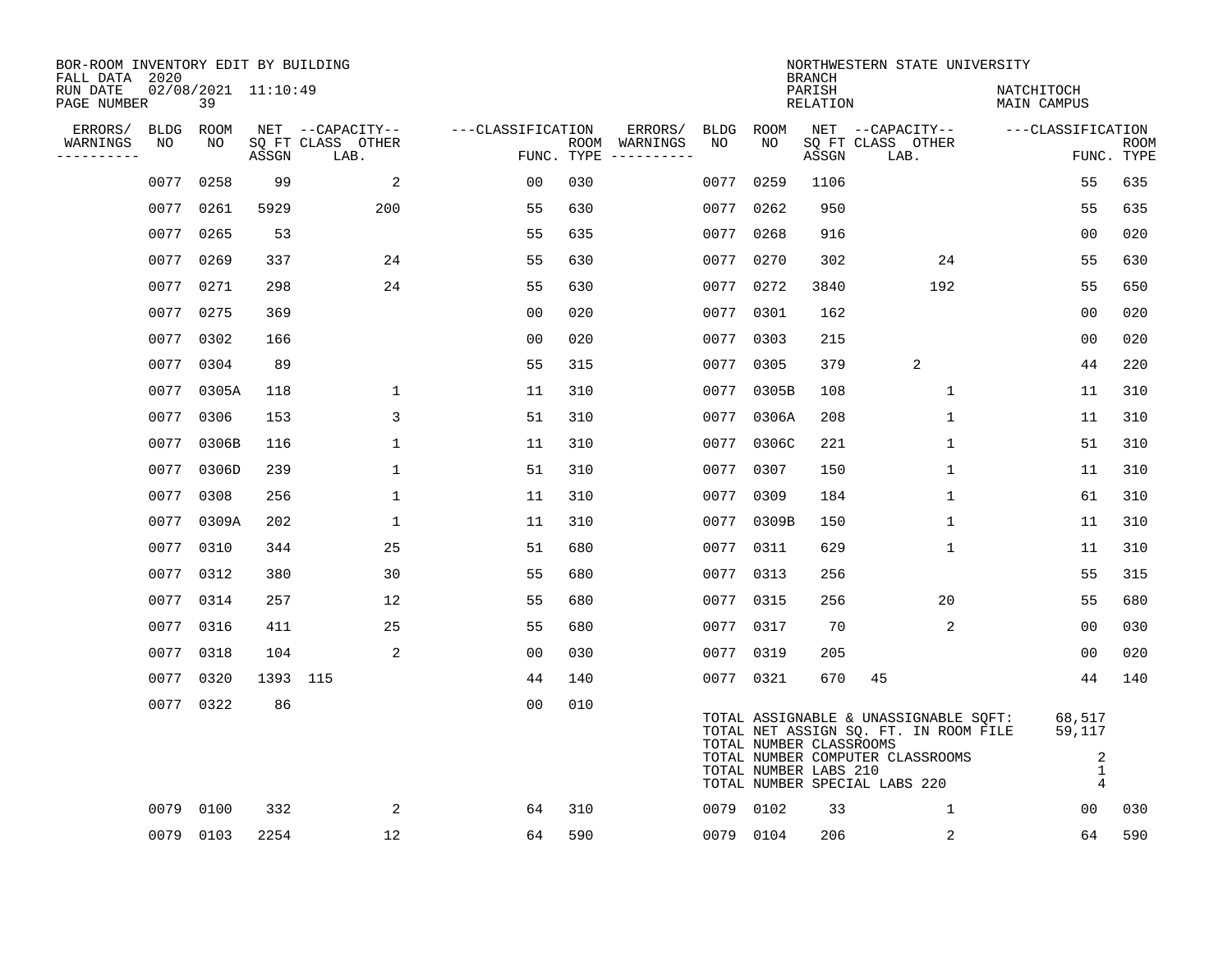| BOR-ROOM INVENTORY EDIT BY BUILDING<br>FALL DATA 2020 |                   |                           |          |                           |                   |     |                                      |                   |                                                  | <b>BRANCH</b>             | NORTHWESTERN STATE UNIVERSITY                                                                                                                       |                                              |                           |
|-------------------------------------------------------|-------------------|---------------------------|----------|---------------------------|-------------------|-----|--------------------------------------|-------------------|--------------------------------------------------|---------------------------|-----------------------------------------------------------------------------------------------------------------------------------------------------|----------------------------------------------|---------------------------|
| RUN DATE<br>PAGE NUMBER                               |                   | 02/08/2021 11:10:49<br>39 |          |                           |                   |     |                                      |                   |                                                  | PARISH<br><b>RELATION</b> |                                                                                                                                                     | NATCHITOCH<br>MAIN CAMPUS                    |                           |
| ERRORS/<br>WARNINGS                                   | <b>BLDG</b><br>NO | ROOM                      |          | NET --CAPACITY--          | ---CLASSIFICATION |     | ERRORS/                              | <b>BLDG</b><br>NO | <b>ROOM</b><br>NO                                |                           | NET --CAPACITY--                                                                                                                                    | ---CLASSIFICATION                            |                           |
| ----------                                            |                   | NO                        | ASSGN    | SQ FT CLASS OTHER<br>LAB. |                   |     | ROOM WARNINGS<br>FUNC. TYPE $------$ |                   |                                                  | ASSGN                     | SQ FT CLASS OTHER<br>LAB.                                                                                                                           |                                              | <b>ROOM</b><br>FUNC. TYPE |
|                                                       | 0077              | 0258                      | 99       | 2                         | 00                | 030 |                                      | 0077              | 0259                                             | 1106                      |                                                                                                                                                     | 55                                           | 635                       |
|                                                       | 0077              | 0261                      | 5929     | 200                       | 55                | 630 |                                      | 0077              | 0262                                             | 950                       |                                                                                                                                                     | 55                                           | 635                       |
|                                                       | 0077              | 0265                      | 53       |                           | 55                | 635 |                                      | 0077              | 0268                                             | 916                       |                                                                                                                                                     | 0 <sub>0</sub>                               | 020                       |
|                                                       | 0077              | 0269                      | 337      | 24                        | 55                | 630 |                                      | 0077              | 0270                                             | 302                       | 24                                                                                                                                                  | 55                                           | 630                       |
|                                                       | 0077              | 0271                      | 298      | 24                        | 55                | 630 |                                      | 0077              | 0272                                             | 3840                      | 192                                                                                                                                                 | 55                                           | 650                       |
|                                                       |                   | 0077 0275                 | 369      |                           | 0 <sub>0</sub>    | 020 |                                      |                   | 0077 0301                                        | 162                       |                                                                                                                                                     | 00                                           | 020                       |
|                                                       | 0077              | 0302                      | 166      |                           | 0 <sub>0</sub>    | 020 |                                      | 0077              | 0303                                             | 215                       |                                                                                                                                                     | 0 <sub>0</sub>                               | 020                       |
|                                                       |                   | 0077 0304                 | 89       |                           | 55                | 315 |                                      |                   | 0077 0305                                        | 379                       | $\overline{2}$                                                                                                                                      | 44                                           | 220                       |
|                                                       | 0077              | 0305A                     | 118      | 1                         | 11                | 310 |                                      | 0077              | 0305B                                            | 108                       | $\mathbf{1}$                                                                                                                                        | 11                                           | 310                       |
|                                                       |                   | 0077 0306                 | 153      | 3                         | 51                | 310 |                                      |                   | 0077 0306A                                       | 208                       | $\mathbf 1$                                                                                                                                         | 11                                           | 310                       |
|                                                       | 0077              | 0306B                     | 116      | $\mathbf 1$               | 11                | 310 |                                      | 0077              | 0306C                                            | 221                       | $\mathbf 1$                                                                                                                                         | 51                                           | 310                       |
|                                                       |                   | 0077 0306D                | 239      | $\mathbf{1}$              | 51                | 310 |                                      |                   | 0077 0307                                        | 150                       | $\mathbf 1$                                                                                                                                         | 11                                           | 310                       |
|                                                       | 0077              | 0308                      | 256      | $\mathbf{1}$              | 11                | 310 |                                      | 0077              | 0309                                             | 184                       | $\mathbf 1$                                                                                                                                         | 61                                           | 310                       |
|                                                       |                   | 0077 0309A                | 202      | $\mathbf{1}$              | 11                | 310 |                                      |                   | 0077 0309B                                       | 150                       | $\mathbf 1$                                                                                                                                         | 11                                           | 310                       |
|                                                       | 0077              | 0310                      | 344      | 25                        | 51                | 680 |                                      | 0077              | 0311                                             | 629                       | 1                                                                                                                                                   | 11                                           | 310                       |
|                                                       |                   | 0077 0312                 | 380      | 30                        | 55                | 680 |                                      | 0077              | 0313                                             | 256                       |                                                                                                                                                     | 55                                           | 315                       |
|                                                       | 0077              | 0314                      | 257      | 12                        | 55                | 680 |                                      | 0077              | 0315                                             | 256                       | 20                                                                                                                                                  | 55                                           | 680                       |
|                                                       |                   | 0077 0316                 | 411      | 25                        | 55                | 680 |                                      | 0077              | 0317                                             | 70                        | 2                                                                                                                                                   | 0 <sub>0</sub>                               | 030                       |
|                                                       | 0077              | 0318                      | 104      | 2                         | 0 <sub>0</sub>    | 030 |                                      | 0077              | 0319                                             | 205                       |                                                                                                                                                     | 0 <sub>0</sub>                               | 020                       |
|                                                       | 0077              | 0320                      | 1393 115 |                           | 44                | 140 |                                      |                   | 0077 0321                                        | 670                       | 45                                                                                                                                                  | 44                                           | 140                       |
|                                                       |                   | 0077 0322                 | 86       |                           | 0 <sub>0</sub>    | 010 |                                      |                   | TOTAL NUMBER CLASSROOMS<br>TOTAL NUMBER LABS 210 |                           | TOTAL ASSIGNABLE & UNASSIGNABLE SQFT:<br>TOTAL NET ASSIGN SQ. FT. IN ROOM FILE<br>TOTAL NUMBER COMPUTER CLASSROOMS<br>TOTAL NUMBER SPECIAL LABS 220 | 68,517<br>59,117<br>2<br>1<br>$\overline{4}$ |                           |
|                                                       | 0079              | 0100                      | 332      | 2                         | 64                | 310 |                                      | 0079              | 0102                                             | 33                        | 1                                                                                                                                                   | 00                                           | 030                       |
|                                                       |                   | 0079 0103                 | 2254     | 12                        | 64                | 590 |                                      |                   | 0079 0104                                        | 206                       | 2                                                                                                                                                   | 64                                           | 590                       |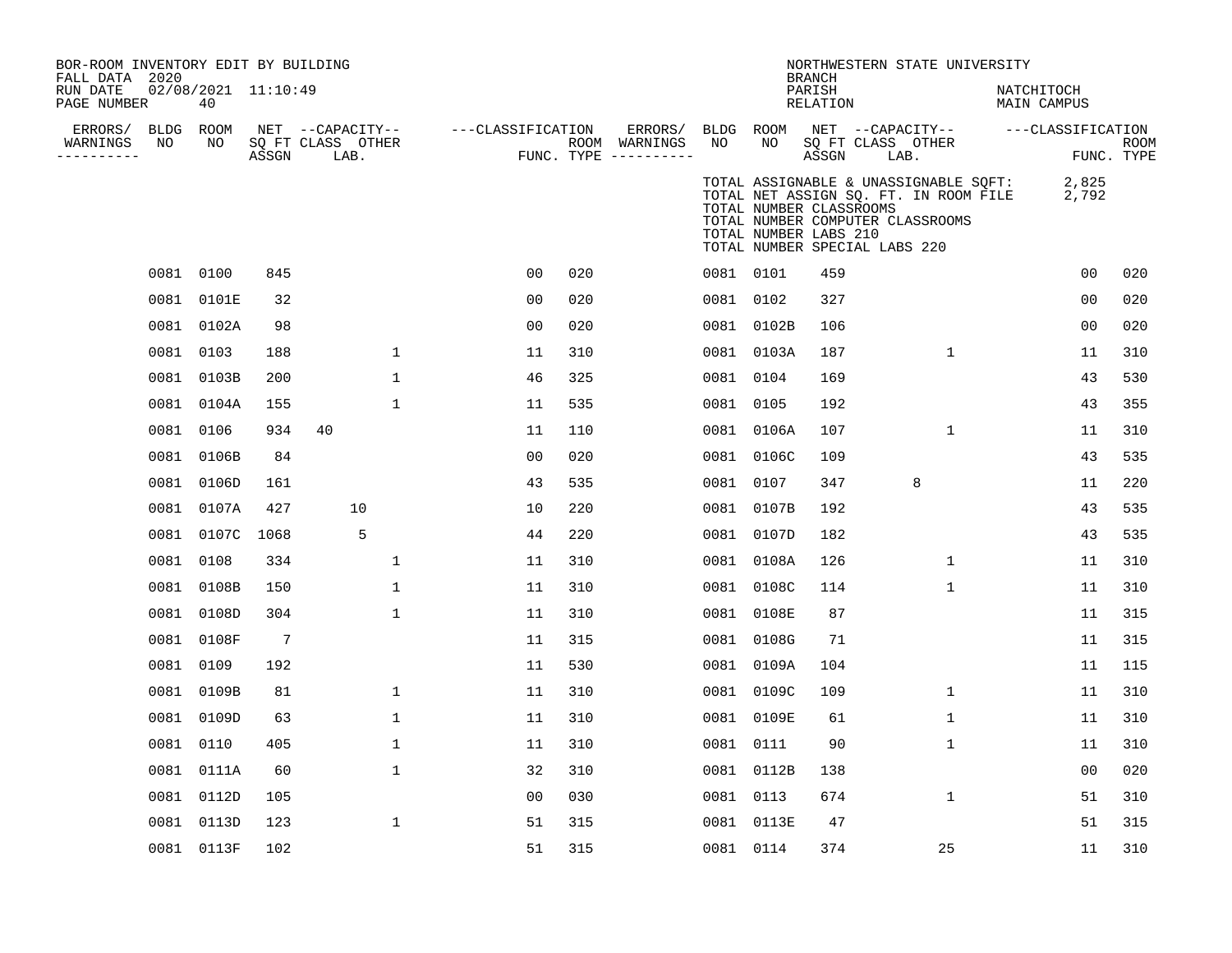| BOR-ROOM INVENTORY EDIT BY BUILDING<br>FALL DATA 2020<br>RUN DATE<br>PAGE NUMBER |            | 02/08/2021 11:10:49<br>40 |                 |                                               |                   |     |                                                 |      |                                                                                   | <b>BRANCH</b><br>PARISH<br>RELATION |      | NORTHWESTERN STATE UNIVERSITY                                                                                      | NATCHITOCH<br>MAIN CAMPUS |                |                           |
|----------------------------------------------------------------------------------|------------|---------------------------|-----------------|-----------------------------------------------|-------------------|-----|-------------------------------------------------|------|-----------------------------------------------------------------------------------|-------------------------------------|------|--------------------------------------------------------------------------------------------------------------------|---------------------------|----------------|---------------------------|
| ERRORS/<br>WARNINGS<br>----------                                                | BLDG<br>NO | ROOM<br>NO                | ASSGN           | NET --CAPACITY--<br>SQ FT CLASS OTHER<br>LAB. | ---CLASSIFICATION |     | ERRORS/<br>ROOM WARNINGS<br>FUNC. TYPE $------$ | NO   | BLDG ROOM<br>NO                                                                   | ASSGN                               | LAB. | NET --CAPACITY--<br>SQ FT CLASS OTHER                                                                              | ---CLASSIFICATION         |                | <b>ROOM</b><br>FUNC. TYPE |
|                                                                                  |            |                           |                 |                                               |                   |     |                                                 |      | TOTAL NUMBER CLASSROOMS<br>TOTAL NUMBER LABS 210<br>TOTAL NUMBER SPECIAL LABS 220 |                                     |      | TOTAL ASSIGNABLE & UNASSIGNABLE SQFT:<br>TOTAL NET ASSIGN SQ. FT. IN ROOM FILE<br>TOTAL NUMBER COMPUTER CLASSROOMS |                           | 2,825<br>2,792 |                           |
|                                                                                  |            | 0081 0100                 | 845             |                                               | 0 <sub>0</sub>    | 020 |                                                 |      | 0081 0101                                                                         | 459                                 |      |                                                                                                                    |                           | 0 <sub>0</sub> | 020                       |
|                                                                                  | 0081       | 0101E                     | 32              |                                               | 00                | 020 |                                                 | 0081 | 0102                                                                              | 327                                 |      |                                                                                                                    |                           | 0 <sub>0</sub> | 020                       |
|                                                                                  | 0081       | 0102A                     | 98              |                                               | 0 <sub>0</sub>    | 020 |                                                 |      | 0081 0102B                                                                        | 106                                 |      |                                                                                                                    |                           | 00             | 020                       |
|                                                                                  | 0081       | 0103                      | 188             | $\mathbf{1}$                                  | 11                | 310 |                                                 |      | 0081 0103A                                                                        | 187                                 |      | $\mathbf 1$                                                                                                        |                           | 11             | 310                       |
|                                                                                  | 0081       | 0103B                     | 200             | $\mathbf{1}$                                  | 46                | 325 |                                                 |      | 0081 0104                                                                         | 169                                 |      |                                                                                                                    |                           | 43             | 530                       |
|                                                                                  |            | 0081 0104A                | 155             | 1                                             | 11                | 535 |                                                 |      | 0081 0105                                                                         | 192                                 |      |                                                                                                                    |                           | 43             | 355                       |
|                                                                                  | 0081       | 0106                      | 934             | 40                                            | 11                | 110 |                                                 |      | 0081 0106A                                                                        | 107                                 |      | $\mathbf{1}$                                                                                                       |                           | 11             | 310                       |
|                                                                                  | 0081       | 0106B                     | 84              |                                               | 0 <sub>0</sub>    | 020 |                                                 |      | 0081 0106C                                                                        | 109                                 |      |                                                                                                                    |                           | 43             | 535                       |
|                                                                                  | 0081       | 0106D                     | 161             |                                               | 43                | 535 |                                                 | 0081 | 0107                                                                              | 347                                 |      | 8                                                                                                                  |                           | 11             | 220                       |
|                                                                                  | 0081       | 0107A                     | 427             | 10                                            | 10                | 220 |                                                 | 0081 | 0107B                                                                             | 192                                 |      |                                                                                                                    |                           | 43             | 535                       |
|                                                                                  | 0081       | 0107C                     | 1068            | 5                                             | 44                | 220 |                                                 | 0081 | 0107D                                                                             | 182                                 |      |                                                                                                                    |                           | 43             | 535                       |
|                                                                                  | 0081       | 0108                      | 334             | 1                                             | 11                | 310 |                                                 | 0081 | 0108A                                                                             | 126                                 |      | $\mathbf 1$                                                                                                        |                           | 11             | 310                       |
|                                                                                  | 0081       | 0108B                     | 150             | $\mathbf 1$                                   | 11                | 310 |                                                 |      | 0081 0108C                                                                        | 114                                 |      | $\mathbf 1$                                                                                                        |                           | 11             | 310                       |
|                                                                                  | 0081       | 0108D                     | 304             | $\mathbf{1}$                                  | 11                | 310 |                                                 |      | 0081 0108E                                                                        | 87                                  |      |                                                                                                                    |                           | 11             | 315                       |
|                                                                                  |            | 0081 0108F                | $7\phantom{.0}$ |                                               | 11                | 315 |                                                 |      | 0081 0108G                                                                        | 71                                  |      |                                                                                                                    |                           | 11             | 315                       |
|                                                                                  | 0081       | 0109                      | 192             |                                               | 11                | 530 |                                                 |      | 0081 0109A                                                                        | 104                                 |      |                                                                                                                    |                           | 11             | 115                       |
|                                                                                  | 0081       | 0109B                     | 81              | $\mathbf 1$                                   | 11                | 310 |                                                 |      | 0081 0109C                                                                        | 109                                 |      | $\mathbf{1}$                                                                                                       |                           | 11             | 310                       |
|                                                                                  | 0081       | 0109D                     | 63              | 1                                             | 11                | 310 |                                                 | 0081 | 0109E                                                                             | 61                                  |      | 1                                                                                                                  |                           | 11             | 310                       |
|                                                                                  | 0081       | 0110                      | 405             | $\mathbf{1}$                                  | 11                | 310 |                                                 |      | 0081 0111                                                                         | 90                                  |      | $\mathbf 1$                                                                                                        |                           | 11             | 310                       |
|                                                                                  | 0081       | 0111A                     | 60              | 1                                             | 32                | 310 |                                                 | 0081 | 0112B                                                                             | 138                                 |      |                                                                                                                    |                           | 0 <sub>0</sub> | 020                       |
|                                                                                  | 0081       | 0112D                     | 105             |                                               | 0 <sub>0</sub>    | 030 |                                                 |      | 0081 0113                                                                         | 674                                 |      | 1                                                                                                                  |                           | 51             | 310                       |
|                                                                                  | 0081       | 0113D                     | 123             | $\mathbf 1$                                   | 51                | 315 |                                                 |      | 0081 0113E                                                                        | 47                                  |      |                                                                                                                    |                           | 51             | 315                       |
|                                                                                  |            | 0081 0113F                | 102             |                                               | 51                | 315 |                                                 |      | 0081 0114                                                                         | 374                                 |      | 25                                                                                                                 |                           | 11             | 310                       |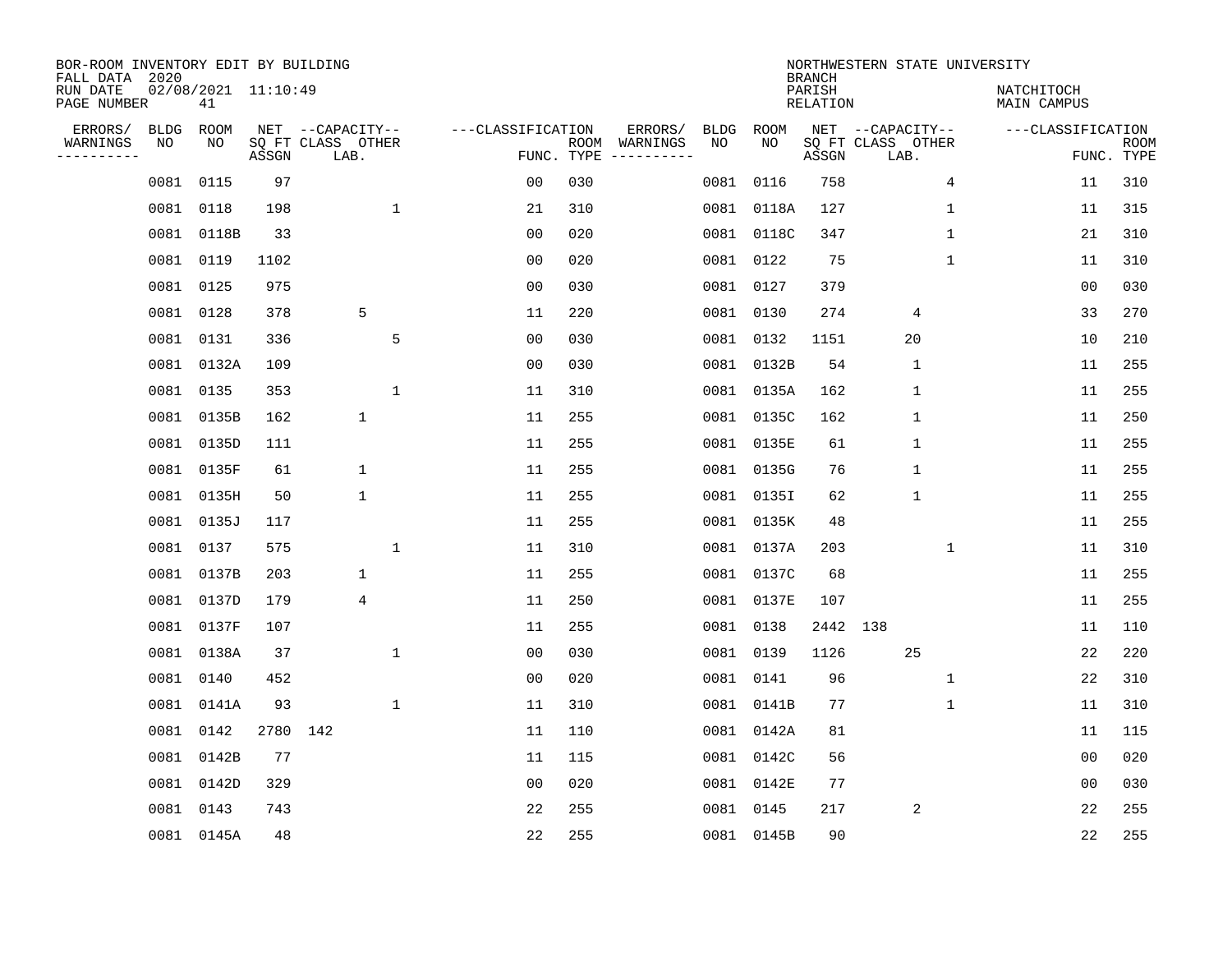| BOR-ROOM INVENTORY EDIT BY BUILDING<br>FALL DATA 2020<br>RUN DATE |                   | $02/08/2021$ 11:10:49 |       |                                               |                   |            |                          |            |            | <b>BRANCH</b><br>PARISH | NORTHWESTERN STATE UNIVERSITY                 |              | NATCHITOCH        |                           |
|-------------------------------------------------------------------|-------------------|-----------------------|-------|-----------------------------------------------|-------------------|------------|--------------------------|------------|------------|-------------------------|-----------------------------------------------|--------------|-------------------|---------------------------|
| PAGE NUMBER                                                       |                   | 41                    |       |                                               |                   |            |                          |            |            | <b>RELATION</b>         |                                               |              | MAIN CAMPUS       |                           |
| ERRORS/<br>WARNINGS<br>---------                                  | <b>BLDG</b><br>NO | ROOM<br>NO            | ASSGN | NET --CAPACITY--<br>SQ FT CLASS OTHER<br>LAB. | ---CLASSIFICATION | FUNC. TYPE | ERRORS/<br>ROOM WARNINGS | BLDG<br>NO | ROOM<br>NO | ASSGN                   | NET --CAPACITY--<br>SQ FT CLASS OTHER<br>LAB. |              | ---CLASSIFICATION | <b>ROOM</b><br>FUNC. TYPE |
|                                                                   | 0081              | 0115                  | 97    |                                               | 0 <sub>0</sub>    | 030        |                          | 0081       | 0116       | 758                     |                                               | 4            | 11                | 310                       |
|                                                                   |                   | 0081 0118             | 198   | $\mathbf{1}$                                  | 21                | 310        |                          |            | 0081 0118A | 127                     |                                               | $\mathbf 1$  | 11                | 315                       |
|                                                                   |                   | 0081 0118B            | 33    |                                               | 0 <sub>0</sub>    | 020        |                          |            | 0081 0118C | 347                     |                                               | $\mathbf{1}$ | 21                | 310                       |
|                                                                   |                   | 0081 0119             | 1102  |                                               | 0 <sub>0</sub>    | 020        |                          |            | 0081 0122  | 75                      |                                               | $\mathbf{1}$ | 11                | 310                       |
|                                                                   |                   | 0081 0125             | 975   |                                               | 0 <sub>0</sub>    | 030        |                          |            | 0081 0127  | 379                     |                                               |              | 0 <sub>0</sub>    | 030                       |
|                                                                   |                   | 0081 0128             | 378   | 5                                             | 11                | 220        |                          |            | 0081 0130  | 274                     | 4                                             |              | 33                | 270                       |
|                                                                   |                   | 0081 0131             | 336   | 5                                             | 0 <sub>0</sub>    | 030        |                          |            | 0081 0132  | 1151                    | 20                                            |              | 10                | 210                       |
|                                                                   |                   | 0081 0132A            | 109   |                                               | 0 <sub>0</sub>    | 030        |                          |            | 0081 0132B | 54                      | $\mathbf{1}$                                  |              | 11                | 255                       |
|                                                                   |                   | 0081 0135             | 353   | $\mathbf{1}$                                  | 11                | 310        |                          |            | 0081 0135A | 162                     | 1                                             |              | 11                | 255                       |
|                                                                   |                   | 0081 0135B            | 162   | 1                                             | 11                | 255        |                          |            | 0081 0135C | 162                     | 1                                             |              | 11                | 250                       |
|                                                                   |                   | 0081 0135D            | 111   |                                               | 11                | 255        |                          |            | 0081 0135E | 61                      | 1                                             |              | 11                | 255                       |
|                                                                   |                   | 0081 0135F            | 61    | 1                                             | 11                | 255        |                          |            | 0081 0135G | 76                      | $\mathbf 1$                                   |              | 11                | 255                       |
|                                                                   | 0081              | 0135H                 | 50    | 1                                             | 11                | 255        |                          | 0081       | 0135I      | 62                      | $\mathbf 1$                                   |              | 11                | 255                       |
|                                                                   |                   | 0081 0135J            | 117   |                                               | 11                | 255        |                          |            | 0081 0135K | 48                      |                                               |              | 11                | 255                       |
|                                                                   |                   | 0081 0137             | 575   | $\mathbf 1$                                   | 11                | 310        |                          |            | 0081 0137A | 203                     |                                               | 1            | 11                | 310                       |
|                                                                   |                   | 0081 0137B            | 203   | $\mathbf 1$                                   | 11                | 255        |                          |            | 0081 0137C | 68                      |                                               |              | 11                | 255                       |
|                                                                   |                   | 0081 0137D            | 179   | $\overline{4}$                                | 11                | 250        |                          |            | 0081 0137E | 107                     |                                               |              | 11                | 255                       |
|                                                                   |                   | 0081 0137F            | 107   |                                               | 11                | 255        |                          |            | 0081 0138  | 2442 138                |                                               |              | 11                | 110                       |
|                                                                   |                   | 0081 0138A            | 37    | $\mathbf{1}$                                  | 00                | 030        |                          |            | 0081 0139  | 1126                    | 25                                            |              | 22                | 220                       |
|                                                                   |                   | 0081 0140             | 452   |                                               | 0 <sub>0</sub>    | 020        |                          |            | 0081 0141  | 96                      |                                               | 1            | 22                | 310                       |
|                                                                   |                   | 0081 0141A            | 93    | $\mathbf 1$                                   | 11                | 310        |                          |            | 0081 0141B | 77                      |                                               | 1            | 11                | 310                       |
|                                                                   | 0081              | 0142                  | 2780  | 142                                           | 11                | 110        |                          |            | 0081 0142A | 81                      |                                               |              | 11                | 115                       |
|                                                                   |                   | 0081 0142B            | 77    |                                               | 11                | 115        |                          |            | 0081 0142C | 56                      |                                               |              | 0 <sub>0</sub>    | 020                       |
|                                                                   |                   | 0081 0142D            | 329   |                                               | 0 <sub>0</sub>    | 020        |                          |            | 0081 0142E | 77                      |                                               |              | 00                | 030                       |
|                                                                   |                   | 0081 0143             | 743   |                                               | 22                | 255        |                          |            | 0081 0145  | 217                     | $\overline{2}$                                |              | 22                | 255                       |
|                                                                   |                   | 0081 0145A            | 48    |                                               | 22                | 255        |                          |            | 0081 0145B | 90                      |                                               |              | 22                | 255                       |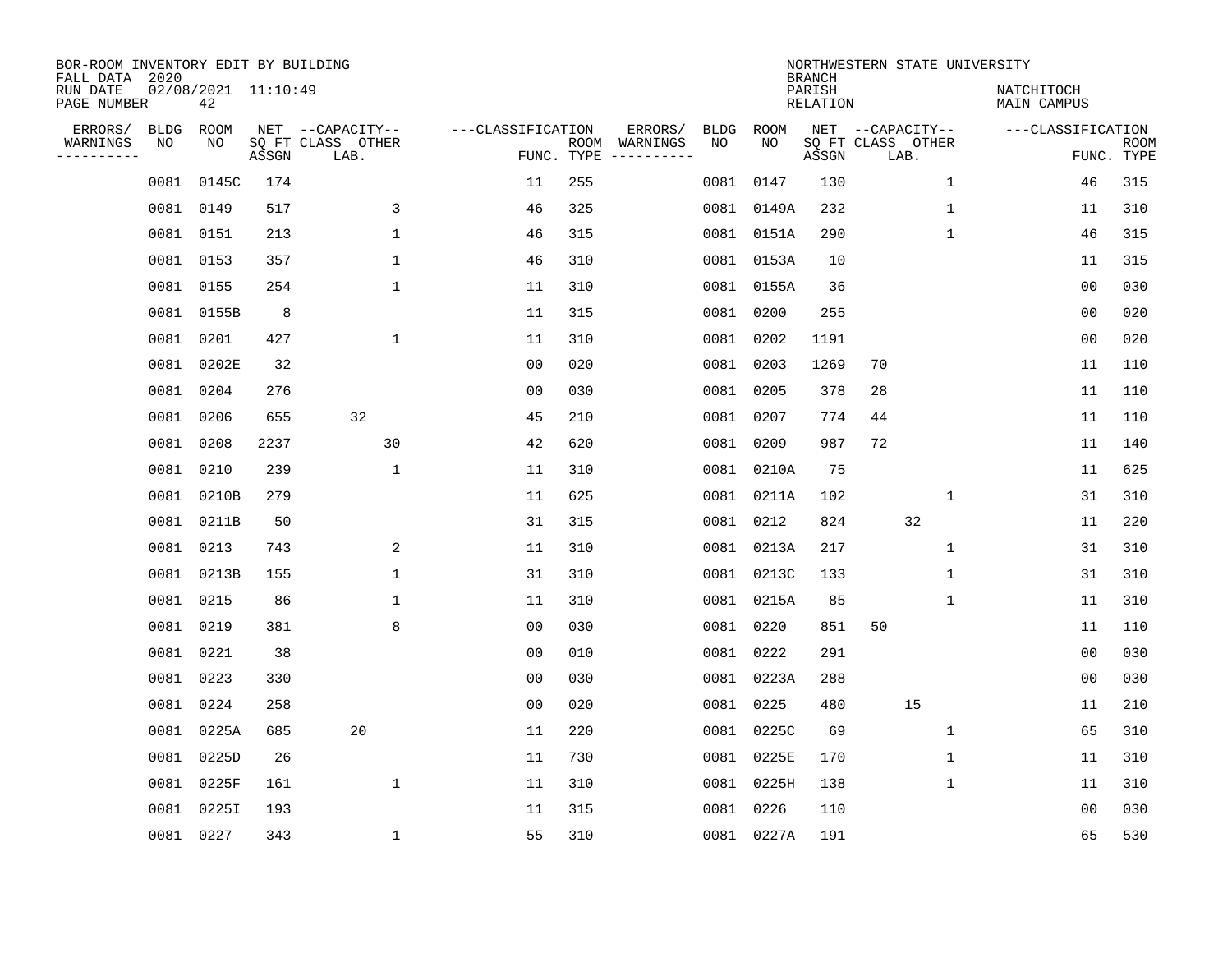| BOR-ROOM INVENTORY EDIT BY BUILDING<br>FALL DATA 2020 |                   |                             |       |                           |                   |            |                                        |            | <b>BRANCH</b>             | NORTHWESTERN STATE UNIVERSITY |              |                           |             |
|-------------------------------------------------------|-------------------|-----------------------------|-------|---------------------------|-------------------|------------|----------------------------------------|------------|---------------------------|-------------------------------|--------------|---------------------------|-------------|
| RUN DATE<br>PAGE NUMBER                               |                   | $02/08/2021$ 11:10:49<br>42 |       |                           |                   |            |                                        |            | PARISH<br><b>RELATION</b> |                               |              | NATCHITOCH<br>MAIN CAMPUS |             |
| ERRORS/<br>WARNINGS                                   | <b>BLDG</b><br>NO | ROOM<br>NO                  |       | NET --CAPACITY--          | ---CLASSIFICATION |            | ERRORS/<br>BLDG<br>ROOM WARNINGS<br>NO | ROOM<br>NO |                           | NET --CAPACITY--              |              | ---CLASSIFICATION         | <b>ROOM</b> |
| ---------                                             |                   |                             | ASSGN | SQ FT CLASS OTHER<br>LAB. |                   | FUNC. TYPE |                                        |            | ASSGN                     | SQ FT CLASS OTHER<br>LAB.     |              |                           | FUNC. TYPE  |
|                                                       | 0081              | 0145C                       | 174   |                           | 11                | 255        | 0081                                   | 0147       | 130                       |                               | $\mathbf 1$  | 46                        | 315         |
|                                                       |                   | 0081 0149                   | 517   | 3                         | 46                | 325        |                                        | 0081 0149A | 232                       |                               | $\mathbf{1}$ | 11                        | 310         |
|                                                       |                   | 0081 0151                   | 213   | $\mathbf{1}$              | 46                | 315        |                                        | 0081 0151A | 290                       |                               | $\mathbf{1}$ | 46                        | 315         |
|                                                       |                   | 0081 0153                   | 357   | $\mathbf{1}$              | 46                | 310        |                                        | 0081 0153A | 10                        |                               |              | 11                        | 315         |
|                                                       |                   | 0081 0155                   | 254   | $\mathbf{1}$              | 11                | 310        |                                        | 0081 0155A | 36                        |                               |              | 00                        | 030         |
|                                                       |                   | 0081 0155B                  | 8     |                           | 11                | 315        |                                        | 0081 0200  | 255                       |                               |              | 0 <sub>0</sub>            | 020         |
|                                                       |                   | 0081 0201                   | 427   | $\mathbf 1$               | 11                | 310        |                                        | 0081 0202  | 1191                      |                               |              | 0 <sub>0</sub>            | 020         |
|                                                       |                   | 0081 0202E                  | 32    |                           | 0 <sub>0</sub>    | 020        |                                        | 0081 0203  | 1269                      | 70                            |              | 11                        | 110         |
|                                                       | 0081              | 0204                        | 276   |                           | 0 <sub>0</sub>    | 030        | 0081                                   | 0205       | 378                       | 28                            |              | 11                        | 110         |
|                                                       |                   | 0081 0206                   | 655   | 32                        | 45                | 210        |                                        | 0081 0207  | 774                       | 44                            |              | 11                        | 110         |
|                                                       | 0081              | 0208                        | 2237  | 30                        | 42                | 620        | 0081                                   | 0209       | 987                       | 72                            |              | 11                        | 140         |
|                                                       |                   | 0081 0210                   | 239   | $\mathbf{1}$              | 11                | 310        |                                        | 0081 0210A | 75                        |                               |              | 11                        | 625         |
|                                                       |                   | 0081 0210B                  | 279   |                           | 11                | 625        | 0081                                   | 0211A      | 102                       |                               | $\mathbf 1$  | 31                        | 310         |
|                                                       |                   | 0081 0211B                  | 50    |                           | 31                | 315        | 0081                                   | 0212       | 824                       | 32                            |              | 11                        | 220         |
|                                                       | 0081              | 0213                        | 743   | 2                         | 11                | 310        |                                        | 0081 0213A | 217                       |                               | 1            | 31                        | 310         |
|                                                       | 0081              | 0213B                       | 155   | $\mathbf 1$               | 31                | 310        |                                        | 0081 0213C | 133                       |                               | 1            | 31                        | 310         |
|                                                       | 0081              | 0215                        | 86    | 1                         | 11                | 310        |                                        | 0081 0215A | 85                        |                               | 1            | 11                        | 310         |
|                                                       | 0081              | 0219                        | 381   | 8                         | 0 <sub>0</sub>    | 030        | 0081                                   | 0220       | 851                       | 50                            |              | 11                        | 110         |
|                                                       | 0081              | 0221                        | 38    |                           | 0 <sub>0</sub>    | 010        | 0081                                   | 0222       | 291                       |                               |              | 0 <sub>0</sub>            | 030         |
|                                                       |                   | 0081 0223                   | 330   |                           | 0 <sub>0</sub>    | 030        |                                        | 0081 0223A | 288                       |                               |              | 0 <sub>0</sub>            | 030         |
|                                                       | 0081              | 0224                        | 258   |                           | 0 <sub>0</sub>    | 020        | 0081                                   | 0225       | 480                       | 15                            |              | 11                        | 210         |
|                                                       | 0081              | 0225A                       | 685   | 20                        | 11                | 220        |                                        | 0081 0225C | 69                        |                               | $\mathbf 1$  | 65                        | 310         |
|                                                       | 0081              | 0225D                       | 26    |                           | 11                | 730        |                                        | 0081 0225E | 170                       |                               | 1            | 11                        | 310         |
|                                                       |                   | 0081 0225F                  | 161   | $\mathbf{1}$              | 11                | 310        |                                        | 0081 0225H | 138                       |                               | $\mathbf 1$  | 11                        | 310         |
|                                                       | 0081              | 0225I                       | 193   |                           | 11                | 315        |                                        | 0081 0226  | 110                       |                               |              | 00                        | 030         |
|                                                       |                   | 0081 0227                   | 343   | $\mathbf{1}$              | 55                | 310        |                                        | 0081 0227A | 191                       |                               |              | 65                        | 530         |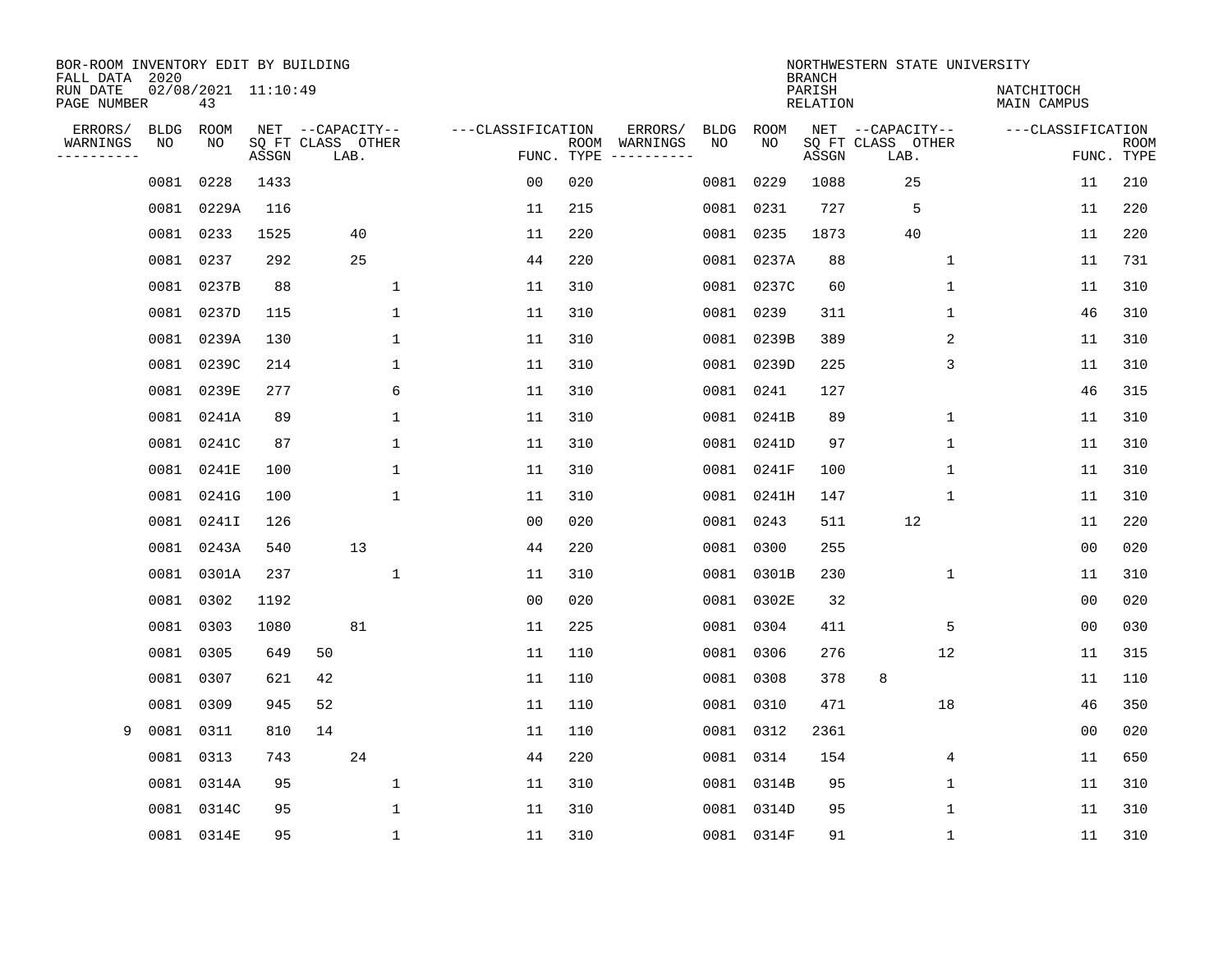| BOR-ROOM INVENTORY EDIT BY BUILDING<br>FALL DATA 2020 |             |                           |       |                           |              |                   |                    |          |             |             | <b>BRANCH</b>             | NORTHWESTERN STATE UNIVERSITY |             |                                  |                           |
|-------------------------------------------------------|-------------|---------------------------|-------|---------------------------|--------------|-------------------|--------------------|----------|-------------|-------------|---------------------------|-------------------------------|-------------|----------------------------------|---------------------------|
| RUN DATE<br>PAGE NUMBER                               |             | 02/08/2021 11:10:49<br>43 |       |                           |              |                   |                    |          |             |             | PARISH<br><b>RELATION</b> |                               |             | NATCHITOCH<br><b>MAIN CAMPUS</b> |                           |
| ERRORS/                                               | <b>BLDG</b> | ROOM                      |       | NET --CAPACITY--          |              | ---CLASSIFICATION |                    | ERRORS/  | <b>BLDG</b> | <b>ROOM</b> |                           | NET --CAPACITY--              |             | ---CLASSIFICATION                |                           |
| WARNINGS<br>----------                                | NO          | NO                        | ASSGN | SQ FT CLASS OTHER<br>LAB. |              |                   | ROOM<br>FUNC. TYPE | WARNINGS | NO          | NO          | ASSGN                     | SQ FT CLASS OTHER<br>LAB.     |             |                                  | <b>ROOM</b><br>FUNC. TYPE |
|                                                       | 0081        | 0228                      | 1433  |                           |              | 0 <sub>0</sub>    | 020                |          | 0081        | 0229        | 1088                      | 25                            |             | 11                               | 210                       |
|                                                       | 0081        | 0229A                     | 116   |                           |              | 11                | 215                |          |             | 0081 0231   | 727                       | 5                             |             | 11                               | 220                       |
|                                                       | 0081        | 0233                      | 1525  | 40                        |              | 11                | 220                |          |             | 0081 0235   | 1873                      | 40                            |             | 11                               | 220                       |
|                                                       | 0081        | 0237                      | 292   | 25                        |              | 44                | 220                |          |             | 0081 0237A  | 88                        |                               | 1           | 11                               | 731                       |
|                                                       | 0081        | 0237B                     | 88    |                           | 1            | 11                | 310                |          |             | 0081 0237C  | 60                        |                               | $\mathbf 1$ | 11                               | 310                       |
|                                                       |             | 0081 0237D                | 115   |                           | $\mathbf{1}$ | 11                | 310                |          |             | 0081 0239   | 311                       |                               | 1           | 46                               | 310                       |
|                                                       |             | 0081 0239A                | 130   |                           | $\mathbf{1}$ | 11                | 310                |          |             | 0081 0239B  | 389                       |                               | 2           | 11                               | 310                       |
|                                                       | 0081        | 0239C                     | 214   |                           | 1            | 11                | 310                |          |             | 0081 0239D  | 225                       |                               | 3           | 11                               | 310                       |
|                                                       | 0081        | 0239E                     | 277   |                           | 6            | 11                | 310                |          |             | 0081 0241   | 127                       |                               |             | 46                               | 315                       |
|                                                       | 0081        | 0241A                     | 89    |                           | 1            | 11                | 310                |          |             | 0081 0241B  | 89                        |                               | $\mathbf 1$ | 11                               | 310                       |
|                                                       | 0081        | 0241C                     | 87    |                           | $\mathbf{1}$ | 11                | 310                |          |             | 0081 0241D  | 97                        |                               | $\mathbf 1$ | 11                               | 310                       |
|                                                       | 0081        | 0241E                     | 100   |                           | $\mathbf{1}$ | 11                | 310                |          |             | 0081 0241F  | 100                       |                               | 1           | 11                               | 310                       |
|                                                       | 0081        | 0241G                     | 100   |                           | $\mathbf{1}$ | 11                | 310                |          |             | 0081 0241H  | 147                       |                               | 1           | 11                               | 310                       |
|                                                       | 0081        | 0241I                     | 126   |                           |              | 00                | 020                |          |             | 0081 0243   | 511                       | 12                            |             | 11                               | 220                       |
|                                                       | 0081        | 0243A                     | 540   | 13                        |              | 44                | 220                |          | 0081        | 0300        | 255                       |                               |             | 00                               | 020                       |
|                                                       | 0081        | 0301A                     | 237   |                           | 1            | 11                | 310                |          |             | 0081 0301B  | 230                       |                               | 1           | 11                               | 310                       |
|                                                       | 0081        | 0302                      | 1192  |                           |              | 0 <sub>0</sub>    | 020                |          |             | 0081 0302E  | 32                        |                               |             | 0 <sub>0</sub>                   | 020                       |
|                                                       | 0081        | 0303                      | 1080  | 81                        |              | 11                | 225                |          |             | 0081 0304   | 411                       |                               | 5           | 0 <sub>0</sub>                   | 030                       |
|                                                       | 0081        | 0305                      | 649   | 50                        |              | 11                | 110                |          |             | 0081 0306   | 276                       |                               | 12          | 11                               | 315                       |
|                                                       | 0081        | 0307                      | 621   | 42                        |              | 11                | 110                |          |             | 0081 0308   | 378                       | 8                             |             | 11                               | 110                       |
|                                                       | 0081        | 0309                      | 945   | 52                        |              | 11                | 110                |          |             | 0081 0310   | 471                       |                               | 18          | 46                               | 350                       |
| 9                                                     | 0081        | 0311                      | 810   | 14                        |              | 11                | 110                |          |             | 0081 0312   | 2361                      |                               |             | 0 <sub>0</sub>                   | 020                       |
|                                                       | 0081        | 0313                      | 743   | 24                        |              | 44                | 220                |          |             | 0081 0314   | 154                       |                               | 4           | 11                               | 650                       |
|                                                       | 0081        | 0314A                     | 95    |                           | 1            | 11                | 310                |          |             | 0081 0314B  | 95                        |                               | 1           | 11                               | 310                       |
|                                                       | 0081        | 0314C                     | 95    |                           | $\mathbf{1}$ | 11                | 310                |          |             | 0081 0314D  | 95                        |                               | 1           | 11                               | 310                       |
|                                                       |             | 0081 0314E                | 95    |                           | 1            | 11                | 310                |          |             | 0081 0314F  | 91                        |                               | 1           | 11                               | 310                       |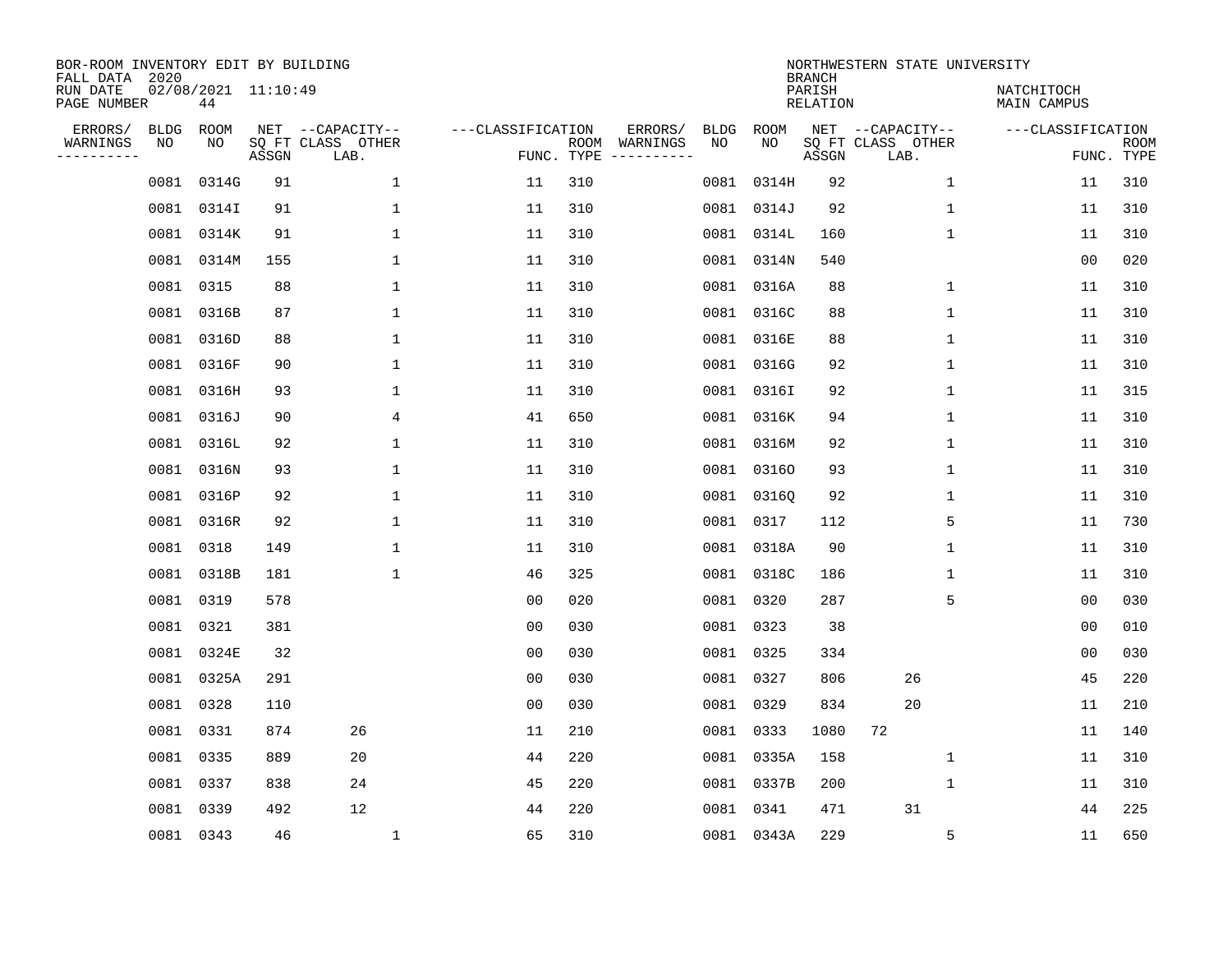| BOR-ROOM INVENTORY EDIT BY BUILDING<br>FALL DATA 2020 |                   |                           |       |                                       |                   |            |                          |            |            | <b>BRANCH</b>             | NORTHWESTERN STATE UNIVERSITY         |                           |             |
|-------------------------------------------------------|-------------------|---------------------------|-------|---------------------------------------|-------------------|------------|--------------------------|------------|------------|---------------------------|---------------------------------------|---------------------------|-------------|
| RUN DATE<br>PAGE NUMBER                               |                   | 02/08/2021 11:10:49<br>44 |       |                                       |                   |            |                          |            |            | PARISH<br><b>RELATION</b> |                                       | NATCHITOCH<br>MAIN CAMPUS |             |
| ERRORS/<br>WARNINGS                                   | <b>BLDG</b><br>NO | ROOM<br>NO                |       | NET --CAPACITY--<br>SQ FT CLASS OTHER | ---CLASSIFICATION |            | ERRORS/<br>ROOM WARNINGS | BLDG<br>NO | ROOM<br>NO |                           | NET --CAPACITY--<br>SQ FT CLASS OTHER | ---CLASSIFICATION         | <b>ROOM</b> |
| . <u>.</u>                                            |                   |                           | ASSGN | LAB.                                  |                   | FUNC. TYPE |                          |            |            | ASSGN                     | LAB.                                  |                           | FUNC. TYPE  |
|                                                       | 0081              | 0314G                     | 91    | 1                                     | 11                | 310        |                          | 0081       | 0314H      | 92                        | $\mathbf 1$                           | 11                        | 310         |
|                                                       |                   | 0081 0314I                | 91    | $\mathbf 1$                           | 11                | 310        |                          |            | 0081 0314J | 92                        | 1                                     | 11                        | 310         |
|                                                       |                   | 0081 0314K                | 91    | $\mathbf 1$                           | 11                | 310        |                          |            | 0081 0314L | 160                       | $\mathbf 1$                           | 11                        | 310         |
|                                                       |                   | 0081 0314M                | 155   | $\mathbf 1$                           | 11                | 310        |                          |            | 0081 0314N | 540                       |                                       | 00                        | 020         |
|                                                       |                   | 0081 0315                 | 88    | $\mathbf 1$                           | 11                | 310        |                          |            | 0081 0316A | 88                        | $\mathbf 1$                           | 11                        | 310         |
|                                                       |                   | 0081 0316B                | 87    | $\mathbf 1$                           | 11                | 310        |                          |            | 0081 0316C | 88                        | $\mathbf 1$                           | 11                        | 310         |
|                                                       |                   | 0081 0316D                | 88    | $\mathbf{1}$                          | 11                | 310        |                          |            | 0081 0316E | 88                        | $\mathbf{1}$                          | 11                        | 310         |
|                                                       |                   | 0081 0316F                | 90    | $\mathbf{1}$                          | 11                | 310        |                          |            | 0081 0316G | 92                        | $\mathbf 1$                           | 11                        | 310         |
|                                                       |                   | 0081 0316H                | 93    | $\mathbf 1$                           | 11                | 310        |                          |            | 0081 03161 | 92                        | $\mathbf 1$                           | 11                        | 315         |
|                                                       |                   | 0081 0316J                | 90    | 4                                     | 41                | 650        |                          |            | 0081 0316K | 94                        | $\mathbf 1$                           | 11                        | 310         |
|                                                       |                   | 0081 0316L                | 92    | $\mathbf 1$                           | 11                | 310        |                          |            | 0081 0316M | 92                        | $\mathbf 1$                           | 11                        | 310         |
|                                                       |                   | 0081 0316N                | 93    | $\mathbf{1}$                          | 11                | 310        |                          |            | 0081 03160 | 93                        | $\mathbf 1$                           | 11                        | 310         |
|                                                       |                   | 0081 0316P                | 92    | $\mathbf{1}$                          | 11                | 310        |                          |            | 0081 03160 | 92                        | $\mathbf 1$                           | 11                        | 310         |
|                                                       |                   | 0081 0316R                | 92    | $\mathbf 1$                           | 11                | 310        |                          |            | 0081 0317  | 112                       | 5                                     | 11                        | 730         |
|                                                       |                   | 0081 0318                 | 149   | $\mathbf{1}$                          | 11                | 310        |                          |            | 0081 0318A | 90                        | $\mathbf{1}$                          | 11                        | 310         |
|                                                       |                   | 0081 0318B                | 181   | $\mathbf{1}$                          | 46                | 325        |                          |            | 0081 0318C | 186                       | 1                                     | 11                        | 310         |
|                                                       | 0081              | 0319                      | 578   |                                       | 0 <sub>0</sub>    | 020        |                          | 0081       | 0320       | 287                       | 5                                     | 0 <sub>0</sub>            | 030         |
|                                                       |                   | 0081 0321                 | 381   |                                       | 00                | 030        |                          |            | 0081 0323  | 38                        |                                       | 0 <sub>0</sub>            | 010         |
|                                                       |                   | 0081 0324E                | 32    |                                       | 0 <sub>0</sub>    | 030        |                          |            | 0081 0325  | 334                       |                                       | 00                        | 030         |
|                                                       |                   | 0081 0325A                | 291   |                                       | 0 <sub>0</sub>    | 030        |                          |            | 0081 0327  | 806                       | 26                                    | 45                        | 220         |
|                                                       | 0081              | 0328                      | 110   |                                       | 0 <sub>0</sub>    | 030        |                          |            | 0081 0329  | 834                       | 20                                    | 11                        | 210         |
|                                                       | 0081              | 0331                      | 874   | 26                                    | 11                | 210        |                          |            | 0081 0333  | 1080                      | 72                                    | 11                        | 140         |
|                                                       | 0081              | 0335                      | 889   | 20                                    | 44                | 220        |                          |            | 0081 0335A | 158                       | 1                                     | 11                        | 310         |
|                                                       |                   | 0081 0337                 | 838   | 24                                    | 45                | 220        |                          |            | 0081 0337B | 200                       | $\mathbf 1$                           | 11                        | 310         |
|                                                       | 0081              | 0339                      | 492   | 12                                    | 44                | 220        |                          | 0081       | 0341       | 471                       | 31                                    | 44                        | 225         |
|                                                       |                   | 0081 0343                 | 46    | $\mathbf 1$                           | 65                | 310        |                          |            | 0081 0343A | 229                       | 5                                     | 11                        | 650         |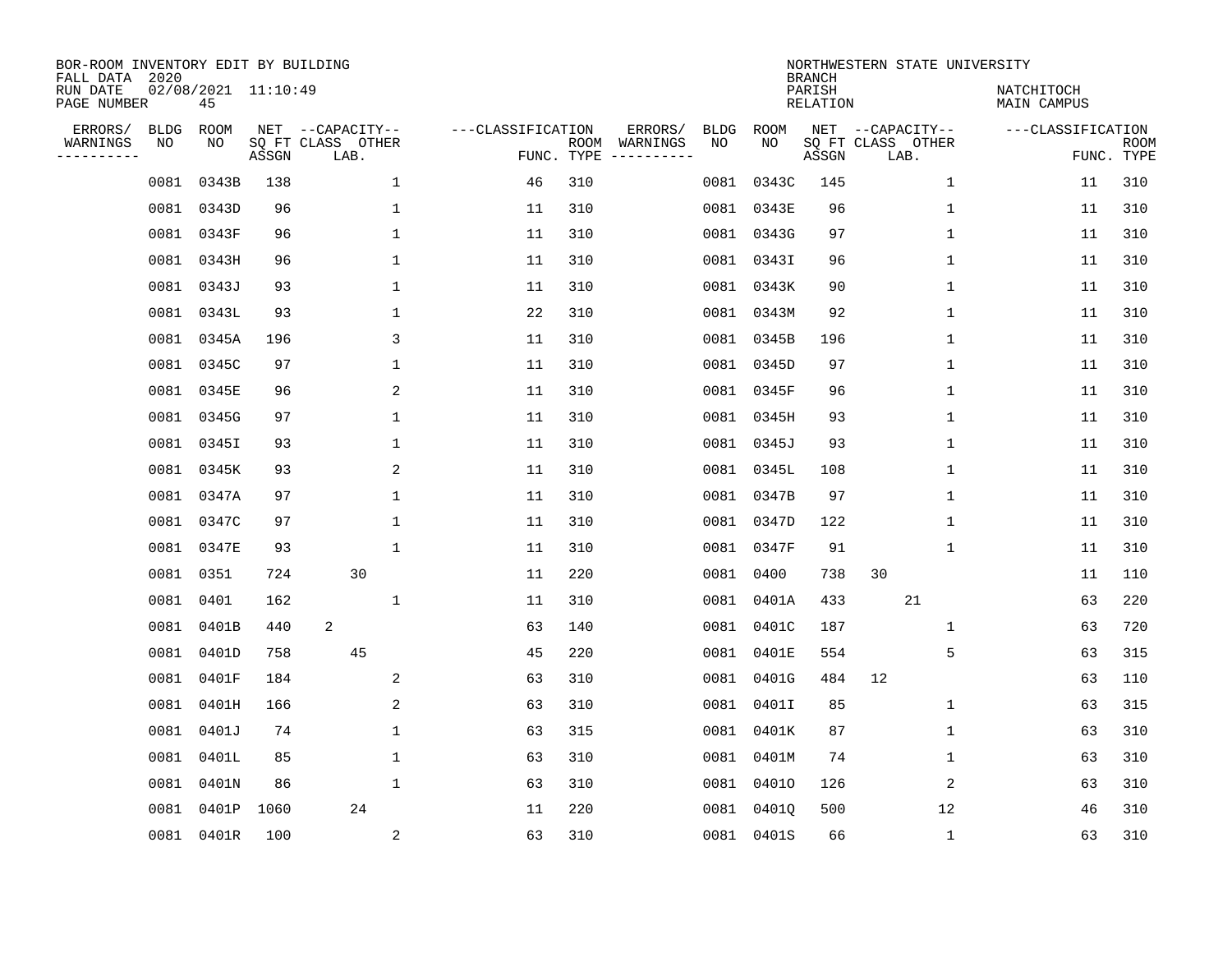| BOR-ROOM INVENTORY EDIT BY BUILDING<br>FALL DATA 2020<br>RUN DATE |                   | 02/08/2021 11:10:49 |       |                                               |                   |                    |                                                                  |             | <b>BRANCH</b><br>PARISH | NORTHWESTERN STATE UNIVERSITY                 | NATCHITOCH        |                           |
|-------------------------------------------------------------------|-------------------|---------------------|-------|-----------------------------------------------|-------------------|--------------------|------------------------------------------------------------------|-------------|-------------------------|-----------------------------------------------|-------------------|---------------------------|
| PAGE NUMBER                                                       |                   | 45                  |       |                                               |                   |                    |                                                                  |             | <b>RELATION</b>         |                                               | MAIN CAMPUS       |                           |
| ERRORS/<br>WARNINGS<br>.                                          | <b>BLDG</b><br>NO | ROOM<br>NO          | ASSGN | NET --CAPACITY--<br>SQ FT CLASS OTHER<br>LAB. | ---CLASSIFICATION | ROOM<br>FUNC. TYPE | ERRORS/<br><b>BLDG</b><br>WARNINGS<br>NO<br>$-- - - - - - - - -$ | ROOM<br>NO. | ASSGN                   | NET --CAPACITY--<br>SQ FT CLASS OTHER<br>LAB. | ---CLASSIFICATION | <b>ROOM</b><br>FUNC. TYPE |
|                                                                   | 0081              | 0343B               | 138   | $\mathbf 1$                                   | 46                | 310                | 0081                                                             | 0343C       | 145                     | $\mathbf 1$                                   | 11                | 310                       |
|                                                                   | 0081              | 0343D               | 96    | 1                                             | 11                | 310                |                                                                  | 0081 0343E  | 96                      | $\mathbf{1}$                                  | 11                | 310                       |
|                                                                   | 0081              | 0343F               | 96    | $\mathbf{1}$                                  | 11                | 310                |                                                                  | 0081 0343G  | 97                      | $\mathbf{1}$                                  | 11                | 310                       |
|                                                                   | 0081              | 0343H               | 96    | 1                                             | 11                | 310                |                                                                  | 0081 0343I  | 96                      | $\mathbf{1}$                                  | 11                | 310                       |
|                                                                   | 0081              | 0343J               | 93    | $\mathbf 1$                                   | 11                | 310                |                                                                  | 0081 0343K  | 90                      | $\mathbf 1$                                   | 11                | 310                       |
|                                                                   | 0081              | 0343L               | 93    | 1                                             | 22                | 310                |                                                                  | 0081 0343M  | 92                      | 1                                             | 11                | 310                       |
|                                                                   | 0081              | 0345A               | 196   | 3                                             | 11                | 310                |                                                                  | 0081 0345B  | 196                     | 1                                             | 11                | 310                       |
|                                                                   | 0081              | 0345C               | 97    | 1                                             | 11                | 310                |                                                                  | 0081 0345D  | 97                      | 1                                             | 11                | 310                       |
|                                                                   | 0081              | 0345E               | 96    | 2                                             | 11                | 310                | 0081                                                             | 0345F       | 96                      | 1                                             | 11                | 310                       |
|                                                                   | 0081              | 0345G               | 97    | 1                                             | 11                | 310                |                                                                  | 0081 0345H  | 93                      | 1                                             | 11                | 310                       |
|                                                                   | 0081              | 0345I               | 93    | 1                                             | 11                | 310                | 0081                                                             | 0345J       | 93                      | $\mathbf 1$                                   | 11                | 310                       |
|                                                                   | 0081              | 0345K               | 93    | 2                                             | 11                | 310                | 0081                                                             | 0345L       | 108                     | $\mathbf 1$                                   | 11                | 310                       |
|                                                                   | 0081              | 0347A               | 97    | $\mathbf 1$                                   | 11                | 310                | 0081                                                             | 0347B       | 97                      | $\mathbf 1$                                   | 11                | 310                       |
|                                                                   | 0081              | 0347C               | 97    | 1                                             | 11                | 310                | 0081                                                             | 0347D       | 122                     | 1                                             | 11                | 310                       |
|                                                                   | 0081              | 0347E               | 93    | 1                                             | 11                | 310                | 0081                                                             | 0347F       | 91                      | 1                                             | 11                | 310                       |
|                                                                   | 0081              | 0351                | 724   | 30                                            | 11                | 220                | 0081                                                             | 0400        | 738                     | 30                                            | 11                | 110                       |
|                                                                   | 0081              | 0401                | 162   | 1                                             | 11                | 310                | 0081                                                             | 0401A       | 433                     | 21                                            | 63                | 220                       |
|                                                                   | 0081              | 0401B               | 440   | 2                                             | 63                | 140                | 0081                                                             | 0401C       | 187                     | 1                                             | 63                | 720                       |
|                                                                   | 0081              | 0401D               | 758   | 45                                            | 45                | 220                | 0081                                                             | 0401E       | 554                     | 5                                             | 63                | 315                       |
|                                                                   | 0081              | 0401F               | 184   | 2                                             | 63                | 310                | 0081                                                             | 0401G       | 484                     | 12                                            | 63                | 110                       |
|                                                                   | 0081              | 0401H               | 166   | 2                                             | 63                | 310                | 0081                                                             | 0401I       | 85                      | 1                                             | 63                | 315                       |
|                                                                   | 0081              | 0401J               | 74    | $\mathbf{1}$                                  | 63                | 315                | 0081                                                             | 0401K       | 87                      | $\mathbf 1$                                   | 63                | 310                       |
|                                                                   | 0081              | 0401L               | 85    | 1                                             | 63                | 310                | 0081                                                             | 0401M       | 74                      | 1                                             | 63                | 310                       |
|                                                                   | 0081              | 0401N               | 86    | $\mathbf 1$                                   | 63                | 310                | 0081                                                             | 04010       | 126                     | 2                                             | 63                | 310                       |
|                                                                   | 0081              | 0401P               | 1060  | 24                                            | 11                | 220                | 0081                                                             | 04010       | 500                     | 12                                            | 46                | 310                       |
|                                                                   |                   | 0081 0401R          | 100   | $\overline{a}$                                | 63                | 310                |                                                                  | 0081 0401S  | 66                      | $\mathbf 1$                                   | 63                | 310                       |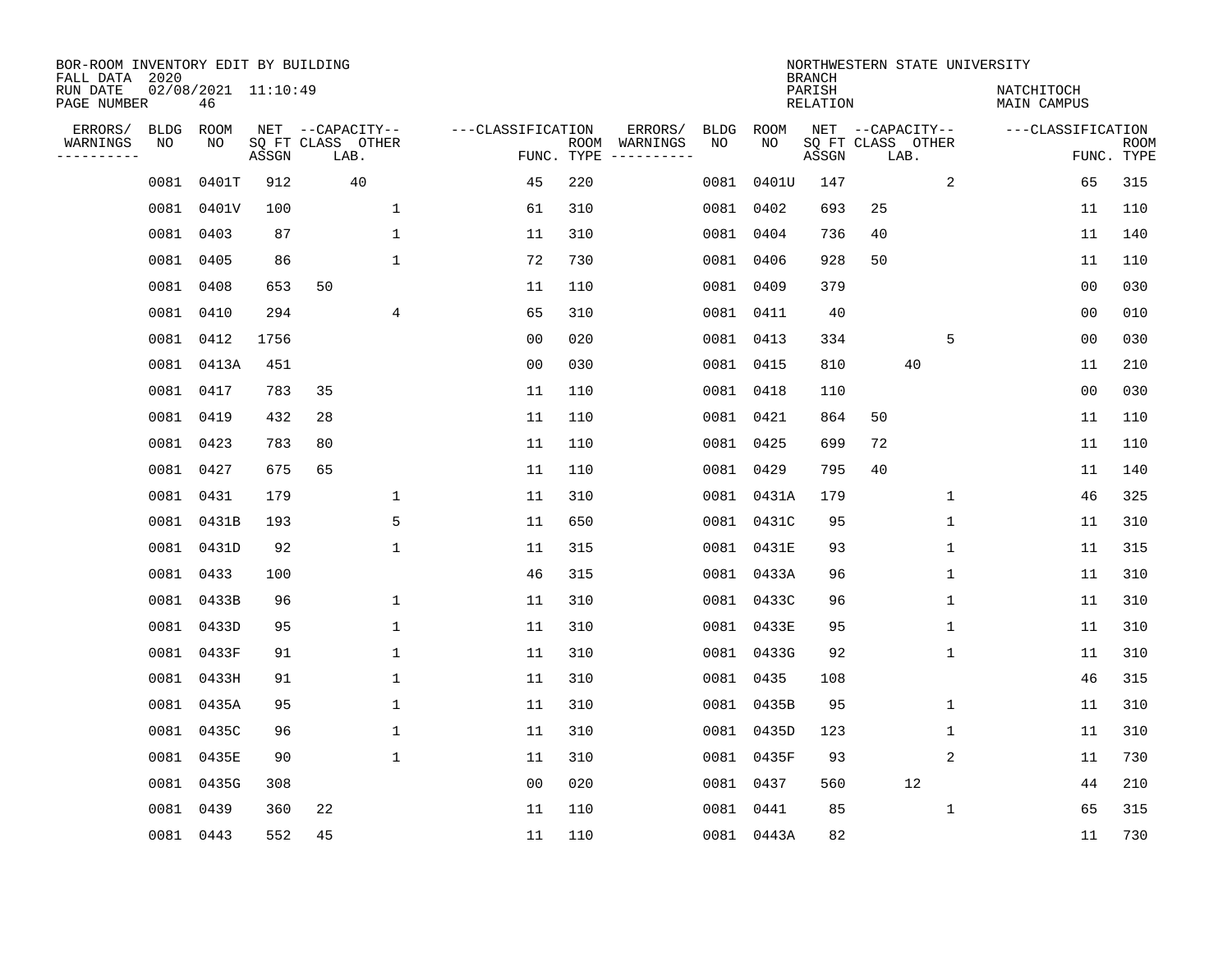| BOR-ROOM INVENTORY EDIT BY BUILDING<br>FALL DATA 2020<br>RUN DATE |            | $02/08/2021$ 11:10:49 |       |                                               |                   |            |                                        |             | <b>BRANCH</b><br>PARISH |    |                                               | NORTHWESTERN STATE UNIVERSITY<br>NATCHITOCH |                           |
|-------------------------------------------------------------------|------------|-----------------------|-------|-----------------------------------------------|-------------------|------------|----------------------------------------|-------------|-------------------------|----|-----------------------------------------------|---------------------------------------------|---------------------------|
| PAGE NUMBER                                                       |            | 46                    |       |                                               |                   |            |                                        |             | <b>RELATION</b>         |    |                                               | MAIN CAMPUS                                 |                           |
| ERRORS/<br>WARNINGS<br>----------                                 | BLDG<br>NO | ROOM<br>NO            | ASSGN | NET --CAPACITY--<br>SQ FT CLASS OTHER<br>LAB. | ---CLASSIFICATION | FUNC. TYPE | ERRORS/<br>BLDG<br>ROOM WARNINGS<br>NO | ROOM<br>NO. | ASSGN                   |    | NET --CAPACITY--<br>SQ FT CLASS OTHER<br>LAB. | ---CLASSIFICATION                           | <b>ROOM</b><br>FUNC. TYPE |
|                                                                   | 0081       | 0401T                 | 912   | 40                                            | 45                | 220        |                                        | 0081 0401U  | 147                     |    | 2                                             | 65                                          | 315                       |
|                                                                   | 0081       | 0401V                 | 100   | $\mathbf{1}$                                  | 61                | 310        |                                        | 0081 0402   | 693                     | 25 |                                               | 11                                          | 110                       |
|                                                                   | 0081       | 0403                  | 87    | $\mathbf{1}$                                  | 11                | 310        |                                        | 0081 0404   | 736                     | 40 |                                               | 11                                          | 140                       |
|                                                                   |            | 0081 0405             | 86    | $\mathbf{1}$                                  | 72                | 730        |                                        | 0081 0406   | 928                     | 50 |                                               | 11                                          | 110                       |
|                                                                   | 0081       | 0408                  | 653   | 50                                            | 11                | 110        |                                        | 0081 0409   | 379                     |    |                                               | 00                                          | 030                       |
|                                                                   |            | 0081 0410             | 294   | 4                                             | 65                | 310        |                                        | 0081 0411   | 40                      |    |                                               | 0 <sub>0</sub>                              | 010                       |
|                                                                   |            | 0081 0412             | 1756  |                                               | 0 <sub>0</sub>    | 020        |                                        | 0081 0413   | 334                     |    | 5                                             | 0 <sub>0</sub>                              | 030                       |
|                                                                   |            | 0081 0413A            | 451   |                                               | 0 <sub>0</sub>    | 030        |                                        | 0081 0415   | 810                     |    | 40                                            | 11                                          | 210                       |
|                                                                   |            | 0081 0417             | 783   | 35                                            | 11                | 110        |                                        | 0081 0418   | 110                     |    |                                               | 0 <sub>0</sub>                              | 030                       |
|                                                                   |            | 0081 0419             | 432   | 28                                            | 11                | 110        |                                        | 0081 0421   | 864                     | 50 |                                               | 11                                          | 110                       |
|                                                                   |            | 0081 0423             | 783   | 80                                            | 11                | 110        |                                        | 0081 0425   | 699                     | 72 |                                               | 11                                          | 110                       |
|                                                                   |            | 0081 0427             | 675   | 65                                            | 11                | 110        |                                        | 0081 0429   | 795                     | 40 |                                               | 11                                          | 140                       |
|                                                                   | 0081       | 0431                  | 179   | $\mathbf 1$                                   | 11                | 310        |                                        | 0081 0431A  | 179                     |    | $\mathbf 1$                                   | 46                                          | 325                       |
|                                                                   | 0081       | 0431B                 | 193   | 5                                             | 11                | 650        |                                        | 0081 0431C  | 95                      |    | 1                                             | 11                                          | 310                       |
|                                                                   |            | 0081 0431D            | 92    | $\mathbf{1}$                                  | 11                | 315        |                                        | 0081 0431E  | 93                      |    | 1                                             | 11                                          | 315                       |
|                                                                   |            | 0081 0433             | 100   |                                               | 46                | 315        |                                        | 0081 0433A  | 96                      |    | 1                                             | 11                                          | 310                       |
|                                                                   | 0081       | 0433B                 | 96    | $\mathbf 1$                                   | 11                | 310        |                                        | 0081 0433C  | 96                      |    | 1                                             | 11                                          | 310                       |
|                                                                   | 0081       | 0433D                 | 95    | $\mathbf 1$                                   | 11                | 310        |                                        | 0081 0433E  | 95                      |    | 1                                             | 11                                          | 310                       |
|                                                                   |            | 0081 0433F            | 91    | 1                                             | 11                | 310        |                                        | 0081 0433G  | 92                      |    | 1                                             | 11                                          | 310                       |
|                                                                   |            | 0081 0433H            | 91    | $\mathbf{1}$                                  | 11                | 310        |                                        | 0081 0435   | 108                     |    |                                               | 46                                          | 315                       |
|                                                                   | 0081       | 0435A                 | 95    | $\mathbf 1$                                   | 11                | 310        |                                        | 0081 0435B  | 95                      |    | 1                                             | 11                                          | 310                       |
|                                                                   | 0081       | 0435C                 | 96    | $\mathbf{1}$                                  | 11                | 310        |                                        | 0081 0435D  | 123                     |    | $\mathbf 1$                                   | 11                                          | 310                       |
|                                                                   |            | 0081 0435E            | 90    | $\mathbf{1}$                                  | 11                | 310        |                                        | 0081 0435F  | 93                      |    | 2                                             | 11                                          | 730                       |
|                                                                   |            | 0081 0435G            | 308   |                                               | 0 <sub>0</sub>    | 020        |                                        | 0081 0437   | 560                     |    | 12                                            | 44                                          | 210                       |
|                                                                   | 0081       | 0439                  | 360   | 22                                            | 11                | 110        |                                        | 0081 0441   | 85                      |    | $\mathbf 1$                                   | 65                                          | 315                       |
|                                                                   |            | 0081 0443             | 552   | 45                                            | 11                | 110        |                                        | 0081 0443A  | 82                      |    |                                               | 11                                          | 730                       |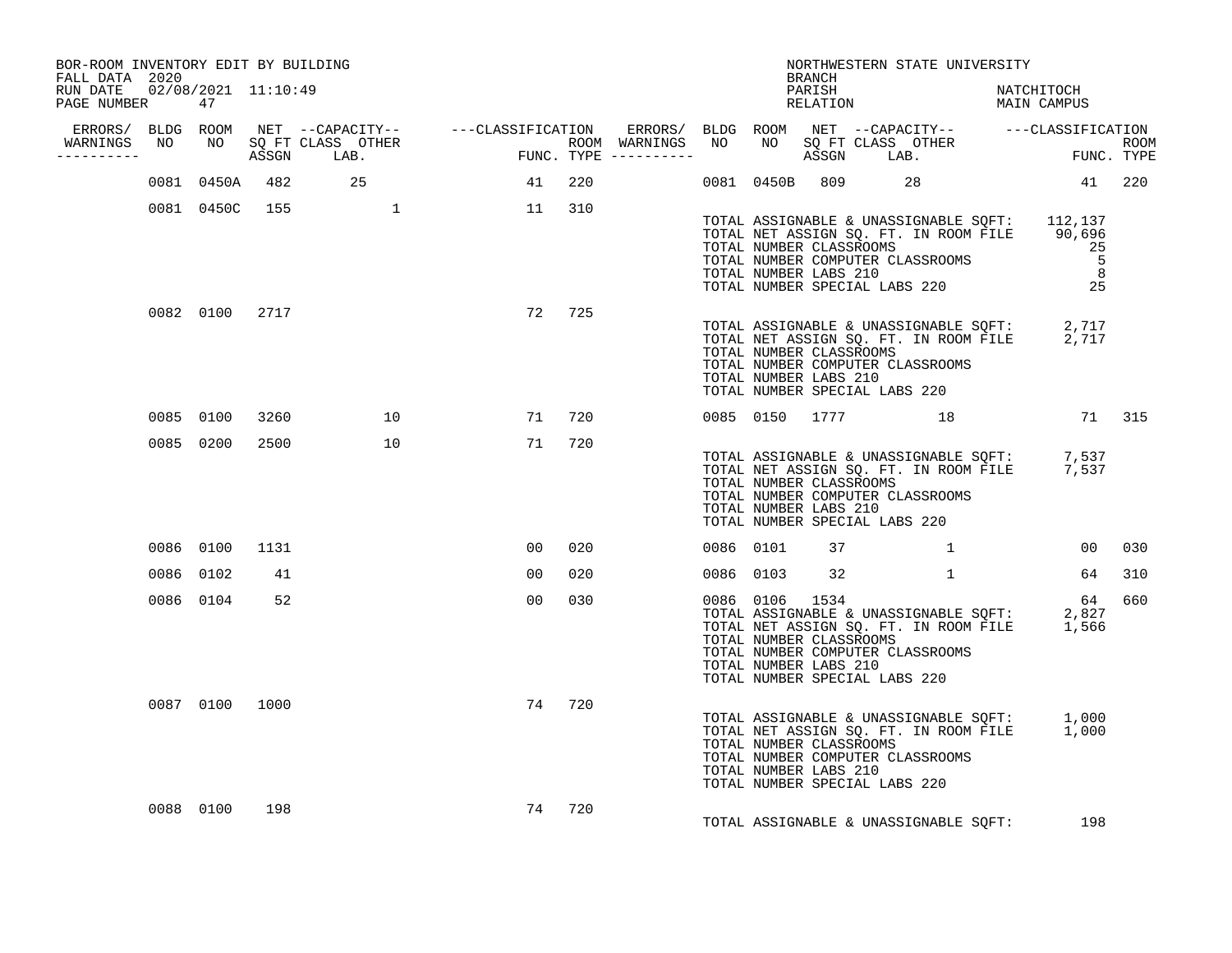| BOR-ROOM INVENTORY EDIT BY BUILDING<br>FALL DATA 2020 |                |     |                   |                        |        |  |           | BRANCH                                           | NORTHWESTERN STATE UNIVERSITY                                                                                                                                                                                                    |        |
|-------------------------------------------------------|----------------|-----|-------------------|------------------------|--------|--|-----------|--------------------------------------------------|----------------------------------------------------------------------------------------------------------------------------------------------------------------------------------------------------------------------------------|--------|
| RUN DATE  02/08/2021  11:10:49<br>PAGE NUMBER 47      |                |     |                   |                        |        |  |           |                                                  | PARISH NATCHITOCH RELATION MAIN CAMPUS                                                                                                                                                                                           |        |
|                                                       |                |     |                   |                        |        |  |           |                                                  |                                                                                                                                                                                                                                  |        |
| __________                                            |                |     |                   |                        |        |  |           |                                                  |                                                                                                                                                                                                                                  |        |
|                                                       |                |     | 0081 0450A 482 25 | 41 220                 |        |  |           |                                                  | 0081 0450B 809 28 41 220                                                                                                                                                                                                         |        |
|                                                       |                |     |                   | 0081 0450C 155 1 1 310 |        |  |           |                                                  | TOTAL ASSIGNABLE & UNASSIGNABLE SQFT: 112,137<br>TOTAL NET ASSIGN SQ. FT. IN ROOM FILE 90,696<br>TOTAL NUMBER CLASSROOMS 25<br>TOTAL NUMBER COMPUTER CLASSROOMS 5<br>TOTAL NUMBER LABS 210 8<br>TOTAL NUMBER SPECIAL LABS 220 25 |        |
|                                                       | 0082 0100 2717 |     |                   |                        | 72 725 |  |           | TOTAL NUMBER CLASSROOMS<br>TOTAL NUMBER LABS 210 | TOTAL ASSIGNABLE & UNASSIGNABLE SQFT: 2,717<br>TOTAL NET ASSIGN SQ. FT. IN ROOM FILE 2,717<br>TOTAL NUMBER COMPUTER CLASSROOMS<br>TOTAL NUMBER SPECIAL LABS 220                                                                  |        |
|                                                       | 0085 0100 3260 |     | 10                |                        | 71 720 |  |           |                                                  | 0085 0150 1777 18 18 71 315                                                                                                                                                                                                      |        |
|                                                       | 0085 0200 2500 |     | 10                |                        | 71 720 |  |           | TOTAL NUMBER CLASSROOMS<br>TOTAL NUMBER LABS 210 | TOTAL ASSIGNABLE & UNASSIGNABLE SQFT: 7,537<br>TOTAL NET ASSIGN SQ. FT. IN ROOM FILE 7,537<br>TOTAL NUMBER COMPUTER CLASSROOMS<br>TOTAL NUMBER SPECIAL LABS 220                                                                  |        |
|                                                       | 0086 0100 1131 |     |                   | 00 <sub>o</sub>        | 020    |  | 0086 0101 | 37                                               | $\mathbf 1$                                                                                                                                                                                                                      | 00 030 |
|                                                       | 0086 0102      | 41  |                   | 00                     | 020    |  |           |                                                  | 0086 0103 32 1 64 310                                                                                                                                                                                                            |        |
|                                                       | 0086 0104 52   |     |                   | 00                     | 030    |  |           | TOTAL NUMBER CLASSROOMS<br>TOTAL NUMBER LABS 210 | 0086 0106 1534<br>0086 0106 1534 64<br>TOTAL ASSIGNABLE & UNASSIGNABLE SQFT: 2,827<br>TOTAL NET ASSIGN SQ. FT. IN ROOM FILE 1,566<br>TOTAL NUMBER COMPUTER CLASSROOMS<br>TOTAL NUMBER SPECIAL LABS 220                           | 64 660 |
|                                                       | 0087 0100 1000 |     |                   |                        | 74 720 |  |           | TOTAL NUMBER CLASSROOMS<br>TOTAL NUMBER LABS 210 | TOTAL ASSIGNABLE & UNASSIGNABLE SQFT: 1,000<br>TOTAL NET ASSIGN SQ. FT. IN ROOM FILE 1,000<br>TOTAL NUMBER COMPUTER CLASSROOMS<br>TOTAL NUMBER SPECIAL LABS 220                                                                  |        |
|                                                       | 0088 0100      | 198 |                   |                        | 74 720 |  |           |                                                  | TOTAL ASSIGNABLE & UNASSIGNABLE SQFT: 198                                                                                                                                                                                        |        |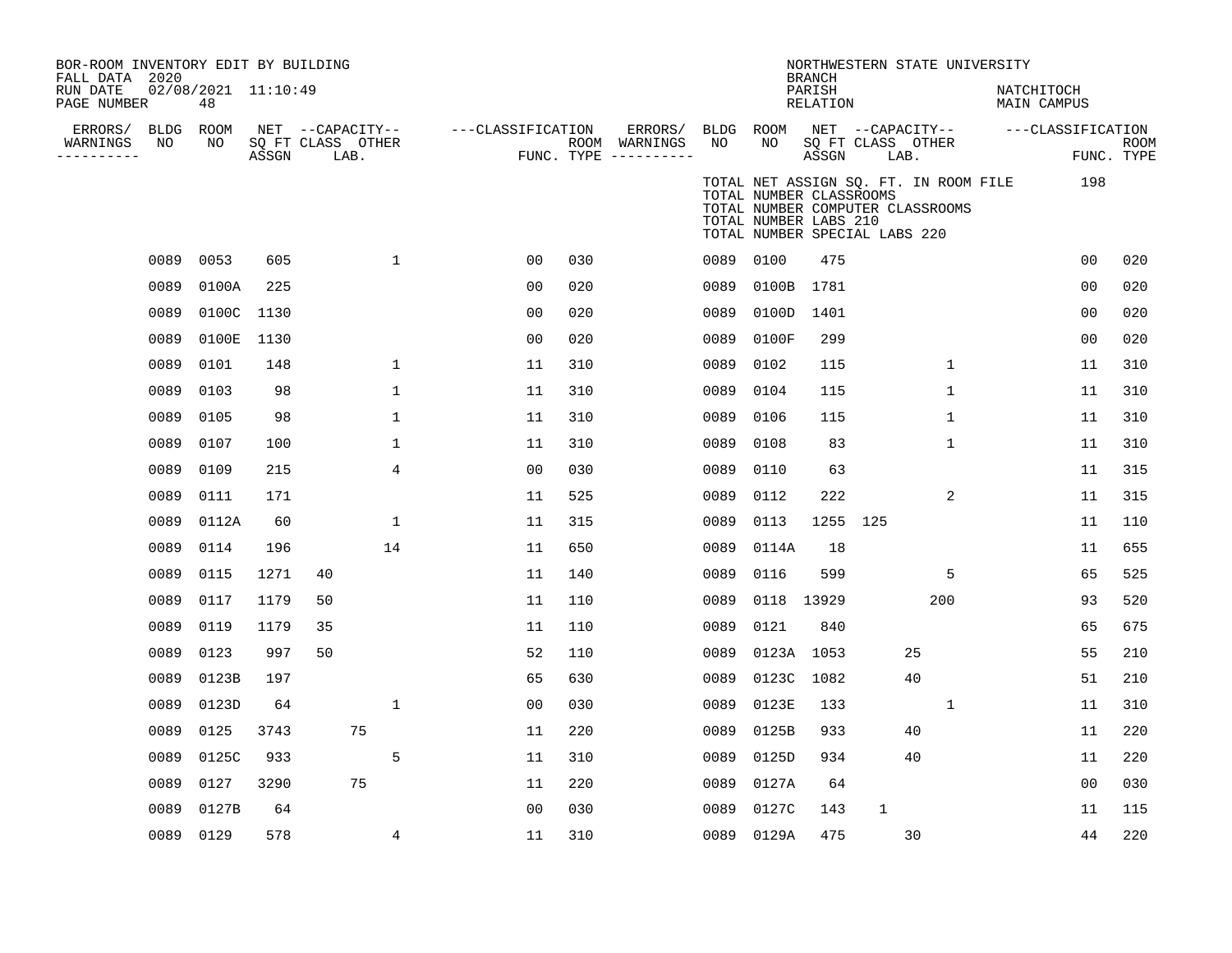| BOR-ROOM INVENTORY EDIT BY BUILDING<br>FALL DATA 2020<br>RUN DATE<br>PAGE NUMBER |      | 02/08/2021 11:10:49<br>48 |       |                                               |                    |     |                                                             |           |                                                  | <b>BRANCH</b><br>PARISH<br>RELATION |                               | NORTHWESTERN STATE UNIVERSITY                                             | NATCHITOCH<br>MAIN CAMPUS |                           |
|----------------------------------------------------------------------------------|------|---------------------------|-------|-----------------------------------------------|--------------------|-----|-------------------------------------------------------------|-----------|--------------------------------------------------|-------------------------------------|-------------------------------|---------------------------------------------------------------------------|---------------------------|---------------------------|
| ERRORS/<br>WARNINGS<br>---------                                                 | NO   | BLDG ROOM<br>NO           | ASSGN | NET --CAPACITY--<br>SQ FT CLASS OTHER<br>LAB. | ---CLASSIFICATION  |     | ERRORS/ BLDG ROOM<br>ROOM WARNINGS<br>FUNC. TYPE ---------- | NO        | NO                                               | ASSGN                               | SQ FT CLASS OTHER<br>LAB.     | NET --CAPACITY--                                                          | ---CLASSIFICATION         | <b>ROOM</b><br>FUNC. TYPE |
|                                                                                  |      |                           |       |                                               |                    |     |                                                             |           | TOTAL NUMBER CLASSROOMS<br>TOTAL NUMBER LABS 210 |                                     | TOTAL NUMBER SPECIAL LABS 220 | TOTAL NET ASSIGN SQ. FT. IN ROOM FILE<br>TOTAL NUMBER COMPUTER CLASSROOMS | 198                       |                           |
|                                                                                  | 0089 | 0053                      | 605   |                                               | $\mathbf{1}$<br>00 | 030 |                                                             | 0089 0100 |                                                  | 475                                 |                               |                                                                           | 0 <sub>0</sub>            | 020                       |
|                                                                                  | 0089 | 0100A                     | 225   |                                               | 00                 | 020 |                                                             |           | 0089 0100B 1781                                  |                                     |                               |                                                                           | 0 <sub>0</sub>            | 020                       |
|                                                                                  | 0089 | 0100C 1130                |       |                                               | 00                 | 020 |                                                             | 0089      | 0100D                                            | 1401                                |                               |                                                                           | 0 <sub>0</sub>            | 020                       |
|                                                                                  | 0089 | 0100E                     | 1130  |                                               | 00                 | 020 |                                                             | 0089      | 0100F                                            | 299                                 |                               |                                                                           | 0 <sub>0</sub>            | 020                       |
|                                                                                  | 0089 | 0101                      | 148   |                                               | $\mathbf{1}$<br>11 | 310 |                                                             | 0089      | 0102                                             | 115                                 |                               | $\mathbf{1}$                                                              | 11                        | 310                       |
|                                                                                  | 0089 | 0103                      | 98    |                                               | $\mathbf 1$<br>11  | 310 |                                                             | 0089      | 0104                                             | 115                                 |                               | 1                                                                         | 11                        | 310                       |
|                                                                                  | 0089 | 0105                      | 98    |                                               | $\mathbf 1$<br>11  | 310 |                                                             | 0089      | 0106                                             | 115                                 |                               | 1                                                                         | 11                        | 310                       |
|                                                                                  | 0089 | 0107                      | 100   |                                               | $\mathbf 1$<br>11  | 310 |                                                             | 0089      | 0108                                             | 83                                  |                               | 1                                                                         | 11                        | 310                       |
|                                                                                  | 0089 | 0109                      | 215   |                                               | 4<br>00            | 030 |                                                             | 0089      | 0110                                             | 63                                  |                               |                                                                           | 11                        | 315                       |
|                                                                                  | 0089 | 0111                      | 171   |                                               | 11                 | 525 |                                                             | 0089      | 0112                                             | 222                                 |                               | 2                                                                         | 11                        | 315                       |
|                                                                                  | 0089 | 0112A                     | 60    |                                               | $\mathbf{1}$<br>11 | 315 |                                                             | 0089      | 0113                                             | 1255 125                            |                               |                                                                           | 11                        | 110                       |
|                                                                                  | 0089 | 0114                      | 196   | 14                                            | 11                 | 650 |                                                             | 0089      | 0114A                                            | 18                                  |                               |                                                                           | 11                        | 655                       |
|                                                                                  | 0089 | 0115                      | 1271  | 40                                            | 11                 | 140 |                                                             | 0089      | 0116                                             | 599                                 |                               | 5                                                                         | 65                        | 525                       |
|                                                                                  | 0089 | 0117                      | 1179  | 50                                            | 11                 | 110 |                                                             | 0089      | 0118 13929                                       |                                     |                               | 200                                                                       | 93                        | 520                       |
|                                                                                  | 0089 | 0119                      | 1179  | 35                                            | 11                 | 110 |                                                             | 0089      | 0121                                             | 840                                 |                               |                                                                           | 65                        | 675                       |
|                                                                                  | 0089 | 0123                      | 997   | 50                                            | 52                 | 110 |                                                             | 0089      | 0123A 1053                                       |                                     |                               | 25                                                                        | 55                        | 210                       |
|                                                                                  | 0089 | 0123B                     | 197   |                                               | 65                 | 630 |                                                             | 0089      | 0123C                                            | 1082                                |                               | 40                                                                        | 51                        | 210                       |
|                                                                                  | 0089 | 0123D                     | 64    |                                               | $\mathbf{1}$<br>00 | 030 |                                                             | 0089      | 0123E                                            | 133                                 |                               | $\mathbf{1}$                                                              | 11                        | 310                       |
|                                                                                  | 0089 | 0125                      | 3743  | 75                                            | 11                 | 220 |                                                             | 0089      | 0125B                                            | 933                                 |                               | 40                                                                        | 11                        | 220                       |
|                                                                                  | 0089 | 0125C                     | 933   |                                               | 5<br>11            | 310 |                                                             | 0089      | 0125D                                            | 934                                 |                               | 40                                                                        | 11                        | 220                       |
|                                                                                  | 0089 | 0127                      | 3290  | 75                                            | 11                 | 220 |                                                             |           | 0089 0127A                                       | 64                                  |                               |                                                                           | 00                        | 030                       |
|                                                                                  | 0089 | 0127B                     | 64    |                                               | 00                 | 030 |                                                             | 0089      | 0127C                                            | 143                                 | $\mathbf 1$                   |                                                                           | 11                        | 115                       |
|                                                                                  |      | 0089 0129                 | 578   |                                               | 11<br>4            | 310 |                                                             |           | 0089 0129A                                       | 475                                 |                               | 30                                                                        | 44                        | 220                       |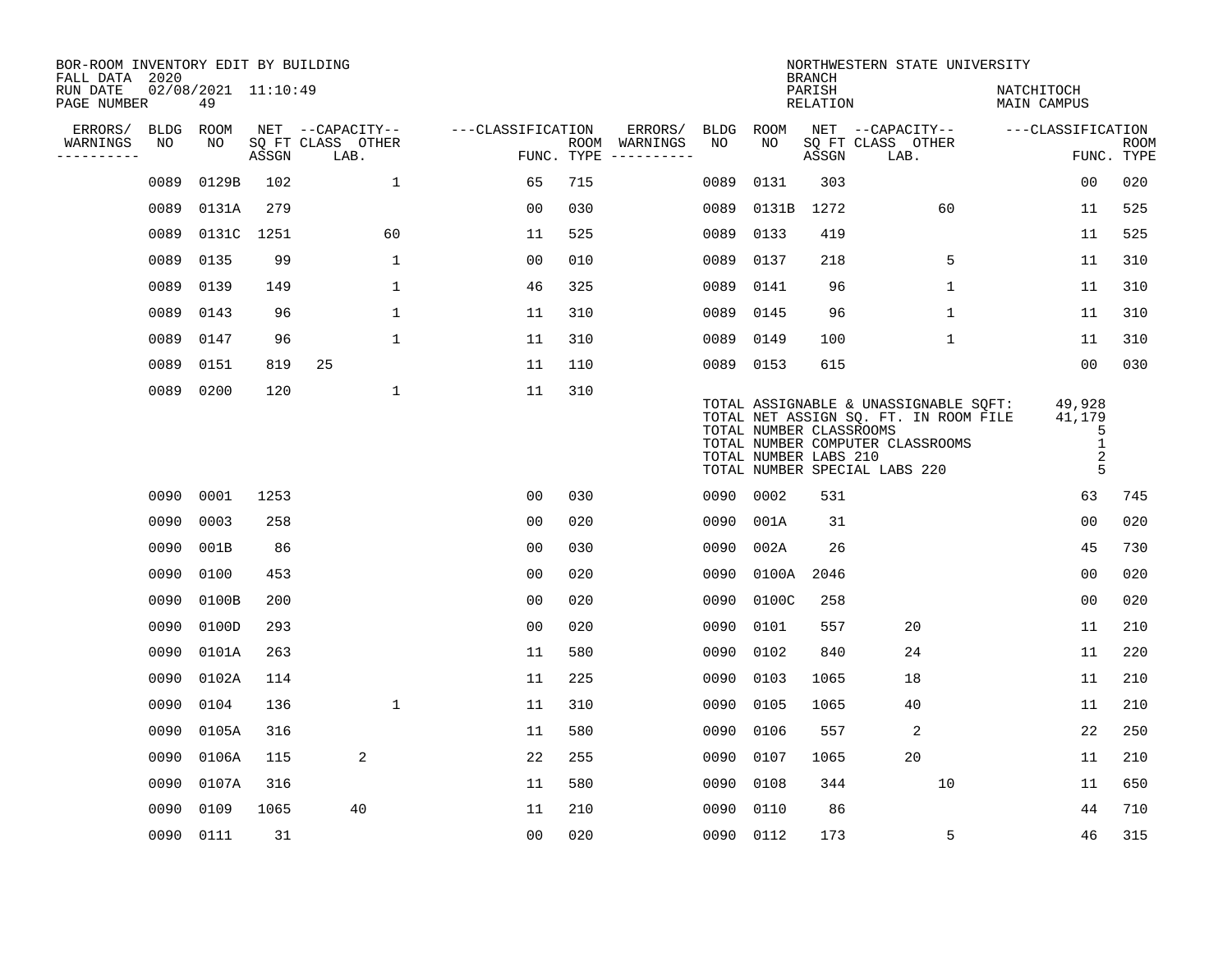| BOR-ROOM INVENTORY EDIT BY BUILDING<br>FALL DATA 2020 |             |                           |       |                           |                   |     |                                      |             |             | <b>BRANCH</b>                                    | NORTHWESTERN STATE UNIVERSITY                                                                                                                       |                                                             |                           |
|-------------------------------------------------------|-------------|---------------------------|-------|---------------------------|-------------------|-----|--------------------------------------|-------------|-------------|--------------------------------------------------|-----------------------------------------------------------------------------------------------------------------------------------------------------|-------------------------------------------------------------|---------------------------|
| RUN DATE<br>PAGE NUMBER                               |             | 02/08/2021 11:10:49<br>49 |       |                           |                   |     |                                      |             |             | PARISH<br><b>RELATION</b>                        |                                                                                                                                                     | NATCHITOCH<br>MAIN CAMPUS                                   |                           |
| ERRORS/                                               | <b>BLDG</b> | ROOM                      |       | NET --CAPACITY--          | ---CLASSIFICATION |     | ERRORS/                              | <b>BLDG</b> | <b>ROOM</b> |                                                  | NET --CAPACITY--                                                                                                                                    | ---CLASSIFICATION                                           |                           |
| WARNINGS<br>----------                                | NO          | NO                        | ASSGN | SQ FT CLASS OTHER<br>LAB. |                   |     | ROOM WARNINGS<br>FUNC. TYPE $------$ | NO          | NO          | ASSGN                                            | SQ FT CLASS OTHER<br>LAB.                                                                                                                           |                                                             | <b>ROOM</b><br>FUNC. TYPE |
|                                                       | 0089        | 0129B                     | 102   | $\mathbf{1}$              | 65                | 715 |                                      | 0089        | 0131        | 303                                              |                                                                                                                                                     | 00                                                          | 020                       |
|                                                       | 0089        | 0131A                     | 279   |                           | 0 <sub>0</sub>    | 030 |                                      | 0089        | 0131B       | 1272                                             | 60                                                                                                                                                  | 11                                                          | 525                       |
|                                                       | 0089        | 0131C 1251                |       | 60                        | 11                | 525 |                                      | 0089        | 0133        | 419                                              |                                                                                                                                                     | 11                                                          | 525                       |
|                                                       | 0089        | 0135                      | 99    | $\mathbf 1$               | 0 <sub>0</sub>    | 010 |                                      | 0089        | 0137        | 218                                              | 5                                                                                                                                                   | 11                                                          | 310                       |
|                                                       | 0089        | 0139                      | 149   | $\mathbf{1}$              | 46                | 325 |                                      | 0089        | 0141        | 96                                               | $\mathbf 1$                                                                                                                                         | 11                                                          | 310                       |
|                                                       | 0089        | 0143                      | 96    | $\mathbf 1$               | 11                | 310 |                                      | 0089 0145   |             | 96                                               | 1                                                                                                                                                   | 11                                                          | 310                       |
|                                                       | 0089        | 0147                      | 96    | $\mathbf{1}$              | 11                | 310 |                                      | 0089 0149   |             | 100                                              | $\mathbf{1}$                                                                                                                                        | 11                                                          | 310                       |
|                                                       | 0089        | 0151                      | 819   | 25                        | 11                | 110 |                                      | 0089 0153   |             | 615                                              |                                                                                                                                                     | 0 <sub>0</sub>                                              | 030                       |
|                                                       | 0089        | 0200                      | 120   | $\mathbf{1}$              | 11                | 310 |                                      |             |             | TOTAL NUMBER CLASSROOMS<br>TOTAL NUMBER LABS 210 | TOTAL ASSIGNABLE & UNASSIGNABLE SQFT:<br>TOTAL NET ASSIGN SQ. FT. IN ROOM FILE<br>TOTAL NUMBER COMPUTER CLASSROOMS<br>TOTAL NUMBER SPECIAL LABS 220 | 49,928<br>41,179<br>5<br>$\mathbf 1$<br>$\overline{2}$<br>5 |                           |
|                                                       | 0090        | 0001                      | 1253  |                           | 00                | 030 |                                      | 0090 0002   |             | 531                                              |                                                                                                                                                     | 63                                                          | 745                       |
|                                                       | 0090        | 0003                      | 258   |                           | 0 <sub>0</sub>    | 020 |                                      | 0090        | 001A        | 31                                               |                                                                                                                                                     | 00                                                          | 020                       |
|                                                       | 0090        | 001B                      | 86    |                           | 0 <sub>0</sub>    | 030 |                                      | 0090        | 002A        | 26                                               |                                                                                                                                                     | 45                                                          | 730                       |
|                                                       | 0090        | 0100                      | 453   |                           | 00                | 020 |                                      | 0090        | 0100A       | 2046                                             |                                                                                                                                                     | 00                                                          | 020                       |
|                                                       | 0090        | 0100B                     | 200   |                           | 00                | 020 |                                      | 0090        | 0100C       | 258                                              |                                                                                                                                                     | 00                                                          | 020                       |
|                                                       | 0090        | 0100D                     | 293   |                           | 0 <sub>0</sub>    | 020 |                                      | 0090        | 0101        | 557                                              | 20                                                                                                                                                  | 11                                                          | 210                       |
|                                                       | 0090        | 0101A                     | 263   |                           | 11                | 580 |                                      | 0090        | 0102        | 840                                              | 24                                                                                                                                                  | 11                                                          | 220                       |
|                                                       | 0090        | 0102A                     | 114   |                           | 11                | 225 |                                      | 0090        | 0103        | 1065                                             | 18                                                                                                                                                  | 11                                                          | 210                       |
|                                                       | 0090        | 0104                      | 136   | $\mathbf 1$               | 11                | 310 |                                      | 0090        | 0105        | 1065                                             | 40                                                                                                                                                  | 11                                                          | 210                       |
|                                                       | 0090        | 0105A                     | 316   |                           | 11                | 580 |                                      | 0090        | 0106        | 557                                              | 2                                                                                                                                                   | 22                                                          | 250                       |
|                                                       | 0090        | 0106A                     | 115   | 2                         | 22                | 255 |                                      | 0090        | 0107        | 1065                                             | 20                                                                                                                                                  | 11                                                          | 210                       |
|                                                       | 0090        | 0107A                     | 316   |                           | 11                | 580 |                                      | 0090        | 0108        | 344                                              | 10                                                                                                                                                  | 11                                                          | 650                       |
|                                                       | 0090        | 0109                      | 1065  | 40                        | 11                | 210 |                                      | 0090        | 0110        | 86                                               |                                                                                                                                                     | 44                                                          | 710                       |
|                                                       |             | 0090 0111                 | 31    |                           | 0 <sub>0</sub>    | 020 |                                      | 0090 0112   |             | 173                                              | 5                                                                                                                                                   | 46                                                          | 315                       |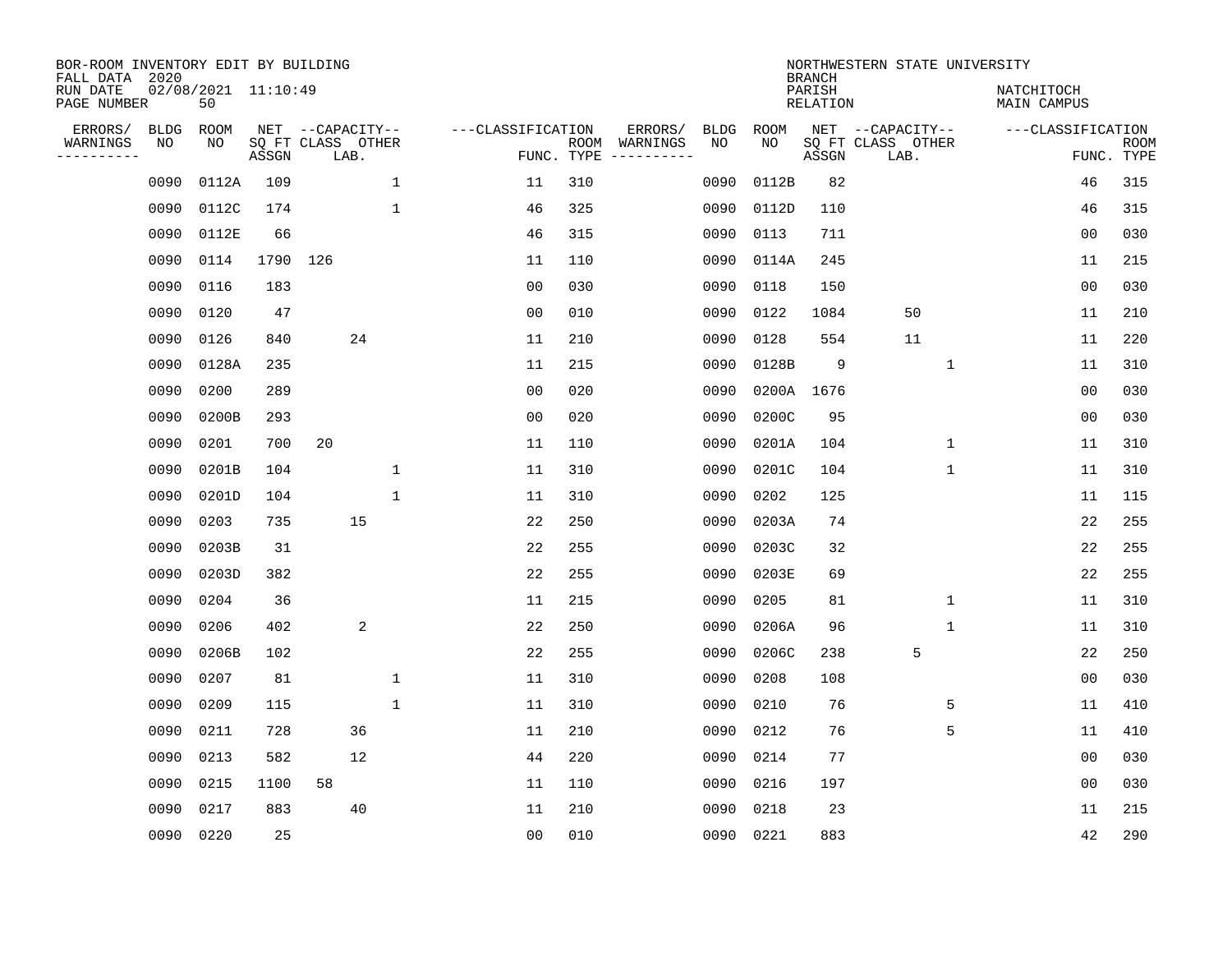| BOR-ROOM INVENTORY EDIT BY BUILDING<br>FALL DATA 2020 |             |                           |          |                           |              |                   |            |               |      |       | <b>BRANCH</b>             | NORTHWESTERN STATE UNIVERSITY |                           |                           |
|-------------------------------------------------------|-------------|---------------------------|----------|---------------------------|--------------|-------------------|------------|---------------|------|-------|---------------------------|-------------------------------|---------------------------|---------------------------|
| RUN DATE<br>PAGE NUMBER                               |             | 02/08/2021 11:10:49<br>50 |          |                           |              |                   |            |               |      |       | PARISH<br><b>RELATION</b> |                               | NATCHITOCH<br>MAIN CAMPUS |                           |
| ERRORS/                                               | <b>BLDG</b> | ROOM                      |          | NET --CAPACITY--          |              | ---CLASSIFICATION |            | ERRORS/       | BLDG | ROOM  |                           | NET --CAPACITY--              | ---CLASSIFICATION         |                           |
| WARNINGS<br>---------                                 | NO          | NO                        | ASSGN    | SQ FT CLASS OTHER<br>LAB. |              |                   | FUNC. TYPE | ROOM WARNINGS | NO   | NO.   | ASSGN                     | SQ FT CLASS OTHER<br>LAB.     |                           | <b>ROOM</b><br>FUNC. TYPE |
|                                                       | 0090        | 0112A                     | 109      |                           | $\mathbf{1}$ | 11                | 310        |               | 0090 | 0112B | 82                        |                               | 46                        | 315                       |
|                                                       | 0090        | 0112C                     | 174      |                           | $\mathbf{1}$ | 46                | 325        |               | 0090 | 0112D | 110                       |                               | 46                        | 315                       |
|                                                       | 0090        | 0112E                     | 66       |                           |              | 46                | 315        |               | 0090 | 0113  | 711                       |                               | 0 <sub>0</sub>            | 030                       |
|                                                       | 0090        | 0114                      | 1790 126 |                           |              | 11                | 110        |               | 0090 | 0114A | 245                       |                               | 11                        | 215                       |
|                                                       | 0090        | 0116                      | 183      |                           |              | 0 <sub>0</sub>    | 030        |               | 0090 | 0118  | 150                       |                               | 00                        | 030                       |
|                                                       | 0090        | 0120                      | 47       |                           |              | 0 <sub>0</sub>    | 010        |               | 0090 | 0122  | 1084                      | 50                            | 11                        | 210                       |
|                                                       | 0090        | 0126                      | 840      |                           | 24           | 11                | 210        |               | 0090 | 0128  | 554                       | 11                            | 11                        | 220                       |
|                                                       | 0090        | 0128A                     | 235      |                           |              | 11                | 215        |               | 0090 | 0128B | 9                         | $\mathbf{1}$                  | 11                        | 310                       |
|                                                       | 0090        | 0200                      | 289      |                           |              | 0 <sub>0</sub>    | 020        |               | 0090 | 0200A | 1676                      |                               | 0 <sub>0</sub>            | 030                       |
|                                                       | 0090        | 0200B                     | 293      |                           |              | 0 <sub>0</sub>    | 020        |               | 0090 | 0200C | 95                        |                               | 0 <sub>0</sub>            | 030                       |
|                                                       | 0090        | 0201                      | 700      | 20                        |              | 11                | 110        |               | 0090 | 0201A | 104                       | $\mathbf 1$                   | 11                        | 310                       |
|                                                       | 0090        | 0201B                     | 104      |                           | $\mathbf{1}$ | 11                | 310        |               | 0090 | 0201C | 104                       | $\mathbf 1$                   | 11                        | 310                       |
|                                                       | 0090        | 0201D                     | 104      |                           | $\mathbf{1}$ | 11                | 310        |               | 0090 | 0202  | 125                       |                               | 11                        | 115                       |
|                                                       | 0090        | 0203                      | 735      |                           | 15           | 22                | 250        |               | 0090 | 0203A | 74                        |                               | 22                        | 255                       |
|                                                       | 0090        | 0203B                     | 31       |                           |              | 22                | 255        |               | 0090 | 0203C | 32                        |                               | 22                        | 255                       |
|                                                       | 0090        | 0203D                     | 382      |                           |              | 22                | 255        |               | 0090 | 0203E | 69                        |                               | 22                        | 255                       |
|                                                       | 0090        | 0204                      | 36       |                           |              | 11                | 215        |               | 0090 | 0205  | 81                        | 1                             | 11                        | 310                       |
|                                                       | 0090        | 0206                      | 402      |                           | 2            | 22                | 250        |               | 0090 | 0206A | 96                        | 1                             | 11                        | 310                       |
|                                                       | 0090        | 0206B                     | 102      |                           |              | 22                | 255        |               | 0090 | 0206C | 238                       | 5                             | 22                        | 250                       |
|                                                       | 0090        | 0207                      | 81       |                           | $\mathbf 1$  | 11                | 310        |               | 0090 | 0208  | 108                       |                               | 0 <sub>0</sub>            | 030                       |
|                                                       | 0090        | 0209                      | 115      |                           | $\mathbf 1$  | 11                | 310        |               | 0090 | 0210  | 76                        | 5                             | 11                        | 410                       |
|                                                       | 0090        | 0211                      | 728      |                           | 36           | 11                | 210        |               | 0090 | 0212  | 76                        | 5                             | 11                        | 410                       |
|                                                       | 0090        | 0213                      | 582      |                           | 12           | 44                | 220        |               | 0090 | 0214  | 77                        |                               | 0 <sub>0</sub>            | 030                       |
|                                                       | 0090        | 0215                      | 1100     | 58                        |              | 11                | 110        |               | 0090 | 0216  | 197                       |                               | 0 <sub>0</sub>            | 030                       |
|                                                       | 0090        | 0217                      | 883      |                           | 40           | 11                | 210        |               | 0090 | 0218  | 23                        |                               | 11                        | 215                       |
|                                                       | 0090 0220   |                           | 25       |                           |              | 0 <sub>0</sub>    | 010        |               | 0090 | 0221  | 883                       |                               | 42                        | 290                       |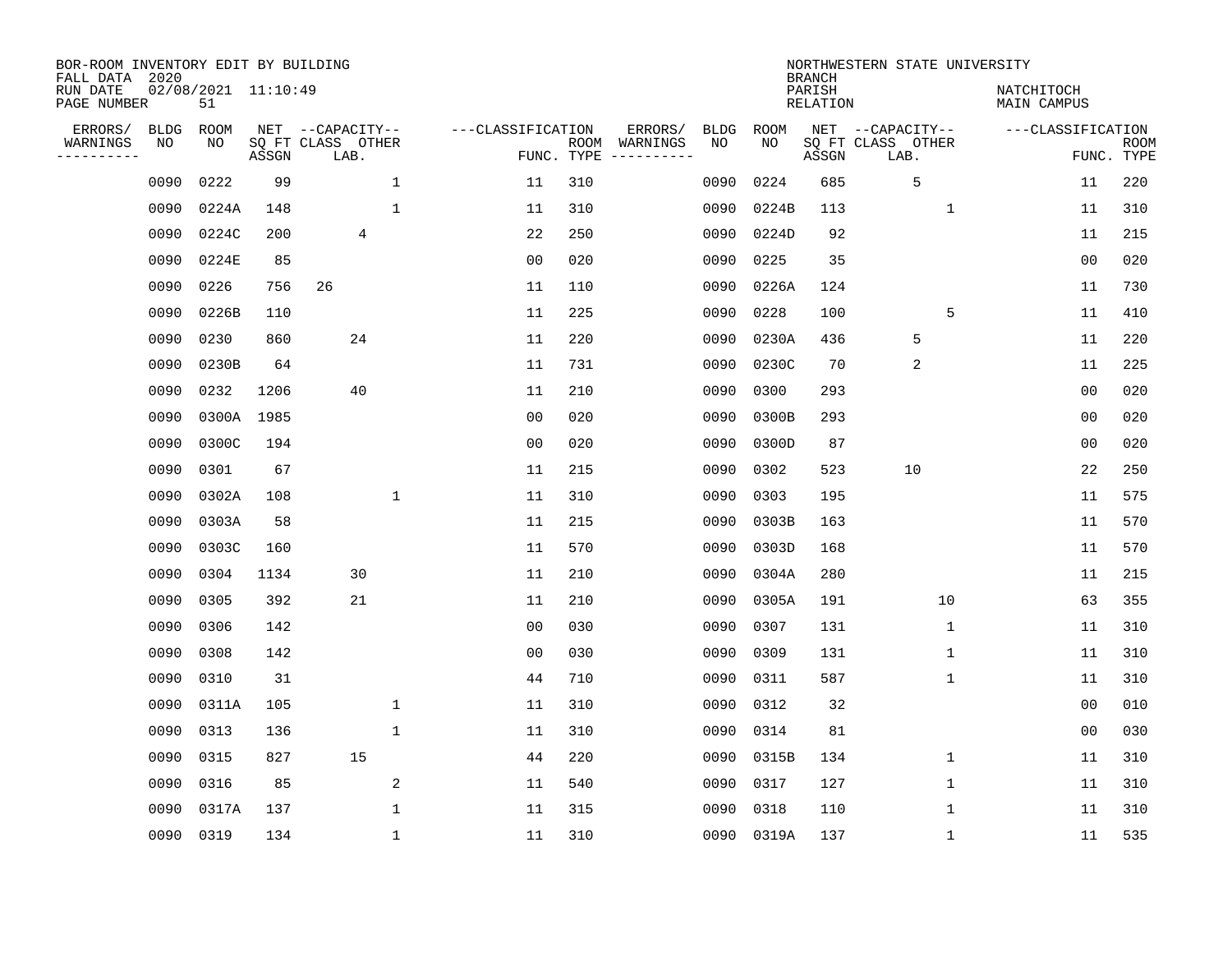| BOR-ROOM INVENTORY EDIT BY BUILDING<br>FALL DATA 2020 |             |                           |       |                           |              |                   |                    |                         |             |             | <b>BRANCH</b>             | NORTHWESTERN STATE UNIVERSITY |                                  |                           |
|-------------------------------------------------------|-------------|---------------------------|-------|---------------------------|--------------|-------------------|--------------------|-------------------------|-------------|-------------|---------------------------|-------------------------------|----------------------------------|---------------------------|
| RUN DATE<br>PAGE NUMBER                               |             | 02/08/2021 11:10:49<br>51 |       |                           |              |                   |                    |                         |             |             | PARISH<br><b>RELATION</b> |                               | NATCHITOCH<br><b>MAIN CAMPUS</b> |                           |
| ERRORS/                                               | <b>BLDG</b> | ROOM                      |       | NET --CAPACITY--          |              | ---CLASSIFICATION |                    | ERRORS/                 | <b>BLDG</b> | <b>ROOM</b> |                           | NET --CAPACITY--              | ---CLASSIFICATION                |                           |
| WARNINGS<br>----------                                | NO          | NO                        | ASSGN | SQ FT CLASS OTHER<br>LAB. |              |                   | ROOM<br>FUNC. TYPE | WARNINGS<br>----------- | NO          | NO          | ASSGN                     | SQ FT CLASS OTHER<br>LAB.     |                                  | <b>ROOM</b><br>FUNC. TYPE |
|                                                       | 0090        | 0222                      | 99    |                           | $\mathbf{1}$ | 11                | 310                |                         | 0090        | 0224        | 685                       | 5                             | 11                               | 220                       |
|                                                       | 0090        | 0224A                     | 148   |                           | $\mathbf{1}$ | 11                | 310                |                         | 0090        | 0224B       | 113                       | 1                             | 11                               | 310                       |
|                                                       | 0090        | 0224C                     | 200   | 4                         |              | 22                | 250                |                         | 0090        | 0224D       | 92                        |                               | 11                               | 215                       |
|                                                       | 0090        | 0224E                     | 85    |                           |              | 0 <sub>0</sub>    | 020                |                         | 0090        | 0225        | 35                        |                               | 0 <sub>0</sub>                   | 020                       |
|                                                       | 0090        | 0226                      | 756   | 26                        |              | 11                | 110                |                         | 0090        | 0226A       | 124                       |                               | 11                               | 730                       |
|                                                       | 0090        | 0226B                     | 110   |                           |              | 11                | 225                |                         | 0090        | 0228        | 100                       | 5                             | 11                               | 410                       |
|                                                       | 0090        | 0230                      | 860   | 24                        |              | 11                | 220                |                         | 0090        | 0230A       | 436                       | 5                             | 11                               | 220                       |
|                                                       | 0090        | 0230B                     | 64    |                           |              | 11                | 731                |                         | 0090        | 0230C       | 70                        | 2                             | 11                               | 225                       |
|                                                       | 0090        | 0232                      | 1206  | 40                        |              | 11                | 210                |                         | 0090        | 0300        | 293                       |                               | 0 <sub>0</sub>                   | 020                       |
|                                                       | 0090        | 0300A 1985                |       |                           |              | 0 <sub>0</sub>    | 020                |                         | 0090        | 0300B       | 293                       |                               | 0 <sub>0</sub>                   | 020                       |
|                                                       | 0090        | 0300C                     | 194   |                           |              | 0 <sub>0</sub>    | 020                |                         | 0090        | 0300D       | 87                        |                               | 0 <sub>0</sub>                   | 020                       |
|                                                       | 0090        | 0301                      | 67    |                           |              | 11                | 215                |                         | 0090        | 0302        | 523                       | 10                            | 22                               | 250                       |
|                                                       | 0090        | 0302A                     | 108   |                           | $\mathbf{1}$ | 11                | 310                |                         | 0090        | 0303        | 195                       |                               | 11                               | 575                       |
|                                                       | 0090        | 0303A                     | 58    |                           |              | 11                | 215                |                         | 0090        | 0303B       | 163                       |                               | 11                               | 570                       |
|                                                       | 0090        | 0303C                     | 160   |                           |              | 11                | 570                |                         | 0090        | 0303D       | 168                       |                               | 11                               | 570                       |
|                                                       | 0090        | 0304                      | 1134  | 30                        |              | 11                | 210                |                         | 0090        | 0304A       | 280                       |                               | 11                               | 215                       |
|                                                       | 0090        | 0305                      | 392   | 21                        |              | 11                | 210                |                         | 0090        | 0305A       | 191                       | 10                            | 63                               | 355                       |
|                                                       | 0090        | 0306                      | 142   |                           |              | 0 <sub>0</sub>    | 030                |                         | 0090        | 0307        | 131                       | 1                             | 11                               | 310                       |
|                                                       | 0090        | 0308                      | 142   |                           |              | 0 <sub>0</sub>    | 030                |                         | 0090        | 0309        | 131                       | 1                             | 11                               | 310                       |
|                                                       | 0090        | 0310                      | 31    |                           |              | 44                | 710                |                         | 0090        | 0311        | 587                       | 1                             | 11                               | 310                       |
|                                                       | 0090        | 0311A                     | 105   |                           | 1            | 11                | 310                |                         | 0090        | 0312        | 32                        |                               | 0 <sub>0</sub>                   | 010                       |
|                                                       | 0090        | 0313                      | 136   |                           | $\mathbf 1$  | 11                | 310                |                         | 0090        | 0314        | 81                        |                               | 00                               | 030                       |
|                                                       | 0090        | 0315                      | 827   | 15                        |              | 44                | 220                |                         | 0090        | 0315B       | 134                       | 1                             | 11                               | 310                       |
|                                                       | 0090        | 0316                      | 85    |                           | 2            | 11                | 540                |                         | 0090        | 0317        | 127                       | $\mathbf 1$                   | 11                               | 310                       |
|                                                       | 0090        | 0317A                     | 137   |                           | $\mathbf{1}$ | 11                | 315                |                         | 0090        | 0318        | 110                       | $\mathbf{1}$                  | 11                               | 310                       |
|                                                       | 0090        | 0319                      | 134   |                           | 1            | 11                | 310                |                         |             | 0090 0319A  | 137                       | 1                             | 11                               | 535                       |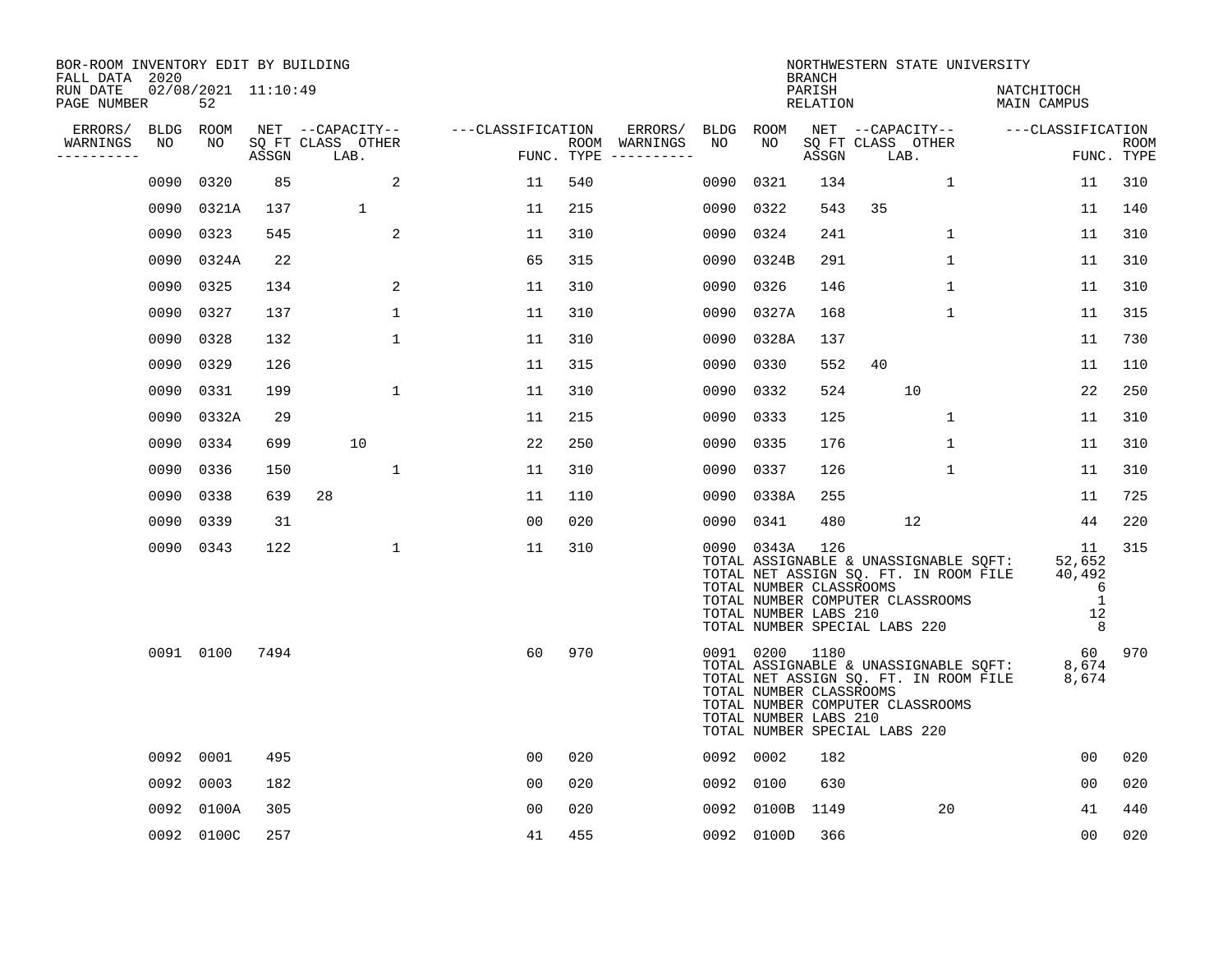| BOR-ROOM INVENTORY EDIT BY BUILDING<br>FALL DATA 2020 |                           |       |                           |                   |     |                                      |           |                                                                    | <b>BRANCH</b>      |                               |                                  | NORTHWESTERN STATE UNIVERSITY                                                  |                                                                                              |                           |
|-------------------------------------------------------|---------------------------|-------|---------------------------|-------------------|-----|--------------------------------------|-----------|--------------------------------------------------------------------|--------------------|-------------------------------|----------------------------------|--------------------------------------------------------------------------------|----------------------------------------------------------------------------------------------|---------------------------|
| RUN DATE<br>PAGE NUMBER                               | 02/08/2021 11:10:49<br>52 |       |                           |                   |     |                                      |           |                                                                    | PARISH<br>RELATION |                               |                                  | NATCHITOCH<br>MAIN CAMPUS                                                      |                                                                                              |                           |
| ERRORS/<br>BLDG                                       | ROOM                      |       | NET --CAPACITY--          | ---CLASSIFICATION |     | ERRORS/                              | BLDG ROOM |                                                                    |                    |                               | NET --CAPACITY--                 | ---CLASSIFICATION                                                              |                                                                                              |                           |
| WARNINGS<br>NO<br>----------                          | NO.                       | ASSGN | SQ FT CLASS OTHER<br>LAB. |                   |     | ROOM WARNINGS<br>FUNC. TYPE $------$ | NO.       | NO                                                                 | ASSGN              | LAB.                          | SQ FT CLASS OTHER                |                                                                                |                                                                                              | <b>ROOM</b><br>FUNC. TYPE |
| 0090                                                  | 0320                      | 85    | 2                         | 11                | 540 |                                      | 0090      | 0321                                                               | 134                |                               | $\mathbf{1}$                     |                                                                                | 11                                                                                           | 310                       |
| 0090                                                  | 0321A                     | 137   | 1                         | 11                | 215 |                                      | 0090      | 0322                                                               | 543                | 35                            |                                  |                                                                                | 11                                                                                           | 140                       |
| 0090                                                  | 0323                      | 545   | 2                         | 11                | 310 |                                      | 0090      | 0324                                                               | 241                |                               | $\mathbf{1}$                     |                                                                                | 11                                                                                           | 310                       |
| 0090                                                  | 0324A                     | 22    |                           | 65                | 315 |                                      | 0090      | 0324B                                                              | 291                |                               | $\mathbf 1$                      |                                                                                | 11                                                                                           | 310                       |
| 0090                                                  | 0325                      | 134   | 2                         | 11                | 310 |                                      | 0090      | 0326                                                               | 146                |                               | $\mathbf{1}$                     |                                                                                | 11                                                                                           | 310                       |
| 0090                                                  | 0327                      | 137   | 1                         | 11                | 310 |                                      | 0090      | 0327A                                                              | 168                |                               | $\mathbf{1}$                     |                                                                                | 11                                                                                           | 315                       |
| 0090                                                  | 0328                      | 132   | $\mathbf 1$               | 11                | 310 |                                      | 0090      | 0328A                                                              | 137                |                               |                                  |                                                                                | 11                                                                                           | 730                       |
| 0090                                                  | 0329                      | 126   |                           | 11                | 315 |                                      | 0090      | 0330                                                               | 552                | 40                            |                                  |                                                                                | 11                                                                                           | 110                       |
| 0090                                                  | 0331                      | 199   | $\mathbf{1}$              | 11                | 310 |                                      | 0090      | 0332                                                               | 524                |                               | 10                               |                                                                                | 22                                                                                           | 250                       |
| 0090                                                  | 0332A                     | 29    |                           | 11                | 215 |                                      | 0090      | 0333                                                               | 125                |                               | $\mathbf{1}$                     |                                                                                | 11                                                                                           | 310                       |
| 0090                                                  | 0334                      | 699   | 10                        | 22                | 250 |                                      | 0090      | 0335                                                               | 176                |                               | $\mathbf{1}$                     |                                                                                | 11                                                                                           | 310                       |
| 0090                                                  | 0336                      | 150   | $\mathbf{1}$              | 11                | 310 |                                      | 0090      | 0337                                                               | 126                |                               | $\mathbf 1$                      |                                                                                | 11                                                                                           | 310                       |
| 0090                                                  | 0338                      | 639   | 28                        | 11                | 110 |                                      | 0090      | 0338A                                                              | 255                |                               |                                  |                                                                                | 11                                                                                           | 725                       |
| 0090                                                  | 0339                      | 31    |                           | 00                | 020 |                                      | 0090      | 0341                                                               | 480                |                               | 12                               |                                                                                | 44                                                                                           | 220                       |
|                                                       | 0090 0343                 | 122   | 1                         | 11                | 310 |                                      |           | 0090 0343A<br>TOTAL NUMBER CLASSROOMS<br>TOTAL NUMBER LABS 210     | 126                | TOTAL NUMBER SPECIAL LABS 220 | TOTAL NUMBER COMPUTER CLASSROOMS | TOTAL ASSIGNABLE & UNASSIGNABLE SQFT:<br>TOTAL NET ASSIGN SQ. FT. IN ROOM FILE | 11<br>52,652<br>40,492<br>$6\overline{6}$<br>$\overline{1}$<br>12<br>$\overline{\mathbf{8}}$ | 315                       |
|                                                       | 0091 0100                 | 7494  |                           | 60                | 970 |                                      |           | 0091 0200 1180<br>TOTAL NUMBER CLASSROOMS<br>TOTAL NUMBER LABS 210 |                    | TOTAL NUMBER SPECIAL LABS 220 | TOTAL NUMBER COMPUTER CLASSROOMS | TOTAL ASSIGNABLE & UNASSIGNABLE SQFT:<br>TOTAL NET ASSIGN SQ. FT. IN ROOM FILE | 60<br>8,674<br>8,674                                                                         | 970                       |
| 0092                                                  | 0001                      | 495   |                           | 0 <sub>0</sub>    | 020 |                                      |           | 0092 0002                                                          | 182                |                               |                                  |                                                                                | 0 <sub>0</sub>                                                                               | 020                       |
| 0092                                                  | 0003                      | 182   |                           | 0 <sub>0</sub>    | 020 |                                      |           | 0092 0100                                                          | 630                |                               |                                  |                                                                                | 00                                                                                           | 020                       |
| 0092                                                  | 0100A                     | 305   |                           | 0 <sub>0</sub>    | 020 |                                      |           | 0092 0100B                                                         | 1149               |                               | 20                               |                                                                                | 41                                                                                           | 440                       |
|                                                       | 0092 0100C                | 257   |                           | 41                | 455 |                                      |           | 0092 0100D                                                         | 366                |                               |                                  |                                                                                | 0 <sub>0</sub>                                                                               | 020                       |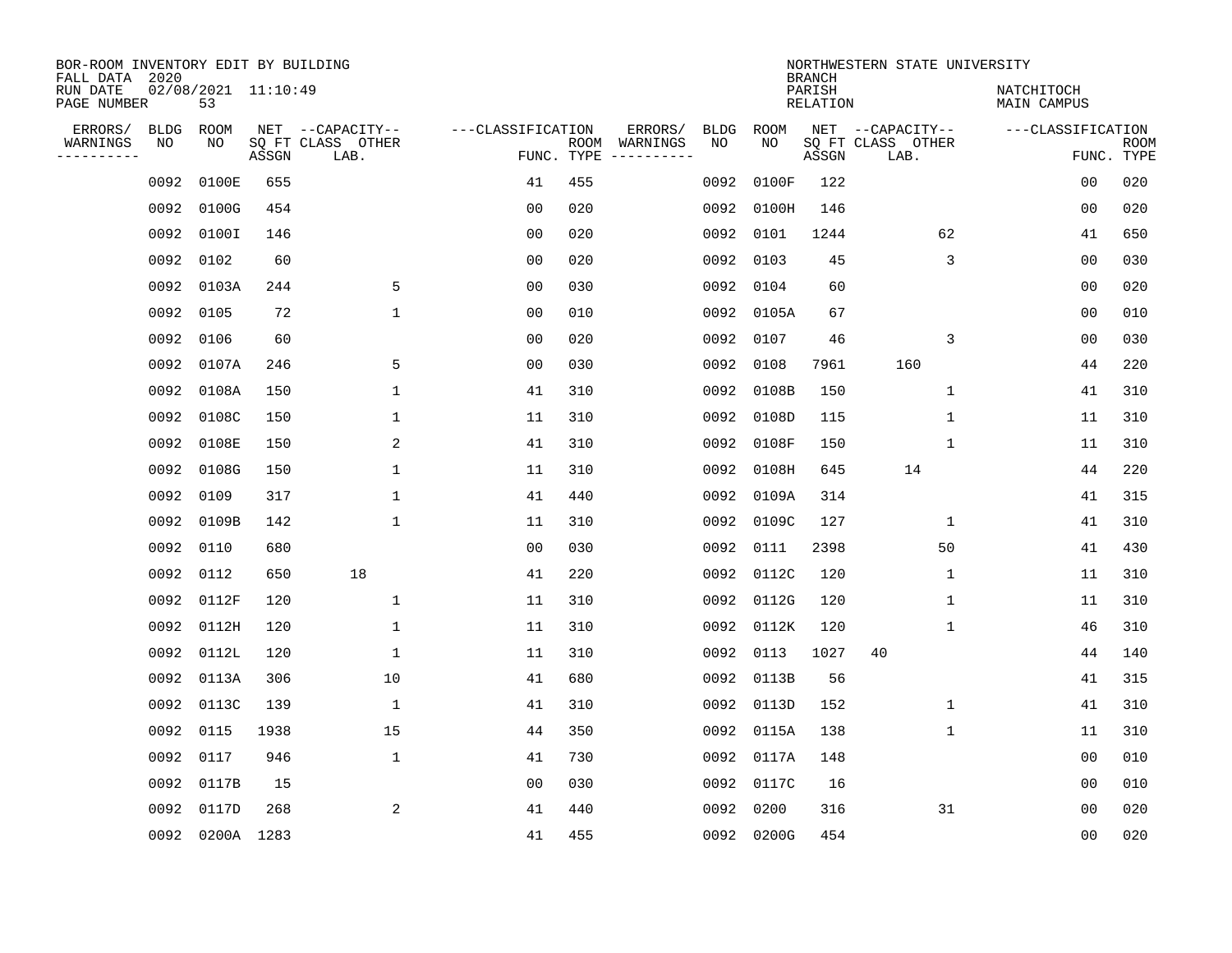| BOR-ROOM INVENTORY EDIT BY BUILDING<br>FALL DATA 2020 |             |                           |       |                           |                   |                    |                         |             |            | <b>BRANCH</b>             | NORTHWESTERN STATE UNIVERSITY |                                  |                           |
|-------------------------------------------------------|-------------|---------------------------|-------|---------------------------|-------------------|--------------------|-------------------------|-------------|------------|---------------------------|-------------------------------|----------------------------------|---------------------------|
| RUN DATE<br>PAGE NUMBER                               |             | 02/08/2021 11:10:49<br>53 |       |                           |                   |                    |                         |             |            | PARISH<br><b>RELATION</b> |                               | NATCHITOCH<br><b>MAIN CAMPUS</b> |                           |
| ERRORS/                                               | <b>BLDG</b> | ROOM                      |       | NET --CAPACITY--          | ---CLASSIFICATION |                    | ERRORS/                 | <b>BLDG</b> | ROOM       |                           | NET --CAPACITY--              | ---CLASSIFICATION                |                           |
| WARNINGS<br>----------                                | NO          | NO                        | ASSGN | SQ FT CLASS OTHER<br>LAB. |                   | ROOM<br>FUNC. TYPE | WARNINGS<br>----------- | NO          | NO         | ASSGN                     | SQ FT CLASS OTHER<br>LAB.     |                                  | <b>ROOM</b><br>FUNC. TYPE |
|                                                       | 0092        | 0100E                     | 655   |                           | 41                | 455                |                         | 0092        | 0100F      | 122                       |                               | 00                               | 020                       |
|                                                       | 0092        | 0100G                     | 454   |                           | 00                | 020                |                         | 0092        | 0100H      | 146                       |                               | 00                               | 020                       |
|                                                       | 0092        | 0100I                     | 146   |                           | 0 <sub>0</sub>    | 020                |                         | 0092        | 0101       | 1244                      | 62                            | 41                               | 650                       |
|                                                       | 0092        | 0102                      | 60    |                           | 0 <sub>0</sub>    | 020                |                         | 0092        | 0103       | 45                        | 3                             | 0 <sub>0</sub>                   | 030                       |
|                                                       | 0092        | 0103A                     | 244   | 5                         | 0 <sub>0</sub>    | 030                |                         | 0092        | 0104       | 60                        |                               | 0 <sub>0</sub>                   | 020                       |
|                                                       | 0092        | 0105                      | 72    | $\mathbf{1}$              | 0 <sub>0</sub>    | 010                |                         |             | 0092 0105A | 67                        |                               | 0 <sub>0</sub>                   | 010                       |
|                                                       | 0092        | 0106                      | 60    |                           | 0 <sub>0</sub>    | 020                |                         | 0092        | 0107       | 46                        | 3                             | 00                               | 030                       |
|                                                       | 0092        | 0107A                     | 246   | 5                         | 0 <sub>0</sub>    | 030                |                         | 0092        | 0108       | 7961                      | 160                           | 44                               | 220                       |
|                                                       | 0092        | 0108A                     | 150   | $\mathbf{1}$              | 41                | 310                |                         | 0092        | 0108B      | 150                       | $\mathbf{1}$                  | 41                               | 310                       |
|                                                       | 0092        | 0108C                     | 150   | 1                         | 11                | 310                |                         | 0092        | 0108D      | 115                       | 1                             | 11                               | 310                       |
|                                                       | 0092        | 0108E                     | 150   | 2                         | 41                | 310                |                         | 0092        | 0108F      | 150                       | 1                             | 11                               | 310                       |
|                                                       | 0092        | 0108G                     | 150   | 1                         | 11                | 310                |                         | 0092        | 0108H      | 645                       | 14                            | 44                               | 220                       |
|                                                       | 0092        | 0109                      | 317   | 1                         | 41                | 440                |                         | 0092        | 0109A      | 314                       |                               | 41                               | 315                       |
|                                                       | 0092        | 0109B                     | 142   | 1                         | 11                | 310                |                         | 0092        | 0109C      | 127                       | 1                             | 41                               | 310                       |
|                                                       | 0092        | 0110                      | 680   |                           | 0 <sub>0</sub>    | 030                |                         | 0092        | 0111       | 2398                      | 50                            | 41                               | 430                       |
|                                                       | 0092        | 0112                      | 650   | 18                        | 41                | 220                |                         | 0092        | 0112C      | 120                       | 1                             | 11                               | 310                       |
|                                                       | 0092        | 0112F                     | 120   | $\mathbf{1}$              | 11                | 310                |                         | 0092        | 0112G      | 120                       | 1                             | 11                               | 310                       |
|                                                       | 0092        | 0112H                     | 120   | 1                         | 11                | 310                |                         | 0092        | 0112K      | 120                       | 1                             | 46                               | 310                       |
|                                                       | 0092        | 0112L                     | 120   | 1                         | 11                | 310                |                         | 0092        | 0113       | 1027                      | 40                            | 44                               | 140                       |
|                                                       | 0092        | 0113A                     | 306   | 10                        | 41                | 680                |                         | 0092        | 0113B      | 56                        |                               | 41                               | 315                       |
|                                                       | 0092        | 0113C                     | 139   | 1                         | 41                | 310                |                         | 0092        | 0113D      | 152                       | 1                             | 41                               | 310                       |
|                                                       | 0092        | 0115                      | 1938  | 15                        | 44                | 350                |                         | 0092        | 0115A      | 138                       | 1                             | 11                               | 310                       |
|                                                       | 0092        | 0117                      | 946   | $\mathbf{1}$              | 41                | 730                |                         |             | 0092 0117A | 148                       |                               | 0 <sub>0</sub>                   | 010                       |
|                                                       | 0092        | 0117B                     | 15    |                           | 0 <sub>0</sub>    | 030                |                         | 0092        | 0117C      | 16                        |                               | 0 <sub>0</sub>                   | 010                       |
|                                                       | 0092        | 0117D                     | 268   | 2                         | 41                | 440                |                         | 0092        | 0200       | 316                       | 31                            | 0 <sub>0</sub>                   | 020                       |
|                                                       |             | 0092 0200A 1283           |       |                           | 41                | 455                |                         |             | 0092 0200G | 454                       |                               | 0 <sub>0</sub>                   | 020                       |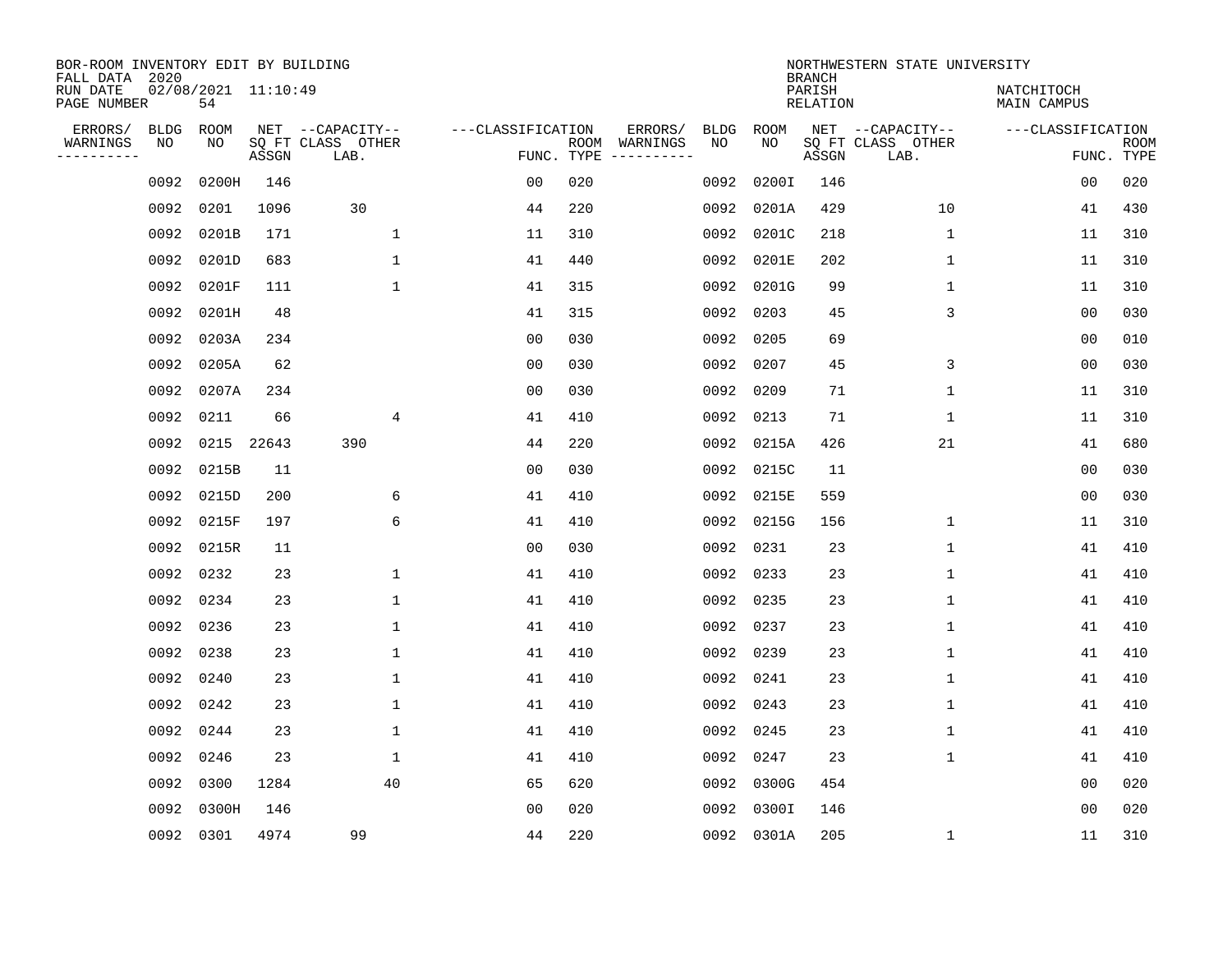| BOR-ROOM INVENTORY EDIT BY BUILDING<br>FALL DATA 2020 |                   |                           |       |                                               |                                 |     |                          |            |             | <b>BRANCH</b>             | NORTHWESTERN STATE UNIVERSITY                 |                                 |             |
|-------------------------------------------------------|-------------------|---------------------------|-------|-----------------------------------------------|---------------------------------|-----|--------------------------|------------|-------------|---------------------------|-----------------------------------------------|---------------------------------|-------------|
| RUN DATE<br>PAGE NUMBER                               |                   | 02/08/2021 11:10:49<br>54 |       |                                               |                                 |     |                          |            |             | PARISH<br><b>RELATION</b> |                                               | NATCHITOCH<br>MAIN CAMPUS       |             |
| ERRORS/<br>WARNINGS<br>.                              | <b>BLDG</b><br>NO | ROOM<br>NO                | ASSGN | NET --CAPACITY--<br>SQ FT CLASS OTHER<br>LAB. | ---CLASSIFICATION<br>FUNC. TYPE |     | ERRORS/<br>ROOM WARNINGS | BLDG<br>NO | ROOM<br>NO. | ASSGN                     | NET --CAPACITY--<br>SQ FT CLASS OTHER<br>LAB. | ---CLASSIFICATION<br>FUNC. TYPE | <b>ROOM</b> |
|                                                       | 0092              | 0200H                     | 146   |                                               | 0 <sub>0</sub>                  | 020 |                          | 0092       | 0200I       | 146                       |                                               | 00                              | 020         |
|                                                       | 0092              | 0201                      | 1096  | 30                                            | 44                              | 220 |                          | 0092       | 0201A       | 429                       | 10                                            | 41                              | 430         |
|                                                       | 0092              | 0201B                     | 171   | $\mathbf{1}$                                  | 11                              | 310 |                          | 0092       | 0201C       | 218                       | $\mathbf{1}$                                  | 11                              | 310         |
|                                                       | 0092              | 0201D                     | 683   | $\mathbf{1}$                                  | 41                              | 440 |                          | 0092       | 0201E       | 202                       | $\mathbf 1$                                   | 11                              | 310         |
|                                                       | 0092              | 0201F                     | 111   | $\mathbf{1}$                                  | 41                              | 315 |                          | 0092       | 0201G       | 99                        | $\mathbf 1$                                   | 11                              | 310         |
|                                                       |                   | 0092 0201H                | 48    |                                               | 41                              | 315 |                          | 0092       | 0203        | 45                        | 3                                             | 0 <sub>0</sub>                  | 030         |
|                                                       |                   | 0092 0203A                | 234   |                                               | 0 <sub>0</sub>                  | 030 |                          | 0092       | 0205        | 69                        |                                               | 0 <sub>0</sub>                  | 010         |
|                                                       |                   | 0092 0205A                | 62    |                                               | 0 <sub>0</sub>                  | 030 |                          | 0092       | 0207        | 45                        | 3                                             | 0 <sub>0</sub>                  | 030         |
|                                                       | 0092              | 0207A                     | 234   |                                               | 0 <sub>0</sub>                  | 030 |                          | 0092       | 0209        | 71                        | $\mathbf 1$                                   | 11                              | 310         |
|                                                       | 0092              | 0211                      | 66    | 4                                             | 41                              | 410 |                          | 0092       | 0213        | 71                        | $\mathbf{1}$                                  | 11                              | 310         |
|                                                       | 0092              | 0215                      | 22643 | 390                                           | 44                              | 220 |                          | 0092       | 0215A       | 426                       | 21                                            | 41                              | 680         |
|                                                       | 0092              | 0215B                     | 11    |                                               | 0 <sub>0</sub>                  | 030 |                          | 0092       | 0215C       | 11                        |                                               | 00                              | 030         |
|                                                       | 0092              | 0215D                     | 200   | 6                                             | 41                              | 410 |                          | 0092       | 0215E       | 559                       |                                               | 0 <sub>0</sub>                  | 030         |
|                                                       | 0092              | 0215F                     | 197   | 6                                             | 41                              | 410 |                          | 0092       | 0215G       | 156                       | 1                                             | 11                              | 310         |
|                                                       | 0092              | 0215R                     | 11    |                                               | 0 <sub>0</sub>                  | 030 |                          | 0092       | 0231        | 23                        | 1                                             | 41                              | 410         |
|                                                       | 0092              | 0232                      | 23    | $\mathbf 1$                                   | 41                              | 410 |                          | 0092       | 0233        | 23                        | 1                                             | 41                              | 410         |
|                                                       | 0092              | 0234                      | 23    | $\mathbf 1$                                   | 41                              | 410 |                          | 0092       | 0235        | 23                        | 1                                             | 41                              | 410         |
|                                                       | 0092              | 0236                      | 23    | $\mathbf 1$                                   | 41                              | 410 |                          | 0092       | 0237        | 23                        | 1                                             | 41                              | 410         |
|                                                       | 0092              | 0238                      | 23    | 1                                             | 41                              | 410 |                          | 0092       | 0239        | 23                        | 1                                             | 41                              | 410         |
|                                                       | 0092              | 0240                      | 23    | $\mathbf 1$                                   | 41                              | 410 |                          | 0092       | 0241        | 23                        | 1                                             | 41                              | 410         |
|                                                       | 0092              | 0242                      | 23    | 1                                             | 41                              | 410 |                          | 0092       | 0243        | 23                        | 1                                             | 41                              | 410         |
|                                                       | 0092              | 0244                      | 23    | $\mathbf 1$                                   | 41                              | 410 |                          | 0092       | 0245        | 23                        | 1                                             | 41                              | 410         |
|                                                       | 0092              | 0246                      | 23    | $\mathbf 1$                                   | 41                              | 410 |                          | 0092       | 0247        | 23                        | 1                                             | 41                              | 410         |
|                                                       | 0092              | 0300                      | 1284  | 40                                            | 65                              | 620 |                          | 0092       | 0300G       | 454                       |                                               | 0 <sub>0</sub>                  | 020         |
|                                                       | 0092              | 0300H                     | 146   |                                               | 00                              | 020 |                          | 0092       | 0300I       | 146                       |                                               | 00                              | 020         |
|                                                       | 0092 0301         |                           | 4974  | 99                                            | 44                              | 220 |                          |            | 0092 0301A  | 205                       | 1                                             | 11                              | 310         |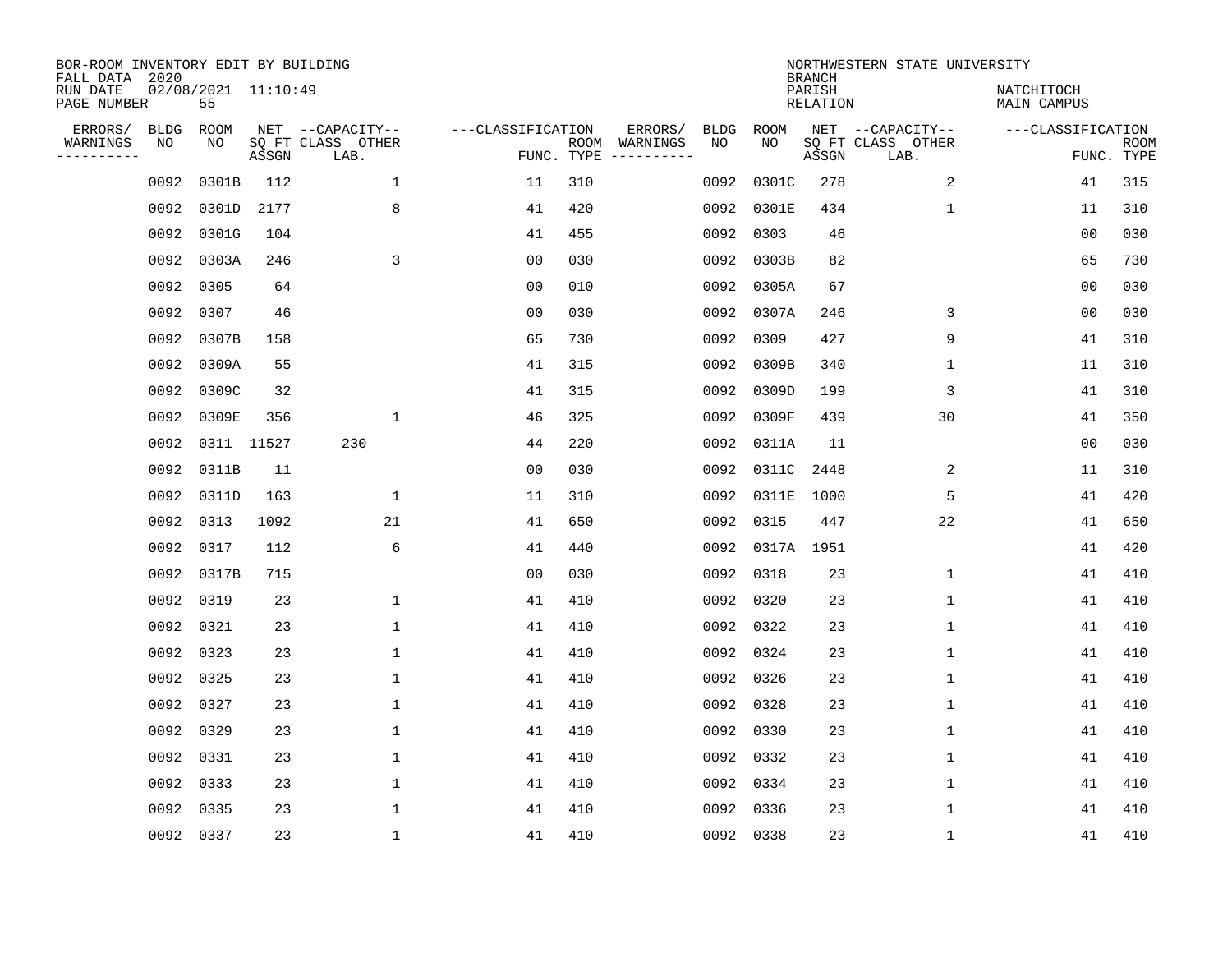| BOR-ROOM INVENTORY EDIT BY BUILDING<br>FALL DATA 2020 |            |                           |       |                                               |                                 |     |                          |                   |                 | <b>BRANCH</b>      | NORTHWESTERN STATE UNIVERSITY                 |                           |                           |
|-------------------------------------------------------|------------|---------------------------|-------|-----------------------------------------------|---------------------------------|-----|--------------------------|-------------------|-----------------|--------------------|-----------------------------------------------|---------------------------|---------------------------|
| RUN DATE<br>PAGE NUMBER                               |            | 02/08/2021 11:10:49<br>55 |       |                                               |                                 |     |                          |                   |                 | PARISH<br>RELATION |                                               | NATCHITOCH<br>MAIN CAMPUS |                           |
| ERRORS/<br>WARNINGS<br>---------                      | BLDG<br>ΝO | ROOM<br>NO                | ASSGN | NET --CAPACITY--<br>SQ FT CLASS OTHER<br>LAB. | ---CLASSIFICATION<br>FUNC. TYPE |     | ERRORS/<br>ROOM WARNINGS | <b>BLDG</b><br>NO | ROOM<br>NO      | ASSGN              | NET --CAPACITY--<br>SQ FT CLASS OTHER<br>LAB. | ---CLASSIFICATION         | <b>ROOM</b><br>FUNC. TYPE |
|                                                       | 0092       | 0301B                     | 112   | $\mathbf{1}$                                  | 11                              | 310 |                          | 0092              | 0301C           | 278                | 2                                             | 41                        | 315                       |
|                                                       |            | 0092 0301D                | 2177  | 8                                             | 41                              | 420 |                          | 0092              | 0301E           | 434                | $\mathbf 1$                                   | 11                        | 310                       |
|                                                       |            | 0092 0301G                | 104   |                                               | 41                              | 455 |                          | 0092              | 0303            | 46                 |                                               | 00                        | 030                       |
|                                                       |            | 0092 0303A                | 246   | 3                                             | 0 <sub>0</sub>                  | 030 |                          | 0092              | 0303B           | 82                 |                                               | 65                        | 730                       |
|                                                       | 0092 0305  |                           | 64    |                                               | 0 <sub>0</sub>                  | 010 |                          | 0092              | 0305A           | 67                 |                                               | 0 <sub>0</sub>            | 030                       |
|                                                       | 0092 0307  |                           | 46    |                                               | 0 <sub>0</sub>                  | 030 |                          | 0092              | 0307A           | 246                | 3                                             | 0 <sub>0</sub>            | 030                       |
|                                                       |            | 0092 0307B                | 158   |                                               | 65                              | 730 |                          | 0092              | 0309            | 427                | 9                                             | 41                        | 310                       |
|                                                       |            | 0092 0309A                | 55    |                                               | 41                              | 315 |                          | 0092              | 0309B           | 340                | 1                                             | 11                        | 310                       |
|                                                       | 0092       | 0309C                     | 32    |                                               | 41                              | 315 |                          | 0092              | 0309D           | 199                | 3                                             | 41                        | 310                       |
|                                                       | 0092       | 0309E                     | 356   | 1                                             | 46                              | 325 |                          | 0092              | 0309F           | 439                | 30                                            | 41                        | 350                       |
|                                                       | 0092       | 0311 11527                |       | 230                                           | 44                              | 220 |                          | 0092              | 0311A           | 11                 |                                               | 0 <sub>0</sub>            | 030                       |
|                                                       | 0092       | 0311B                     | 11    |                                               | 0 <sub>0</sub>                  | 030 |                          | 0092              | 0311C           | 2448               | 2                                             | 11                        | 310                       |
|                                                       |            | 0092 0311D                | 163   | $\mathbf{1}$                                  | 11                              | 310 |                          | 0092              | 0311E           | 1000               | 5                                             | 41                        | 420                       |
|                                                       | 0092 0313  |                           | 1092  | 21                                            | 41                              | 650 |                          | 0092              | 0315            | 447                | 22                                            | 41                        | 650                       |
|                                                       | 0092 0317  |                           | 112   | 6                                             | 41                              | 440 |                          |                   | 0092 0317A 1951 |                    |                                               | 41                        | 420                       |
|                                                       |            | 0092 0317B                | 715   |                                               | 0 <sub>0</sub>                  | 030 |                          | 0092              | 0318            | 23                 | 1                                             | 41                        | 410                       |
|                                                       | 0092 0319  |                           | 23    | $\mathbf{1}$                                  | 41                              | 410 |                          | 0092              | 0320            | 23                 | $\mathbf 1$                                   | 41                        | 410                       |
|                                                       | 0092 0321  |                           | 23    | $\mathbf{1}$                                  | 41                              | 410 |                          | 0092              | 0322            | 23                 | $\mathbf 1$                                   | 41                        | 410                       |
|                                                       | 0092 0323  |                           | 23    | $\mathbf{1}$                                  | 41                              | 410 |                          | 0092              | 0324            | 23                 | $\mathbf 1$                                   | 41                        | 410                       |
|                                                       | 0092 0325  |                           | 23    | $\mathbf{1}$                                  | 41                              | 410 |                          | 0092              | 0326            | 23                 | $\mathbf 1$                                   | 41                        | 410                       |
|                                                       | 0092 0327  |                           | 23    | 1                                             | 41                              | 410 |                          | 0092              | 0328            | 23                 | 1                                             | 41                        | 410                       |
|                                                       | 0092 0329  |                           | 23    | 1                                             | 41                              | 410 |                          | 0092              | 0330            | 23                 | $\mathbf{1}$                                  | 41                        | 410                       |
|                                                       | 0092 0331  |                           | 23    | 1                                             | 41                              | 410 |                          |                   | 0092 0332       | 23                 | 1                                             | 41                        | 410                       |
|                                                       | 0092 0333  |                           | 23    | $\mathbf{1}$                                  | 41                              | 410 |                          | 0092              | 0334            | 23                 | $\mathbf 1$                                   | 41                        | 410                       |
|                                                       | 0092 0335  |                           | 23    | $\mathbf{1}$                                  | 41                              | 410 |                          | 0092              | 0336            | 23                 | $\mathbf 1$                                   | 41                        | 410                       |
|                                                       | 0092 0337  |                           | 23    | $\mathbf{1}$                                  | 41                              | 410 |                          |                   | 0092 0338       | 23                 | $\mathbf{1}$                                  | 41                        | 410                       |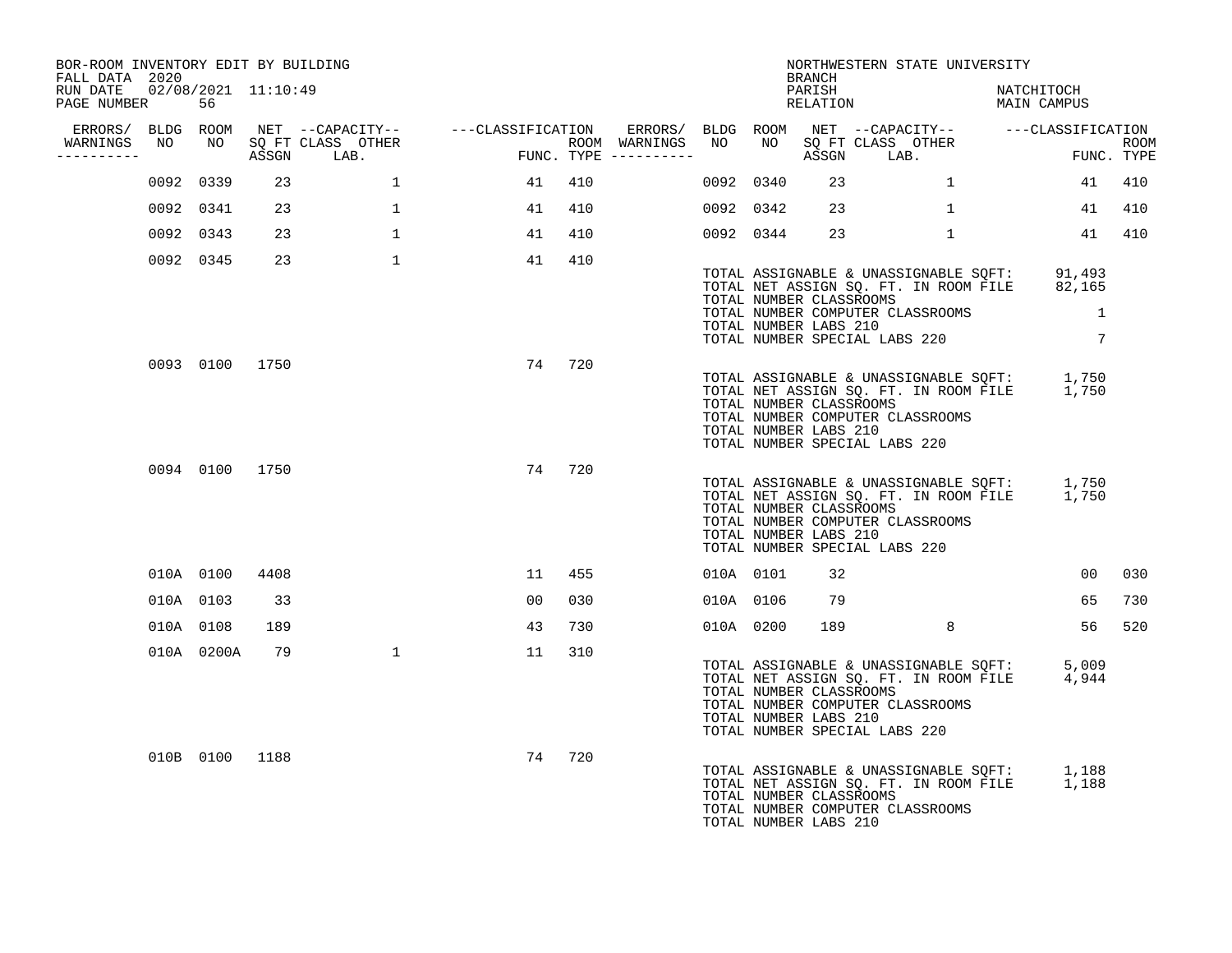| BOR-ROOM INVENTORY EDIT BY BUILDING<br>FALL DATA 2020 |                |     |                                  |                                        |        |           |           | BRANCH                                           | NORTHWESTERN STATE UNIVERSITY                                                                                                                                         |                 |        |
|-------------------------------------------------------|----------------|-----|----------------------------------|----------------------------------------|--------|-----------|-----------|--------------------------------------------------|-----------------------------------------------------------------------------------------------------------------------------------------------------------------------|-----------------|--------|
| RUN DATE  02/08/2021  11:10:49<br>PAGE NUMBER 56      |                |     |                                  |                                        |        |           |           | PARISH                                           | PARISH NATCHITOCH<br>RELATION MAIN CAMPUS                                                                                                                             | NATCHITOCH      |        |
|                                                       |                |     |                                  |                                        |        |           |           |                                                  |                                                                                                                                                                       |                 |        |
| -----------                                           |                |     | WARNINGS NO NO SQ FT CLASS OTHER | ROOM WARNINGS<br>FUNC. TYPE ---------- |        |           |           |                                                  |                                                                                                                                                                       |                 |        |
|                                                       | 0092 0339      | 23  | $\mathbf{1}$                     | 41                                     | 410    |           | 0092 0340 |                                                  | $23 \hspace{1.5cm} 1 \hspace{1.5cm}$                                                                                                                                  |                 | 41 410 |
|                                                       | 0092 0341      | 23  | $\mathbf{1}$                     | 41                                     | 410    |           | 0092 0342 | 23                                               | $\mathbf{1}$                                                                                                                                                          | 41              | 410    |
|                                                       | 0092 0343      | 23  | $\mathbf{1}$                     | 41                                     | 410    |           |           | 0092 0344 23                                     | 1                                                                                                                                                                     |                 | 41 410 |
|                                                       | 0092 0345      | 23  | $\mathbf{1}$                     | 41                                     | 410    |           |           | TOTAL NUMBER CLASSROOMS<br>TOTAL NUMBER LABS 210 | TOTAL ASSIGNABLE & UNASSIGNABLE SQFT: 91,493<br>TOTAL NET ASSIGN SQ. FT. IN ROOM FILE 82,165<br>TOTAL NUMBER COMPUTER CLASSROOMS 1<br>TOTAL NUMBER SPECIAL LABS 220 7 |                 |        |
|                                                       | 0093 0100 1750 |     |                                  |                                        | 74 720 |           |           | TOTAL NUMBER CLASSROOMS<br>TOTAL NUMBER LABS 210 | TOTAL ASSIGNABLE & UNASSIGNABLE SQFT: 1,750<br>TOTAL NET ASSIGN SQ. FT. IN ROOM FILE 1,750<br>TOTAL NUMBER COMPUTER CLASSROOMS<br>TOTAL NUMBER SPECIAL LABS 220       |                 |        |
|                                                       | 0094 0100 1750 |     |                                  |                                        | 74 720 |           |           | TOTAL NUMBER CLASSROOMS<br>TOTAL NUMBER LABS 210 | TOTAL ASSIGNABLE & UNASSIGNABLE SQFT: 1,750<br>TOTAL NET ASSIGN SQ. FT. IN ROOM FILE 1,750<br>TOTAL NUMBER COMPUTER CLASSROOMS<br>TOTAL NUMBER SPECIAL LABS 220       |                 |        |
|                                                       | 010A 0100 4408 |     |                                  |                                        | 11 455 |           | 010A 0101 | 32                                               |                                                                                                                                                                       | 00 <sup>1</sup> | 030    |
|                                                       | 010A 0103      | 33  |                                  | 00 <sub>o</sub>                        | 030    |           |           | 010A 0106 79                                     |                                                                                                                                                                       | 65              | 730    |
|                                                       | 010A 0108      | 189 |                                  | 43                                     | 730    | 010A 0200 |           |                                                  | 189 8                                                                                                                                                                 | 56              | 520    |
|                                                       | 010A 0200A     | 79  | $\mathbf{1}$                     | 11                                     | 310    |           |           | TOTAL NUMBER CLASSROOMS<br>TOTAL NUMBER LABS 210 | TOTAL ASSIGNABLE & UNASSIGNABLE SQFT: 5,009<br>TOTAL NET ASSIGN SQ. FT. IN ROOM FILE 4,944<br>TOTAL NUMBER COMPUTER CLASSROOMS<br>TOTAL NUMBER SPECIAL LABS 220       |                 |        |
|                                                       | 010B 0100 1188 |     |                                  | 74                                     | 720    |           |           | TOTAL NUMBER CLASSROOMS<br>TOTAL NUMBER LABS 210 | TOTAL ASSIGNABLE & UNASSIGNABLE SQFT: 1,188<br>TOTAL NET ASSIGN SQ. FT. IN ROOM FILE 1,188<br>TOTAL NUMBER COMPUTER CLASSROOMS                                        |                 |        |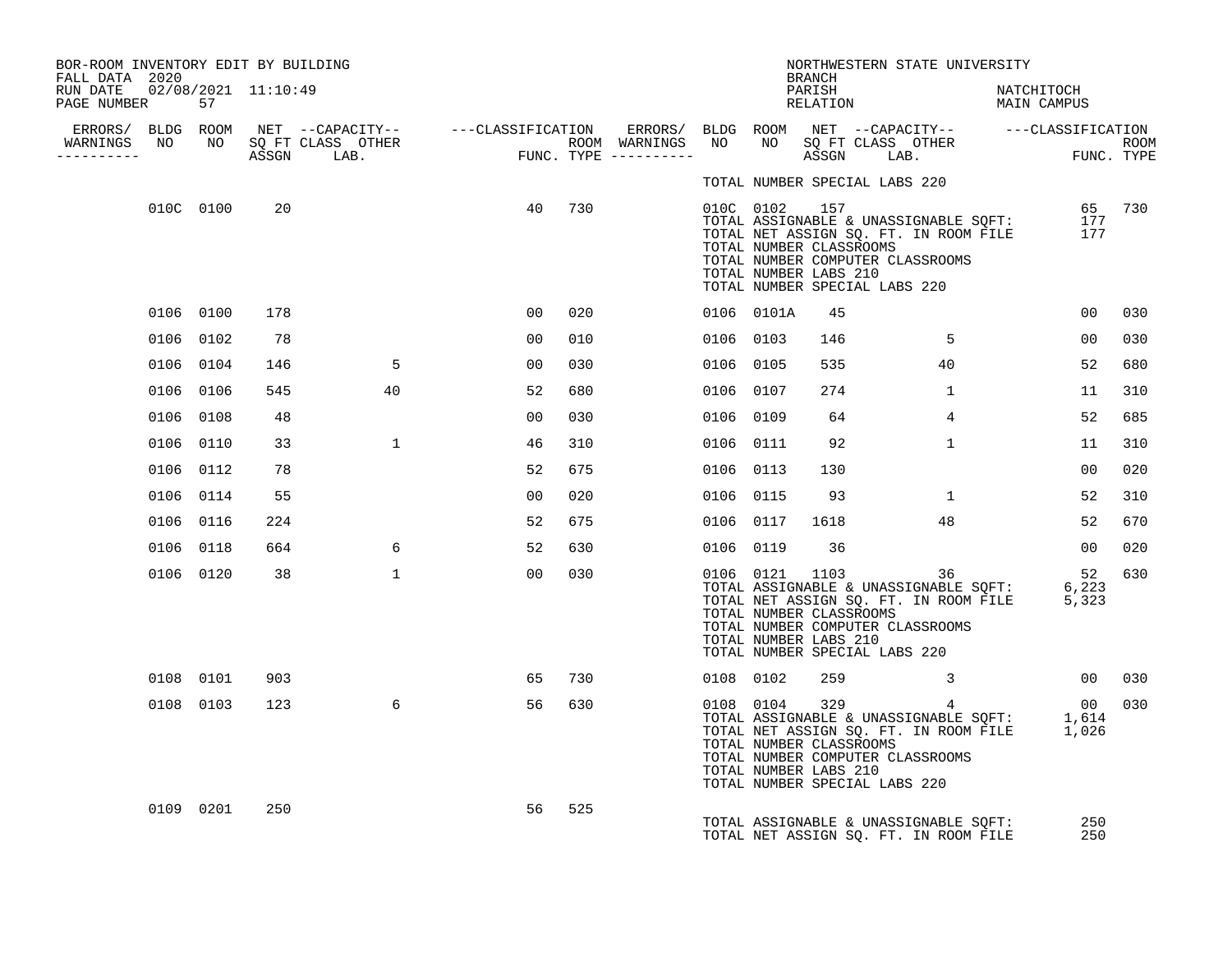| BOR-ROOM INVENTORY EDIT BY BUILDING<br>FALL DATA 2020 |           |     |              |                |     |           |            | BRANCH                                           |                               | NORTHWESTERN STATE UNIVERSITY                                                                                                                                                                                                                             |            |                 |     |
|-------------------------------------------------------|-----------|-----|--------------|----------------|-----|-----------|------------|--------------------------------------------------|-------------------------------|-----------------------------------------------------------------------------------------------------------------------------------------------------------------------------------------------------------------------------------------------------------|------------|-----------------|-----|
| RUN DATE  02/08/2021  11:10:49<br>PAGE NUMBER         | 57        |     |              |                |     |           |            | PARISH                                           |                               | PARISH NATCHITOCH<br>RELATION MAIN CAMPUS                                                                                                                                                                                                                 | NATCHITOCH |                 |     |
|                                                       |           |     |              |                |     |           |            |                                                  |                               |                                                                                                                                                                                                                                                           |            |                 |     |
| ----------                                            |           |     |              |                |     |           |            |                                                  |                               |                                                                                                                                                                                                                                                           |            |                 |     |
|                                                       |           |     |              |                |     |           |            |                                                  | TOTAL NUMBER SPECIAL LABS 220 |                                                                                                                                                                                                                                                           |            |                 |     |
|                                                       | 010C 0100 | 20  |              | 40             | 730 |           |            | TOTAL NUMBER LABS 210                            | TOTAL NUMBER SPECIAL LABS 220 | 157 157 157 157 158 157 65 730<br>TOTAL ASSIGNABLE & UNASSIGNABLE SQFT: 177<br>TOTAL NUMBER CLASSROOMS 158 177<br>TOTAL NUMBER COMPUTER CLASSROOMS                                                                                                        |            |                 |     |
|                                                       | 0106 0100 | 178 |              | 00             | 020 |           | 0106 0101A | 45                                               |                               |                                                                                                                                                                                                                                                           |            | 00              | 030 |
|                                                       | 0106 0102 | 78  |              | 00             | 010 | 0106 0103 |            | 146                                              |                               | 5 <sup>5</sup>                                                                                                                                                                                                                                            |            | 0 <sub>0</sub>  | 030 |
|                                                       | 0106 0104 | 146 | 5            | 00             | 030 | 0106 0105 |            | 535                                              |                               | 40                                                                                                                                                                                                                                                        |            | 52              | 680 |
|                                                       | 0106 0106 | 545 | 40           | 52             | 680 | 0106 0107 |            | 274                                              |                               | $\mathbf{1}$                                                                                                                                                                                                                                              |            | 11              | 310 |
|                                                       | 0106 0108 | 48  |              | 00             | 030 | 0106 0109 |            | 64                                               |                               | $4^{\circ}$                                                                                                                                                                                                                                               |            | 52              | 685 |
|                                                       | 0106 0110 | 33  | $\mathbf{1}$ | 46             | 310 | 0106 0111 |            | 92                                               |                               | $\mathbf{1}$                                                                                                                                                                                                                                              |            | 11              | 310 |
|                                                       | 0106 0112 | 78  |              | 52             | 675 | 0106 0113 |            | 130                                              |                               |                                                                                                                                                                                                                                                           |            | 0 <sub>0</sub>  | 020 |
|                                                       | 0106 0114 | 55  |              | 00             | 020 | 0106 0115 |            | 93                                               |                               | $\mathbf{1}$                                                                                                                                                                                                                                              |            | 52              | 310 |
|                                                       | 0106 0116 | 224 |              | 52             | 675 | 0106 0117 |            | 1618                                             |                               | 48                                                                                                                                                                                                                                                        |            | 52              | 670 |
|                                                       | 0106 0118 | 664 | 6            | 52             | 630 | 0106 0119 |            | 36                                               |                               |                                                                                                                                                                                                                                                           |            | 00 <sub>o</sub> | 020 |
|                                                       | 0106 0120 | 38  | $\mathbf{1}$ | 0 <sub>0</sub> | 030 |           |            | TOTAL NUMBER CLASSROOMS<br>TOTAL NUMBER LABS 210 | TOTAL NUMBER SPECIAL LABS 220 | 36<br>$\begin{tabular}{lllllllll} 0106 & 0121 & 1103 & 36 & 52 \\ \text{TOTAL ASSIGNABLE & UNASSIGNABLE} & \text{SQFT:} & 6,223 \\ \text{TOTAL NET ASSIGN SG} & \text{SQ. FT. IN ROOM FILE} & 5,323 \\ \end{tabular}$<br>TOTAL NUMBER COMPUTER CLASSROOMS |            | 52              | 630 |
|                                                       | 0108 0101 | 903 |              | 65             | 730 |           | 0108 0102  | 259                                              |                               | $\sim$ 3                                                                                                                                                                                                                                                  | 00 030     |                 |     |
|                                                       | 0108 0103 | 123 | 6            | 56             | 630 |           |            | TOTAL NUMBER CLASSROOMS<br>TOTAL NUMBER LABS 210 | TOTAL NUMBER SPECIAL LABS 220 | $\begin{array}{cccc} 0108 & 0104 & 329 & 4 & 00 \\ \text{TOTAL ASSIGNABLE & UNASSIGNABLE & \text{SQFT:}} & 1,614 \\ \text{TOTAL NET ASSIGN SQ. FT. IN ROM FILE} & 1,026 \end{array}$<br>TOTAL NUMBER COMPUTER CLASSROOMS                                  |            |                 | 030 |
|                                                       | 0109 0201 | 250 |              | 56             | 525 |           |            |                                                  |                               | TOTAL ASSIGNABLE & UNASSIGNABLE SQFT:<br>TOTAL NET ASSIGN SO. FT. IN ROOM FILE                                                                                                                                                                            |            | 250<br>250      |     |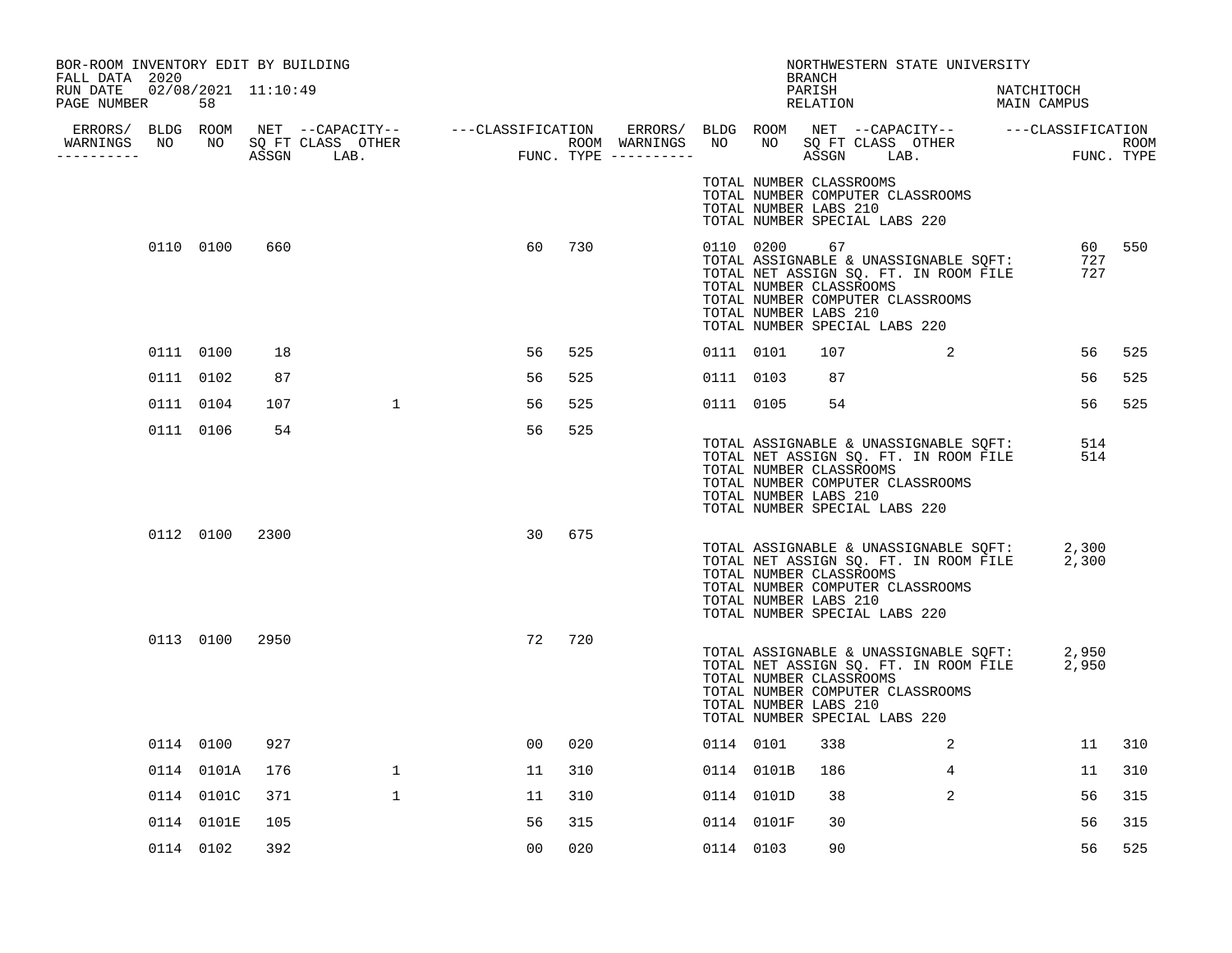| BOR-ROOM INVENTORY EDIT BY BUILDING<br>FALL DATA 2020 |                           |      |                                  |                |     |           |                                                               | <b>BRANCH</b>      | NORTHWESTERN STATE UNIVERSITY                                                                                                                                   |                           |            |        |
|-------------------------------------------------------|---------------------------|------|----------------------------------|----------------|-----|-----------|---------------------------------------------------------------|--------------------|-----------------------------------------------------------------------------------------------------------------------------------------------------------------|---------------------------|------------|--------|
| RUN DATE<br>PAGE NUMBER                               | 02/08/2021 11:10:49<br>58 |      |                                  |                |     |           |                                                               | PARISH<br>RELATION |                                                                                                                                                                 | NATCHITOCH<br>NAILLIILLIN |            |        |
| ----------                                            |                           |      | WARNINGS NO NO SQ FT CLASS OTHER |                |     |           |                                                               |                    |                                                                                                                                                                 |                           |            |        |
|                                                       |                           |      |                                  |                |     |           | TOTAL NUMBER CLASSROOMS<br>TOTAL NUMBER LABS 210              |                    | TOTAL NUMBER COMPUTER CLASSROOMS<br>TOTAL NUMBER SPECIAL LABS 220                                                                                               |                           |            |        |
|                                                       | 0110 0100                 | 660  |                                  | 60             | 730 |           | 0110 0200<br>TOTAL NUMBER CLASSROOMS<br>TOTAL NUMBER LABS 210 | 67                 | TOTAL ASSIGNABLE & UNASSIGNABLE SQFT:<br>TOTAL NET ASSIGN SQ. FT. IN ROOM FILE<br>TOTAL NUMBER COMPUTER CLASSROOMS<br>TOTAL NUMBER SPECIAL LABS 220             |                           | 727<br>727 | 60 550 |
|                                                       | 0111 0100                 | 18   |                                  | 56             | 525 |           | 0111 0101                                                     | 107                | $\sim$ 2                                                                                                                                                        |                           | 56         | 525    |
|                                                       | 0111 0102                 | 87   |                                  | 56             | 525 |           | 0111 0103                                                     | 87                 |                                                                                                                                                                 |                           | 56         | 525    |
|                                                       | 0111 0104                 | 107  | $\mathbf{1}$                     | 56             | 525 |           | 0111 0105                                                     | 54                 |                                                                                                                                                                 |                           | 56         | 525    |
|                                                       | 0111 0106                 | 54   |                                  | 56             | 525 |           | TOTAL NUMBER CLASSROOMS<br>TOTAL NUMBER LABS 210              |                    | TOTAL ASSIGNABLE & UNASSIGNABLE SQFT:<br>TOTAL NET ASSIGN SQ. FT. IN ROOM FILE<br>TOTAL NUMBER COMPUTER CLASSROOMS<br>TOTAL NUMBER SPECIAL LABS 220             |                           | 514<br>514 |        |
|                                                       | 0112 0100                 | 2300 |                                  | 30             | 675 |           | TOTAL NUMBER CLASSROOMS<br>TOTAL NUMBER LABS 210              |                    | TOTAL ASSIGNABLE & UNASSIGNABLE SQFT: 2,300<br>TOTAL NET ASSIGN SQ. FT. IN ROOM FILE 2,300<br>TOTAL NUMBER COMPUTER CLASSROOMS<br>TOTAL NUMBER SPECIAL LABS 220 |                           |            |        |
|                                                       | 0113 0100 2950            |      |                                  | 72             | 720 |           | TOTAL NUMBER CLASSROOMS<br>TOTAL NUMBER LABS 210              |                    | TOTAL ASSIGNABLE & UNASSIGNABLE SQFT: 2,950<br>TOTAL NET ASSIGN SQ. FT. IN ROOM FILE 2,950<br>TOTAL NUMBER COMPUTER CLASSROOMS<br>TOTAL NUMBER SPECIAL LABS 220 |                           |            |        |
|                                                       | 0114 0100                 | 927  |                                  | 0 <sub>0</sub> | 020 | 0114 0101 |                                                               | 338                | $\overline{\mathbf{a}}$                                                                                                                                         |                           | 11         | 310    |
|                                                       | 0114 0101A                | 176  | $\mathbf{1}$                     | 11             | 310 |           | 0114 0101B                                                    | 186                | 4                                                                                                                                                               |                           | 11         | 310    |
|                                                       | 0114 0101C                | 371  | $\mathbf{1}$                     | 11             | 310 |           | 0114 0101D                                                    | 38                 | 2                                                                                                                                                               |                           | 56         | 315    |
|                                                       | 0114 0101E                | 105  |                                  | 56             | 315 |           | 0114 0101F                                                    | 30                 |                                                                                                                                                                 |                           | 56         | 315    |
|                                                       | 0114 0102                 | 392  |                                  | 0 <sub>0</sub> | 020 | 0114 0103 |                                                               | 90                 |                                                                                                                                                                 |                           | 56         | 525    |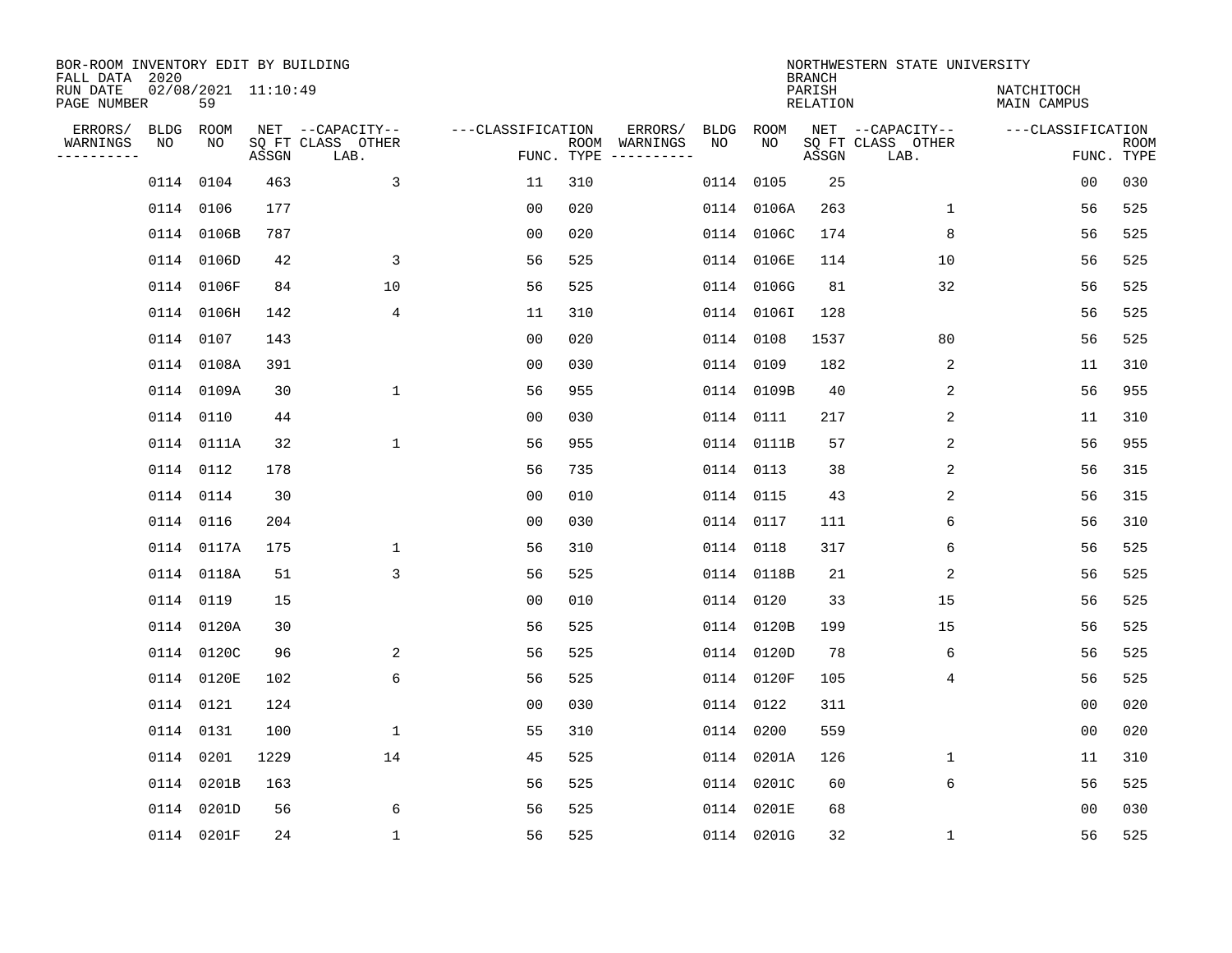| BOR-ROOM INVENTORY EDIT BY BUILDING<br>FALL DATA 2020 |                           |       |                                               |                   |     |                                                 |            |            | <b>BRANCH</b>      | NORTHWESTERN STATE UNIVERSITY                 |                           |                           |
|-------------------------------------------------------|---------------------------|-------|-----------------------------------------------|-------------------|-----|-------------------------------------------------|------------|------------|--------------------|-----------------------------------------------|---------------------------|---------------------------|
| RUN DATE<br>PAGE NUMBER                               | 02/08/2021 11:10:49<br>59 |       |                                               |                   |     |                                                 |            |            | PARISH<br>RELATION |                                               | NATCHITOCH<br>MAIN CAMPUS |                           |
| ERRORS/<br>WARNINGS<br>NO<br>---------                | BLDG ROOM<br>NO           | ASSGN | NET --CAPACITY--<br>SQ FT CLASS OTHER<br>LAB. | ---CLASSIFICATION |     | ERRORS/<br>ROOM WARNINGS<br>FUNC. TYPE $------$ | BLDG<br>NO | ROOM<br>NO | ASSGN              | NET --CAPACITY--<br>SQ FT CLASS OTHER<br>LAB. | ---CLASSIFICATION         | <b>ROOM</b><br>FUNC. TYPE |
|                                                       | 0114 0104                 | 463   | $\overline{3}$                                | 11                | 310 |                                                 |            | 0114 0105  | 25                 |                                               | 0 <sub>0</sub>            | 030                       |
|                                                       | 0114 0106                 | 177   |                                               | 0 <sub>0</sub>    | 020 |                                                 |            | 0114 0106A | 263                | $\mathbf{1}$                                  | 56                        | 525                       |
|                                                       | 0114 0106B                | 787   |                                               | 0 <sub>0</sub>    | 020 |                                                 |            | 0114 0106C | 174                | 8                                             | 56                        | 525                       |
|                                                       | 0114 0106D                | 42    | 3                                             | 56                | 525 |                                                 |            | 0114 0106E | 114                | 10                                            | 56                        | 525                       |
|                                                       | 0114 0106F                | 84    | 10                                            | 56                | 525 |                                                 |            | 0114 0106G | 81                 | 32                                            | 56                        | 525                       |
|                                                       | 0114 0106H                | 142   | 4                                             | 11                | 310 |                                                 |            | 0114 01061 | 128                |                                               | 56                        | 525                       |
|                                                       | 0114 0107                 | 143   |                                               | 00                | 020 |                                                 |            | 0114 0108  | 1537               | 80                                            | 56                        | 525                       |
|                                                       | 0114 0108A                | 391   |                                               | 0 <sub>0</sub>    | 030 |                                                 |            | 0114 0109  | 182                | 2                                             | 11                        | 310                       |
|                                                       | 0114 0109A                | 30    | $\mathbf 1$                                   | 56                | 955 |                                                 |            | 0114 0109B | 40                 | 2                                             | 56                        | 955                       |
|                                                       | 0114 0110                 | 44    |                                               | 00                | 030 |                                                 |            | 0114 0111  | 217                | 2                                             | 11                        | 310                       |
|                                                       | 0114 0111A                | 32    | $\mathbf{1}$                                  | 56                | 955 |                                                 |            | 0114 0111B | 57                 | 2                                             | 56                        | 955                       |
|                                                       | 0114 0112                 | 178   |                                               | 56                | 735 |                                                 |            | 0114 0113  | 38                 | 2                                             | 56                        | 315                       |
|                                                       | 0114 0114                 | 30    |                                               | 0 <sub>0</sub>    | 010 |                                                 |            | 0114 0115  | 43                 | 2                                             | 56                        | 315                       |
|                                                       | 0114 0116                 | 204   |                                               | 0 <sub>0</sub>    | 030 |                                                 |            | 0114 0117  | 111                | 6                                             | 56                        | 310                       |
|                                                       | 0114 0117A                | 175   | $\mathbf 1$                                   | 56                | 310 |                                                 |            | 0114 0118  | 317                | 6                                             | 56                        | 525                       |
|                                                       | 0114 0118A                | 51    | 3                                             | 56                | 525 |                                                 |            | 0114 0118B | 21                 | 2                                             | 56                        | 525                       |
|                                                       | 0114 0119                 | 15    |                                               | 0 <sub>0</sub>    | 010 |                                                 |            | 0114 0120  | 33                 | 15                                            | 56                        | 525                       |
|                                                       | 0114 0120A                | 30    |                                               | 56                | 525 |                                                 |            | 0114 0120B | 199                | 15                                            | 56                        | 525                       |
|                                                       | 0114 0120C                | 96    | 2                                             | 56                | 525 |                                                 |            | 0114 0120D | 78                 | 6                                             | 56                        | 525                       |
|                                                       | 0114 0120E                | 102   | 6                                             | 56                | 525 |                                                 |            | 0114 0120F | 105                | 4                                             | 56                        | 525                       |
|                                                       | 0114 0121                 | 124   |                                               | 0 <sub>0</sub>    | 030 |                                                 |            | 0114 0122  | 311                |                                               | 0 <sub>0</sub>            | 020                       |
|                                                       | 0114 0131                 | 100   | $\mathbf 1$                                   | 55                | 310 |                                                 |            | 0114 0200  | 559                |                                               | 0 <sub>0</sub>            | 020                       |
|                                                       | 0114 0201                 | 1229  | 14                                            | 45                | 525 |                                                 |            | 0114 0201A | 126                | 1                                             | 11                        | 310                       |
|                                                       | 0114 0201B                | 163   |                                               | 56                | 525 |                                                 |            | 0114 0201C | 60                 | 6                                             | 56                        | 525                       |
|                                                       | 0114 0201D                | 56    | 6                                             | 56                | 525 |                                                 |            | 0114 0201E | 68                 |                                               | 0 <sub>0</sub>            | 030                       |
|                                                       | 0114 0201F                | 24    | $\mathbf{1}$                                  | 56                | 525 |                                                 |            | 0114 0201G | 32                 | $\mathbf{1}$                                  | 56                        | 525                       |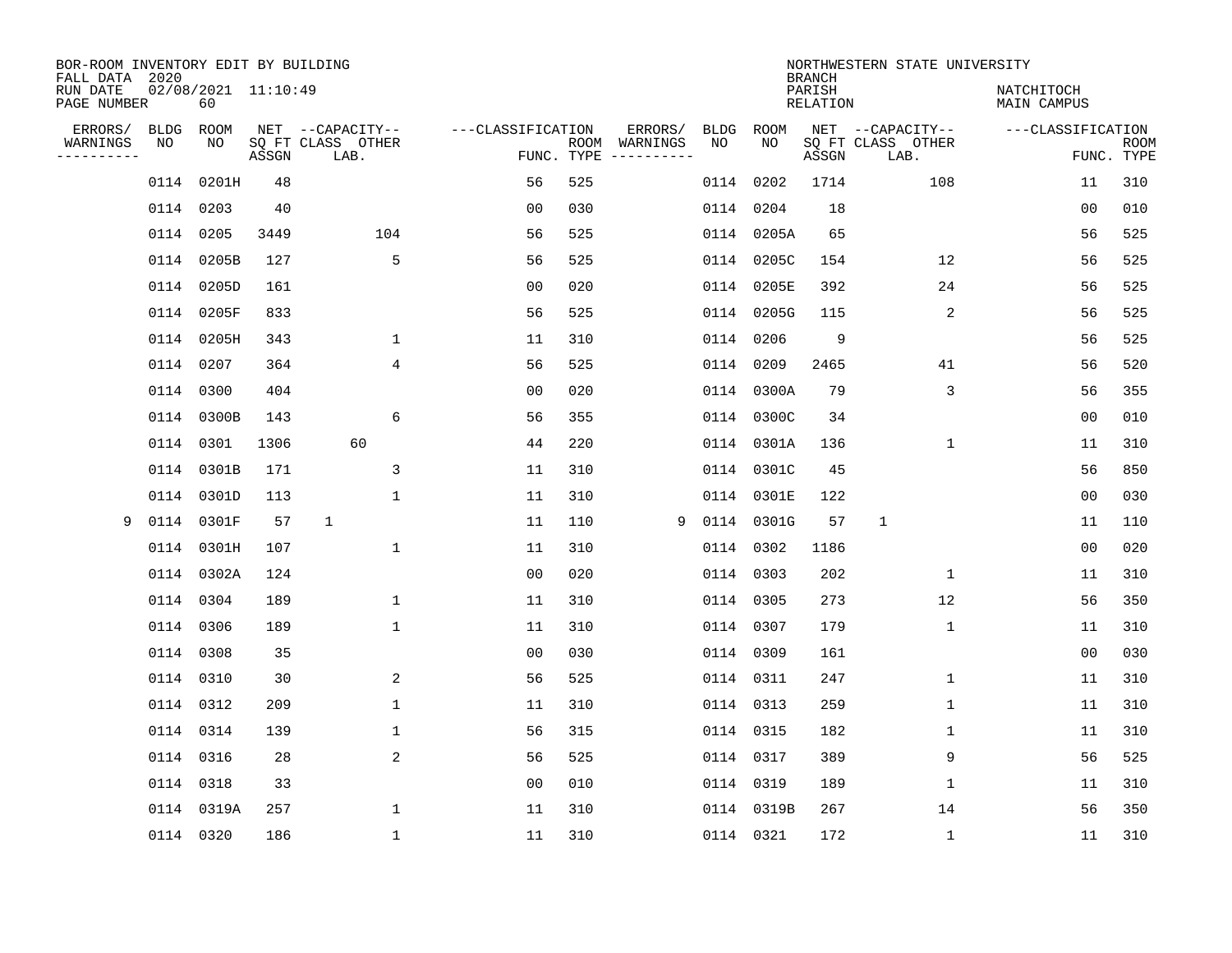| BOR-ROOM INVENTORY EDIT BY BUILDING<br>FALL DATA 2020 |             |                           |       |                           |                   |     |                              |      |            | <b>BRANCH</b>             | NORTHWESTERN STATE UNIVERSITY |                                  |                           |
|-------------------------------------------------------|-------------|---------------------------|-------|---------------------------|-------------------|-----|------------------------------|------|------------|---------------------------|-------------------------------|----------------------------------|---------------------------|
| RUN DATE<br>PAGE NUMBER                               |             | 02/08/2021 11:10:49<br>60 |       |                           |                   |     |                              |      |            | PARISH<br><b>RELATION</b> |                               | NATCHITOCH<br><b>MAIN CAMPUS</b> |                           |
| ERRORS/                                               | <b>BLDG</b> | ROOM                      |       | NET --CAPACITY--          | ---CLASSIFICATION |     | ERRORS/                      | BLDG | ROOM       |                           | NET --CAPACITY--              | ---CLASSIFICATION                |                           |
| WARNINGS<br>----------                                | NO          | NO                        | ASSGN | SQ FT CLASS OTHER<br>LAB. | FUNC. TYPE        |     | ROOM WARNINGS<br>----------- | NO   | NO         | ASSGN                     | SQ FT CLASS OTHER<br>LAB.     |                                  | <b>ROOM</b><br>FUNC. TYPE |
|                                                       |             | 0114 0201H                | 48    |                           | 56                | 525 |                              | 0114 | 0202       | 1714                      | 108                           | 11                               | 310                       |
|                                                       |             | 0114 0203                 | 40    |                           | 00                | 030 |                              | 0114 | 0204       | 18                        |                               | 00                               | 010                       |
|                                                       |             | 0114 0205                 | 3449  | 104                       | 56                | 525 |                              |      | 0114 0205A | 65                        |                               | 56                               | 525                       |
|                                                       |             | 0114 0205B                | 127   | 5                         | 56                | 525 |                              | 0114 | 0205C      | 154                       | 12                            | 56                               | 525                       |
|                                                       |             | 0114 0205D                | 161   |                           | 0 <sub>0</sub>    | 020 |                              |      | 0114 0205E | 392                       | 24                            | 56                               | 525                       |
|                                                       |             | 0114 0205F                | 833   |                           | 56                | 525 |                              |      | 0114 0205G | 115                       | 2                             | 56                               | 525                       |
|                                                       |             | 0114 0205H                | 343   | $\mathbf{1}$              | 11                | 310 |                              |      | 0114 0206  | 9                         |                               | 56                               | 525                       |
|                                                       |             | 0114 0207                 | 364   | $\overline{4}$            | 56                | 525 |                              |      | 0114 0209  | 2465                      | 41                            | 56                               | 520                       |
|                                                       |             | 0114 0300                 | 404   |                           | 0 <sub>0</sub>    | 020 |                              | 0114 | 0300A      | 79                        | 3                             | 56                               | 355                       |
|                                                       |             | 0114 0300B                | 143   | 6                         | 56                | 355 |                              |      | 0114 0300C | 34                        |                               | 0 <sub>0</sub>                   | 010                       |
|                                                       |             | 0114 0301                 | 1306  | 60                        | 44                | 220 |                              |      | 0114 0301A | 136                       | 1                             | 11                               | 310                       |
|                                                       |             | 0114 0301B                | 171   | 3                         | 11                | 310 |                              |      | 0114 0301C | 45                        |                               | 56                               | 850                       |
|                                                       |             | 0114 0301D                | 113   | $\mathbf 1$               | 11                | 310 |                              | 0114 | 0301E      | 122                       |                               | 0 <sub>0</sub>                   | 030                       |
| 9                                                     |             | 0114 0301F                | 57    | 1                         | 11                | 110 | 9                            | 0114 | 0301G      | 57                        | 1                             | 11                               | 110                       |
|                                                       |             | 0114 0301H                | 107   | $\mathbf{1}$              | 11                | 310 |                              | 0114 | 0302       | 1186                      |                               | 00                               | 020                       |
|                                                       |             | 0114 0302A                | 124   |                           | 0 <sub>0</sub>    | 020 |                              | 0114 | 0303       | 202                       | $\mathbf{1}$                  | 11                               | 310                       |
|                                                       |             | 0114 0304                 | 189   | 1                         | 11                | 310 |                              | 0114 | 0305       | 273                       | 12                            | 56                               | 350                       |
|                                                       |             | 0114 0306                 | 189   | $\mathbf 1$               | 11                | 310 |                              |      | 0114 0307  | 179                       | 1                             | 11                               | 310                       |
|                                                       |             | 0114 0308                 | 35    |                           | 0 <sub>0</sub>    | 030 |                              |      | 0114 0309  | 161                       |                               | 0 <sub>0</sub>                   | 030                       |
|                                                       |             | 0114 0310                 | 30    | 2                         | 56                | 525 |                              |      | 0114 0311  | 247                       | 1                             | 11                               | 310                       |
|                                                       |             | 0114 0312                 | 209   | $\mathbf 1$               | 11                | 310 |                              |      | 0114 0313  | 259                       | 1                             | 11                               | 310                       |
|                                                       |             | 0114 0314                 | 139   | $\mathbf 1$               | 56                | 315 |                              |      | 0114 0315  | 182                       | 1                             | 11                               | 310                       |
|                                                       |             | 0114 0316                 | 28    | 2                         | 56                | 525 |                              |      | 0114 0317  | 389                       | 9                             | 56                               | 525                       |
|                                                       |             | 0114 0318                 | 33    |                           | 0 <sub>0</sub>    | 010 |                              |      | 0114 0319  | 189                       | 1                             | 11                               | 310                       |
|                                                       |             | 0114 0319A                | 257   | $\mathbf{1}$              | 11                | 310 |                              |      | 0114 0319B | 267                       | 14                            | 56                               | 350                       |
|                                                       |             | 0114 0320                 | 186   | $\mathbf{1}$              | 11                | 310 |                              |      | 0114 0321  | 172                       | $\mathbf 1$                   | 11                               | 310                       |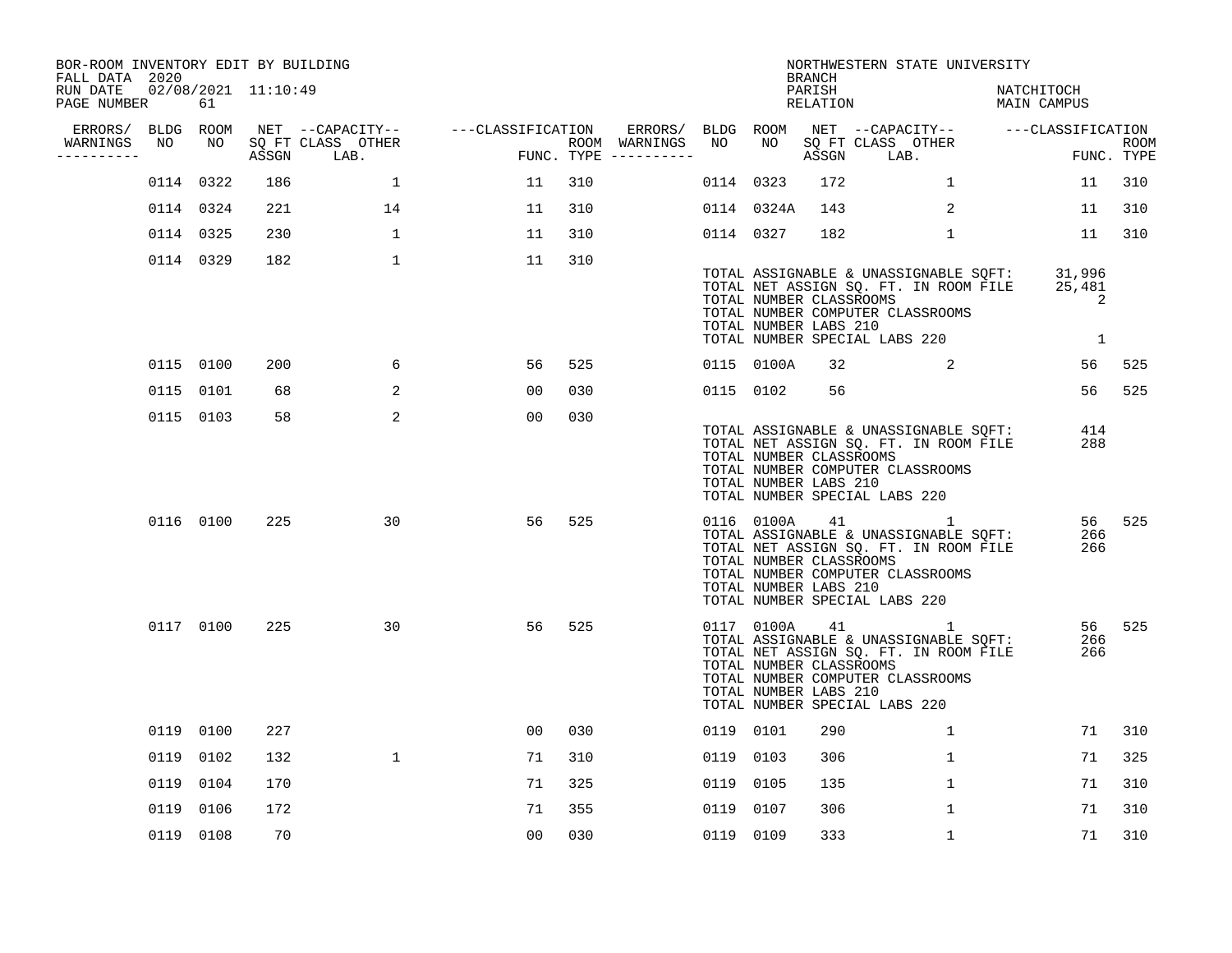| PAGE NUMBER                 | 61             |                                                                                                                                                          |              |                                                                                 |     |                                    |               |                                |                                                                                                                                     |                                                     | NATCHITOCH                                                                                                                                                                                                                                                                                                                                                                                                                                                                                                                                                                        |                                                                                                                                                                                                                                                                                                                                                                       |                                                                                                                                                                                                          |
|-----------------------------|----------------|----------------------------------------------------------------------------------------------------------------------------------------------------------|--------------|---------------------------------------------------------------------------------|-----|------------------------------------|---------------|--------------------------------|-------------------------------------------------------------------------------------------------------------------------------------|-----------------------------------------------------|-----------------------------------------------------------------------------------------------------------------------------------------------------------------------------------------------------------------------------------------------------------------------------------------------------------------------------------------------------------------------------------------------------------------------------------------------------------------------------------------------------------------------------------------------------------------------------------|-----------------------------------------------------------------------------------------------------------------------------------------------------------------------------------------------------------------------------------------------------------------------------------------------------------------------------------------------------------------------|----------------------------------------------------------------------------------------------------------------------------------------------------------------------------------------------------------|
| ERRORS/<br>NO<br>---------- | NO             | ASSGN                                                                                                                                                    | LAB.         |                                                                                 |     |                                    | NO            | NO                             |                                                                                                                                     | LAB.                                                |                                                                                                                                                                                                                                                                                                                                                                                                                                                                                                                                                                                   |                                                                                                                                                                                                                                                                                                                                                                       | ROOM                                                                                                                                                                                                     |
|                             |                | 186                                                                                                                                                      | $\mathbf{1}$ | 11                                                                              | 310 |                                    |               |                                |                                                                                                                                     | $\mathbf{1}$                                        |                                                                                                                                                                                                                                                                                                                                                                                                                                                                                                                                                                                   |                                                                                                                                                                                                                                                                                                                                                                       | 310                                                                                                                                                                                                      |
|                             |                | 221                                                                                                                                                      | 14           | 11                                                                              | 310 |                                    |               |                                |                                                                                                                                     | 2                                                   |                                                                                                                                                                                                                                                                                                                                                                                                                                                                                                                                                                                   |                                                                                                                                                                                                                                                                                                                                                                       | 310                                                                                                                                                                                                      |
|                             |                | 230                                                                                                                                                      | $\mathbf{1}$ | 11                                                                              | 310 |                                    |               |                                |                                                                                                                                     | $\mathbf{1}$                                        |                                                                                                                                                                                                                                                                                                                                                                                                                                                                                                                                                                                   |                                                                                                                                                                                                                                                                                                                                                                       | 310                                                                                                                                                                                                      |
|                             |                | 182                                                                                                                                                      | $\mathbf{1}$ | 11                                                                              | 310 |                                    |               |                                |                                                                                                                                     |                                                     |                                                                                                                                                                                                                                                                                                                                                                                                                                                                                                                                                                                   | 2<br>1                                                                                                                                                                                                                                                                                                                                                                |                                                                                                                                                                                                          |
|                             |                | 200                                                                                                                                                      | 6            | 56                                                                              | 525 |                                    |               |                                |                                                                                                                                     | $\overline{a}$                                      |                                                                                                                                                                                                                                                                                                                                                                                                                                                                                                                                                                                   |                                                                                                                                                                                                                                                                                                                                                                       | 525                                                                                                                                                                                                      |
|                             |                | 68                                                                                                                                                       | 2            | 00                                                                              | 030 |                                    |               |                                | 56                                                                                                                                  |                                                     |                                                                                                                                                                                                                                                                                                                                                                                                                                                                                                                                                                                   |                                                                                                                                                                                                                                                                                                                                                                       | 525                                                                                                                                                                                                      |
|                             |                | 58                                                                                                                                                       | 2            | 0 <sub>0</sub>                                                                  | 030 |                                    |               |                                |                                                                                                                                     |                                                     |                                                                                                                                                                                                                                                                                                                                                                                                                                                                                                                                                                                   |                                                                                                                                                                                                                                                                                                                                                                       |                                                                                                                                                                                                          |
|                             |                | 225                                                                                                                                                      | 30           | 56                                                                              | 525 |                                    |               |                                |                                                                                                                                     |                                                     |                                                                                                                                                                                                                                                                                                                                                                                                                                                                                                                                                                                   |                                                                                                                                                                                                                                                                                                                                                                       | 525                                                                                                                                                                                                      |
|                             |                | 225                                                                                                                                                      | 30           | 56                                                                              | 525 |                                    |               |                                |                                                                                                                                     |                                                     |                                                                                                                                                                                                                                                                                                                                                                                                                                                                                                                                                                                   |                                                                                                                                                                                                                                                                                                                                                                       | 525                                                                                                                                                                                                      |
|                             |                | 227                                                                                                                                                      |              | 00                                                                              | 030 |                                    |               |                                | 290                                                                                                                                 | $\mathbf{1}$                                        |                                                                                                                                                                                                                                                                                                                                                                                                                                                                                                                                                                                   |                                                                                                                                                                                                                                                                                                                                                                       | 310                                                                                                                                                                                                      |
| 0119                        | 0102           | 132                                                                                                                                                      | $\mathbf{1}$ | 71                                                                              | 310 |                                    |               |                                | 306                                                                                                                                 | $\mathbf 1$                                         |                                                                                                                                                                                                                                                                                                                                                                                                                                                                                                                                                                                   |                                                                                                                                                                                                                                                                                                                                                                       | 325                                                                                                                                                                                                      |
| 0119                        | 0104           | 170                                                                                                                                                      |              | 71                                                                              | 325 |                                    |               | 0105                           | 135                                                                                                                                 | $\mathbf{1}$                                        |                                                                                                                                                                                                                                                                                                                                                                                                                                                                                                                                                                                   |                                                                                                                                                                                                                                                                                                                                                                       | 310                                                                                                                                                                                                      |
| 0119                        | 0106           | 172                                                                                                                                                      |              | 71                                                                              | 355 |                                    |               | 0107                           | 306                                                                                                                                 | $\mathbf{1}$                                        |                                                                                                                                                                                                                                                                                                                                                                                                                                                                                                                                                                                   |                                                                                                                                                                                                                                                                                                                                                                       | 310                                                                                                                                                                                                      |
|                             |                | 70                                                                                                                                                       |              | 0 <sub>0</sub>                                                                  | 030 |                                    |               |                                | 333                                                                                                                                 | 1                                                   |                                                                                                                                                                                                                                                                                                                                                                                                                                                                                                                                                                                   |                                                                                                                                                                                                                                                                                                                                                                       | 310                                                                                                                                                                                                      |
|                             | FALL DATA 2020 | BLDG ROOM<br>0114 0322<br>0114 0324<br>0114 0325<br>0114 0329<br>0115 0100<br>0115 0101<br>0115 0103<br>0116 0100<br>0117 0100<br>0119 0100<br>0119 0108 |              | BOR-ROOM INVENTORY EDIT BY BUILDING<br>02/08/2021 11:10:49<br>SQ FT CLASS OTHER |     | NET --CAPACITY-- ---CLASSIFICATION | ROOM WARNINGS | ERRORS/<br>FUNC. TYPE $------$ | BLDG ROOM<br>0114 0323<br>0114 0324A<br>0114 0327<br>0115 0100A<br>0115 0102<br>0119 0101<br>0119 0103<br>0119<br>0119<br>0119 0109 | <b>BRANCH</b><br>PARISH<br>0116 0100A<br>0117 0100A | RELATION<br>SQ FT CLASS OTHER<br>ASSGN<br>172<br>143<br>182<br>TOTAL NUMBER CLASSROOMS<br>TOTAL NUMBER COMPUTER CLASSROOMS<br>TOTAL NUMBER LABS 210<br>TOTAL NUMBER SPECIAL LABS 220<br>32<br>TOTAL NUMBER CLASSROOMS<br>TOTAL NUMBER COMPUTER CLASSROOMS<br>TOTAL NUMBER LABS 210<br>TOTAL NUMBER SPECIAL LABS 220<br>41<br>TOTAL NUMBER CLASSROOMS<br>TOTAL NUMBER COMPUTER CLASSROOMS<br>TOTAL NUMBER LABS 210<br>TOTAL NUMBER SPECIAL LABS 220<br>41<br>TOTAL NUMBER CLASSROOMS<br>TOTAL NUMBER COMPUTER CLASSROOMS<br>TOTAL NUMBER LABS 210<br>TOTAL NUMBER SPECIAL LABS 220 | NORTHWESTERN STATE UNIVERSITY<br>TOTAL ASSIGNABLE & UNASSIGNABLE SQFT:<br>TOTAL NET ASSIGN SQ. FT. IN ROOM FILE<br>TOTAL ASSIGNABLE & UNASSIGNABLE SOFT:<br>TOTAL NET ASSIGN SQ. FT. IN ROOM FILE<br>TOTAL ASSIGNABLE & UNASSIGNABLE SQFT:<br>TOTAL NET ASSIGN SQ. FT. IN ROOM FILE<br>TOTAL ASSIGNABLE & UNASSIGNABLE SQFT:<br>TOTAL NET ASSIGN SQ. FT. IN ROOM FILE | MAIN CAMPUS<br>NET --CAPACITY-- ----CLASSIFICATION<br>FUNC. TYPE<br>11<br>11<br>11<br>31,996<br>25,481<br>56<br>56<br>414<br>288<br>56<br>266<br>266<br>56 —<br>266<br>266<br>71<br>71<br>71<br>71<br>71 |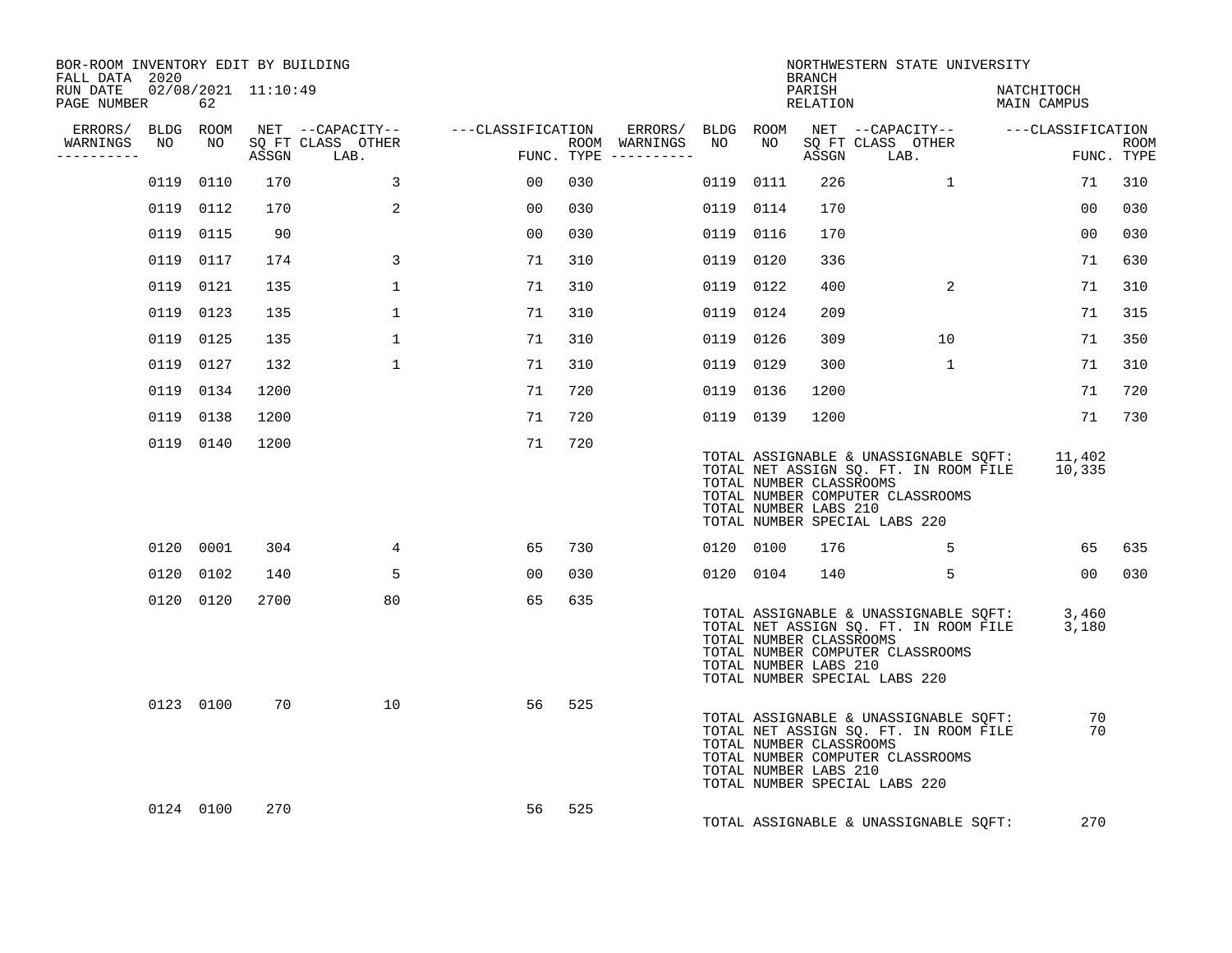| BOR-ROOM INVENTORY EDIT BY BUILDING<br>FALL DATA 2020 |    |           |      |                                 |                                                                                                               |     |                                         |           |           | BRANCH                                           |                               | NORTHWESTERN STATE UNIVERSITY                                                                                      |                                                                                            |                 |             |
|-------------------------------------------------------|----|-----------|------|---------------------------------|---------------------------------------------------------------------------------------------------------------|-----|-----------------------------------------|-----------|-----------|--------------------------------------------------|-------------------------------|--------------------------------------------------------------------------------------------------------------------|--------------------------------------------------------------------------------------------|-----------------|-------------|
| RUN DATE 02/08/2021 11:10:49<br>PAGE NUMBER           |    | 62        |      |                                 |                                                                                                               |     |                                         |           |           | PARISH<br>RELATION                               |                               |                                                                                                                    | NATCHITOCH<br>MAIN CAMPUS                                                                  |                 |             |
|                                                       |    |           |      |                                 | ERRORS/ BLDG ROOM NET --CAPACITY-- - ---CLASSIFICATION ERRORS/ BLDG ROOM NET --CAPACITY-- - ---CLASSIFICATION |     |                                         |           |           |                                                  |                               |                                                                                                                    |                                                                                            |                 |             |
| WARNINGS<br>----------                                | NO | NO        |      | SO FT CLASS OTHER<br>ASSGN LAB. | و معاملات المعاملة<br>معاملة                                                                                  |     | ROOM WARNINGS NO<br>FUNC. TYPE $------$ |           | NO        |                                                  | ASSGN LAB.                    | SQ FT CLASS OTHER                                                                                                  |                                                                                            | FUNC. TYPE      | <b>ROOM</b> |
|                                                       |    | 0119 0110 | 170  | $\mathbf{3}$                    | 00 <sub>o</sub>                                                                                               | 030 |                                         |           | 0119 0111 | 226                                              |                               | $\mathbf{1}$                                                                                                       |                                                                                            | 71              | 310         |
|                                                       |    | 0119 0112 | 170  | 2                               | 00                                                                                                            | 030 |                                         | 0119 0114 |           | 170                                              |                               |                                                                                                                    |                                                                                            | 00 <sup>o</sup> | 030         |
|                                                       |    | 0119 0115 | 90   |                                 | 00                                                                                                            | 030 |                                         | 0119 0116 |           | 170                                              |                               |                                                                                                                    |                                                                                            | 0 <sub>0</sub>  | 030         |
|                                                       |    | 0119 0117 | 174  | $\mathbf{3}$                    | 71                                                                                                            | 310 |                                         | 0119 0120 |           | 336                                              |                               |                                                                                                                    |                                                                                            | 71              | 630         |
|                                                       |    | 0119 0121 | 135  | $\mathbf{1}$                    | 71                                                                                                            | 310 |                                         | 0119 0122 |           | 400                                              |                               | 2                                                                                                                  |                                                                                            | 71              | 310         |
|                                                       |    | 0119 0123 | 135  | $\mathbf{1}$                    | 71                                                                                                            | 310 |                                         |           | 0119 0124 | 209                                              |                               |                                                                                                                    |                                                                                            | 71              | 315         |
|                                                       |    | 0119 0125 | 135  | $\mathbf{1}$                    | 71                                                                                                            | 310 |                                         | 0119 0126 |           | 309                                              |                               | 10                                                                                                                 |                                                                                            | 71              | 350         |
|                                                       |    | 0119 0127 | 132  | $\mathbf{1}$                    | 71                                                                                                            | 310 |                                         | 0119 0129 |           | 300                                              |                               | $\mathbf{1}$                                                                                                       |                                                                                            | 71              | 310         |
|                                                       |    | 0119 0134 | 1200 |                                 | 71                                                                                                            | 720 |                                         | 0119 0136 |           | 1200                                             |                               |                                                                                                                    |                                                                                            | 71              | 720         |
|                                                       |    | 0119 0138 | 1200 |                                 | 71                                                                                                            | 720 |                                         |           | 0119 0139 | 1200                                             |                               |                                                                                                                    |                                                                                            | 71              | 730         |
|                                                       |    | 0119 0140 | 1200 |                                 | 71                                                                                                            | 720 |                                         |           |           | TOTAL NUMBER CLASSROOMS<br>TOTAL NUMBER LABS 210 | TOTAL NUMBER SPECIAL LABS 220 | TOTAL NUMBER COMPUTER CLASSROOMS                                                                                   | TOTAL ASSIGNABLE & UNASSIGNABLE SQFT: 11,402<br>TOTAL NET ASSIGN SQ. FT. IN ROOM FILE      | 10,335          |             |
|                                                       |    | 0120 0001 | 304  | $4^{\circ}$                     | 65                                                                                                            | 730 |                                         |           | 0120 0100 | 176                                              |                               | 5                                                                                                                  |                                                                                            |                 | 65 635      |
|                                                       |    | 0120 0102 | 140  | 5                               | 00                                                                                                            | 030 |                                         |           | 0120 0104 |                                                  |                               | 5                                                                                                                  |                                                                                            | 00 <sub>o</sub> | 030         |
|                                                       |    | 0120 0120 | 2700 | 80                              | 65                                                                                                            | 635 |                                         |           |           | TOTAL NUMBER CLASSROOMS<br>TOTAL NUMBER LABS 210 | TOTAL NUMBER SPECIAL LABS 220 | TOTAL NUMBER COMPUTER CLASSROOMS                                                                                   | TOTAL ASSIGNABLE & UNASSIGNABLE SOFT: 3,460<br>TOTAL NET ASSIGN SQ. FT. IN ROOM FILE 3,180 |                 |             |
|                                                       |    | 0123 0100 | 70   | 10                              | 56                                                                                                            | 525 |                                         |           |           | TOTAL NUMBER CLASSROOMS<br>TOTAL NUMBER LABS 210 | TOTAL NUMBER SPECIAL LABS 220 | TOTAL ASSIGNABLE & UNASSIGNABLE SQFT:<br>TOTAL NET ASSIGN SQ. FT. IN ROOM FILE<br>TOTAL NUMBER COMPUTER CLASSROOMS |                                                                                            | 70<br>70        |             |
|                                                       |    | 0124 0100 | 270  |                                 | 56                                                                                                            | 525 |                                         |           |           |                                                  |                               | TOTAL ASSIGNABLE & UNASSIGNABLE SQFT:                                                                              |                                                                                            | 270             |             |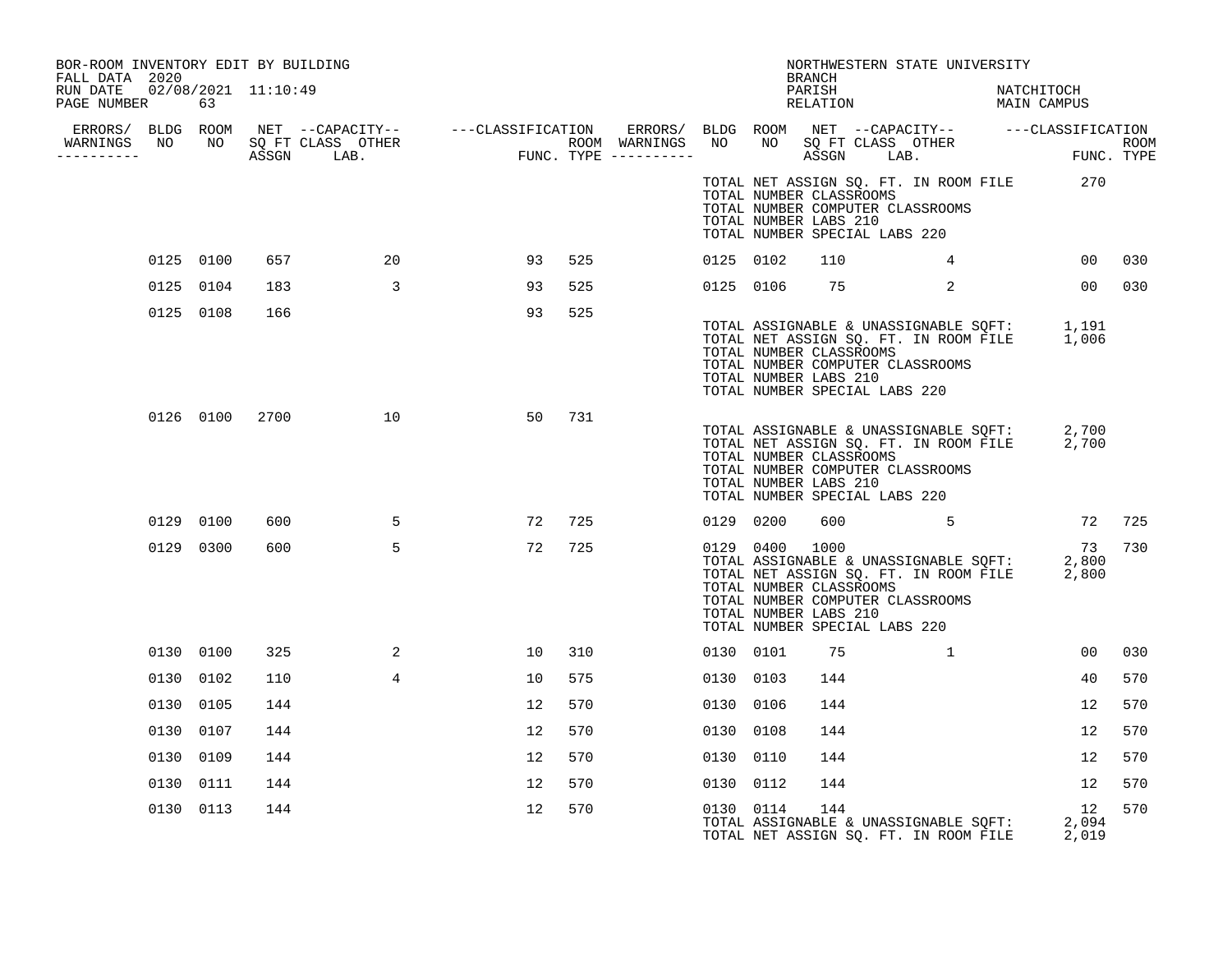| BOR-ROOM INVENTORY EDIT BY BUILDING<br>FALL DATA 2020 |           |     |                                                                                                                                                                                                                                      |    |        |           |           | BRANCH                                                                            | NORTHWESTERN STATE UNIVERSITY                                                  |                |                                                                                                                           |     |
|-------------------------------------------------------|-----------|-----|--------------------------------------------------------------------------------------------------------------------------------------------------------------------------------------------------------------------------------------|----|--------|-----------|-----------|-----------------------------------------------------------------------------------|--------------------------------------------------------------------------------|----------------|---------------------------------------------------------------------------------------------------------------------------|-----|
| RUN DATE  02/08/2021  11:10:49<br>PAGE NUMBER         | 63        |     |                                                                                                                                                                                                                                      |    |        |           |           | PARISH                                                                            | PARISH NATCHITOCH<br>RELATION MAIN CAMPUS                                      |                | NATCHITOCH                                                                                                                |     |
|                                                       |           |     |                                                                                                                                                                                                                                      |    |        |           |           |                                                                                   |                                                                                |                |                                                                                                                           |     |
| -----------                                           |           |     | ERRORS/ BLDG ROOM NET --CAPACITY-- ----CLASSIFICATION ERRORS/ BLDG ROOM NET --CAPACITY-- -----CLASSIFICATION<br>WARNINGS NO NO SQFTCLASS OTHER ---------------- ROOM WARNINGS NO NO SQFTCLASS OTHER ROOM<br>------------------------ |    |        |           |           |                                                                                   |                                                                                |                |                                                                                                                           |     |
|                                                       |           |     |                                                                                                                                                                                                                                      |    |        |           |           | TOTAL NUMBER CLASSROOMS<br>TOTAL NUMBER LABS 210<br>TOTAL NUMBER SPECIAL LABS 220 | TOTAL NUMBER COMPUTER CLASSROOMS                                               |                | TOTAL NET ASSIGN SQ. FT. IN ROOM FILE 270                                                                                 |     |
|                                                       | 0125 0100 | 657 | 20                                                                                                                                                                                                                                   | 93 | 525    | 0125 0102 |           | 110                                                                               |                                                                                | $\overline{4}$ | 0 <sub>0</sub>                                                                                                            | 030 |
|                                                       | 0125 0104 | 183 | $\overline{\mathbf{3}}$                                                                                                                                                                                                              | 93 | 525    |           | 0125 0106 | 75                                                                                | $\overline{2}$                                                                 |                | 00 <sup>o</sup>                                                                                                           | 030 |
|                                                       | 0125 0108 | 166 |                                                                                                                                                                                                                                      | 93 | 525    |           |           | TOTAL NUMBER CLASSROOMS<br>TOTAL NUMBER LABS 210<br>TOTAL NUMBER SPECIAL LABS 220 | TOTAL NUMBER COMPUTER CLASSROOMS                                               |                | TOTAL ASSIGNABLE & UNASSIGNABLE SQFT: 1,191<br>TOTAL NET ASSIGN SQ. FT. IN ROOM FILE 1,006                                |     |
|                                                       | 0126 0100 |     | 2700 10                                                                                                                                                                                                                              |    | 50 731 |           |           | TOTAL NUMBER CLASSROOMS<br>TOTAL NUMBER LABS 210<br>TOTAL NUMBER SPECIAL LABS 220 | TOTAL NUMBER COMPUTER CLASSROOMS                                               |                | TOTAL ASSIGNABLE & UNASSIGNABLE SQFT: 2,700<br>TOTAL NET ASSIGN SQ. FT. IN ROOM FILE 2,700                                |     |
|                                                       | 0129 0100 | 600 | $\sim$ 5                                                                                                                                                                                                                             |    | 72 725 |           | 0129 0200 |                                                                                   |                                                                                |                | 600 5 72 725                                                                                                              |     |
|                                                       | 0129 0300 | 600 | 5                                                                                                                                                                                                                                    | 72 | 725    |           |           | TOTAL NUMBER CLASSROOMS<br>TOTAL NUMBER LABS 210<br>TOTAL NUMBER SPECIAL LABS 220 | TOTAL NUMBER COMPUTER CLASSROOMS                                               |                | 73 730<br>0129 0400 1000 73<br>TOTAL ASSIGNABLE & UNASSIGNABLE SQFT: 2,800<br>TOTAL NET ASSIGN SQ. FT. IN ROOM FILE 2,800 |     |
|                                                       | 0130 0100 | 325 | 2                                                                                                                                                                                                                                    | 10 | 310    | 0130 0101 |           | 75                                                                                |                                                                                |                | 00                                                                                                                        | 030 |
|                                                       | 0130 0102 | 110 | $\overline{4}$                                                                                                                                                                                                                       | 10 | 575    |           | 0130 0103 | 144                                                                               |                                                                                |                | 40                                                                                                                        | 570 |
|                                                       | 0130 0105 | 144 |                                                                                                                                                                                                                                      | 12 | 570    | 0130 0106 |           | 144                                                                               |                                                                                |                | 12                                                                                                                        | 570 |
|                                                       | 0130 0107 | 144 |                                                                                                                                                                                                                                      | 12 | 570    | 0130 0108 |           | 144                                                                               |                                                                                |                | 12                                                                                                                        | 570 |
|                                                       | 0130 0109 | 144 |                                                                                                                                                                                                                                      | 12 | 570    | 0130 0110 |           | 144                                                                               |                                                                                |                | 12                                                                                                                        | 570 |
|                                                       | 0130 0111 | 144 |                                                                                                                                                                                                                                      | 12 | 570    | 0130 0112 |           | 144                                                                               |                                                                                |                | 12                                                                                                                        | 570 |
|                                                       | 0130 0113 | 144 |                                                                                                                                                                                                                                      | 12 | 570    |           | 0130 0114 | 144                                                                               | TOTAL ASSIGNABLE & UNASSIGNABLE SQFT:<br>TOTAL NET ASSIGN SQ. FT. IN ROOM FILE |                | 12<br>2,094<br>2,019                                                                                                      | 570 |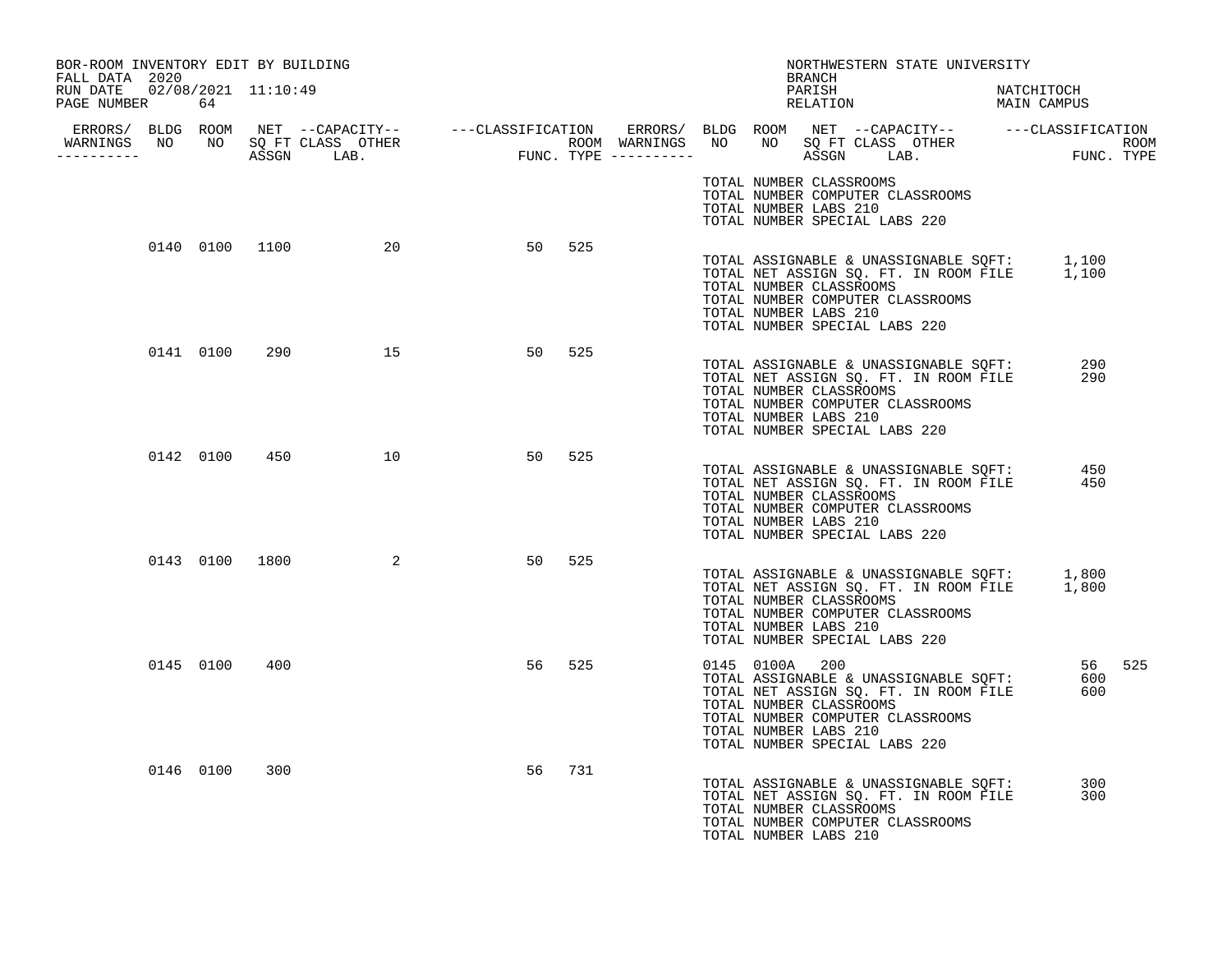| BOR-ROOM INVENTORY EDIT BY BUILDING<br>FALL DATA 2020 |           |     |                   |    |        |  |                                                  | BRANCH | NORTHWESTERN STATE UNIVERSITY                                                                                                                                                                                           |            |  |
|-------------------------------------------------------|-----------|-----|-------------------|----|--------|--|--------------------------------------------------|--------|-------------------------------------------------------------------------------------------------------------------------------------------------------------------------------------------------------------------------|------------|--|
| RUN DATE  02/08/2021  11:10:49<br>PAGE NUMBER         | 64        |     |                   |    |        |  |                                                  | PARISH | PARISH NATCHITOCH<br>RELATION MAIN CAMPUS                                                                                                                                                                               | NATCHITOCH |  |
|                                                       |           |     |                   |    |        |  |                                                  |        |                                                                                                                                                                                                                         |            |  |
|                                                       |           |     |                   |    |        |  | TOTAL NUMBER LABS 210                            |        | TOTAL NUMBER CLASSROOMS<br>TOTAL NUMBER COMPUTER CLASSROOMS<br>TOTAL NUMBER SPECIAL LABS 220                                                                                                                            |            |  |
|                                                       |           |     | 0140 0100 1100 20 |    | 50 525 |  | TOTAL NUMBER LABS 210                            |        | TOTAL ASSIGNABLE & UNASSIGNABLE SQFT: 1,100<br>TOTAL NET ASSIGN SQ. FT. IN ROOM FILE 1,100<br>TOTAL NUMBER CLASSROOMS<br>TOTAL NUMBER COMPUTER CLASSROOMS<br>TOTAL NUMBER SPECIAL LABS 220                              |            |  |
|                                                       | 0141 0100 |     | 290 15            |    | 50 525 |  | TOTAL NUMBER LABS 210                            |        | TOTAL ASSIGNABLE & UNASSIGNABLE SQFT:<br>TOTAL NET ASSIGN SQ. FT. IN ROOM FILE<br>TOTAL NET ASSIGN SQ. FT. IN ROOM FILE<br>TOTAL NUMBER CLASSROOMS<br>TOTAL NUMBER COMPUTER CLASSROOMS<br>TOTAL NUMBER SPECIAL LABS 220 | 290<br>290 |  |
|                                                       | 0142 0100 |     | 450 10            |    | 50 525 |  | TOTAL NUMBER LABS 210                            |        | TOTAL ASSIGNABLE & UNASSIGNABLE SOFT:<br>TOTAL NET ASSIGN SQ. FT. IN ROOM FILE<br>TOTAL NUMBER CLASSROOMS<br>TOTAL NUMBER COMPUTER CLASSROOMS<br>TOTAL NUMBER SPECIAL LABS 220                                          | 450<br>450 |  |
|                                                       |           |     | 0143 0100 1800 2  |    | 50 525 |  | TOTAL NUMBER LABS 210                            |        | TOTAL ASSIGNABLE & UNASSIGNABLE SQFT: 1,800<br>TOTAL NET ASSIGN SQ. FT. IN ROOM FILE 1,800<br>TOTAL NUMBER CLASSROOMS<br>TOTAL NUMBER COMPUTER CLASSROOMS<br>TOTAL NUMBER SPECIAL LABS 220                              |            |  |
|                                                       | 0145 0100 | 400 |                   |    | 56 525 |  | 0145 0100A 200<br>TOTAL NUMBER LABS 210          |        | TOTAL ASSIGNABLE & UNASSIGNABLE SQFT: 600<br>TOTAL NET ASSIGN SQ. FT. IN ROOM FILE 600<br>TOTAL NUMBER CLASSROOMS<br>TOTAL NUMBER COMPUTER CLASSROOMS<br>TOTAL NUMBER SPECIAL LABS 220                                  | 56 525     |  |
|                                                       | 0146 0100 | 300 |                   | 56 | 731    |  | TOTAL NUMBER CLASSROOMS<br>TOTAL NUMBER LABS 210 |        | TOTAL ASSIGNABLE & UNASSIGNABLE SQFT:<br>TOTAL NET ASSIGN SQ. FT. IN ROOM FILE<br>TOTAL NUMBER COMPUTER CLASSROOMS                                                                                                      | 300<br>300 |  |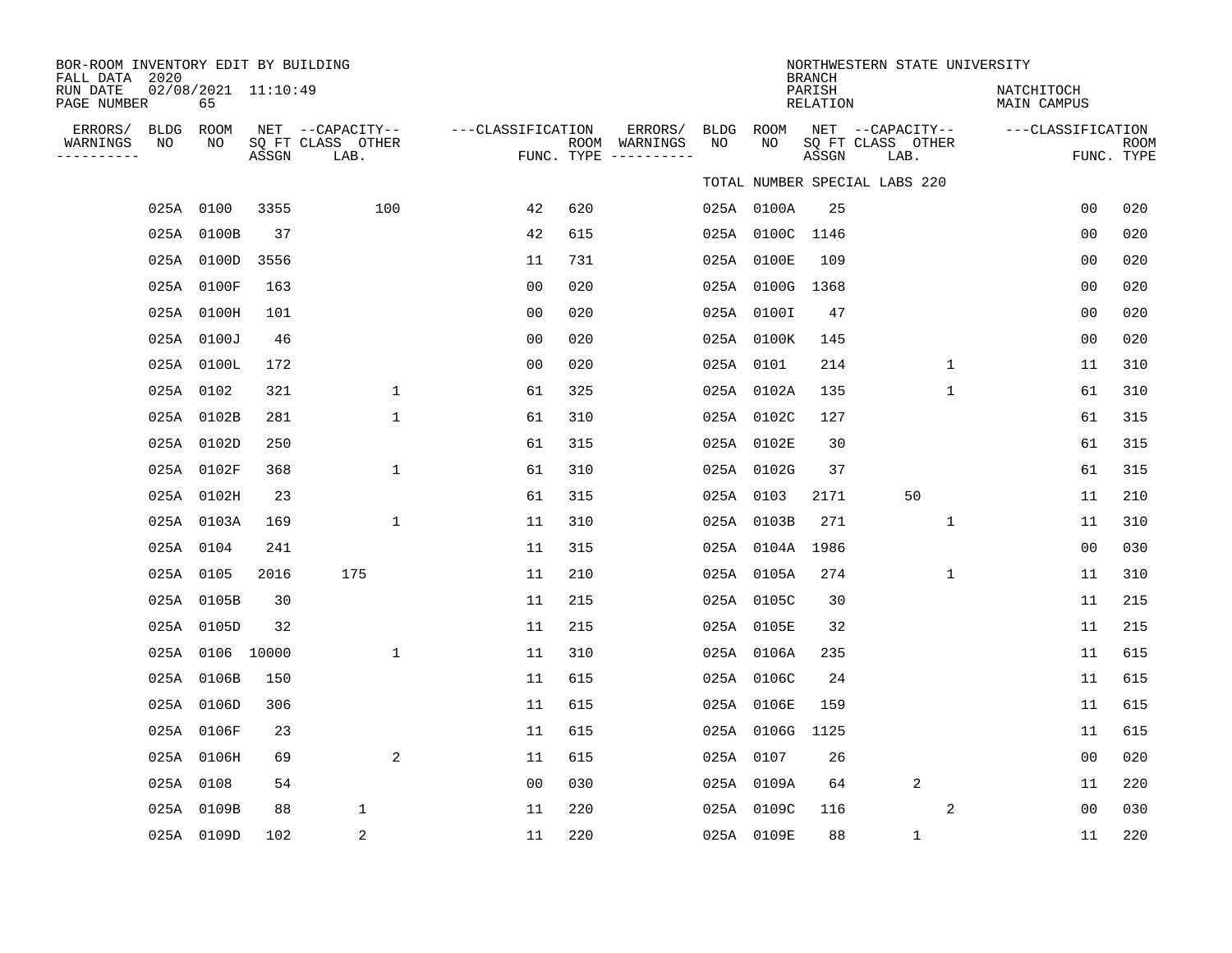| BOR-ROOM INVENTORY EDIT BY BUILDING<br>FALL DATA 2020 |            |    |                     |                                               |                   |     |                                                   |                 |                 | <b>BRANCH</b>      | NORTHWESTERN STATE UNIVERSITY                 |                           |                |                           |
|-------------------------------------------------------|------------|----|---------------------|-----------------------------------------------|-------------------|-----|---------------------------------------------------|-----------------|-----------------|--------------------|-----------------------------------------------|---------------------------|----------------|---------------------------|
| RUN DATE<br>PAGE NUMBER                               |            | 65 | 02/08/2021 11:10:49 |                                               |                   |     |                                                   |                 |                 | PARISH<br>RELATION |                                               | NATCHITOCH<br>MAIN CAMPUS |                |                           |
| ERRORS/<br>WARNINGS<br>NO<br>---------                | BLDG ROOM  | NO | ASSGN               | NET --CAPACITY--<br>SQ FT CLASS OTHER<br>LAB. | ---CLASSIFICATION |     | ERRORS/<br>ROOM WARNINGS<br>FUNC. TYPE ---------- | BLDG ROOM<br>NO | NO              | ASSGN              | NET --CAPACITY--<br>SQ FT CLASS OTHER<br>LAB. | ---CLASSIFICATION         |                | <b>ROOM</b><br>FUNC. TYPE |
|                                                       |            |    |                     |                                               |                   |     |                                                   |                 |                 |                    | TOTAL NUMBER SPECIAL LABS 220                 |                           |                |                           |
|                                                       | 025A 0100  |    | 3355                | 100                                           | 42                | 620 |                                                   |                 | 025A 0100A      | 25                 |                                               |                           | 0 <sub>0</sub> | 020                       |
|                                                       | 025A 0100B |    | 37                  |                                               | 42                | 615 |                                                   |                 | 025A 0100C 1146 |                    |                                               |                           | 0 <sub>0</sub> | 020                       |
|                                                       | 025A 0100D |    | 3556                |                                               | 11                | 731 |                                                   |                 | 025A 0100E      | 109                |                                               |                           | 0 <sub>0</sub> | 020                       |
|                                                       | 025A 0100F |    | 163                 |                                               | 0 <sub>0</sub>    | 020 |                                                   |                 | 025A 0100G      | 1368               |                                               |                           | 0 <sub>0</sub> | 020                       |
|                                                       | 025A 0100H |    | 101                 |                                               | 00                | 020 |                                                   |                 | 025A 0100I      | 47                 |                                               |                           | 0 <sub>0</sub> | 020                       |
|                                                       | 025A 0100J |    | 46                  |                                               | 00                | 020 |                                                   |                 | 025A 0100K      | 145                |                                               |                           | 0 <sub>0</sub> | 020                       |
|                                                       | 025A 0100L |    | 172                 |                                               | 0 <sub>0</sub>    | 020 |                                                   |                 | 025A 0101       | 214                | 1                                             |                           | 11             | 310                       |
|                                                       | 025A 0102  |    | 321                 | $\mathbf{1}$                                  | 61                | 325 |                                                   |                 | 025A 0102A      | 135                | $\mathbf{1}$                                  |                           | 61             | 310                       |
|                                                       | 025A 0102B |    | 281                 | 1                                             | 61                | 310 |                                                   |                 | 025A 0102C      | 127                |                                               |                           | 61             | 315                       |
|                                                       | 025A 0102D |    | 250                 |                                               | 61                | 315 |                                                   |                 | 025A 0102E      | 30                 |                                               |                           | 61             | 315                       |
|                                                       | 025A 0102F |    | 368                 | 1                                             | 61                | 310 |                                                   |                 | 025A 0102G      | 37                 |                                               |                           | 61             | 315                       |
|                                                       | 025A 0102H |    | 23                  |                                               | 61                | 315 |                                                   |                 | 025A 0103       | 2171               | 50                                            |                           | 11             | 210                       |
|                                                       | 025A 0103A |    | 169                 | $\mathbf 1$                                   | 11                | 310 |                                                   |                 | 025A 0103B      | 271                | $\mathbf 1$                                   |                           | 11             | 310                       |
|                                                       | 025A 0104  |    | 241                 |                                               | 11                | 315 |                                                   |                 | 025A 0104A      | 1986               |                                               |                           | 0 <sub>0</sub> | 030                       |
|                                                       | 025A 0105  |    | 2016                | 175                                           | 11                | 210 |                                                   |                 | 025A 0105A      | 274                | $\mathbf{1}$                                  |                           | 11             | 310                       |
|                                                       | 025A 0105B |    | 30                  |                                               | 11                | 215 |                                                   |                 | 025A 0105C      | 30                 |                                               |                           | 11             | 215                       |
|                                                       | 025A 0105D |    | 32                  |                                               | 11                | 215 |                                                   |                 | 025A 0105E      | 32                 |                                               |                           | 11             | 215                       |
|                                                       |            |    | 025A 0106 10000     | $\mathbf 1$                                   | 11                | 310 |                                                   |                 | 025A 0106A      | 235                |                                               |                           | 11             | 615                       |
|                                                       | 025A 0106B |    | 150                 |                                               | 11                | 615 |                                                   |                 | 025A 0106C      | 24                 |                                               |                           | 11             | 615                       |
|                                                       | 025A 0106D |    | 306                 |                                               | 11                | 615 |                                                   |                 | 025A 0106E      | 159                |                                               |                           | 11             | 615                       |
|                                                       | 025A 0106F |    | 23                  |                                               | 11                | 615 |                                                   |                 | 025A 0106G      | 1125               |                                               |                           | 11             | 615                       |
|                                                       | 025A 0106H |    | 69                  | 2                                             | 11                | 615 |                                                   |                 | 025A 0107       | 26                 |                                               |                           | 0 <sub>0</sub> | 020                       |
|                                                       | 025A 0108  |    | 54                  |                                               | 00                | 030 |                                                   |                 | 025A 0109A      | 64                 | 2                                             |                           | 11             | 220                       |
|                                                       | 025A 0109B |    | 88                  | 1                                             | 11                | 220 |                                                   |                 | 025A 0109C      | 116                | 2                                             |                           | 0 <sub>0</sub> | 030                       |
|                                                       | 025A 0109D |    | 102                 | 2                                             | 11                | 220 |                                                   |                 | 025A 0109E      | 88                 | $\mathbf{1}$                                  |                           | 11             | 220                       |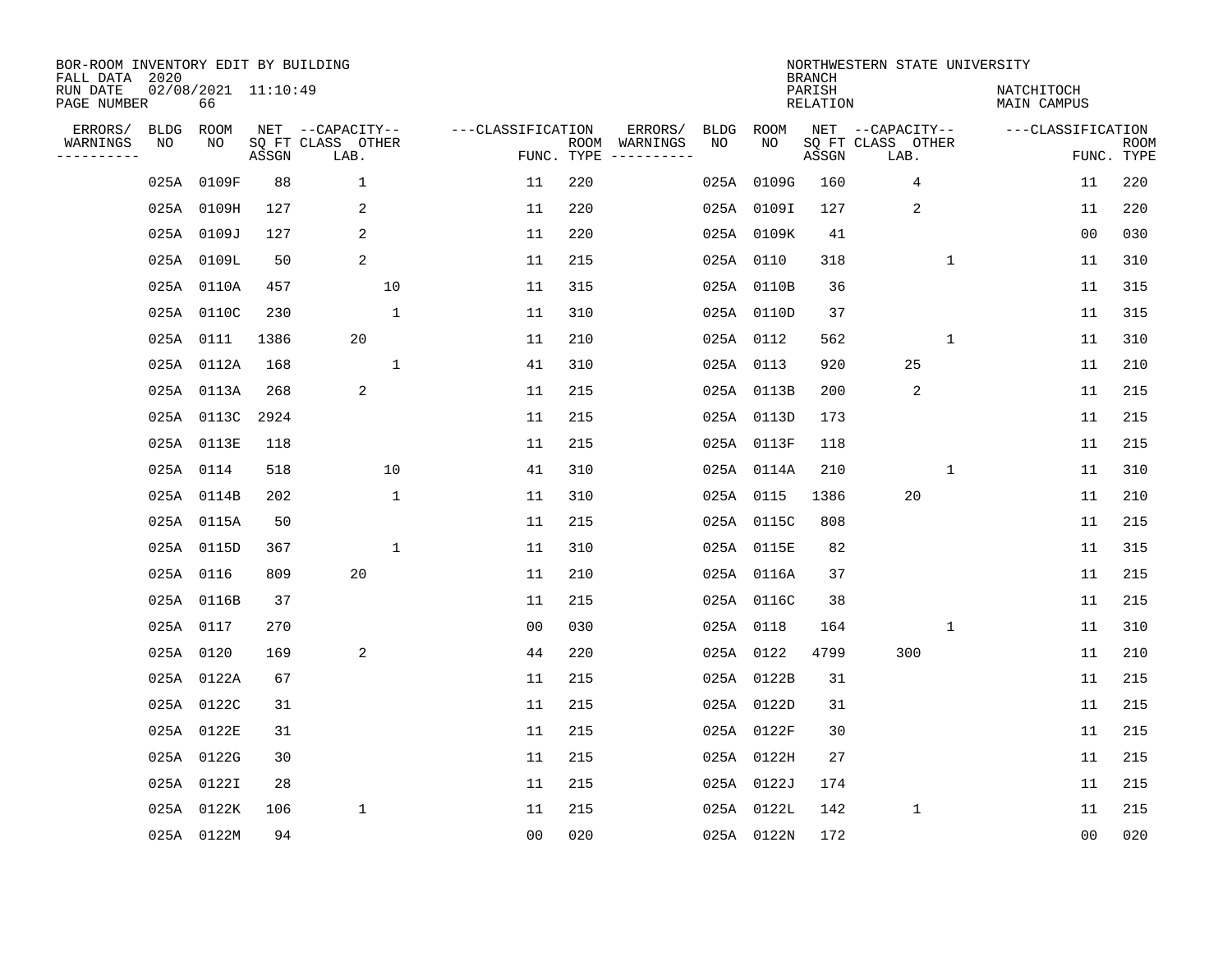| BOR-ROOM INVENTORY EDIT BY BUILDING<br>FALL DATA 2020 |           |                           |       |                           |                   |     |               |      |            | <b>BRANCH</b>      | NORTHWESTERN STATE UNIVERSITY |              |                           |                           |
|-------------------------------------------------------|-----------|---------------------------|-------|---------------------------|-------------------|-----|---------------|------|------------|--------------------|-------------------------------|--------------|---------------------------|---------------------------|
| RUN DATE<br>PAGE NUMBER                               |           | 02/08/2021 11:10:49<br>66 |       |                           |                   |     |               |      |            | PARISH<br>RELATION |                               |              | NATCHITOCH<br>MAIN CAMPUS |                           |
| ERRORS/                                               | BLDG ROOM |                           |       | NET --CAPACITY--          | ---CLASSIFICATION |     | ERRORS/       | BLDG | ROOM       |                    | NET --CAPACITY--              |              | ---CLASSIFICATION         |                           |
| WARNINGS<br>---------                                 | NO        | NO                        | ASSGN | SQ FT CLASS OTHER<br>LAB. | FUNC. TYPE        |     | ROOM WARNINGS | NO   | NO         | ASSGN              | SQ FT CLASS OTHER<br>LAB.     |              |                           | <b>ROOM</b><br>FUNC. TYPE |
|                                                       |           | 025A 0109F                | 88    | $\mathbf{1}$              | 11                | 220 |               |      | 025A 0109G | 160                | 4                             |              | 11                        | 220                       |
|                                                       |           | 025A 0109H                | 127   | 2                         | 11                | 220 |               |      | 025A 0109I | 127                | 2                             |              | 11                        | 220                       |
|                                                       |           | 025A 0109J                | 127   | 2                         | 11                | 220 |               |      | 025A 0109K | 41                 |                               |              | 0 <sub>0</sub>            | 030                       |
|                                                       |           | 025A 0109L                | 50    | 2                         | 11                | 215 |               |      | 025A 0110  | 318                |                               | $\mathbf{1}$ | 11                        | 310                       |
|                                                       |           | 025A 0110A                | 457   | 10                        | 11                | 315 |               |      | 025A 0110B | 36                 |                               |              | 11                        | 315                       |
|                                                       |           | 025A 0110C                | 230   | 1                         | 11                | 310 |               |      | 025A 0110D | 37                 |                               |              | 11                        | 315                       |
|                                                       |           | 025A 0111                 | 1386  | 20                        | 11                | 210 |               |      | 025A 0112  | 562                |                               | $\mathbf{1}$ | 11                        | 310                       |
|                                                       |           | 025A 0112A                | 168   | $\mathbf{1}$              | 41                | 310 |               |      | 025A 0113  | 920                | 25                            |              | 11                        | 210                       |
|                                                       |           | 025A 0113A                | 268   | 2                         | 11                | 215 |               |      | 025A 0113B | 200                | 2                             |              | 11                        | 215                       |
|                                                       |           | 025A 0113C                | 2924  |                           | 11                | 215 |               |      | 025A 0113D | 173                |                               |              | 11                        | 215                       |
|                                                       |           | 025A 0113E                | 118   |                           | 11                | 215 |               |      | 025A 0113F | 118                |                               |              | 11                        | 215                       |
|                                                       | 025A 0114 |                           | 518   | 10                        | 41                | 310 |               |      | 025A 0114A | 210                |                               | $\mathbf{1}$ | 11                        | 310                       |
|                                                       |           | 025A 0114B                | 202   | $\mathbf{1}$              | 11                | 310 |               |      | 025A 0115  | 1386               | 20                            |              | 11                        | 210                       |
|                                                       |           | 025A 0115A                | 50    |                           | 11                | 215 |               |      | 025A 0115C | 808                |                               |              | 11                        | 215                       |
|                                                       |           | 025A 0115D                | 367   | 1                         | 11                | 310 |               |      | 025A 0115E | 82                 |                               |              | 11                        | 315                       |
|                                                       | 025A 0116 |                           | 809   | 20                        | 11                | 210 |               |      | 025A 0116A | 37                 |                               |              | 11                        | 215                       |
|                                                       |           | 025A 0116B                | 37    |                           | 11                | 215 |               |      | 025A 0116C | 38                 |                               |              | 11                        | 215                       |
|                                                       | 025A 0117 |                           | 270   |                           | 0 <sub>0</sub>    | 030 |               |      | 025A 0118  | 164                |                               | 1            | 11                        | 310                       |
|                                                       | 025A 0120 |                           | 169   | 2                         | 44                | 220 |               |      | 025A 0122  | 4799               | 300                           |              | 11                        | 210                       |
|                                                       |           | 025A 0122A                | 67    |                           | 11                | 215 |               |      | 025A 0122B | 31                 |                               |              | 11                        | 215                       |
|                                                       |           | 025A 0122C                | 31    |                           | 11                | 215 |               |      | 025A 0122D | 31                 |                               |              | 11                        | 215                       |
|                                                       |           | 025A 0122E                | 31    |                           | 11                | 215 |               |      | 025A 0122F | 30                 |                               |              | 11                        | 215                       |
|                                                       |           | 025A 0122G                | 30    |                           | 11                | 215 |               |      | 025A 0122H | 27                 |                               |              | 11                        | 215                       |
|                                                       |           | 025A 0122I                | 28    |                           | 11                | 215 |               |      | 025A 0122J | 174                |                               |              | 11                        | 215                       |
|                                                       |           | 025A 0122K                | 106   | 1                         | 11                | 215 |               |      | 025A 0122L | 142                | $\mathbf{1}$                  |              | 11                        | 215                       |
|                                                       |           | 025A 0122M                | 94    |                           | 00                | 020 |               |      | 025A 0122N | 172                |                               |              | 0 <sub>0</sub>            | 020                       |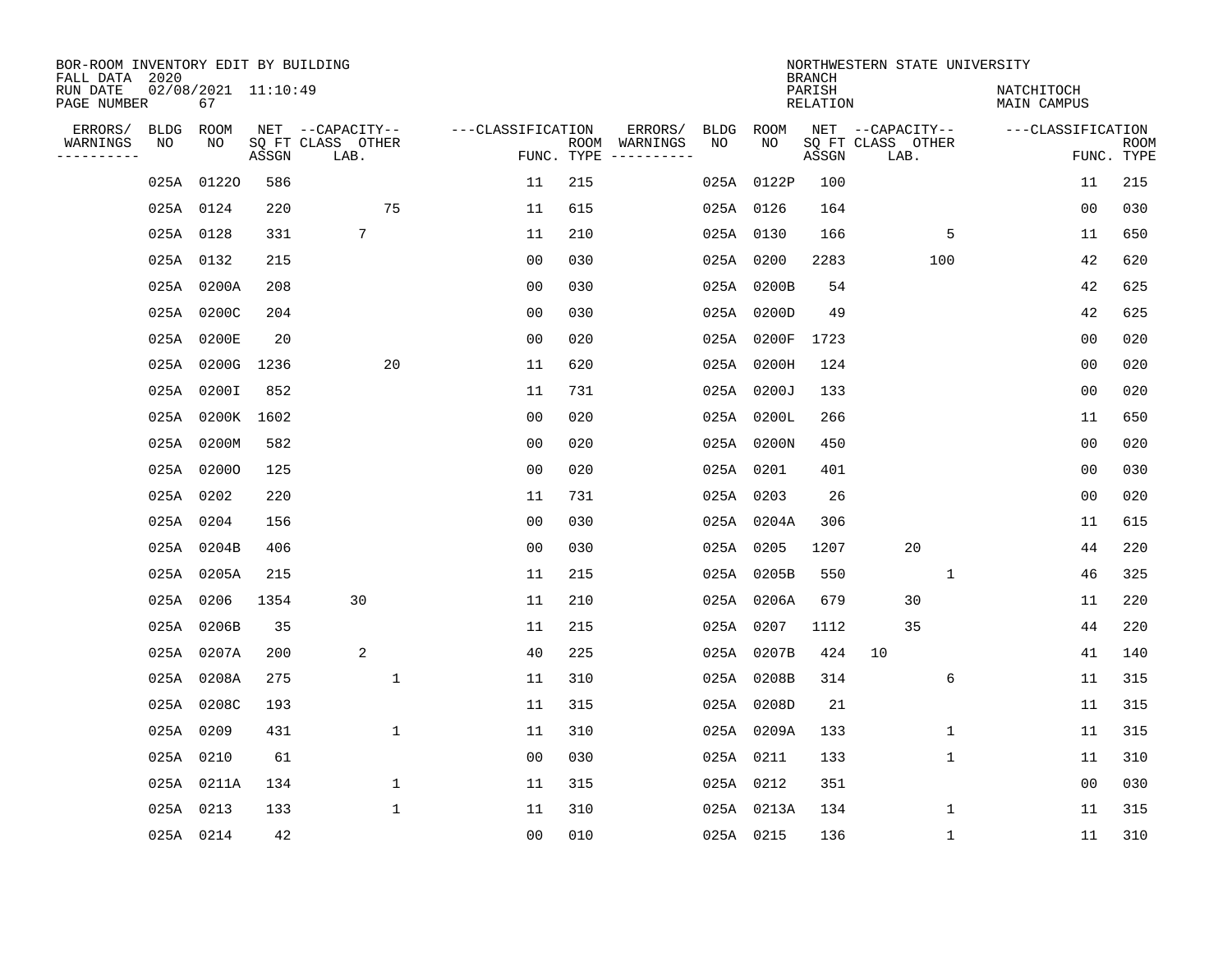| BOR-ROOM INVENTORY EDIT BY BUILDING<br>FALL DATA 2020 |           |                           |       |                           |                   |     |                                            |             | <b>BRANCH</b>      | NORTHWESTERN STATE UNIVERSITY |                           |                           |
|-------------------------------------------------------|-----------|---------------------------|-------|---------------------------|-------------------|-----|--------------------------------------------|-------------|--------------------|-------------------------------|---------------------------|---------------------------|
| RUN DATE<br>PAGE NUMBER                               |           | 02/08/2021 11:10:49<br>67 |       |                           |                   |     |                                            |             | PARISH<br>RELATION |                               | NATCHITOCH<br>MAIN CAMPUS |                           |
| ERRORS/                                               | BLDG ROOM |                           |       | NET --CAPACITY--          | ---CLASSIFICATION |     | ERRORS/<br>BLDG                            | ROOM<br>NO. |                    | NET --CAPACITY--              | ---CLASSIFICATION         |                           |
| WARNINGS<br>---------                                 | NO        | NO                        | ASSGN | SQ FT CLASS OTHER<br>LAB. |                   |     | ROOM WARNINGS<br>NO<br>FUNC. TYPE $------$ |             | ASSGN              | SQ FT CLASS OTHER<br>LAB.     |                           | <b>ROOM</b><br>FUNC. TYPE |
|                                                       |           | 025A 01220                | 586   |                           | 11                | 215 |                                            | 025A 0122P  | 100                |                               | 11                        | 215                       |
|                                                       | 025A 0124 |                           | 220   | 75                        | 11                | 615 |                                            | 025A 0126   | 164                |                               | 00                        | 030                       |
|                                                       | 025A 0128 |                           | 331   | 7                         | 11                | 210 |                                            | 025A 0130   | 166                |                               | 5<br>11                   | 650                       |
|                                                       | 025A 0132 |                           | 215   |                           | 0 <sub>0</sub>    | 030 |                                            | 025A 0200   | 2283               | 100                           | 42                        | 620                       |
|                                                       |           | 025A 0200A                | 208   |                           | 0 <sub>0</sub>    | 030 |                                            | 025A 0200B  | 54                 |                               | 42                        | 625                       |
|                                                       |           | 025A 0200C                | 204   |                           | 0 <sub>0</sub>    | 030 |                                            | 025A 0200D  | 49                 |                               | 42                        | 625                       |
|                                                       |           | 025A 0200E                | 20    |                           | 0 <sub>0</sub>    | 020 |                                            | 025A 0200F  | 1723               |                               | 0 <sub>0</sub>            | 020                       |
|                                                       |           | 025A 0200G 1236           |       | 20                        | 11                | 620 |                                            | 025A 0200H  | 124                |                               | 0 <sub>0</sub>            | 020                       |
|                                                       |           | 025A 0200I                | 852   |                           | 11                | 731 |                                            | 025A 0200J  | 133                |                               | 0 <sub>0</sub>            | 020                       |
|                                                       |           | 025A 0200K 1602           |       |                           | 0 <sub>0</sub>    | 020 |                                            | 025A 0200L  | 266                |                               | 11                        | 650                       |
|                                                       |           | 025A 0200M                | 582   |                           | 0 <sub>0</sub>    | 020 |                                            | 025A 0200N  | 450                |                               | 0 <sub>0</sub>            | 020                       |
|                                                       |           | 025A 02000                | 125   |                           | 0 <sub>0</sub>    | 020 |                                            | 025A 0201   | 401                |                               | 00                        | 030                       |
|                                                       | 025A 0202 |                           | 220   |                           | 11                | 731 |                                            | 025A 0203   | 26                 |                               | 0 <sub>0</sub>            | 020                       |
|                                                       | 025A 0204 |                           | 156   |                           | 0 <sub>0</sub>    | 030 |                                            | 025A 0204A  | 306                |                               | 11                        | 615                       |
|                                                       |           | 025A 0204B                | 406   |                           | 0 <sub>0</sub>    | 030 |                                            | 025A 0205   | 1207               | 20                            | 44                        | 220                       |
|                                                       |           | 025A 0205A                | 215   |                           | 11                | 215 |                                            | 025A 0205B  | 550                |                               | 1<br>46                   | 325                       |
|                                                       | 025A 0206 |                           | 1354  | 30                        | 11                | 210 |                                            | 025A 0206A  | 679                | 30                            | 11                        | 220                       |
|                                                       |           | 025A 0206B                | 35    |                           | 11                | 215 | 025A                                       | 0207        | 1112               | 35                            | 44                        | 220                       |
|                                                       |           | 025A 0207A                | 200   | 2                         | 40                | 225 |                                            | 025A 0207B  | 424                | 10                            | 41                        | 140                       |
|                                                       |           | 025A 0208A                | 275   | $\mathbf{1}$              | 11                | 310 |                                            | 025A 0208B  | 314                |                               | 6<br>11                   | 315                       |
|                                                       |           | 025A 0208C                | 193   |                           | 11                | 315 |                                            | 025A 0208D  | 21                 |                               | 11                        | 315                       |
|                                                       | 025A 0209 |                           | 431   | $\mathbf 1$               | 11                | 310 |                                            | 025A 0209A  | 133                |                               | $\mathbf 1$<br>11         | 315                       |
|                                                       | 025A 0210 |                           | 61    |                           | 0 <sub>0</sub>    | 030 |                                            | 025A 0211   | 133                |                               | 1<br>11                   | 310                       |
|                                                       |           | 025A 0211A                | 134   | $\mathbf 1$               | 11                | 315 |                                            | 025A 0212   | 351                |                               | 0 <sub>0</sub>            | 030                       |
|                                                       | 025A 0213 |                           | 133   | $\mathbf{1}$              | 11                | 310 |                                            | 025A 0213A  | 134                |                               | 1<br>11                   | 315                       |
|                                                       | 025A 0214 |                           | 42    |                           | 0 <sub>0</sub>    | 010 |                                            | 025A 0215   | 136                |                               | $\mathbf 1$<br>11         | 310                       |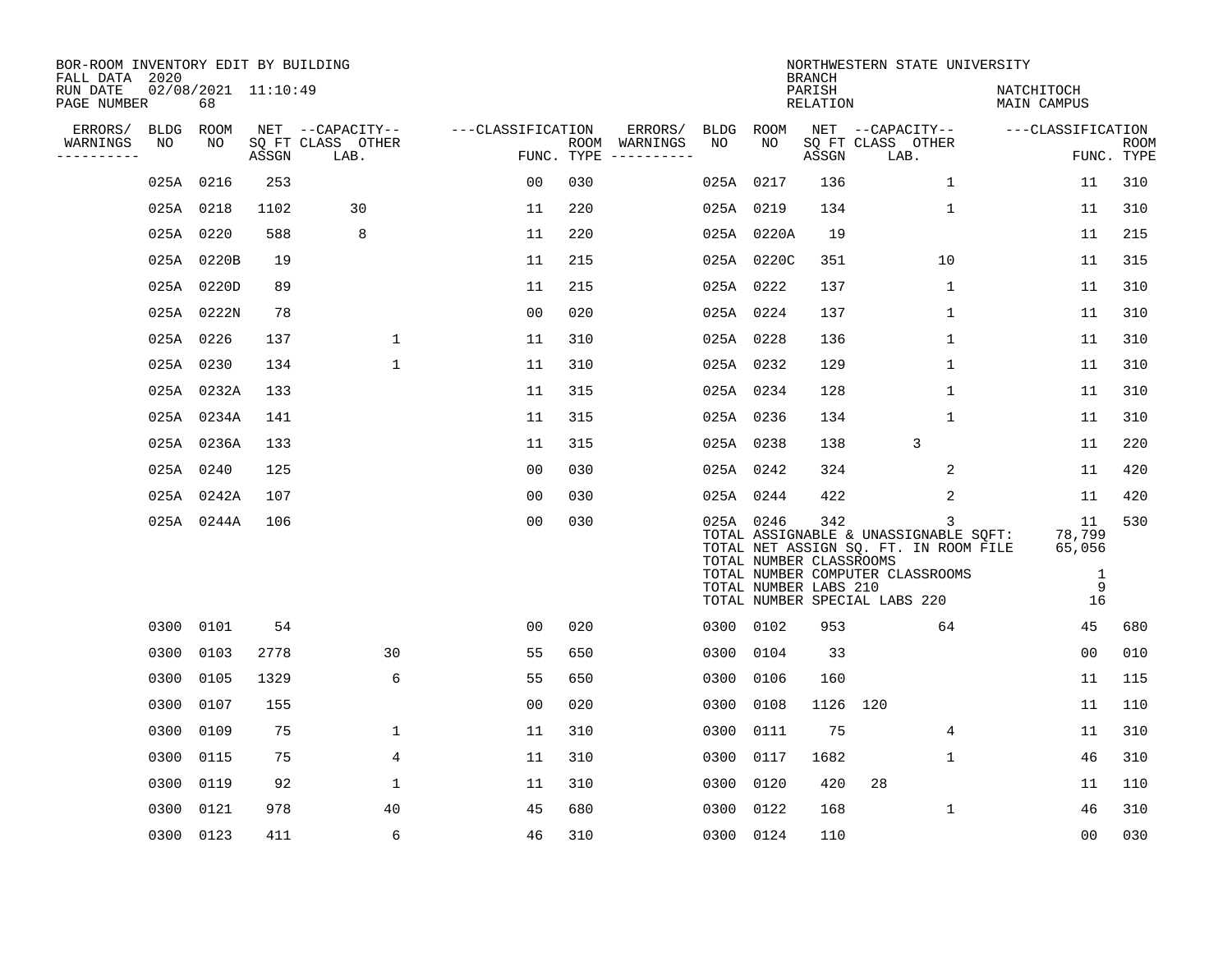| BOR-ROOM INVENTORY EDIT BY BUILDING<br>FALL DATA 2020 |             |                           |       |                           |                   |            |               |           |                                                  | <b>BRANCH</b>             | NORTHWESTERN STATE UNIVERSITY                                                                                                                            |                                        |                           |
|-------------------------------------------------------|-------------|---------------------------|-------|---------------------------|-------------------|------------|---------------|-----------|--------------------------------------------------|---------------------------|----------------------------------------------------------------------------------------------------------------------------------------------------------|----------------------------------------|---------------------------|
| RUN DATE<br>PAGE NUMBER                               |             | 02/08/2021 11:10:49<br>68 |       |                           |                   |            |               |           |                                                  | PARISH<br><b>RELATION</b> |                                                                                                                                                          | NATCHITOCH<br>MAIN CAMPUS              |                           |
| ERRORS/                                               | <b>BLDG</b> | ROOM                      |       | NET --CAPACITY--          | ---CLASSIFICATION |            | ERRORS/       | BLDG ROOM |                                                  |                           | NET --CAPACITY--                                                                                                                                         | ---CLASSIFICATION                      |                           |
| WARNINGS<br>----------                                | NO          | NO                        | ASSGN | SQ FT CLASS OTHER<br>LAB. |                   | FUNC. TYPE | ROOM WARNINGS | NO        | NO                                               | ASSGN                     | SQ FT CLASS OTHER<br>LAB.                                                                                                                                |                                        | <b>ROOM</b><br>FUNC. TYPE |
|                                                       |             | 025A 0216                 | 253   |                           | 0 <sub>0</sub>    | 030        |               | 025A      | 0217                                             | 136                       | $\mathbf{1}$                                                                                                                                             | 11                                     | 310                       |
|                                                       |             | 025A 0218                 | 1102  | 30                        | 11                | 220        |               | 025A 0219 |                                                  | 134                       | $\mathbf 1$                                                                                                                                              | 11                                     | 310                       |
|                                                       |             | 025A 0220                 | 588   | 8                         | 11                | 220        |               |           | 025A 0220A                                       | 19                        |                                                                                                                                                          | 11                                     | 215                       |
|                                                       |             | 025A 0220B                | 19    |                           | 11                | 215        |               |           | 025A 0220C                                       | 351                       | 10                                                                                                                                                       | 11                                     | 315                       |
|                                                       |             | 025A 0220D                | 89    |                           | 11                | 215        |               | 025A 0222 |                                                  | 137                       | $\mathbf 1$                                                                                                                                              | 11                                     | 310                       |
|                                                       |             | 025A 0222N                | 78    |                           | 0 <sub>0</sub>    | 020        |               | 025A 0224 |                                                  | 137                       | $\mathbf{1}$                                                                                                                                             | 11                                     | 310                       |
|                                                       |             | 025A 0226                 | 137   | $\mathbf 1$               | 11                | 310        |               | 025A 0228 |                                                  | 136                       | $\mathbf{1}$                                                                                                                                             | 11                                     | 310                       |
|                                                       |             | 025A 0230                 | 134   | $\mathbf{1}$              | 11                | 310        |               | 025A 0232 |                                                  | 129                       | $\mathbf{1}$                                                                                                                                             | 11                                     | 310                       |
|                                                       |             | 025A 0232A                | 133   |                           | 11                | 315        |               | 025A 0234 |                                                  | 128                       | $\mathbf 1$                                                                                                                                              | 11                                     | 310                       |
|                                                       |             | 025A 0234A                | 141   |                           | 11                | 315        |               | 025A 0236 |                                                  | 134                       | $\mathbf 1$                                                                                                                                              | 11                                     | 310                       |
|                                                       |             | 025A 0236A                | 133   |                           | 11                | 315        |               | 025A 0238 |                                                  | 138                       | 3                                                                                                                                                        | 11                                     | 220                       |
|                                                       |             | 025A 0240                 | 125   |                           | 0 <sub>0</sub>    | 030        |               | 025A 0242 |                                                  | 324                       | 2                                                                                                                                                        | 11                                     | 420                       |
|                                                       |             | 025A 0242A                | 107   |                           | 00                | 030        |               | 025A 0244 |                                                  | 422                       | 2                                                                                                                                                        | 11                                     | 420                       |
|                                                       |             | 025A 0244A                | 106   |                           | 0 <sub>0</sub>    | 030        |               | 025A 0246 | TOTAL NUMBER CLASSROOMS<br>TOTAL NUMBER LABS 210 | 342                       | 3<br>TOTAL ASSIGNABLE & UNASSIGNABLE SQFT:<br>TOTAL NET ASSIGN SQ. FT. IN ROOM FILE<br>TOTAL NUMBER COMPUTER CLASSROOMS<br>TOTAL NUMBER SPECIAL LABS 220 | 11<br>78,799<br>65,056<br>1<br>9<br>16 | 530                       |
|                                                       | 0300        | 0101                      | 54    |                           | 0 <sub>0</sub>    | 020        |               | 0300 0102 |                                                  | 953                       | 64                                                                                                                                                       | 45                                     | 680                       |
|                                                       | 0300        | 0103                      | 2778  | 30                        | 55                | 650        |               | 0300      | 0104                                             | 33                        |                                                                                                                                                          | 0 <sub>0</sub>                         | 010                       |
|                                                       | 0300        | 0105                      | 1329  | 6                         | 55                | 650        |               | 0300      | 0106                                             | 160                       |                                                                                                                                                          | 11                                     | 115                       |
|                                                       | 0300        | 0107                      | 155   |                           | 0 <sub>0</sub>    | 020        |               | 0300      | 0108                                             | 1126 120                  |                                                                                                                                                          | 11                                     | 110                       |
|                                                       | 0300        | 0109                      | 75    | 1                         | 11                | 310        |               | 0300      | 0111                                             | 75                        | 4                                                                                                                                                        | 11                                     | 310                       |
|                                                       | 0300        | 0115                      | 75    | 4                         | 11                | 310        |               | 0300      | 0117                                             | 1682                      | 1                                                                                                                                                        | 46                                     | 310                       |
|                                                       | 0300        | 0119                      | 92    | $\mathbf 1$               | 11                | 310        |               | 0300      | 0120                                             | 420                       | 28                                                                                                                                                       | 11                                     | 110                       |
|                                                       | 0300        | 0121                      | 978   | 40                        | 45                | 680        |               | 0300      | 0122                                             | 168                       | $\mathbf{1}$                                                                                                                                             | 46                                     | 310                       |
|                                                       |             | 0300 0123                 | 411   | 6                         | 46                | 310        |               | 0300 0124 |                                                  | 110                       |                                                                                                                                                          | 0 <sub>0</sub>                         | 030                       |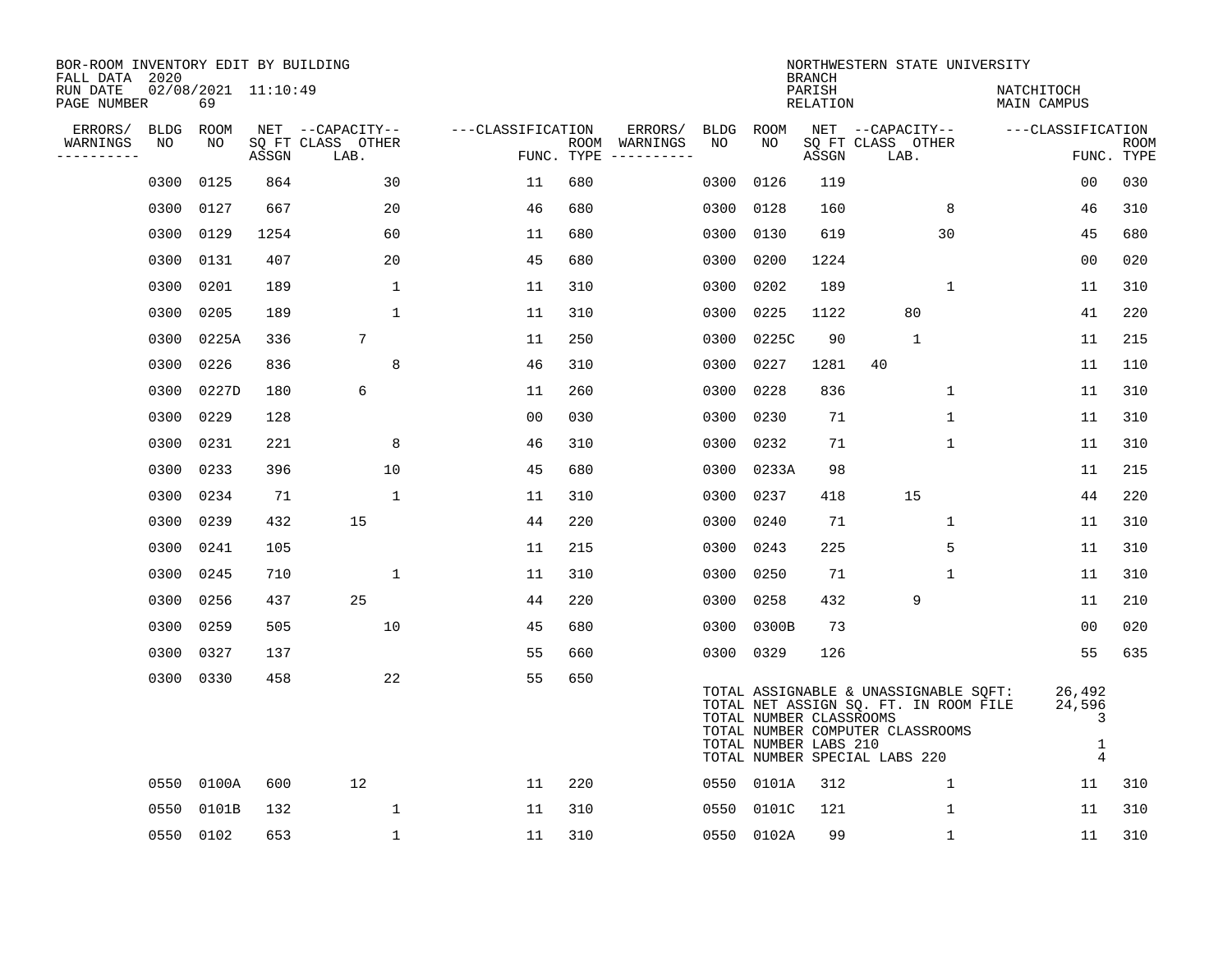| BOR-ROOM INVENTORY EDIT BY BUILDING<br>FALL DATA 2020 |                   |                           |       |                                       |                   |            |                          |                   |                                                  | <b>BRANCH</b>             | NORTHWESTERN STATE UNIVERSITY                                                                                                                       |                                              |             |
|-------------------------------------------------------|-------------------|---------------------------|-------|---------------------------------------|-------------------|------------|--------------------------|-------------------|--------------------------------------------------|---------------------------|-----------------------------------------------------------------------------------------------------------------------------------------------------|----------------------------------------------|-------------|
| RUN DATE<br>PAGE NUMBER                               |                   | 02/08/2021 11:10:49<br>69 |       |                                       |                   |            |                          |                   |                                                  | PARISH<br><b>RELATION</b> |                                                                                                                                                     | NATCHITOCH<br>MAIN CAMPUS                    |             |
| ERRORS/<br>WARNINGS                                   | <b>BLDG</b><br>NO | ROOM<br>NO                |       | NET --CAPACITY--<br>SQ FT CLASS OTHER | ---CLASSIFICATION |            | ERRORS/<br>ROOM WARNINGS | <b>BLDG</b><br>NO | ROOM<br>NO                                       |                           | NET --CAPACITY--<br>SQ FT CLASS OTHER                                                                                                               | ---CLASSIFICATION                            | <b>ROOM</b> |
| ----------                                            |                   |                           | ASSGN | LAB.                                  |                   | FUNC. TYPE |                          |                   |                                                  | ASSGN                     | LAB.                                                                                                                                                |                                              | FUNC. TYPE  |
|                                                       | 0300              | 0125                      | 864   | 30                                    | 11                | 680        |                          | 0300              | 0126                                             | 119                       |                                                                                                                                                     | 0 <sub>0</sub>                               | 030         |
|                                                       | 0300              | 0127                      | 667   | 20                                    | 46                | 680        |                          | 0300              | 0128                                             | 160                       | 8                                                                                                                                                   | 46                                           | 310         |
|                                                       | 0300              | 0129                      | 1254  | 60                                    | 11                | 680        |                          | 0300              | 0130                                             | 619                       | 30                                                                                                                                                  | 45                                           | 680         |
|                                                       | 0300              | 0131                      | 407   | 20                                    | 45                | 680        |                          | 0300              | 0200                                             | 1224                      |                                                                                                                                                     | 0 <sub>0</sub>                               | 020         |
|                                                       | 0300              | 0201                      | 189   | $\mathbf 1$                           | 11                | 310        |                          | 0300              | 0202                                             | 189                       | 1                                                                                                                                                   | 11                                           | 310         |
|                                                       | 0300              | 0205                      | 189   | $\mathbf{1}$                          | 11                | 310        |                          | 0300              | 0225                                             | 1122                      | 80                                                                                                                                                  | 41                                           | 220         |
|                                                       | 0300              | 0225A                     | 336   | $7\overline{ }$                       | 11                | 250        |                          | 0300              | 0225C                                            | 90                        | $\mathbf{1}$                                                                                                                                        | 11                                           | 215         |
|                                                       | 0300              | 0226                      | 836   | 8                                     | 46                | 310        |                          | 0300              | 0227                                             | 1281                      | 40                                                                                                                                                  | 11                                           | 110         |
|                                                       | 0300              | 0227D                     | 180   | 6                                     | 11                | 260        |                          | 0300              | 0228                                             | 836                       | 1                                                                                                                                                   | 11                                           | 310         |
|                                                       | 0300              | 0229                      | 128   |                                       | 0 <sub>0</sub>    | 030        |                          | 0300              | 0230                                             | 71                        | $\mathbf 1$                                                                                                                                         | 11                                           | 310         |
|                                                       | 0300              | 0231                      | 221   | 8                                     | 46                | 310        |                          | 0300              | 0232                                             | 71                        | $\mathbf 1$                                                                                                                                         | 11                                           | 310         |
|                                                       | 0300              | 0233                      | 396   | 10                                    | 45                | 680        |                          | 0300              | 0233A                                            | 98                        |                                                                                                                                                     | 11                                           | 215         |
|                                                       | 0300              | 0234                      | 71    | 1                                     | 11                | 310        |                          | 0300              | 0237                                             | 418                       | 15                                                                                                                                                  | 44                                           | 220         |
|                                                       | 0300              | 0239                      | 432   | 15                                    | 44                | 220        |                          | 0300              | 0240                                             | 71                        | 1                                                                                                                                                   | 11                                           | 310         |
|                                                       | 0300              | 0241                      | 105   |                                       | 11                | 215        |                          | 0300              | 0243                                             | 225                       | 5                                                                                                                                                   | 11                                           | 310         |
|                                                       | 0300              | 0245                      | 710   | $\mathbf{1}$                          | 11                | 310        |                          | 0300              | 0250                                             | 71                        | 1                                                                                                                                                   | 11                                           | 310         |
|                                                       | 0300              | 0256                      | 437   | 25                                    | 44                | 220        |                          | 0300              | 0258                                             | 432                       | 9                                                                                                                                                   | 11                                           | 210         |
|                                                       | 0300              | 0259                      | 505   | 10                                    | 45                | 680        |                          | 0300              | 0300B                                            | 73                        |                                                                                                                                                     | 0 <sub>0</sub>                               | 020         |
|                                                       | 0300              | 0327                      | 137   |                                       | 55                | 660        |                          |                   | 0300 0329                                        | 126                       |                                                                                                                                                     | 55                                           | 635         |
|                                                       | 0300              | 0330                      | 458   | 22                                    | 55                | 650        |                          |                   | TOTAL NUMBER CLASSROOMS<br>TOTAL NUMBER LABS 210 |                           | TOTAL ASSIGNABLE & UNASSIGNABLE SQFT:<br>TOTAL NET ASSIGN SQ. FT. IN ROOM FILE<br>TOTAL NUMBER COMPUTER CLASSROOMS<br>TOTAL NUMBER SPECIAL LABS 220 | 26,492<br>24,596<br>3<br>1<br>$\overline{4}$ |             |
|                                                       | 0550              | 0100A                     | 600   | 12                                    | 11                | 220        |                          |                   | 0550 0101A                                       | 312                       | 1                                                                                                                                                   | 11                                           | 310         |
|                                                       | 0550              | 0101B                     | 132   | $\mathbf{1}$                          | 11                | 310        |                          | 0550              | 0101C                                            | 121                       | $\mathbf 1$                                                                                                                                         | 11                                           | 310         |
|                                                       | 0550              | 0102                      | 653   | $\mathbf 1$                           | 11                | 310        |                          |                   | 0550 0102A                                       | 99                        | $\mathbf 1$                                                                                                                                         | 11                                           | 310         |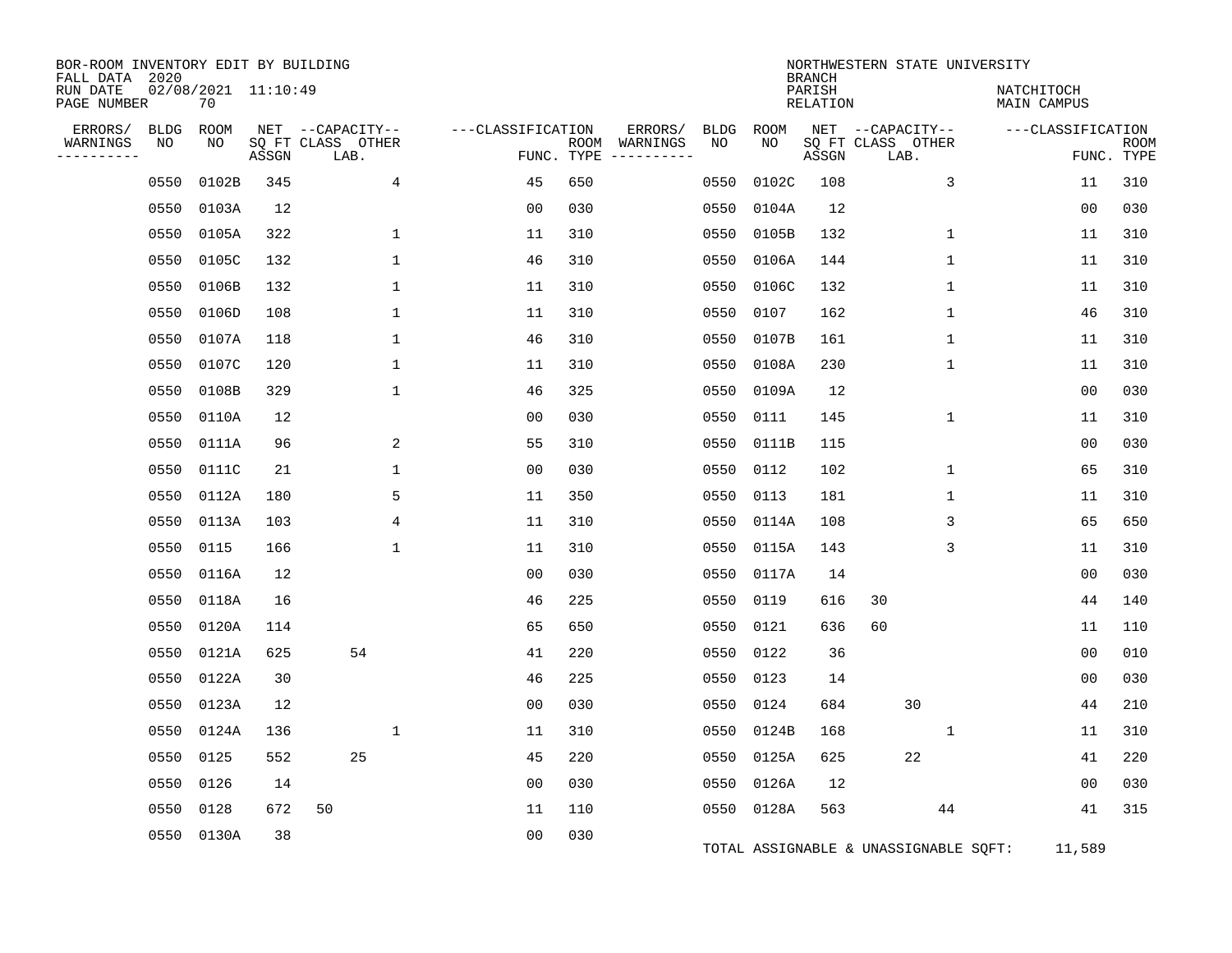| BOR-ROOM INVENTORY EDIT BY BUILDING       |                   |                           |       |                                               |                   |                    |                                    |            |            |                                     | NORTHWESTERN STATE UNIVERSITY                 |                           |                           |
|-------------------------------------------|-------------------|---------------------------|-------|-----------------------------------------------|-------------------|--------------------|------------------------------------|------------|------------|-------------------------------------|-----------------------------------------------|---------------------------|---------------------------|
| FALL DATA 2020<br>RUN DATE<br>PAGE NUMBER |                   | 02/08/2021 11:10:49<br>70 |       |                                               |                   |                    |                                    |            |            | <b>BRANCH</b><br>PARISH<br>RELATION |                                               | NATCHITOCH<br>MAIN CAMPUS |                           |
| ERRORS/<br>WARNINGS<br>----------         | <b>BLDG</b><br>NO | ROOM<br>NO                | ASSGN | NET --CAPACITY--<br>SQ FT CLASS OTHER<br>LAB. | ---CLASSIFICATION | ROOM<br>FUNC. TYPE | ERRORS/<br>WARNINGS<br>----------- | BLDG<br>NO | ROOM<br>NO | ASSGN                               | NET --CAPACITY--<br>SQ FT CLASS OTHER<br>LAB. | ---CLASSIFICATION         | <b>ROOM</b><br>FUNC. TYPE |
|                                           | 0550              | 0102B                     | 345   | 4                                             | 45                | 650                |                                    | 0550       | 0102C      | 108                                 | 3                                             | 11                        | 310                       |
|                                           | 0550              | 0103A                     | 12    |                                               | 00                | 030                |                                    | 0550       | 0104A      | 12                                  |                                               | 0 <sub>0</sub>            | 030                       |
|                                           | 0550              | 0105A                     | 322   | 1                                             | 11                | 310                |                                    | 0550       | 0105B      | 132                                 | 1                                             | 11                        | 310                       |
|                                           | 0550              | 0105C                     | 132   | 1                                             | 46                | 310                |                                    | 0550       | 0106A      | 144                                 | 1                                             | 11                        | 310                       |
|                                           | 0550              | 0106B                     | 132   | 1                                             | 11                | 310                |                                    | 0550       | 0106C      | 132                                 | $\mathbf{1}$                                  | 11                        | 310                       |
|                                           | 0550              | 0106D                     | 108   | $\mathbf 1$                                   | 11                | 310                |                                    | 0550       | 0107       | 162                                 | 1                                             | 46                        | 310                       |
|                                           | 0550              | 0107A                     | 118   | $\mathbf{1}$                                  | 46                | 310                |                                    | 0550       | 0107B      | 161                                 | $\mathbf 1$                                   | 11                        | 310                       |
|                                           | 0550              | 0107C                     | 120   | $\mathbf{1}$                                  | 11                | 310                |                                    | 0550       | 0108A      | 230                                 | $\mathbf{1}$                                  | 11                        | 310                       |
|                                           | 0550              | 0108B                     | 329   | $\mathbf{1}$                                  | 46                | 325                |                                    | 0550       | 0109A      | 12                                  |                                               | 0 <sub>0</sub>            | 030                       |
|                                           | 0550              | 0110A                     | 12    |                                               | 0 <sub>0</sub>    | 030                |                                    | 0550       | 0111       | 145                                 | $\mathbf 1$                                   | 11                        | 310                       |
|                                           | 0550              | 0111A                     | 96    | 2                                             | 55                | 310                |                                    | 0550       | 0111B      | 115                                 |                                               | 0 <sub>0</sub>            | 030                       |
|                                           | 0550              | 0111C                     | 21    | 1                                             | 0 <sub>0</sub>    | 030                |                                    | 0550       | 0112       | 102                                 | $\mathbf{1}$                                  | 65                        | 310                       |
|                                           | 0550              | 0112A                     | 180   | 5                                             | 11                | 350                |                                    | 0550       | 0113       | 181                                 | 1                                             | 11                        | 310                       |
|                                           | 0550              | 0113A                     | 103   | 4                                             | 11                | 310                |                                    | 0550       | 0114A      | 108                                 | 3                                             | 65                        | 650                       |
|                                           | 0550              | 0115                      | 166   | $\mathbf 1$                                   | 11                | 310                |                                    | 0550       | 0115A      | 143                                 | 3                                             | 11                        | 310                       |
|                                           | 0550              | 0116A                     | 12    |                                               | 00                | 030                |                                    |            | 0550 0117A | 14                                  |                                               | 00                        | 030                       |
|                                           | 0550              | 0118A                     | 16    |                                               | 46                | 225                |                                    | 0550       | 0119       | 616                                 | 30                                            | 44                        | 140                       |
|                                           | 0550              | 0120A                     | 114   |                                               | 65                | 650                |                                    | 0550       | 0121       | 636                                 | 60                                            | 11                        | 110                       |
|                                           | 0550              | 0121A                     | 625   | 54                                            | 41                | 220                |                                    | 0550       | 0122       | 36                                  |                                               | 0 <sub>0</sub>            | 010                       |
|                                           | 0550              | 0122A                     | 30    |                                               | 46                | 225                |                                    | 0550       | 0123       | 14                                  |                                               | 0 <sub>0</sub>            | 030                       |
|                                           | 0550              | 0123A                     | 12    |                                               | 0 <sub>0</sub>    | 030                |                                    | 0550       | 0124       | 684                                 | 30                                            | 44                        | 210                       |
|                                           | 0550              | 0124A                     | 136   | 1                                             | 11                | 310                |                                    | 0550       | 0124B      | 168                                 | 1                                             | 11                        | 310                       |
|                                           | 0550              | 0125                      | 552   | 25                                            | 45                | 220                |                                    | 0550       | 0125A      | 625                                 | 22                                            | 41                        | 220                       |
|                                           | 0550              | 0126                      | 14    |                                               | 0 <sub>0</sub>    | 030                |                                    | 0550       | 0126A      | 12                                  |                                               | 00                        | 030                       |
|                                           | 0550              | 0128                      | 672   | 50                                            | 11                | 110                |                                    |            | 0550 0128A | 563                                 | 44                                            | 41                        | 315                       |
|                                           | 0550              | 0130A                     | 38    |                                               | 0 <sub>0</sub>    | 030                |                                    |            |            |                                     | TOTAL ASSIGNABLE & UNASSIGNABLE SQFT:         | 11,589                    |                           |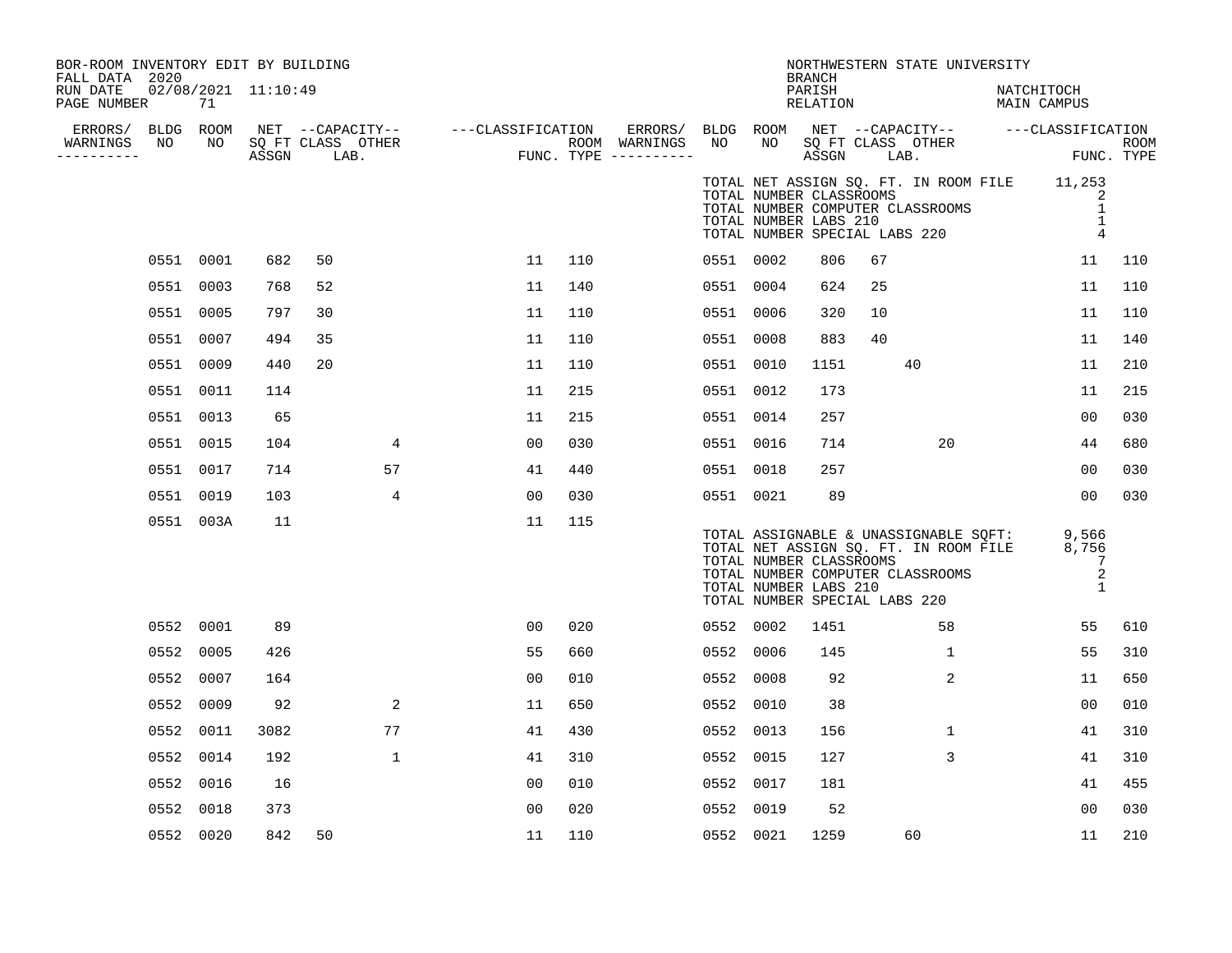| BOR-ROOM INVENTORY EDIT BY BUILDING<br>FALL DATA 2020<br>RUN DATE<br>PAGE NUMBER |           | 71   | 02/08/2021 11:10:49 |             |                |     |           |                                                  | <b>BRANCH</b><br>PARISH<br>RELATION |                               | NORTHWESTERN STATE UNIVERSITY                                                                                                  | NATCHITOCH<br>MAIN CAMPUS |                                            |     |
|----------------------------------------------------------------------------------|-----------|------|---------------------|-------------|----------------|-----|-----------|--------------------------------------------------|-------------------------------------|-------------------------------|--------------------------------------------------------------------------------------------------------------------------------|---------------------------|--------------------------------------------|-----|
| WARNINGS NO<br>.                                                                 |           |      |                     |             |                |     |           |                                                  |                                     |                               |                                                                                                                                |                           |                                            |     |
|                                                                                  |           |      |                     |             |                |     |           | TOTAL NUMBER CLASSROOMS<br>TOTAL NUMBER LABS 210 |                                     |                               | TOTAL NET ASSIGN SQ. FT. IN ROOM FILE 11,253<br>TOTAL NUMBER COMPUTER CLASSROOMS<br>TOTAL NUMBER SPECIAL LABS 220              |                           | 2<br>1<br>$\overline{1}$<br>$\overline{4}$ |     |
|                                                                                  | 0551 0001 |      | 682                 | 50          | 11             | 110 | 0551 0002 |                                                  | 806                                 | 67                            |                                                                                                                                |                           | 11                                         | 110 |
|                                                                                  | 0551 0003 |      | 768                 | 52          | 11             | 140 | 0551 0004 |                                                  | 624                                 | 25                            |                                                                                                                                |                           | 11                                         | 110 |
|                                                                                  | 0551 0005 |      | 797                 | 30          | 11             | 110 | 0551 0006 |                                                  | 320                                 | 10                            |                                                                                                                                |                           | 11                                         | 110 |
|                                                                                  | 0551 0007 |      | 494                 | 35          | 11             | 110 | 0551 0008 |                                                  | 883                                 | 40                            |                                                                                                                                |                           | 11                                         | 140 |
|                                                                                  | 0551 0009 |      | 440                 | 20          | 11             | 110 | 0551 0010 |                                                  | 1151                                |                               | 40                                                                                                                             |                           | 11                                         | 210 |
|                                                                                  | 0551 0011 |      | 114                 |             | 11             | 215 | 0551 0012 |                                                  | 173                                 |                               |                                                                                                                                |                           | 11                                         | 215 |
|                                                                                  | 0551 0013 |      | 65                  |             | 11             | 215 | 0551 0014 |                                                  | 257                                 |                               |                                                                                                                                |                           | 00                                         | 030 |
|                                                                                  | 0551 0015 |      | 104                 | 4           | 00             | 030 | 0551 0016 |                                                  | 714                                 |                               | 20                                                                                                                             |                           | 44                                         | 680 |
|                                                                                  | 0551 0017 |      | 714                 | 57          | 41             | 440 | 0551 0018 |                                                  | 257                                 |                               |                                                                                                                                |                           | 00                                         | 030 |
|                                                                                  | 0551 0019 |      | 103                 | 4           | 0 <sub>0</sub> | 030 | 0551 0021 |                                                  | 89                                  |                               |                                                                                                                                |                           | 0 <sub>0</sub>                             | 030 |
|                                                                                  | 0551 003A |      | 11                  |             | 11             | 115 |           | TOTAL NUMBER CLASSROOMS<br>TOTAL NUMBER LABS 210 |                                     | TOTAL NUMBER SPECIAL LABS 220 | TOTAL ASSIGNABLE & UNASSIGNABLE SQFT: 9,566<br>TOTAL NET ASSIGN SQ. FT. IN ROOM FILE 8,756<br>TOTAL NUMBER COMPUTER CLASSROOMS |                           | -7<br>2<br>1                               |     |
|                                                                                  | 0552 0001 |      | 89                  |             | 0 <sub>0</sub> | 020 | 0552 0002 |                                                  | 1451                                |                               | 58                                                                                                                             |                           | 55                                         | 610 |
|                                                                                  | 0552 0005 |      | 426                 |             | 55             | 660 | 0552 0006 |                                                  | 145                                 |                               | 1                                                                                                                              |                           | 55                                         | 310 |
|                                                                                  | 0552 0007 |      | 164                 |             | 0 <sub>0</sub> | 010 | 0552 0008 |                                                  | 92                                  |                               | 2                                                                                                                              |                           | 11                                         | 650 |
|                                                                                  | 0552 0009 |      | 92                  | 2           | 11             | 650 | 0552 0010 |                                                  | 38                                  |                               |                                                                                                                                |                           | 00                                         | 010 |
|                                                                                  | 0552      | 0011 | 3082                | 77          | 41             | 430 | 0552 0013 |                                                  | 156                                 |                               | $\mathbf{1}$                                                                                                                   |                           | 41                                         | 310 |
|                                                                                  | 0552 0014 |      | 192                 | $\mathbf 1$ | 41             | 310 | 0552 0015 |                                                  | 127                                 |                               | 3                                                                                                                              |                           | 41                                         | 310 |
|                                                                                  | 0552 0016 |      | 16                  |             | 0 <sub>0</sub> | 010 | 0552 0017 |                                                  | 181                                 |                               |                                                                                                                                |                           | 41                                         | 455 |
|                                                                                  | 0552 0018 |      | 373                 |             | 0 <sub>0</sub> | 020 | 0552 0019 |                                                  | 52                                  |                               |                                                                                                                                |                           | 00                                         | 030 |
|                                                                                  | 0552 0020 |      | 842                 | 50          | 11             | 110 | 0552 0021 |                                                  | 1259                                |                               | 60                                                                                                                             |                           | 11                                         | 210 |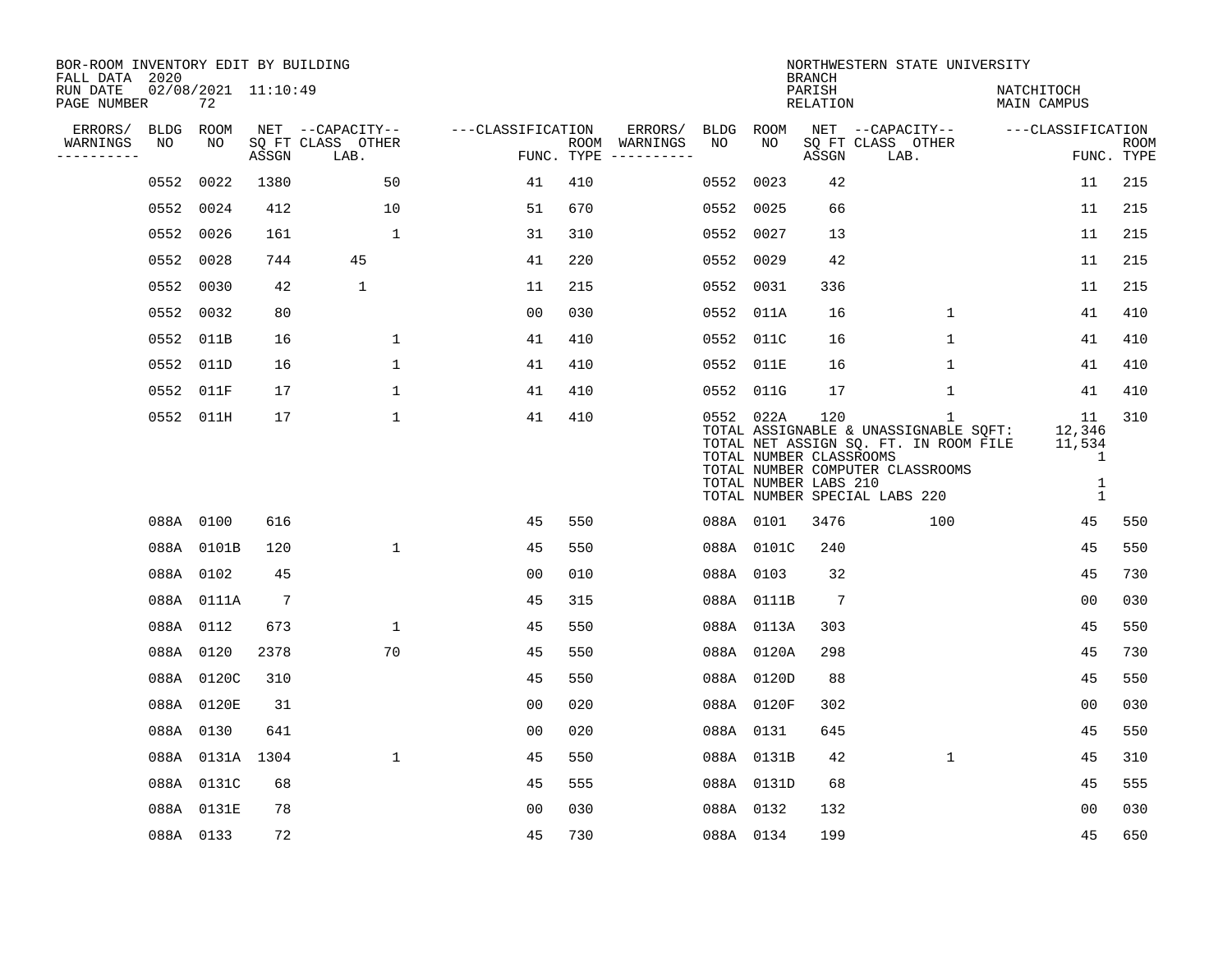| BOR-ROOM INVENTORY EDIT BY BUILDING<br>FALL DATA 2020 |           |                           |                 |                           |                   |     |                                      |           |                                                  | <b>BRANCH</b>             | NORTHWESTERN STATE UNIVERSITY                                                                                                                                       |                                                           |                           |
|-------------------------------------------------------|-----------|---------------------------|-----------------|---------------------------|-------------------|-----|--------------------------------------|-----------|--------------------------------------------------|---------------------------|---------------------------------------------------------------------------------------------------------------------------------------------------------------------|-----------------------------------------------------------|---------------------------|
| RUN DATE<br>PAGE NUMBER                               |           | 02/08/2021 11:10:49<br>72 |                 |                           |                   |     |                                      |           |                                                  | PARISH<br><b>RELATION</b> |                                                                                                                                                                     | NATCHITOCH<br>MAIN CAMPUS                                 |                           |
| ERRORS/                                               | BLDG      | ROOM                      |                 | NET --CAPACITY--          | ---CLASSIFICATION |     | ERRORS/                              | BLDG      | <b>ROOM</b>                                      |                           | NET --CAPACITY--                                                                                                                                                    | ---CLASSIFICATION                                         |                           |
| WARNINGS<br>----------                                | NO        | NO                        | ASSGN           | SQ FT CLASS OTHER<br>LAB. |                   |     | ROOM WARNINGS<br>FUNC. TYPE $------$ | NO        | NO.                                              | ASSGN                     | SQ FT CLASS OTHER<br>LAB.                                                                                                                                           |                                                           | <b>ROOM</b><br>FUNC. TYPE |
|                                                       | 0552      | 0022                      | 1380            | 50                        | 41                | 410 |                                      | 0552      | 0023                                             | 42                        |                                                                                                                                                                     | 11                                                        | 215                       |
|                                                       | 0552      | 0024                      | 412             | 10                        | 51                | 670 |                                      | 0552      | 0025                                             | 66                        |                                                                                                                                                                     | 11                                                        | 215                       |
|                                                       | 0552 0026 |                           | 161             | $\mathbf 1$               | 31                | 310 |                                      | 0552      | 0027                                             | 13                        |                                                                                                                                                                     | 11                                                        | 215                       |
|                                                       | 0552      | 0028                      | 744             | 45                        | 41                | 220 |                                      | 0552      | 0029                                             | 42                        |                                                                                                                                                                     | 11                                                        | 215                       |
|                                                       | 0552      | 0030                      | 42              | $\mathbf{1}$              | 11                | 215 |                                      | 0552      | 0031                                             | 336                       |                                                                                                                                                                     | 11                                                        | 215                       |
|                                                       | 0552 0032 |                           | 80              |                           | 00                | 030 |                                      | 0552 011A |                                                  | 16                        | $\mathbf{1}$                                                                                                                                                        | 41                                                        | 410                       |
|                                                       | 0552 011B |                           | 16              | $\mathbf 1$               | 41                | 410 |                                      | 0552      | 011C                                             | 16                        | $\mathbf{1}$                                                                                                                                                        | 41                                                        | 410                       |
|                                                       | 0552 011D |                           | 16              | $\mathbf{1}$              | 41                | 410 |                                      | 0552 011E |                                                  | 16                        | $\mathbf{1}$                                                                                                                                                        | 41                                                        | 410                       |
|                                                       | 0552 011F |                           | 17              | $\mathbf 1$               | 41                | 410 |                                      | 0552      | 011G                                             | 17                        | $\mathbf 1$                                                                                                                                                         | 41                                                        | 410                       |
|                                                       |           | 0552 011H                 | 17              | $\mathbf{1}$              | 41                | 410 |                                      | 0552 022A | TOTAL NUMBER CLASSROOMS<br>TOTAL NUMBER LABS 210 | 120                       | $\mathbf{1}$<br>TOTAL ASSIGNABLE & UNASSIGNABLE SQFT:<br>TOTAL NET ASSIGN SQ. FT. IN ROOM FILE<br>TOTAL NUMBER COMPUTER CLASSROOMS<br>TOTAL NUMBER SPECIAL LABS 220 | 11<br>12,346<br>11,534<br>1<br>$\mathbf 1$<br>$\mathbf 1$ | 310                       |
|                                                       | 088A 0100 |                           | 616             |                           | 45                | 550 |                                      |           | 088A 0101                                        | 3476                      | 100                                                                                                                                                                 | 45                                                        | 550                       |
|                                                       |           | 088A 0101B                | 120             | $\mathbf 1$               | 45                | 550 |                                      |           | 088A 0101C                                       | 240                       |                                                                                                                                                                     | 45                                                        | 550                       |
|                                                       |           | 088A 0102                 | 45              |                           | 0 <sub>0</sub>    | 010 |                                      | 088A 0103 |                                                  | 32                        |                                                                                                                                                                     | 45                                                        | 730                       |
|                                                       |           | 088A 0111A                | $7\phantom{.0}$ |                           | 45                | 315 |                                      |           | 088A 0111B                                       | $7\phantom{.0}$           |                                                                                                                                                                     | 0 <sub>0</sub>                                            | 030                       |
|                                                       |           | 088A 0112                 | 673             | $\mathbf{1}$              | 45                | 550 |                                      |           | 088A 0113A                                       | 303                       |                                                                                                                                                                     | 45                                                        | 550                       |
|                                                       | 088A 0120 |                           | 2378            | 70                        | 45                | 550 |                                      |           | 088A 0120A                                       | 298                       |                                                                                                                                                                     | 45                                                        | 730                       |
|                                                       |           | 088A 0120C                | 310             |                           | 45                | 550 |                                      |           | 088A 0120D                                       | 88                        |                                                                                                                                                                     | 45                                                        | 550                       |
|                                                       |           | 088A 0120E                | 31              |                           | 0 <sub>0</sub>    | 020 |                                      |           | 088A 0120F                                       | 302                       |                                                                                                                                                                     | 0 <sub>0</sub>                                            | 030                       |
|                                                       | 088A 0130 |                           | 641             |                           | 0 <sub>0</sub>    | 020 |                                      | 088A 0131 |                                                  | 645                       |                                                                                                                                                                     | 45                                                        | 550                       |
|                                                       |           | 088A 0131A 1304           |                 | $\mathbf{1}$              | 45                | 550 |                                      |           | 088A 0131B                                       | 42                        | $\mathbf{1}$                                                                                                                                                        | 45                                                        | 310                       |
|                                                       |           | 088A 0131C                | 68              |                           | 45                | 555 |                                      |           | 088A 0131D                                       | 68                        |                                                                                                                                                                     | 45                                                        | 555                       |
|                                                       |           | 088A 0131E                | 78              |                           | 0 <sub>0</sub>    | 030 |                                      | 088A 0132 |                                                  | 132                       |                                                                                                                                                                     | 0 <sub>0</sub>                                            | 030                       |
|                                                       |           | 088A 0133                 | 72              |                           | 45                | 730 |                                      | 088A 0134 |                                                  | 199                       |                                                                                                                                                                     | 45                                                        | 650                       |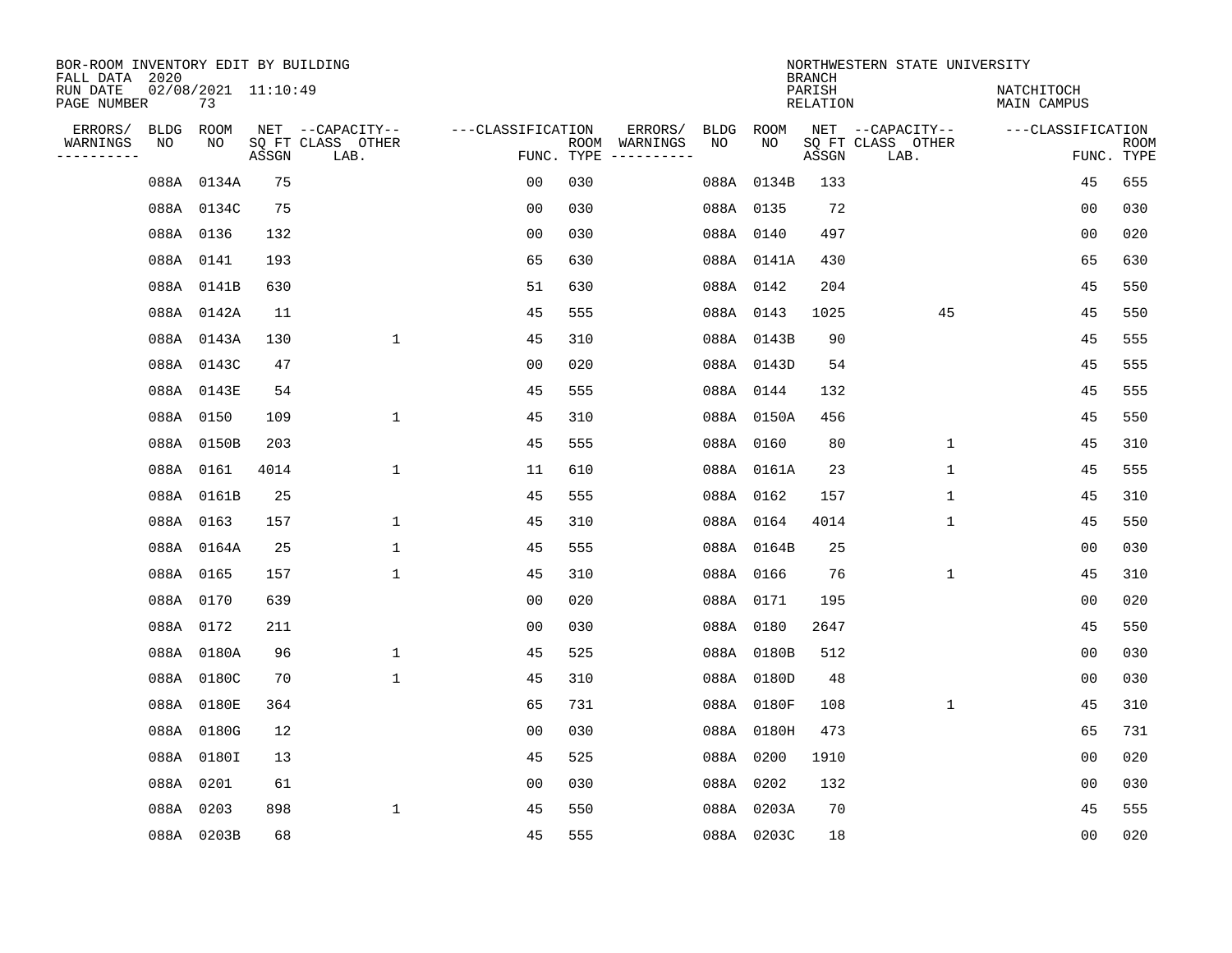| BOR-ROOM INVENTORY EDIT BY BUILDING<br>FALL DATA 2020 |           |                           |       |                           |                   | NORTHWESTERN STATE UNIVERSITY<br><b>BRANCH</b> |               |    |            |                           |                           |                                  |                           |
|-------------------------------------------------------|-----------|---------------------------|-------|---------------------------|-------------------|------------------------------------------------|---------------|----|------------|---------------------------|---------------------------|----------------------------------|---------------------------|
| RUN DATE<br>PAGE NUMBER                               |           | 02/08/2021 11:10:49<br>73 |       |                           |                   |                                                |               |    |            | PARISH<br><b>RELATION</b> |                           | NATCHITOCH<br><b>MAIN CAMPUS</b> |                           |
| ERRORS/                                               | BLDG ROOM |                           |       | NET --CAPACITY--          | ---CLASSIFICATION |                                                | ERRORS/       |    | BLDG ROOM  |                           | NET --CAPACITY--          | ---CLASSIFICATION                |                           |
| WARNINGS<br>----------                                | NO        | NO                        | ASSGN | SQ FT CLASS OTHER<br>LAB. |                   | FUNC. TYPE                                     | ROOM WARNINGS | NO | NO         | ASSGN                     | SQ FT CLASS OTHER<br>LAB. |                                  | <b>ROOM</b><br>FUNC. TYPE |
|                                                       |           | 088A 0134A                | 75    |                           | 00                | 030                                            |               |    | 088A 0134B | 133                       |                           | 45                               | 655                       |
|                                                       |           | 088A 0134C                | 75    |                           | 00                | 030                                            |               |    | 088A 0135  | 72                        |                           | 00                               | 030                       |
|                                                       |           | 088A 0136                 | 132   |                           | 00                | 030                                            |               |    | 088A 0140  | 497                       |                           | 00                               | 020                       |
|                                                       |           | 088A 0141                 | 193   |                           | 65                | 630                                            |               |    | 088A 0141A | 430                       |                           | 65                               | 630                       |
|                                                       |           | 088A 0141B                | 630   |                           | 51                | 630                                            |               |    | 088A 0142  | 204                       |                           | 45                               | 550                       |
|                                                       |           | 088A 0142A                | 11    |                           | 45                | 555                                            |               |    | 088A 0143  | 1025                      | 45                        | 45                               | 550                       |
|                                                       |           | 088A 0143A                | 130   | $\mathbf 1$               | 45                | 310                                            |               |    | 088A 0143B | 90                        |                           | 45                               | 555                       |
|                                                       |           | 088A 0143C                | 47    |                           | 0 <sub>0</sub>    | 020                                            |               |    | 088A 0143D | 54                        |                           | 45                               | 555                       |
|                                                       |           | 088A 0143E                | 54    |                           | 45                | 555                                            |               |    | 088A 0144  | 132                       |                           | 45                               | 555                       |
|                                                       |           | 088A 0150                 | 109   | 1                         | 45                | 310                                            |               |    | 088A 0150A | 456                       |                           | 45                               | 550                       |
|                                                       |           | 088A 0150B                | 203   |                           | 45                | 555                                            |               |    | 088A 0160  | 80                        | $\mathbf{1}$              | 45                               | 310                       |
|                                                       |           | 088A 0161                 | 4014  | $\mathbf{1}$              | 11                | 610                                            |               |    | 088A 0161A | 23                        | $\mathbf 1$               | 45                               | 555                       |
|                                                       |           | 088A 0161B                | 25    |                           | 45                | 555                                            |               |    | 088A 0162  | 157                       | 1                         | 45                               | 310                       |
|                                                       |           | 088A 0163                 | 157   | 1                         | 45                | 310                                            |               |    | 088A 0164  | 4014                      | 1                         | 45                               | 550                       |
|                                                       |           | 088A 0164A                | 25    | $\mathbf 1$               | 45                | 555                                            |               |    | 088A 0164B | 25                        |                           | 00                               | 030                       |
|                                                       |           | 088A 0165                 | 157   | $\mathbf 1$               | 45                | 310                                            |               |    | 088A 0166  | 76                        | 1                         | 45                               | 310                       |
|                                                       |           | 088A 0170                 | 639   |                           | 0 <sub>0</sub>    | 020                                            |               |    | 088A 0171  | 195                       |                           | 0 <sub>0</sub>                   | 020                       |
|                                                       |           | 088A 0172                 | 211   |                           | 0 <sub>0</sub>    | 030                                            |               |    | 088A 0180  | 2647                      |                           | 45                               | 550                       |
|                                                       |           | 088A 0180A                | 96    | $\mathbf{1}$              | 45                | 525                                            |               |    | 088A 0180B | 512                       |                           | 0 <sub>0</sub>                   | 030                       |
|                                                       |           | 088A 0180C                | 70    | $\mathbf{1}$              | 45                | 310                                            |               |    | 088A 0180D | 48                        |                           | 00                               | 030                       |
|                                                       |           | 088A 0180E                | 364   |                           | 65                | 731                                            |               |    | 088A 0180F | 108                       | $\mathbf 1$               | 45                               | 310                       |
|                                                       |           | 088A 0180G                | 12    |                           | 0 <sub>0</sub>    | 030                                            |               |    | 088A 0180H | 473                       |                           | 65                               | 731                       |
|                                                       |           | 088A 0180I                | 13    |                           | 45                | 525                                            |               |    | 088A 0200  | 1910                      |                           | 0 <sub>0</sub>                   | 020                       |
|                                                       |           | 088A 0201                 | 61    |                           | 00                | 030                                            |               |    | 088A 0202  | 132                       |                           | 00                               | 030                       |
|                                                       |           | 088A 0203                 | 898   | $\mathbf{1}$              | 45                | 550                                            |               |    | 088A 0203A | 70                        |                           | 45                               | 555                       |
|                                                       |           | 088A 0203B                | 68    |                           | 45                | 555                                            |               |    | 088A 0203C | 18                        |                           | 0 <sub>0</sub>                   | 020                       |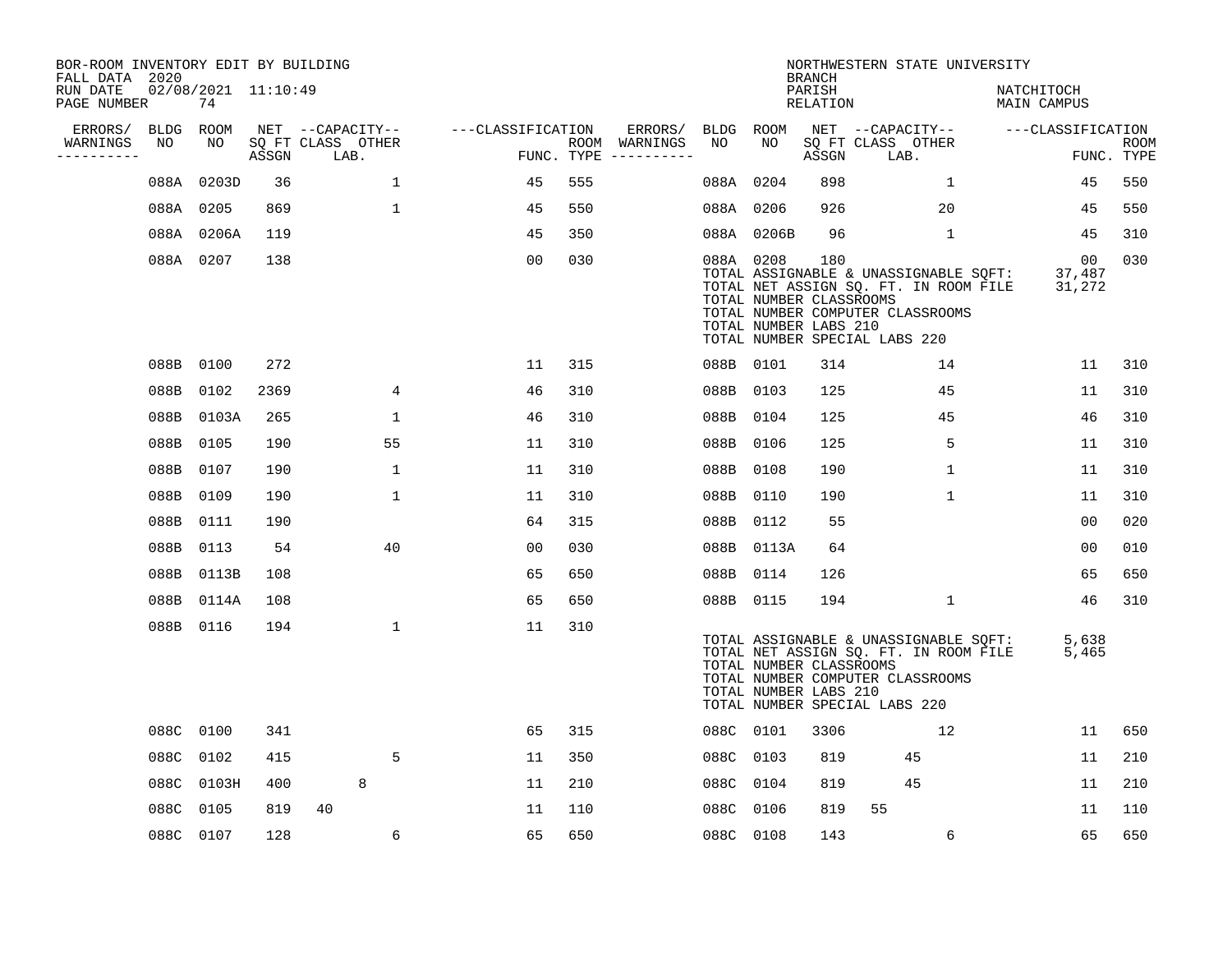| BOR-ROOM INVENTORY EDIT BY BUILDING<br>FALL DATA 2020 |           |                           |       |                           |                   |     |                                      |           |                                                  | <b>BRANCH</b>      | NORTHWESTERN STATE UNIVERSITY                                                                                                                              |                           |                           |
|-------------------------------------------------------|-----------|---------------------------|-------|---------------------------|-------------------|-----|--------------------------------------|-----------|--------------------------------------------------|--------------------|------------------------------------------------------------------------------------------------------------------------------------------------------------|---------------------------|---------------------------|
| RUN DATE<br>PAGE NUMBER                               |           | 02/08/2021 11:10:49<br>74 |       |                           |                   |     |                                      |           |                                                  | PARISH<br>RELATION |                                                                                                                                                            | NATCHITOCH<br>MAIN CAMPUS |                           |
| ERRORS/                                               | BLDG ROOM |                           |       | NET --CAPACITY--          | ---CLASSIFICATION |     | ERRORS/                              | BLDG ROOM |                                                  |                    | NET --CAPACITY-- ---CLASSIFICATION                                                                                                                         |                           |                           |
| WARNINGS<br>---------                                 | NO        | NO                        | ASSGN | SQ FT CLASS OTHER<br>LAB. |                   |     | ROOM WARNINGS<br>FUNC. TYPE $------$ | NO        | NO                                               | ASSGN              | SQ FT CLASS OTHER<br>LAB.                                                                                                                                  |                           | <b>ROOM</b><br>FUNC. TYPE |
|                                                       |           | 088A 0203D                | 36    | $\mathbf{1}$              | 45                | 555 |                                      | 088A 0204 |                                                  | 898                | $\mathbf{1}$                                                                                                                                               | 45                        | 550                       |
|                                                       |           | 088A 0205                 | 869   | $\mathbf{1}$              | 45                | 550 |                                      | 088A 0206 |                                                  | 926                | 20                                                                                                                                                         | 45                        | 550                       |
|                                                       |           | 088A 0206A                | 119   |                           | 45                | 350 |                                      |           | 088A 0206B                                       | 96                 | $\mathbf{1}$                                                                                                                                               | 45                        | 310                       |
|                                                       |           | 088A 0207                 | 138   |                           | 00                | 030 |                                      | 088A 0208 | TOTAL NUMBER CLASSROOMS<br>TOTAL NUMBER LABS 210 | 180                | TOTAL ASSIGNABLE & UNASSIGNABLE SQFT: 37,487<br>TOTAL NET ASSIGN SQ. FT. IN ROOM FILE<br>TOTAL NUMBER COMPUTER CLASSROOMS<br>TOTAL NUMBER SPECIAL LABS 220 | 00<br>31,272              | 030                       |
|                                                       |           | 088B 0100                 | 272   |                           | 11                | 315 |                                      | 088B 0101 |                                                  | 314                | 14                                                                                                                                                         | 11                        | 310                       |
|                                                       |           | 088B 0102                 | 2369  | 4                         | 46                | 310 |                                      | 088B 0103 |                                                  | 125                | 45                                                                                                                                                         | 11                        | 310                       |
|                                                       |           | 088B 0103A                | 265   | $\mathbf 1$               | 46                | 310 |                                      | 088B 0104 |                                                  | 125                | 45                                                                                                                                                         | 46                        | 310                       |
|                                                       | 088B 0105 |                           | 190   | 55                        | 11                | 310 |                                      | 088B 0106 |                                                  | 125                | 5                                                                                                                                                          | 11                        | 310                       |
|                                                       | 088B 0107 |                           | 190   | 1                         | 11                | 310 |                                      | 088B      | 0108                                             | 190                | $\mathbf 1$                                                                                                                                                | 11                        | 310                       |
|                                                       | 088B      | 0109                      | 190   | $\mathbf 1$               | 11                | 310 |                                      | 088B 0110 |                                                  | 190                | $\mathbf{1}$                                                                                                                                               | 11                        | 310                       |
|                                                       | 088B 0111 |                           | 190   |                           | 64                | 315 |                                      | 088B 0112 |                                                  | 55                 |                                                                                                                                                            | 00                        | 020                       |
|                                                       |           | 088B 0113                 | 54    | 40                        | 00                | 030 |                                      |           | 088B 0113A                                       | 64                 |                                                                                                                                                            | 0 <sub>0</sub>            | 010                       |
|                                                       |           | 088B 0113B                | 108   |                           | 65                | 650 |                                      | 088B 0114 |                                                  | 126                |                                                                                                                                                            | 65                        | 650                       |
|                                                       |           | 088B 0114A                | 108   |                           | 65                | 650 |                                      | 088B 0115 |                                                  | 194                | $\mathbf{1}$                                                                                                                                               | 46                        | 310                       |
|                                                       |           | 088B 0116                 | 194   | 1                         | 11                | 310 |                                      |           | TOTAL NUMBER CLASSROOMS<br>TOTAL NUMBER LABS 210 |                    | TOTAL ASSIGNABLE & UNASSIGNABLE SQFT:<br>TOTAL NET ASSIGN SQ. FT. IN ROOM FILE<br>TOTAL NUMBER COMPUTER CLASSROOMS<br>TOTAL NUMBER SPECIAL LABS 220        | 5,638<br>5,465            |                           |
|                                                       |           | 088C 0100                 | 341   |                           | 65                | 315 |                                      | 088C 0101 |                                                  | 3306               | 12                                                                                                                                                         | 11                        | 650                       |
|                                                       |           | 088C 0102                 | 415   | 5                         | 11                | 350 |                                      | 088C 0103 |                                                  | 819                | 45                                                                                                                                                         | 11                        | 210                       |
|                                                       |           | 088C 0103H                | 400   | 8                         | 11                | 210 |                                      | 088C 0104 |                                                  | 819                | 45                                                                                                                                                         | 11                        | 210                       |
|                                                       | 088C 0105 |                           | 819   | 40                        | 11                | 110 |                                      | 088C 0106 |                                                  | 819                | 55                                                                                                                                                         | 11                        | 110                       |
|                                                       | 088C 0107 |                           | 128   | 6                         | 65                | 650 |                                      | 088C 0108 |                                                  | 143                | 6                                                                                                                                                          | 65                        | 650                       |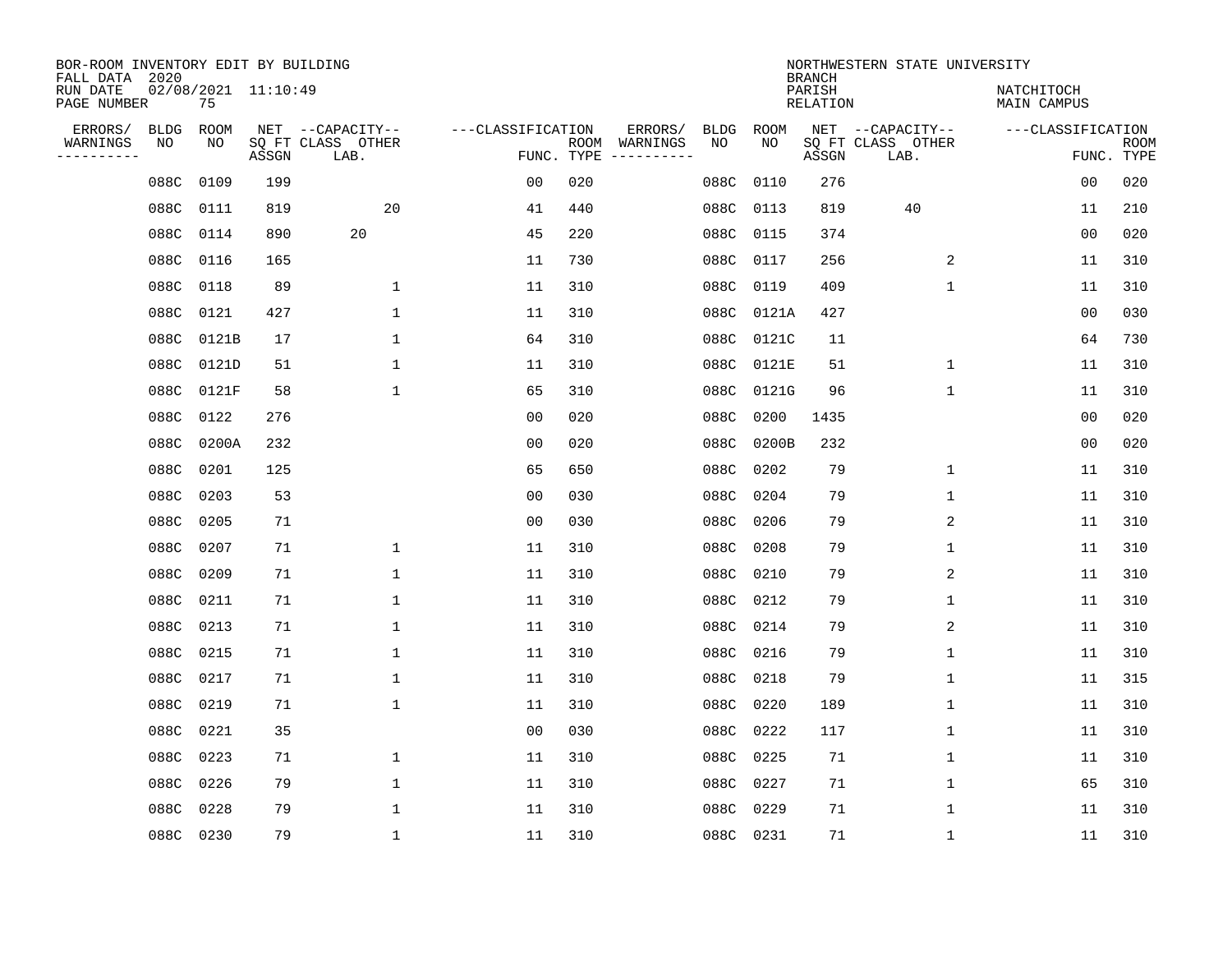| BOR-ROOM INVENTORY EDIT BY BUILDING<br>FALL DATA 2020 |                   |                           |       |                                               |                   | NORTHWESTERN STATE UNIVERSITY<br><b>BRANCH</b> |                     |                   |            |                    |                                               |                           |                           |  |
|-------------------------------------------------------|-------------------|---------------------------|-------|-----------------------------------------------|-------------------|------------------------------------------------|---------------------|-------------------|------------|--------------------|-----------------------------------------------|---------------------------|---------------------------|--|
| RUN DATE<br>PAGE NUMBER                               |                   | 02/08/2021 11:10:49<br>75 |       |                                               |                   |                                                |                     |                   |            | PARISH<br>RELATION |                                               | NATCHITOCH<br>MAIN CAMPUS |                           |  |
| ERRORS/<br>WARNINGS<br>---------                      | <b>BLDG</b><br>NO | ROOM<br>NO                | ASSGN | NET --CAPACITY--<br>SQ FT CLASS OTHER<br>LAB. | ---CLASSIFICATION | ROOM<br>FUNC. TYPE                             | ERRORS/<br>WARNINGS | <b>BLDG</b><br>NO | ROOM<br>NO | ASSGN              | NET --CAPACITY--<br>SQ FT CLASS OTHER<br>LAB. | ---CLASSIFICATION         | <b>ROOM</b><br>FUNC. TYPE |  |
|                                                       | 088C              | 0109                      | 199   |                                               | 0 <sub>0</sub>    | 020                                            |                     | 088C              | 0110       | 276                |                                               | 0 <sub>0</sub>            | 020                       |  |
|                                                       | 088C              | 0111                      | 819   | 20                                            | 41                | 440                                            |                     | 088C              | 0113       | 819                | 40                                            | 11                        | 210                       |  |
|                                                       | 088C              | 0114                      | 890   | 20                                            | 45                | 220                                            |                     | 088C              | 0115       | 374                |                                               | 0 <sub>0</sub>            | 020                       |  |
|                                                       | 088C              | 0116                      | 165   |                                               | 11                | 730                                            |                     | 088C              | 0117       | 256                | 2                                             | 11                        | 310                       |  |
|                                                       | 088C              | 0118                      | 89    | 1                                             | 11                | 310                                            |                     | 088C              | 0119       | 409                | $\mathbf 1$                                   | 11                        | 310                       |  |
|                                                       | 088C              | 0121                      | 427   | 1                                             | 11                | 310                                            |                     | 088C              | 0121A      | 427                |                                               | 0 <sub>0</sub>            | 030                       |  |
|                                                       | 088C              | 0121B                     | 17    | $\mathbf 1$                                   | 64                | 310                                            |                     | 088C              | 0121C      | 11                 |                                               | 64                        | 730                       |  |
|                                                       | 088C              | 0121D                     | 51    | 1                                             | 11                | 310                                            |                     | 088C              | 0121E      | 51                 | $\mathbf 1$                                   | 11                        | 310                       |  |
|                                                       | 088C              | 0121F                     | 58    | 1                                             | 65                | 310                                            |                     | 088C              | 0121G      | 96                 | $\mathbf 1$                                   | 11                        | 310                       |  |
|                                                       |                   | 088C 0122                 | 276   |                                               | 0 <sub>0</sub>    | 020                                            |                     | 088C              | 0200       | 1435               |                                               | 0 <sub>0</sub>            | 020                       |  |
|                                                       |                   | 088C 0200A                | 232   |                                               | 0 <sub>0</sub>    | 020                                            |                     | 088C              | 0200B      | 232                |                                               | 0 <sub>0</sub>            | 020                       |  |
|                                                       | 088C              | 0201                      | 125   |                                               | 65                | 650                                            |                     |                   | 088C 0202  | 79                 | $\mathbf 1$                                   | 11                        | 310                       |  |
|                                                       | 088C              | 0203                      | 53    |                                               | 0 <sub>0</sub>    | 030                                            |                     | 088C              | 0204       | 79                 | 1                                             | 11                        | 310                       |  |
|                                                       | 088C              | 0205                      | 71    |                                               | 0 <sub>0</sub>    | 030                                            |                     | 088C              | 0206       | 79                 | 2                                             | 11                        | 310                       |  |
|                                                       | 088C              | 0207                      | 71    | 1                                             | 11                | 310                                            |                     | 088C              | 0208       | 79                 | 1                                             | 11                        | 310                       |  |
|                                                       | 088C              | 0209                      | 71    | 1                                             | 11                | 310                                            |                     | 088C              | 0210       | 79                 | 2                                             | 11                        | 310                       |  |
|                                                       | 088C              | 0211                      | 71    | 1                                             | 11                | 310                                            |                     | 088C              | 0212       | 79                 | 1                                             | 11                        | 310                       |  |
|                                                       | 088C              | 0213                      | 71    | 1                                             | 11                | 310                                            |                     | 088C              | 0214       | 79                 | 2                                             | 11                        | 310                       |  |
|                                                       | 088C              | 0215                      | 71    | 1                                             | 11                | 310                                            |                     | 088C              | 0216       | 79                 | 1                                             | 11                        | 310                       |  |
|                                                       | 088C              | 0217                      | 71    | 1                                             | 11                | 310                                            |                     | 088C              | 0218       | 79                 | 1                                             | 11                        | 315                       |  |
|                                                       | 088C              | 0219                      | 71    | $\mathbf{1}$                                  | 11                | 310                                            |                     | 088C              | 0220       | 189                | 1                                             | 11                        | 310                       |  |
|                                                       | 088C              | 0221                      | 35    |                                               | 0 <sub>0</sub>    | 030                                            |                     | 088C              | 0222       | 117                | 1                                             | 11                        | 310                       |  |
|                                                       | 088C              | 0223                      | 71    | 1                                             | 11                | 310                                            |                     | 088C              | 0225       | 71                 | 1                                             | 11                        | 310                       |  |
|                                                       | 088C              | 0226                      | 79    | $\mathbf 1$                                   | 11                | 310                                            |                     |                   | 088C 0227  | 71                 | $\mathbf 1$                                   | 65                        | 310                       |  |
|                                                       | 088C              | 0228                      | 79    | 1                                             | 11                | 310                                            |                     | 088C              | 0229       | 71                 | 1                                             | 11                        | 310                       |  |
|                                                       | 088C 0230         |                           | 79    | $\mathbf{1}$                                  | 11                | 310                                            |                     | 088C 0231         |            | 71                 | 1                                             | 11                        | 310                       |  |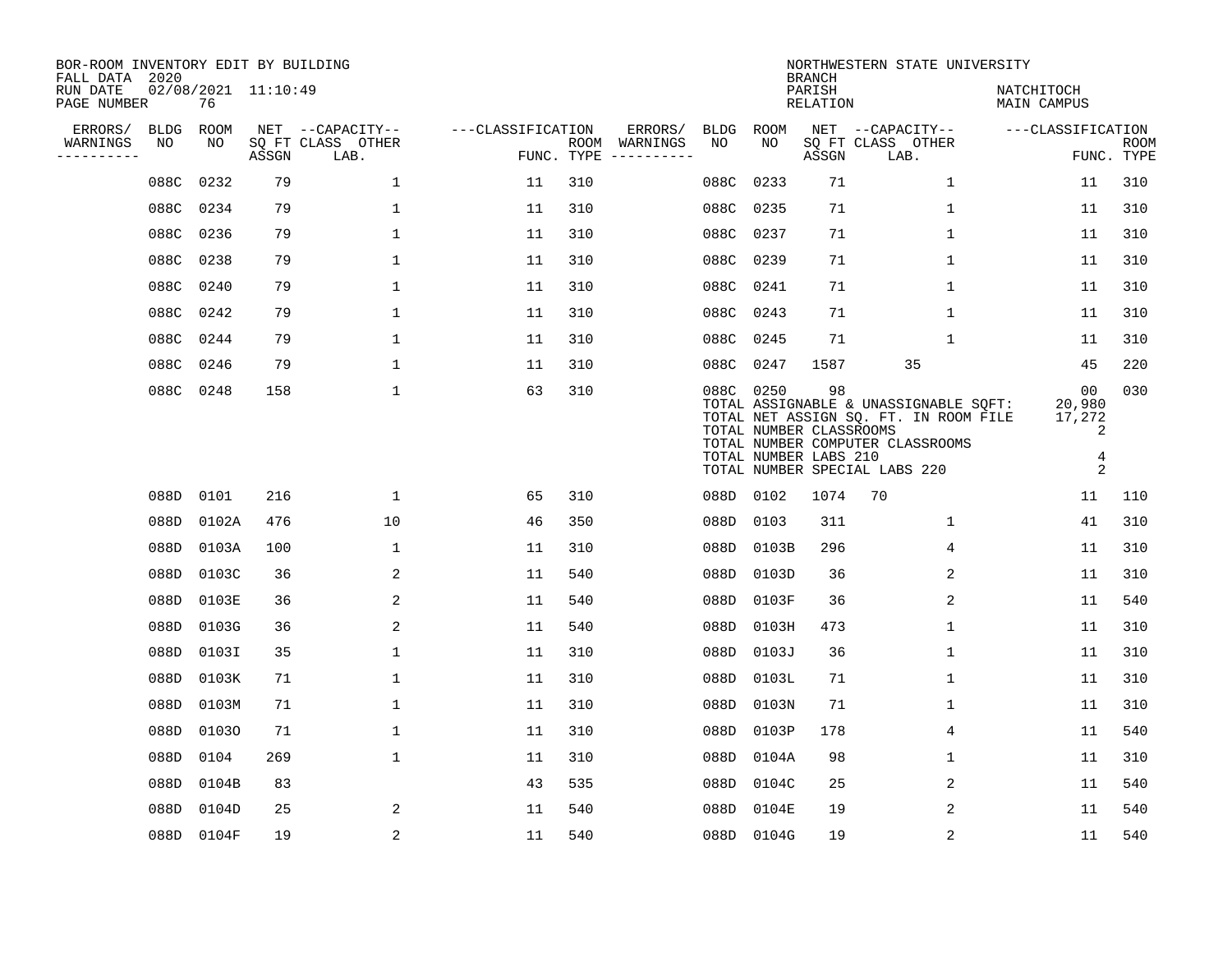| BOR-ROOM INVENTORY EDIT BY BUILDING<br>FALL DATA 2020 |           |            |                     |                           |                   | NORTHWESTERN STATE UNIVERSITY<br><b>BRANCH</b> |                                      |             |             |                                                        |                                                                                                                                                     |                                                    |                           |  |
|-------------------------------------------------------|-----------|------------|---------------------|---------------------------|-------------------|------------------------------------------------|--------------------------------------|-------------|-------------|--------------------------------------------------------|-----------------------------------------------------------------------------------------------------------------------------------------------------|----------------------------------------------------|---------------------------|--|
| RUN DATE<br>PAGE NUMBER                               |           | 76         | 02/08/2021 11:10:49 |                           |                   |                                                |                                      |             |             | PARISH<br><b>RELATION</b>                              |                                                                                                                                                     | NATCHITOCH<br>MAIN CAMPUS                          |                           |  |
| ERRORS/                                               | BLDG      | ROOM       |                     | NET --CAPACITY--          | ---CLASSIFICATION |                                                | ERRORS/                              | <b>BLDG</b> | <b>ROOM</b> |                                                        | NET --CAPACITY--                                                                                                                                    | ---CLASSIFICATION                                  |                           |  |
| WARNINGS<br>----------                                | NO        | NO         | ASSGN               | SQ FT CLASS OTHER<br>LAB. |                   |                                                | ROOM WARNINGS<br>FUNC. TYPE $------$ | NO          | NO          | ASSGN                                                  | SQ FT CLASS OTHER<br>LAB.                                                                                                                           |                                                    | <b>ROOM</b><br>FUNC. TYPE |  |
|                                                       | 088C      | 0232       | 79                  | $\mathbf{1}$              | 11                | 310                                            |                                      | 088C        | 0233        | 71                                                     | 1                                                                                                                                                   | 11                                                 | 310                       |  |
|                                                       | 088C      | 0234       | 79                  | $\mathbf 1$               | 11                | 310                                            |                                      | 088C        | 0235        | 71                                                     | 1                                                                                                                                                   | 11                                                 | 310                       |  |
|                                                       | 088C 0236 |            | 79                  | $\mathbf 1$               | 11                | 310                                            |                                      |             | 088C 0237   | 71                                                     | $\mathbf 1$                                                                                                                                         | 11                                                 | 310                       |  |
|                                                       | 088C      | 0238       | 79                  | $\mathbf{1}$              | 11                | 310                                            |                                      |             | 088C 0239   | 71                                                     | $\mathbf 1$                                                                                                                                         | 11                                                 | 310                       |  |
|                                                       | 088C      | 0240       | 79                  | $\mathbf{1}$              | 11                | 310                                            |                                      |             | 088C 0241   | 71                                                     | $\mathbf{1}$                                                                                                                                        | 11                                                 | 310                       |  |
|                                                       | 088C 0242 |            | 79                  | $\mathbf 1$               | 11                | 310                                            |                                      |             | 088C 0243   | 71                                                     | 1                                                                                                                                                   | 11                                                 | 310                       |  |
|                                                       | 088C 0244 |            | 79                  | $\mathbf{1}$              | 11                | 310                                            |                                      |             | 088C 0245   | 71                                                     | $\mathbf{1}$                                                                                                                                        | 11                                                 | 310                       |  |
|                                                       | 088C 0246 |            | 79                  | $\mathbf{1}$              | 11                | 310                                            |                                      |             | 088C 0247   | 1587                                                   | 35                                                                                                                                                  | 45                                                 | 220                       |  |
|                                                       | 088C 0248 |            | 158                 | $\mathbf{1}$              | 63                | 310                                            |                                      |             | 088C 0250   | 98<br>TOTAL NUMBER CLASSROOMS<br>TOTAL NUMBER LABS 210 | TOTAL ASSIGNABLE & UNASSIGNABLE SQFT:<br>TOTAL NET ASSIGN SQ. FT. IN ROOM FILE<br>TOTAL NUMBER COMPUTER CLASSROOMS<br>TOTAL NUMBER SPECIAL LABS 220 | 00<br>20,980<br>17,272<br>2<br>$\overline{4}$<br>2 | 030                       |  |
|                                                       |           | 088D 0101  | 216                 | $\mathbf 1$               | 65                | 310                                            |                                      |             | 088D 0102   | 1074                                                   | 70                                                                                                                                                  | 11                                                 | 110                       |  |
|                                                       | 088D      | 0102A      | 476                 | 10                        | 46                | 350                                            |                                      | 088D        | 0103        | 311                                                    | 1                                                                                                                                                   | 41                                                 | 310                       |  |
|                                                       | 088D      | 0103A      | 100                 | $\mathbf{1}$              | 11                | 310                                            |                                      | 088D        | 0103B       | 296                                                    | 4                                                                                                                                                   | 11                                                 | 310                       |  |
|                                                       | 088D      | 0103C      | 36                  | 2                         | 11                | 540                                            |                                      | 088D        | 0103D       | 36                                                     | 2                                                                                                                                                   | 11                                                 | 310                       |  |
|                                                       | 088D      | 0103E      | 36                  | 2                         | 11                | 540                                            |                                      | 088D        | 0103F       | 36                                                     | 2                                                                                                                                                   | 11                                                 | 540                       |  |
|                                                       | 088D      | 0103G      | 36                  | 2                         | 11                | 540                                            |                                      | 088D        | 0103H       | 473                                                    | 1                                                                                                                                                   | 11                                                 | 310                       |  |
|                                                       | 088D      | 0103I      | 35                  | $\mathbf 1$               | 11                | 310                                            |                                      | 088D        | 0103J       | 36                                                     | 1                                                                                                                                                   | 11                                                 | 310                       |  |
|                                                       | 088D      | 0103K      | 71                  | $\mathbf 1$               | 11                | 310                                            |                                      | 088D        | 0103L       | 71                                                     | $\mathbf 1$                                                                                                                                         | 11                                                 | 310                       |  |
|                                                       | 088D      | 0103M      | 71                  | 1                         | 11                | 310                                            |                                      | 088D        | 0103N       | 71                                                     | 1                                                                                                                                                   | 11                                                 | 310                       |  |
|                                                       | 088D      | 01030      | 71                  | $\mathbf 1$               | 11                | 310                                            |                                      | 088D        | 0103P       | 178                                                    | 4                                                                                                                                                   | 11                                                 | 540                       |  |
|                                                       | 088D      | 0104       | 269                 | $\mathbf 1$               | 11                | 310                                            |                                      | 088D        | 0104A       | 98                                                     | 1                                                                                                                                                   | 11                                                 | 310                       |  |
|                                                       | 088D      | 0104B      | 83                  |                           | 43                | 535                                            |                                      | 088D        | 0104C       | 25                                                     | 2                                                                                                                                                   | 11                                                 | 540                       |  |
|                                                       | 088D      | 0104D      | 25                  | 2                         | 11                | 540                                            |                                      | 088D        | 0104E       | 19                                                     | 2                                                                                                                                                   | 11                                                 | 540                       |  |
|                                                       |           | 088D 0104F | 19                  | 2                         | 11                | 540                                            |                                      |             | 088D 0104G  | 19                                                     | 2                                                                                                                                                   | 11                                                 | 540                       |  |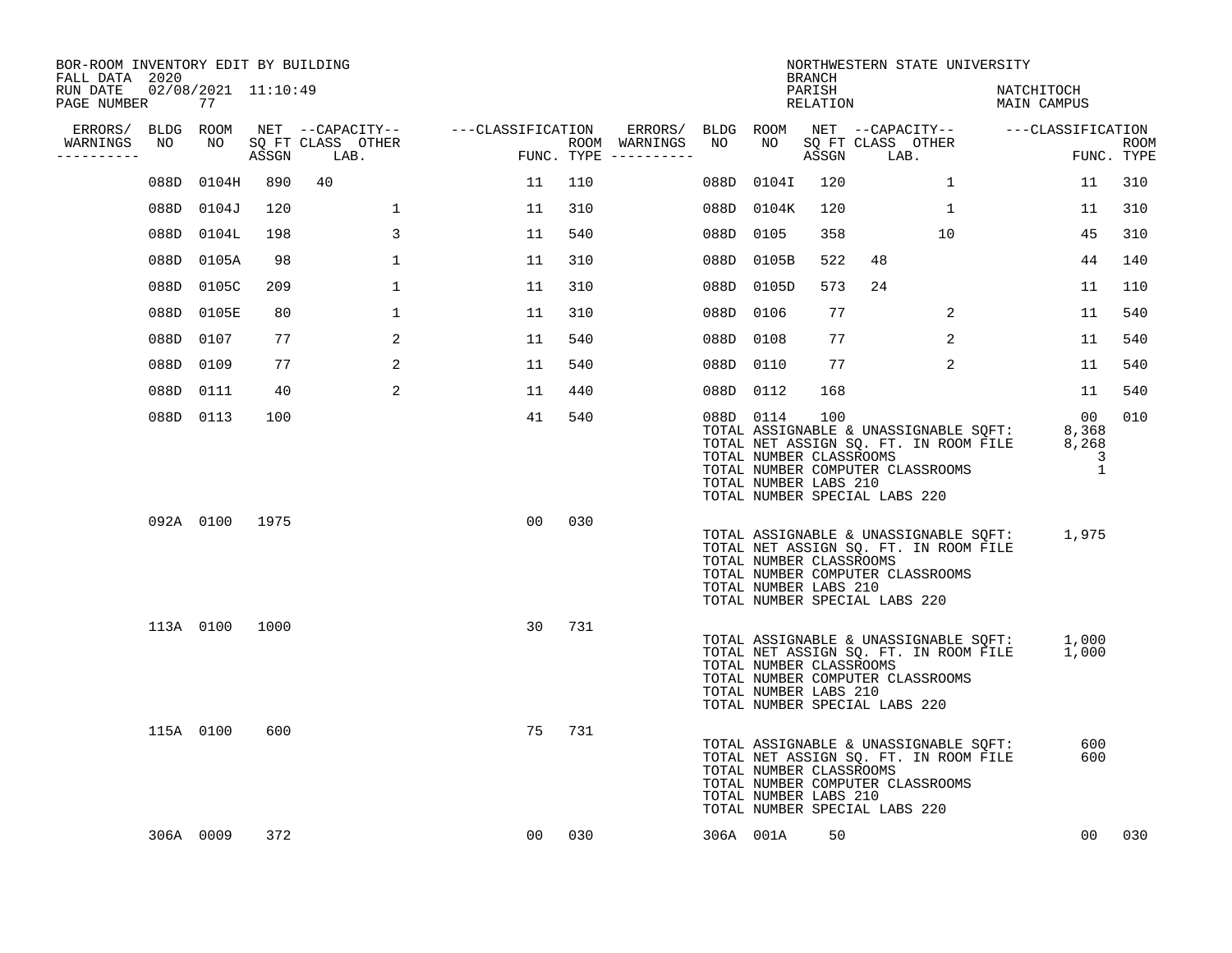| BOR-ROOM INVENTORY EDIT BY BUILDING<br>FALL DATA 2020 |      |                           |       |                           |                   | NORTHWESTERN STATE UNIVERSITY<br><b>BRANCH</b> |                                      |      |                                                               |                    |                               |                                                                                                                    |                                    |                                          |                    |
|-------------------------------------------------------|------|---------------------------|-------|---------------------------|-------------------|------------------------------------------------|--------------------------------------|------|---------------------------------------------------------------|--------------------|-------------------------------|--------------------------------------------------------------------------------------------------------------------|------------------------------------|------------------------------------------|--------------------|
| RUN DATE<br>PAGE NUMBER                               |      | 02/08/2021 11:10:49<br>77 |       |                           |                   |                                                |                                      |      |                                                               | PARISH<br>RELATION |                               |                                                                                                                    | NATCHITOCH<br>MAIN CAMPUS          |                                          |                    |
| ERRORS/                                               |      | BLDG ROOM                 |       | NET --CAPACITY--          | ---CLASSIFICATION |                                                | ERRORS/ BLDG ROOM                    |      |                                                               |                    |                               |                                                                                                                    | NET --CAPACITY-- ---CLASSIFICATION |                                          |                    |
| WARNINGS<br>----------                                | NO   | NO                        | ASSGN | SQ FT CLASS OTHER<br>LAB. |                   |                                                | ROOM WARNINGS<br>FUNC. TYPE $------$ | NO   | NO                                                            | ASSGN              | SQ FT CLASS OTHER<br>LAB.     |                                                                                                                    |                                    |                                          | ROOM<br>FUNC. TYPE |
|                                                       | 088D | 0104H                     | 890   | 40                        | 11                | 110                                            |                                      | 088D | 0104I                                                         | 120                |                               | $\mathbf{1}$                                                                                                       |                                    | 11                                       | 310                |
|                                                       | 088D | 0104J                     | 120   | 1                         | 11                | 310                                            |                                      |      | 088D 0104K                                                    | 120                |                               | 1                                                                                                                  |                                    | 11                                       | 310                |
|                                                       | 088D | 0104L                     | 198   | 3                         | 11                | 540                                            |                                      | 088D | 0105                                                          | 358                |                               | 10                                                                                                                 |                                    | 45                                       | 310                |
|                                                       | 088D | 0105A                     | 98    | $\mathbf 1$               | 11                | 310                                            |                                      |      | 088D 0105B                                                    | 522                | 48                            |                                                                                                                    |                                    | 44                                       | 140                |
|                                                       | 088D | 0105C                     | 209   | $\mathbf 1$               | 11                | 310                                            |                                      |      | 088D 0105D                                                    | 573                | 24                            |                                                                                                                    |                                    | 11                                       | 110                |
|                                                       | 088D | 0105E                     | 80    | $\mathbf 1$               | 11                | 310                                            |                                      |      | 088D 0106                                                     | 77                 |                               | 2                                                                                                                  |                                    | 11                                       | 540                |
|                                                       | 088D | 0107                      | 77    | 2                         | 11                | 540                                            |                                      |      | 088D 0108                                                     | 77                 |                               | $\overline{2}$                                                                                                     |                                    | 11                                       | 540                |
|                                                       | 088D | 0109                      | 77    | 2                         | 11                | 540                                            |                                      |      | 088D 0110                                                     | 77                 |                               | 2                                                                                                                  |                                    | 11                                       | 540                |
|                                                       | 088D | 0111                      | 40    | 2                         | 11                | 440                                            |                                      |      | 088D 0112                                                     | 168                |                               |                                                                                                                    |                                    | 11                                       | 540                |
|                                                       |      | 088D 0113                 | 100   |                           | 41                | 540                                            |                                      |      | 088D 0114<br>TOTAL NUMBER CLASSROOMS<br>TOTAL NUMBER LABS 210 | 100                | TOTAL NUMBER SPECIAL LABS 220 | TOTAL ASSIGNABLE & UNASSIGNABLE SQFT:<br>TOTAL NET ASSIGN SQ. FT. IN ROOM FILE<br>TOTAL NUMBER COMPUTER CLASSROOMS |                                    | 00<br>8,368<br>8,268<br>3<br>$\mathbf 1$ | 010                |
|                                                       |      | 092A 0100 1975            |       |                           | 0 <sub>0</sub>    | 030                                            |                                      |      | TOTAL NUMBER CLASSROOMS<br>TOTAL NUMBER LABS 210              |                    | TOTAL NUMBER SPECIAL LABS 220 | TOTAL ASSIGNABLE & UNASSIGNABLE SQFT:<br>TOTAL NET ASSIGN SQ. FT. IN ROOM FILE<br>TOTAL NUMBER COMPUTER CLASSROOMS |                                    | 1,975                                    |                    |
|                                                       |      | 113A 0100                 | 1000  |                           | 30                | 731                                            |                                      |      | TOTAL NUMBER CLASSROOMS<br>TOTAL NUMBER LABS 210              |                    | TOTAL NUMBER SPECIAL LABS 220 | TOTAL ASSIGNABLE & UNASSIGNABLE SQFT:<br>TOTAL NET ASSIGN SQ. FT. IN ROOM FILE<br>TOTAL NUMBER COMPUTER CLASSROOMS |                                    | 1,000<br>1,000                           |                    |
|                                                       |      | 115A 0100                 | 600   |                           | 75                | 731                                            |                                      |      | TOTAL NUMBER CLASSROOMS<br>TOTAL NUMBER LABS 210              |                    | TOTAL NUMBER SPECIAL LABS 220 | TOTAL ASSIGNABLE & UNASSIGNABLE SQFT:<br>TOTAL NET ASSIGN SQ. FT. IN ROOM FILE<br>TOTAL NUMBER COMPUTER CLASSROOMS |                                    | 600<br>600                               |                    |
|                                                       |      | 306A 0009                 | 372   |                           | 00                | 030                                            |                                      |      | 306A 001A                                                     | 50                 |                               |                                                                                                                    |                                    | 00                                       | 030                |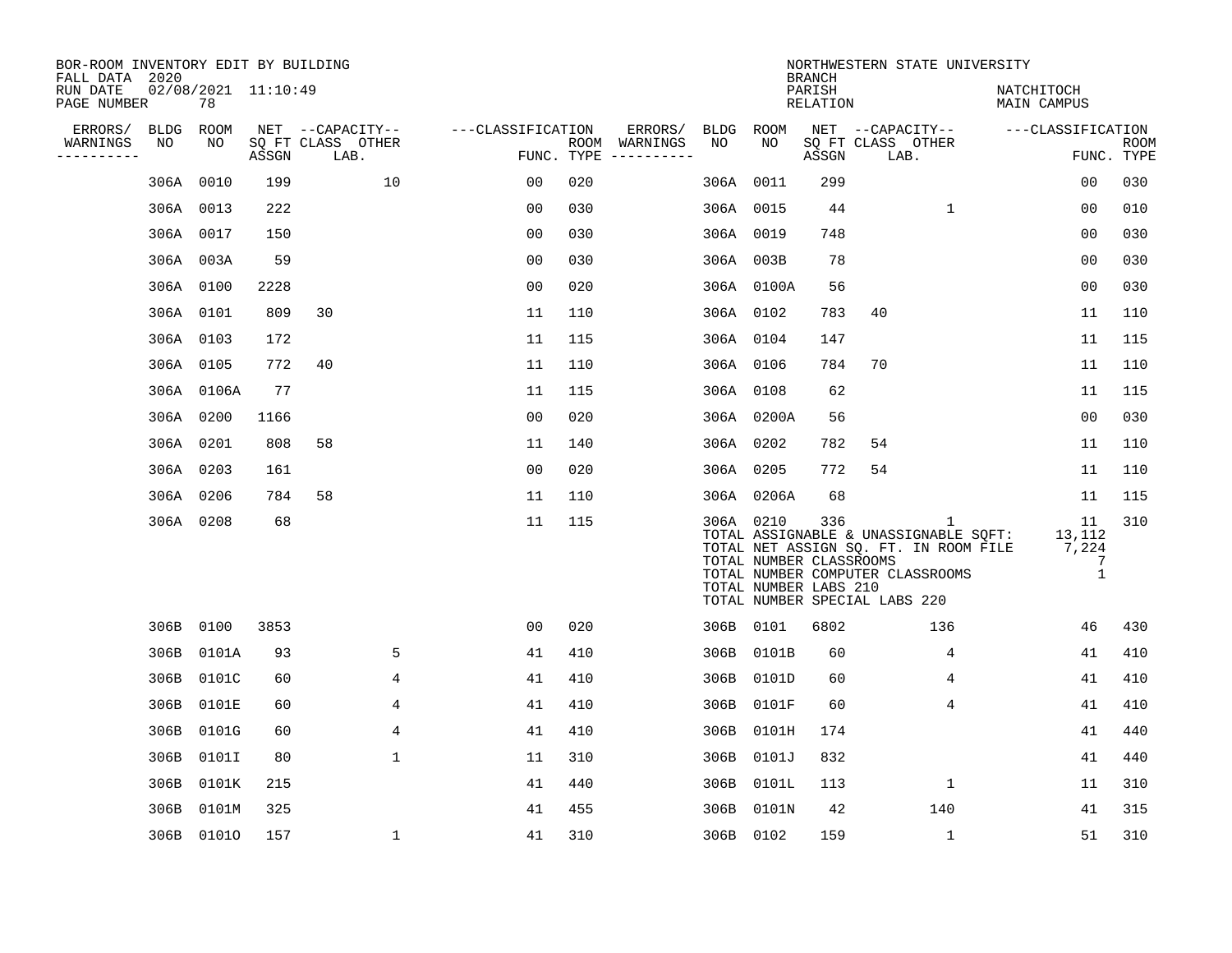| BOR-ROOM INVENTORY EDIT BY BUILDING<br>FALL DATA 2020 |           |                           |       |                           |                   |     |                                      |           |                                                               | <b>BRANCH</b>      | NORTHWESTERN STATE UNIVERSITY                                                                                                                            |                                            |                           |
|-------------------------------------------------------|-----------|---------------------------|-------|---------------------------|-------------------|-----|--------------------------------------|-----------|---------------------------------------------------------------|--------------------|----------------------------------------------------------------------------------------------------------------------------------------------------------|--------------------------------------------|---------------------------|
| RUN DATE<br>PAGE NUMBER                               |           | 02/08/2021 11:10:49<br>78 |       |                           |                   |     |                                      |           |                                                               | PARISH<br>RELATION |                                                                                                                                                          | NATCHITOCH<br>MAIN CAMPUS                  |                           |
| ERRORS/                                               | BLDG      | ROOM                      |       | NET --CAPACITY--          | ---CLASSIFICATION |     | ERRORS/                              | BLDG ROOM |                                                               |                    | NET --CAPACITY--                                                                                                                                         | ---CLASSIFICATION                          |                           |
| WARNINGS<br>----------                                | NO        | NO                        | ASSGN | SQ FT CLASS OTHER<br>LAB. |                   |     | ROOM WARNINGS<br>FUNC. TYPE $------$ | NO        | NO                                                            | ASSGN              | SQ FT CLASS OTHER<br>LAB.                                                                                                                                |                                            | <b>ROOM</b><br>FUNC. TYPE |
|                                                       |           | 306A 0010                 | 199   | 10                        | 00                | 020 |                                      | 306A 0011 |                                                               | 299                |                                                                                                                                                          | 0 <sub>0</sub>                             | 030                       |
|                                                       | 306A 0013 |                           | 222   |                           | 0 <sub>0</sub>    | 030 |                                      | 306A 0015 |                                                               | 44                 | $\mathbf 1$                                                                                                                                              | 0 <sub>0</sub>                             | 010                       |
|                                                       | 306A 0017 |                           | 150   |                           | 0 <sub>0</sub>    | 030 |                                      | 306A 0019 |                                                               | 748                |                                                                                                                                                          | 00                                         | 030                       |
|                                                       |           | 306A 003A                 | 59    |                           | 0 <sub>0</sub>    | 030 |                                      |           | 306A 003B                                                     | 78                 |                                                                                                                                                          | 0 <sub>0</sub>                             | 030                       |
|                                                       | 306A 0100 |                           | 2228  |                           | 0 <sub>0</sub>    | 020 |                                      |           | 306A 0100A                                                    | 56                 |                                                                                                                                                          | 0 <sub>0</sub>                             | 030                       |
|                                                       | 306A 0101 |                           | 809   | 30                        | 11                | 110 |                                      |           | 306A 0102                                                     | 783                | 40                                                                                                                                                       | 11                                         | 110                       |
|                                                       |           | 306A 0103                 | 172   |                           | 11                | 115 |                                      | 306A 0104 |                                                               | 147                |                                                                                                                                                          | 11                                         | 115                       |
|                                                       |           | 306A 0105                 | 772   | 40                        | 11                | 110 |                                      |           | 306A 0106                                                     | 784                | 70                                                                                                                                                       | 11                                         | 110                       |
|                                                       |           | 306A 0106A                | 77    |                           | 11                | 115 |                                      | 306A 0108 |                                                               | 62                 |                                                                                                                                                          | 11                                         | 115                       |
|                                                       | 306A 0200 |                           | 1166  |                           | 0 <sub>0</sub>    | 020 |                                      |           | 306A 0200A                                                    | 56                 |                                                                                                                                                          | 0 <sub>0</sub>                             | 030                       |
|                                                       | 306A 0201 |                           | 808   | 58                        | 11                | 140 |                                      |           | 306A 0202                                                     | 782                | 54                                                                                                                                                       | 11                                         | 110                       |
|                                                       | 306A 0203 |                           | 161   |                           | 0 <sub>0</sub>    | 020 |                                      |           | 306A 0205                                                     | 772                | 54                                                                                                                                                       | 11                                         | 110                       |
|                                                       |           | 306A 0206                 | 784   | 58                        | 11                | 110 |                                      |           | 306A 0206A                                                    | 68                 |                                                                                                                                                          | 11                                         | 115                       |
|                                                       | 306A 0208 |                           | 68    |                           | 11                | 115 |                                      |           | 306A 0210<br>TOTAL NUMBER CLASSROOMS<br>TOTAL NUMBER LABS 210 | 336                | 1<br>TOTAL ASSIGNABLE & UNASSIGNABLE SQFT:<br>TOTAL NET ASSIGN SQ. FT. IN ROOM FILE<br>TOTAL NUMBER COMPUTER CLASSROOMS<br>TOTAL NUMBER SPECIAL LABS 220 | 11<br>13,112<br>7,224<br>7<br>$\mathbf{1}$ | 310                       |
|                                                       |           | 306B 0100                 | 3853  |                           | 0 <sub>0</sub>    | 020 |                                      |           | 306B 0101                                                     | 6802               | 136                                                                                                                                                      | 46                                         | 430                       |
|                                                       | 306B      | 0101A                     | 93    | 5                         | 41                | 410 |                                      |           | 306B 0101B                                                    | 60                 | 4                                                                                                                                                        | 41                                         | 410                       |
|                                                       | 306B      | 0101C                     | 60    | 4                         | 41                | 410 |                                      | 306B      | 0101D                                                         | 60                 | 4                                                                                                                                                        | 41                                         | 410                       |
|                                                       | 306B      | 0101E                     | 60    | 4                         | 41                | 410 |                                      | 306B      | 0101F                                                         | 60                 | 4                                                                                                                                                        | 41                                         | 410                       |
|                                                       | 306B      | 0101G                     | 60    | 4                         | 41                | 410 |                                      | 306B      | 0101H                                                         | 174                |                                                                                                                                                          | 41                                         | 440                       |
|                                                       | 306B      | 0101I                     | 80    | 1                         | 11                | 310 |                                      | 306B      | 0101J                                                         | 832                |                                                                                                                                                          | 41                                         | 440                       |
|                                                       | 306B      | 0101K                     | 215   |                           | 41                | 440 |                                      | 306B      | 0101L                                                         | 113                | $\mathbf{1}$                                                                                                                                             | 11                                         | 310                       |
|                                                       | 306B      | 0101M                     | 325   |                           | 41                | 455 |                                      | 306B      | 0101N                                                         | 42                 | 140                                                                                                                                                      | 41                                         | 315                       |
|                                                       |           | 306B 01010                | 157   | $\mathbf 1$               | 41                | 310 |                                      |           | 306B 0102                                                     | 159                | $\mathbf{1}$                                                                                                                                             | 51                                         | 310                       |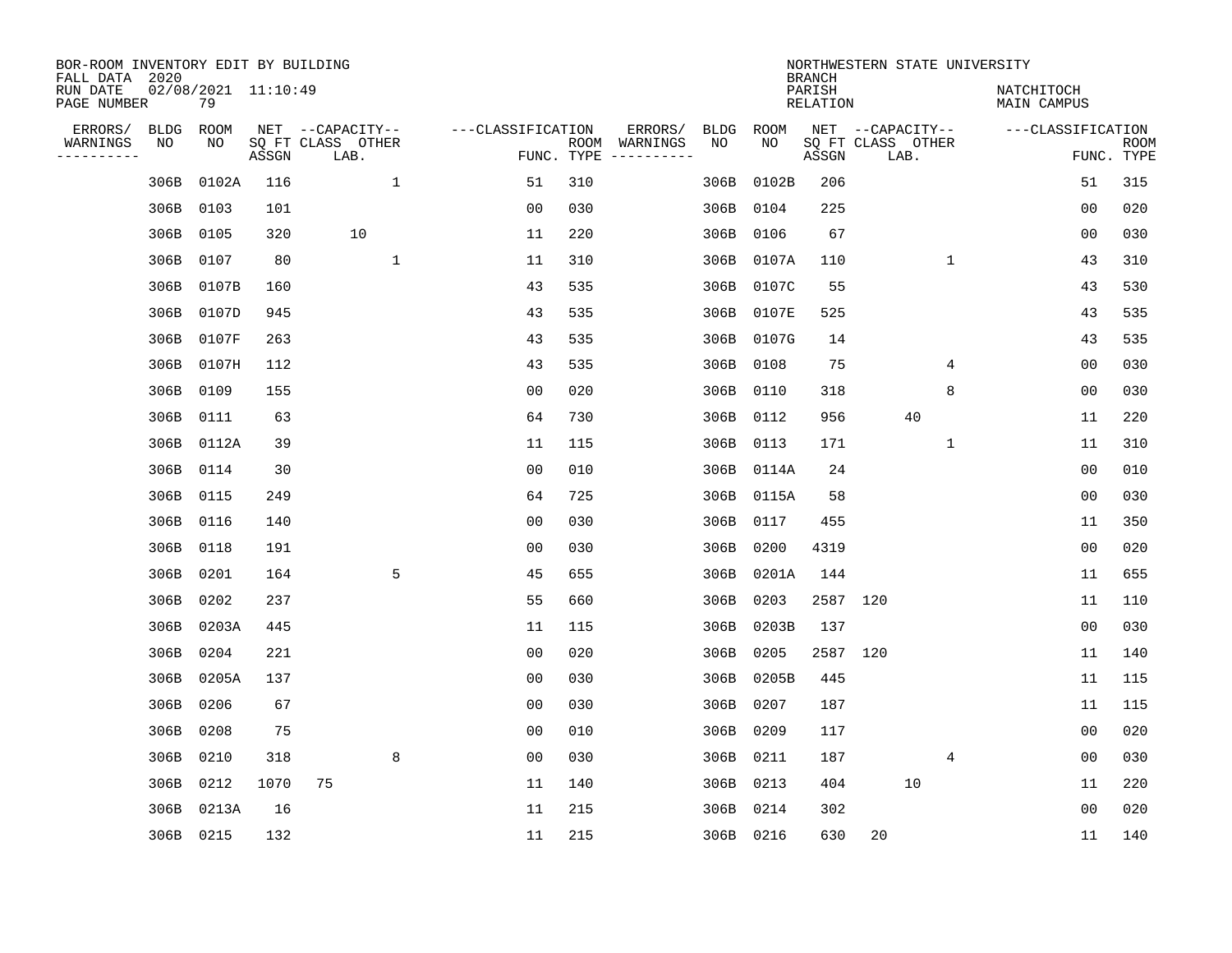| BOR-ROOM INVENTORY EDIT BY BUILDING<br>FALL DATA 2020 |      |                           |       |                           |              |                   | NORTHWESTERN STATE UNIVERSITY<br><b>BRANCH</b> |                                      |      |             |                    |                           |              |                           |                |                           |
|-------------------------------------------------------|------|---------------------------|-------|---------------------------|--------------|-------------------|------------------------------------------------|--------------------------------------|------|-------------|--------------------|---------------------------|--------------|---------------------------|----------------|---------------------------|
| RUN DATE<br>PAGE NUMBER                               |      | 02/08/2021 11:10:49<br>79 |       |                           |              |                   |                                                |                                      |      |             | PARISH<br>RELATION |                           |              | NATCHITOCH<br>MAIN CAMPUS |                |                           |
| ERRORS/                                               | BLDG | ROOM                      |       | NET --CAPACITY--          |              | ---CLASSIFICATION |                                                | ERRORS/                              | BLDG | ROOM<br>NO. |                    | NET --CAPACITY--          |              | ---CLASSIFICATION         |                |                           |
| WARNINGS<br>---------                                 | NO   | NO                        | ASSGN | SQ FT CLASS OTHER<br>LAB. |              |                   |                                                | ROOM WARNINGS<br>FUNC. TYPE $------$ | NO   |             | ASSGN              | SQ FT CLASS OTHER<br>LAB. |              |                           |                | <b>ROOM</b><br>FUNC. TYPE |
|                                                       | 306B | 0102A                     | 116   |                           | $\mathbf{1}$ | 51                | 310                                            |                                      | 306B | 0102B       | 206                |                           |              |                           | 51             | 315                       |
|                                                       | 306B | 0103                      | 101   |                           |              | 0 <sub>0</sub>    | 030                                            |                                      | 306B | 0104        | 225                |                           |              |                           | 00             | 020                       |
|                                                       | 306B | 0105                      | 320   | 10                        |              | 11                | 220                                            |                                      | 306B | 0106        | 67                 |                           |              |                           | 0 <sub>0</sub> | 030                       |
|                                                       | 306B | 0107                      | 80    |                           | $\mathbf{1}$ | 11                | 310                                            |                                      |      | 306B 0107A  | 110                |                           | $\mathbf{1}$ |                           | 43             | 310                       |
|                                                       | 306B | 0107B                     | 160   |                           |              | 43                | 535                                            |                                      |      | 306B 0107C  | 55                 |                           |              |                           | 43             | 530                       |
|                                                       | 306B | 0107D                     | 945   |                           |              | 43                | 535                                            |                                      |      | 306B 0107E  | 525                |                           |              |                           | 43             | 535                       |
|                                                       | 306B | 0107F                     | 263   |                           |              | 43                | 535                                            |                                      |      | 306B 0107G  | 14                 |                           |              |                           | 43             | 535                       |
|                                                       | 306B | 0107H                     | 112   |                           |              | 43                | 535                                            |                                      |      | 306B 0108   | 75                 |                           | 4            |                           | 0 <sub>0</sub> | 030                       |
|                                                       | 306B | 0109                      | 155   |                           |              | 0 <sub>0</sub>    | 020                                            |                                      | 306B | 0110        | 318                |                           | 8            |                           | 0 <sub>0</sub> | 030                       |
|                                                       | 306B | 0111                      | 63    |                           |              | 64                | 730                                            |                                      | 306B | 0112        | 956                | 40                        |              |                           | 11             | 220                       |
|                                                       | 306B | 0112A                     | 39    |                           |              | 11                | 115                                            |                                      |      | 306B 0113   | 171                |                           | $\mathbf{1}$ |                           | 11             | 310                       |
|                                                       | 306B | 0114                      | 30    |                           |              | 0 <sub>0</sub>    | 010                                            |                                      |      | 306B 0114A  | 24                 |                           |              |                           | 0 <sub>0</sub> | 010                       |
|                                                       | 306B | 0115                      | 249   |                           |              | 64                | 725                                            |                                      | 306B | 0115A       | 58                 |                           |              |                           | 0 <sub>0</sub> | 030                       |
|                                                       | 306B | 0116                      | 140   |                           |              | 0 <sub>0</sub>    | 030                                            |                                      | 306B | 0117        | 455                |                           |              |                           | 11             | 350                       |
|                                                       | 306B | 0118                      | 191   |                           |              | 0 <sub>0</sub>    | 030                                            |                                      | 306B | 0200        | 4319               |                           |              |                           | 0 <sub>0</sub> | 020                       |
|                                                       | 306B | 0201                      | 164   |                           | 5            | 45                | 655                                            |                                      | 306B | 0201A       | 144                |                           |              |                           | 11             | 655                       |
|                                                       | 306B | 0202                      | 237   |                           |              | 55                | 660                                            |                                      | 306B | 0203        | 2587 120           |                           |              |                           | 11             | 110                       |
|                                                       | 306B | 0203A                     | 445   |                           |              | 11                | 115                                            |                                      | 306B | 0203B       | 137                |                           |              |                           | 0 <sub>0</sub> | 030                       |
|                                                       | 306B | 0204                      | 221   |                           |              | 0 <sub>0</sub>    | 020                                            |                                      | 306B | 0205        | 2587 120           |                           |              |                           | 11             | 140                       |
|                                                       | 306B | 0205A                     | 137   |                           |              | 0 <sub>0</sub>    | 030                                            |                                      | 306B | 0205B       | 445                |                           |              |                           | 11             | 115                       |
|                                                       | 306B | 0206                      | 67    |                           |              | 0 <sub>0</sub>    | 030                                            |                                      | 306B | 0207        | 187                |                           |              |                           | 11             | 115                       |
|                                                       | 306B | 0208                      | 75    |                           |              | 0 <sub>0</sub>    | 010                                            |                                      | 306B | 0209        | 117                |                           |              |                           | 00             | 020                       |
|                                                       | 306B | 0210                      | 318   |                           | 8            | 0 <sub>0</sub>    | 030                                            |                                      |      | 306B 0211   | 187                |                           | 4            |                           | 0 <sub>0</sub> | 030                       |
|                                                       | 306B | 0212                      | 1070  | 75                        |              | 11                | 140                                            |                                      |      | 306B 0213   | 404                | 10                        |              |                           | 11             | 220                       |
|                                                       | 306B | 0213A                     | 16    |                           |              | 11                | 215                                            |                                      |      | 306B 0214   | 302                |                           |              |                           | 00             | 020                       |
|                                                       |      | 306B 0215                 | 132   |                           |              | 11                | 215                                            |                                      |      | 306B 0216   | 630                | 20                        |              |                           | 11             | 140                       |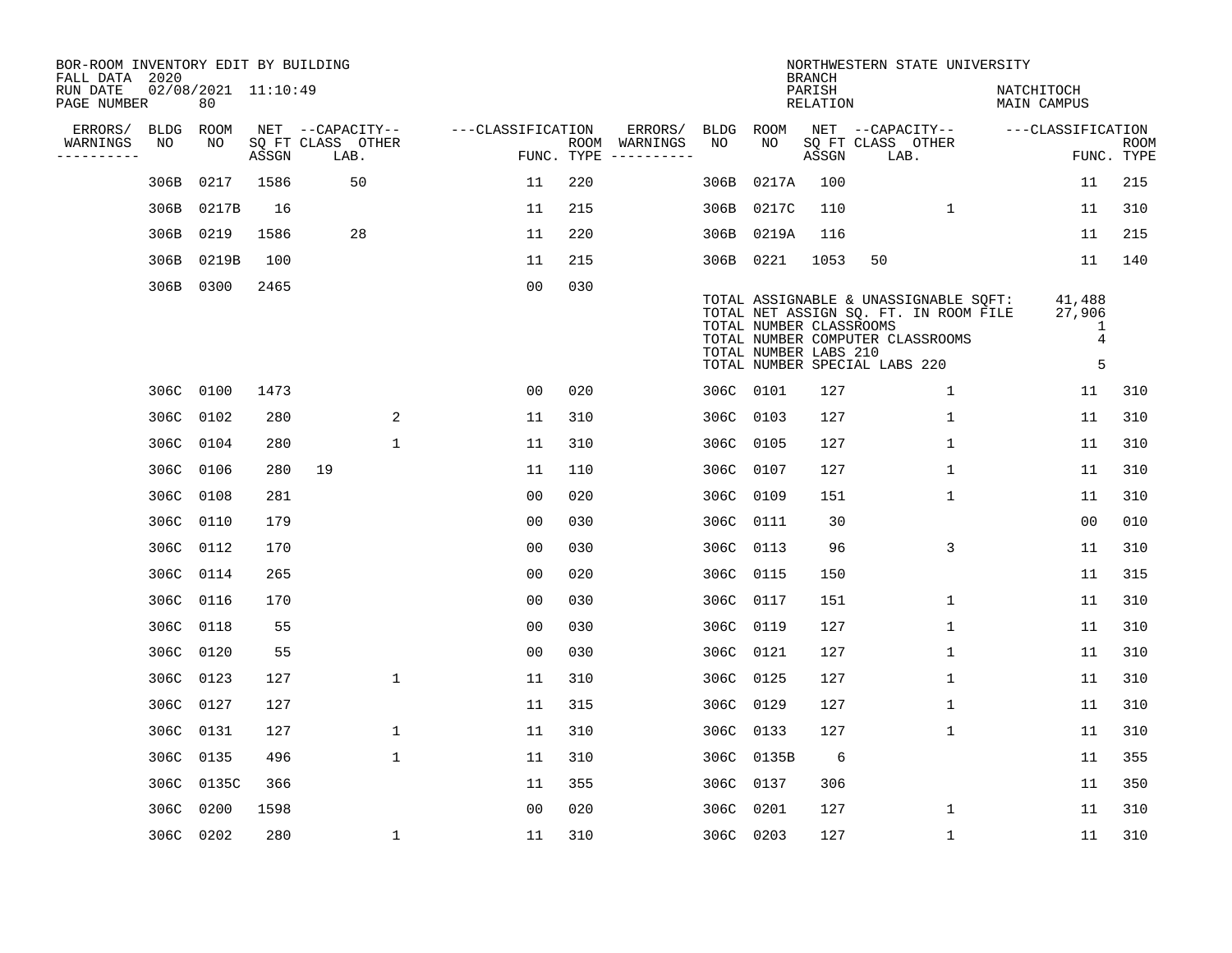| BOR-ROOM INVENTORY EDIT BY BUILDING<br>FALL DATA 2020 |           |                           |       |                           |                   |     |                                      |             |                                                  | <b>BRANCH</b>             | NORTHWESTERN STATE UNIVERSITY                                                                                                                       |                                              |                           |
|-------------------------------------------------------|-----------|---------------------------|-------|---------------------------|-------------------|-----|--------------------------------------|-------------|--------------------------------------------------|---------------------------|-----------------------------------------------------------------------------------------------------------------------------------------------------|----------------------------------------------|---------------------------|
| RUN DATE<br>PAGE NUMBER                               |           | 02/08/2021 11:10:49<br>80 |       |                           |                   |     |                                      |             |                                                  | PARISH<br><b>RELATION</b> |                                                                                                                                                     | NATCHITOCH<br>MAIN CAMPUS                    |                           |
| ERRORS/                                               | BLDG      | ROOM                      |       | NET --CAPACITY--          | ---CLASSIFICATION |     | ERRORS/                              | <b>BLDG</b> | ROOM                                             |                           | NET --CAPACITY--                                                                                                                                    | ---CLASSIFICATION                            |                           |
| WARNINGS<br>----------                                | NO        | NO                        | ASSGN | SQ FT CLASS OTHER<br>LAB. |                   |     | ROOM WARNINGS<br>FUNC. TYPE $------$ | NO          | NO                                               | ASSGN                     | SQ FT CLASS OTHER<br>LAB.                                                                                                                           |                                              | <b>ROOM</b><br>FUNC. TYPE |
|                                                       | 306B      | 0217                      | 1586  | 50                        | 11                | 220 |                                      | 306B        | 0217A                                            | 100                       |                                                                                                                                                     | 11                                           | 215                       |
|                                                       | 306B      | 0217B                     | 16    |                           | 11                | 215 |                                      |             | 306B 0217C                                       | 110                       | 1                                                                                                                                                   | 11                                           | 310                       |
|                                                       | 306B      | 0219                      | 1586  | 28                        | 11                | 220 |                                      |             | 306B 0219A                                       | 116                       |                                                                                                                                                     | 11                                           | 215                       |
|                                                       | 306B      | 0219B                     | 100   |                           | 11                | 215 |                                      |             | 306B 0221                                        | 1053                      | 50                                                                                                                                                  | 11                                           | 140                       |
|                                                       | 306B      | 0300                      | 2465  |                           | 0 <sub>0</sub>    | 030 |                                      |             | TOTAL NUMBER CLASSROOMS<br>TOTAL NUMBER LABS 210 |                           | TOTAL ASSIGNABLE & UNASSIGNABLE SQFT:<br>TOTAL NET ASSIGN SQ. FT. IN ROOM FILE<br>TOTAL NUMBER COMPUTER CLASSROOMS<br>TOTAL NUMBER SPECIAL LABS 220 | 41,488<br>27,906<br>1<br>$\overline{4}$<br>5 |                           |
|                                                       | 306C 0100 |                           | 1473  |                           | 00                | 020 |                                      |             | 306C 0101                                        | 127                       | $\mathbf 1$                                                                                                                                         | 11                                           | 310                       |
|                                                       | 306C 0102 |                           | 280   | 2                         | 11                | 310 |                                      |             | 306C 0103                                        | 127                       | $\mathbf{1}$                                                                                                                                        | 11                                           | 310                       |
|                                                       | 306C 0104 |                           | 280   | $\mathbf{1}$              | 11                | 310 |                                      |             | 306C 0105                                        | 127                       | $\mathbf{1}$                                                                                                                                        | 11                                           | 310                       |
|                                                       | 306C 0106 |                           | 280   | 19                        | 11                | 110 |                                      |             | 306C 0107                                        | 127                       | $\mathbf 1$                                                                                                                                         | 11                                           | 310                       |
|                                                       | 306C      | 0108                      | 281   |                           | 0 <sub>0</sub>    | 020 |                                      |             | 306C 0109                                        | 151                       | $\mathbf 1$                                                                                                                                         | 11                                           | 310                       |
|                                                       | 306C 0110 |                           | 179   |                           | 00                | 030 |                                      |             | 306C 0111                                        | 30                        |                                                                                                                                                     | 0 <sub>0</sub>                               | 010                       |
|                                                       | 306C 0112 |                           | 170   |                           | 0 <sub>0</sub>    | 030 |                                      | 306C        | 0113                                             | 96                        | 3                                                                                                                                                   | 11                                           | 310                       |
|                                                       | 306C 0114 |                           | 265   |                           | 0 <sub>0</sub>    | 020 |                                      |             | 306C 0115                                        | 150                       |                                                                                                                                                     | 11                                           | 315                       |
|                                                       | 306C 0116 |                           | 170   |                           | 0 <sub>0</sub>    | 030 |                                      | 306C        | 0117                                             | 151                       | 1                                                                                                                                                   | 11                                           | 310                       |
|                                                       | 306C 0118 |                           | 55    |                           | 0 <sub>0</sub>    | 030 |                                      |             | 306C 0119                                        | 127                       | 1                                                                                                                                                   | 11                                           | 310                       |
|                                                       | 306C 0120 |                           | 55    |                           | 0 <sub>0</sub>    | 030 |                                      |             | 306C 0121                                        | 127                       | 1                                                                                                                                                   | 11                                           | 310                       |
|                                                       | 306C 0123 |                           | 127   | $\mathbf 1$               | 11                | 310 |                                      |             | 306C 0125                                        | 127                       | 1                                                                                                                                                   | 11                                           | 310                       |
|                                                       | 306C 0127 |                           | 127   |                           | 11                | 315 |                                      |             | 306C 0129                                        | 127                       | 1                                                                                                                                                   | 11                                           | 310                       |
|                                                       | 306C 0131 |                           | 127   | $\mathbf 1$               | 11                | 310 |                                      |             | 306C 0133                                        | 127                       | $\mathbf 1$                                                                                                                                         | 11                                           | 310                       |
|                                                       | 306C 0135 |                           | 496   | $\mathbf{1}$              | 11                | 310 |                                      |             | 306C 0135B                                       | 6                         |                                                                                                                                                     | 11                                           | 355                       |
|                                                       |           | 306C 0135C                | 366   |                           | 11                | 355 |                                      |             | 306C 0137                                        | 306                       |                                                                                                                                                     | 11                                           | 350                       |
|                                                       | 306C      | 0200                      | 1598  |                           | 0 <sub>0</sub>    | 020 |                                      |             | 306C 0201                                        | 127                       | 1                                                                                                                                                   | 11                                           | 310                       |
|                                                       | 306C 0202 |                           | 280   | 1                         | 11                | 310 |                                      | 306C 0203   |                                                  | 127                       | $\mathbf 1$                                                                                                                                         | 11                                           | 310                       |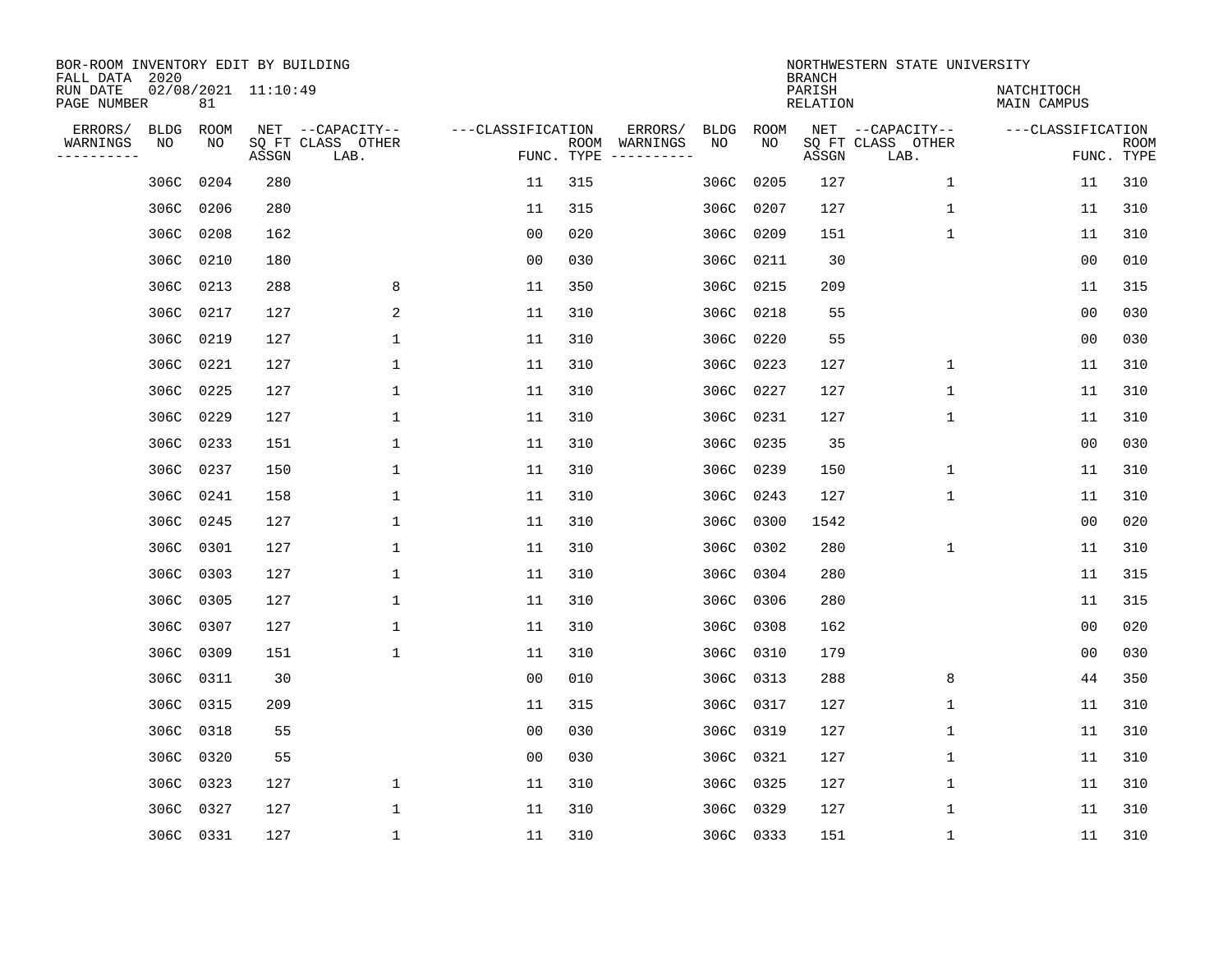| BOR-ROOM INVENTORY EDIT BY BUILDING<br>FALL DATA 2020 |                           |       |                                               |                   | NORTHWESTERN STATE UNIVERSITY<br><b>BRANCH</b> |                                               |           |            |                    |                                               |                                 |             |  |
|-------------------------------------------------------|---------------------------|-------|-----------------------------------------------|-------------------|------------------------------------------------|-----------------------------------------------|-----------|------------|--------------------|-----------------------------------------------|---------------------------------|-------------|--|
| RUN DATE<br>PAGE NUMBER                               | 02/08/2021 11:10:49<br>81 |       |                                               |                   |                                                |                                               |           |            | PARISH<br>RELATION |                                               | NATCHITOCH<br>MAIN CAMPUS       |             |  |
| ERRORS/<br>BLDG<br>WARNINGS<br>NO<br>---------        | ROOM<br>NO                | ASSGN | NET --CAPACITY--<br>SQ FT CLASS OTHER<br>LAB. | ---CLASSIFICATION | FUNC. TYPE                                     | ERRORS/<br><b>BLDG</b><br>ROOM WARNINGS<br>NO |           | ROOM<br>NO | ASSGN              | NET --CAPACITY--<br>SQ FT CLASS OTHER<br>LAB. | ---CLASSIFICATION<br>FUNC. TYPE | <b>ROOM</b> |  |
| 306C                                                  | 0204                      | 280   |                                               | 11                | 315                                            | 306C                                          |           | 0205       | 127                | 1                                             | 11                              | 310         |  |
| 306C                                                  | 0206                      | 280   |                                               | 11                | 315                                            | 306C                                          | 0207      |            | 127                | 1                                             | 11                              | 310         |  |
| 306C                                                  | 0208                      | 162   |                                               | 0 <sub>0</sub>    | 020                                            |                                               | 306C      | 0209       | 151                | $\mathbf{1}$                                  | 11                              | 310         |  |
|                                                       | 306C 0210                 | 180   |                                               | 0 <sub>0</sub>    | 030                                            |                                               | 306C 0211 |            | 30                 |                                               | 0 <sub>0</sub>                  | 010         |  |
| 306C                                                  | 0213                      | 288   | 8                                             | 11                | 350                                            | 306C                                          |           | 0215       | 209                |                                               | 11                              | 315         |  |
|                                                       | 306C 0217                 | 127   | 2                                             | 11                | 310                                            |                                               | 306C 0218 |            | 55                 |                                               | 0 <sub>0</sub>                  | 030         |  |
| 306C                                                  | 0219                      | 127   | $\mathbf 1$                                   | 11                | 310                                            | 306C                                          |           | 0220       | 55                 |                                               | 0 <sub>0</sub>                  | 030         |  |
|                                                       | 306C 0221                 | 127   | 1                                             | 11                | 310                                            |                                               | 306C 0223 |            | 127                | $\mathbf 1$                                   | 11                              | 310         |  |
|                                                       | 306C 0225                 | 127   | 1                                             | 11                | 310                                            |                                               | 306C 0227 |            | 127                | $\mathbf 1$                                   | 11                              | 310         |  |
|                                                       | 306C 0229                 | 127   | 1                                             | 11                | 310                                            |                                               | 306C 0231 |            | 127                | $\mathbf 1$                                   | 11                              | 310         |  |
|                                                       | 306C 0233                 | 151   | $\mathbf{1}$                                  | 11                | 310                                            |                                               | 306C 0235 |            | 35                 |                                               | 0 <sub>0</sub>                  | 030         |  |
|                                                       | 306C 0237                 | 150   | 1                                             | 11                | 310                                            |                                               | 306C 0239 |            | 150                | $\mathbf 1$                                   | 11                              | 310         |  |
|                                                       | 306C 0241                 | 158   | $\mathbf{1}$                                  | 11                | 310                                            |                                               | 306C 0243 |            | 127                | 1                                             | 11                              | 310         |  |
|                                                       | 306C 0245                 | 127   | 1                                             | 11                | 310                                            |                                               | 306C 0300 |            | 1542               |                                               | 0 <sub>0</sub>                  | 020         |  |
|                                                       | 306C 0301                 | 127   | 1                                             | 11                | 310                                            |                                               | 306C 0302 |            | 280                | 1                                             | 11                              | 310         |  |
|                                                       | 306C 0303                 | 127   | 1                                             | 11                | 310                                            |                                               | 306C 0304 |            | 280                |                                               | 11                              | 315         |  |
|                                                       | 306C 0305                 | 127   | 1                                             | 11                | 310                                            |                                               | 306C 0306 |            | 280                |                                               | 11                              | 315         |  |
|                                                       | 306C 0307                 | 127   | 1                                             | 11                | 310                                            |                                               | 306C 0308 |            | 162                |                                               | 0 <sub>0</sub>                  | 020         |  |
|                                                       | 306C 0309                 | 151   | 1                                             | 11                | 310                                            |                                               | 306C 0310 |            | 179                |                                               | 0 <sub>0</sub>                  | 030         |  |
| 306C                                                  | 0311                      | 30    |                                               | 0 <sub>0</sub>    | 010                                            |                                               | 306C 0313 |            | 288                | 8                                             | 44                              | 350         |  |
|                                                       | 306C 0315                 | 209   |                                               | 11                | 315                                            |                                               | 306C 0317 |            | 127                | 1                                             | 11                              | 310         |  |
| 306C                                                  | 0318                      | 55    |                                               | 0 <sub>0</sub>    | 030                                            |                                               | 306C 0319 |            | 127                | $\mathbf 1$                                   | 11                              | 310         |  |
|                                                       | 306C 0320                 | 55    |                                               | 0 <sub>0</sub>    | 030                                            |                                               | 306C 0321 |            | 127                | 1                                             | 11                              | 310         |  |
| 306C                                                  | 0323                      | 127   | $\mathbf 1$                                   | 11                | 310                                            |                                               | 306C 0325 |            | 127                | $\mathbf 1$                                   | 11                              | 310         |  |
| 306C                                                  | 0327                      | 127   | 1                                             | 11                | 310                                            |                                               | 306C 0329 |            | 127                | 1                                             | 11                              | 310         |  |
|                                                       | 306C 0331                 | 127   | $\mathbf{1}$                                  | 11                | 310                                            |                                               | 306C 0333 |            | 151                | 1                                             | 11                              | 310         |  |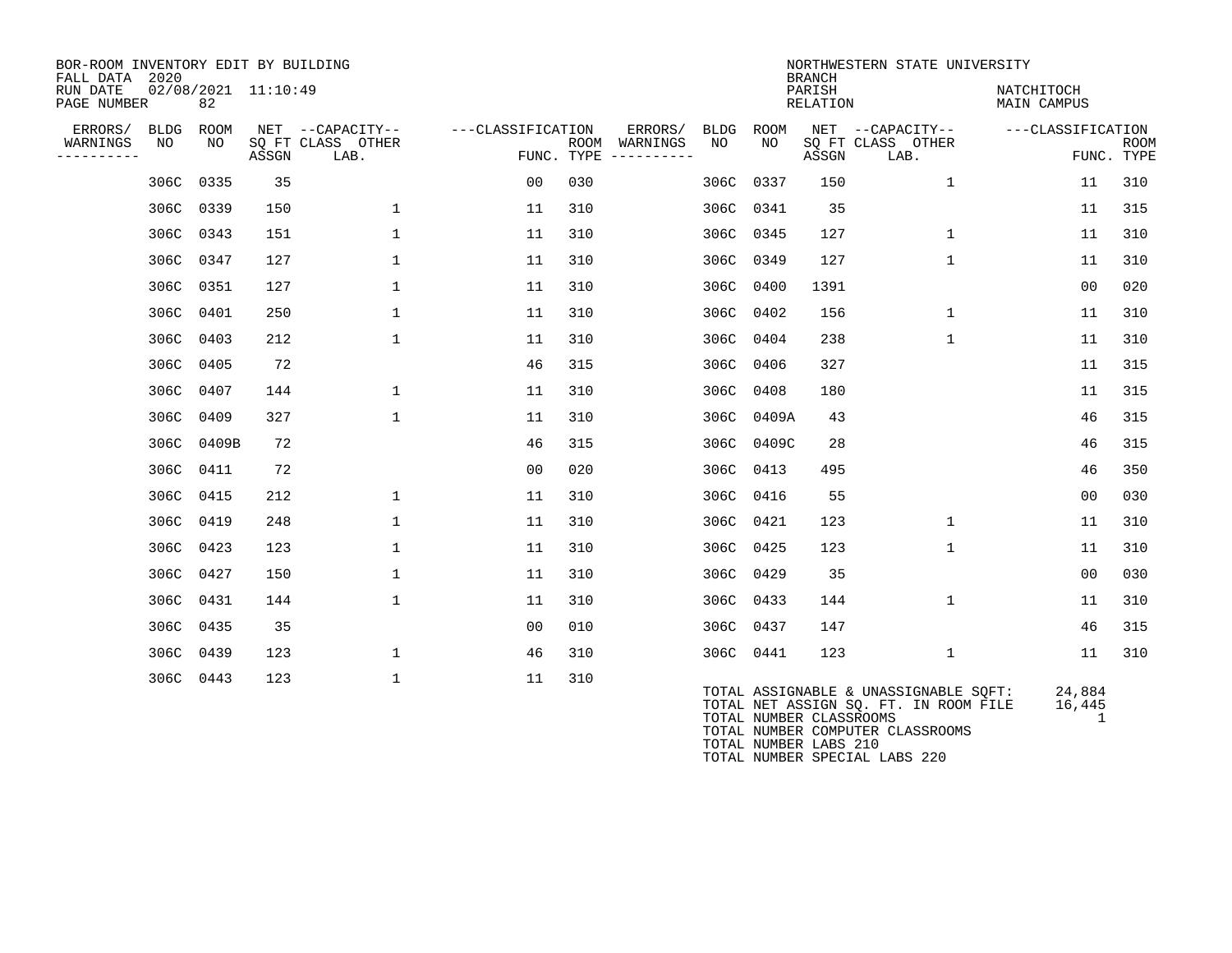| BOR-ROOM INVENTORY EDIT BY BUILDING<br>FALL DATA 2020 |                   |             |                     |                                               |                   | NORTHWESTERN STATE UNIVERSITY<br><b>BRANCH</b> |                                            |             |                         |                    |                                                                                |                           |                           |  |  |
|-------------------------------------------------------|-------------------|-------------|---------------------|-----------------------------------------------|-------------------|------------------------------------------------|--------------------------------------------|-------------|-------------------------|--------------------|--------------------------------------------------------------------------------|---------------------------|---------------------------|--|--|
| RUN DATE<br>PAGE NUMBER                               |                   | 82          | 02/08/2021 11:10:49 |                                               |                   |                                                |                                            |             |                         | PARISH<br>RELATION |                                                                                | NATCHITOCH<br>MAIN CAMPUS |                           |  |  |
| ERRORS/<br>WARNINGS<br>----------                     | <b>BLDG</b><br>NO | ROOM<br>NO. | ASSGN               | NET --CAPACITY--<br>SQ FT CLASS OTHER<br>LAB. | ---CLASSIFICATION | ROOM                                           | ERRORS/<br>WARNINGS<br>FUNC. TYPE $------$ | BLDG<br>NO. | ROOM<br>NO.             | ASSGN              | NET --CAPACITY--<br>SQ FT CLASS OTHER<br>LAB.                                  | ---CLASSIFICATION         | <b>ROOM</b><br>FUNC. TYPE |  |  |
|                                                       |                   | 306C 0335   | 35                  |                                               | 00                | 030                                            |                                            | 306C        | 0337                    | 150                | $\mathbf{1}$                                                                   | 11                        | 310                       |  |  |
|                                                       |                   | 306C 0339   | 150                 | $\mathbf{1}$                                  | 11                | 310                                            |                                            | 306C        | 0341                    | 35                 |                                                                                | 11                        | 315                       |  |  |
|                                                       |                   | 306C 0343   | 151                 | $\mathbf{1}$                                  | 11                | 310                                            |                                            |             | 306C 0345               | 127                | 1                                                                              | 11                        | 310                       |  |  |
|                                                       |                   | 306C 0347   | 127                 | $\mathbf{1}$                                  | 11                | 310                                            |                                            | 306C        | 0349                    | 127                | 1                                                                              | 11                        | 310                       |  |  |
|                                                       |                   | 306C 0351   | 127                 | $\mathbf{1}$                                  | 11                | 310                                            |                                            | 306C        | 0400                    | 1391               |                                                                                | 00                        | 020                       |  |  |
|                                                       | 306C              | 0401        | 250                 | $\mathbf{1}$                                  | 11                | 310                                            |                                            | 306C        | 0402                    | 156                | $\mathbf 1$                                                                    | 11                        | 310                       |  |  |
|                                                       | 306C              | 0403        | 212                 | $\mathbf{1}$                                  | 11                | 310                                            |                                            | 306C        | 0404                    | 238                | $\mathbf{1}$                                                                   | 11                        | 310                       |  |  |
|                                                       | 306C              | 0405        | 72                  |                                               | 46                | 315                                            |                                            | 306C        | 0406                    | 327                |                                                                                | 11                        | 315                       |  |  |
|                                                       | 306C              | 0407        | 144                 | $\mathbf{1}$                                  | 11                | 310                                            |                                            | 306C        | 0408                    | 180                |                                                                                | 11                        | 315                       |  |  |
|                                                       | 306C              | 0409        | 327                 | $\mathbf{1}$                                  | 11                | 310                                            |                                            | 306C        | 0409A                   | 43                 |                                                                                | 46                        | 315                       |  |  |
|                                                       |                   | 306C 0409B  | 72                  |                                               | 46                | 315                                            |                                            |             | 306C 0409C              | 28                 |                                                                                | 46                        | 315                       |  |  |
|                                                       |                   | 306C 0411   | 72                  |                                               | 00                | 020                                            |                                            | 306C        | 0413                    | 495                |                                                                                | 46                        | 350                       |  |  |
|                                                       | 306C              | 0415        | 212                 | $\mathbf{1}$                                  | 11                | 310                                            |                                            | 306C        | 0416                    | 55                 |                                                                                | 0 <sub>0</sub>            | 030                       |  |  |
|                                                       |                   | 306C 0419   | 248                 | $\mathbf{1}$                                  | 11                | 310                                            |                                            | 306C        | 0421                    | 123                | $\mathbf{1}$                                                                   | 11                        | 310                       |  |  |
|                                                       | 306C              | 0423        | 123                 | $\mathbf{1}$                                  | 11                | 310                                            |                                            | 306C        | 0425                    | 123                | $\mathbf{1}$                                                                   | 11                        | 310                       |  |  |
|                                                       | 306C              | 0427        | 150                 | $\mathbf{1}$                                  | 11                | 310                                            |                                            | 306C        | 0429                    | 35                 |                                                                                | 00                        | 030                       |  |  |
|                                                       | 306C              | 0431        | 144                 | $\mathbf{1}$                                  | 11                | 310                                            |                                            | 306C        | 0433                    | 144                | $\mathbf 1$                                                                    | 11                        | 310                       |  |  |
|                                                       |                   | 306C 0435   | 35                  |                                               | 00                | 010                                            |                                            | 306C        | 0437                    | 147                |                                                                                | 46                        | 315                       |  |  |
|                                                       |                   | 306C 0439   | 123                 | $\mathbf{1}$                                  | 46                | 310                                            |                                            |             | 306C 0441               | 123                | $\mathbf 1$                                                                    | 11                        | 310                       |  |  |
|                                                       |                   | 306C 0443   | 123                 | $\mathbf{1}$                                  | 11                | 310                                            |                                            |             | TOTAL NUMBER CLASSROOMS |                    | TOTAL ASSIGNABLE & UNASSIGNABLE SQFT:<br>TOTAL NET ASSIGN SQ. FT. IN ROOM FILE | 24,884<br>16,445<br>1     |                           |  |  |
|                                                       |                   |             |                     |                                               |                   |                                                |                                            |             |                         |                    | TOTAL NUMBER COMPUTER CLASSROOMS                                               |                           |                           |  |  |

TOTAL NUMBER LABS 210

TOTAL NUMBER SPECIAL LABS 220